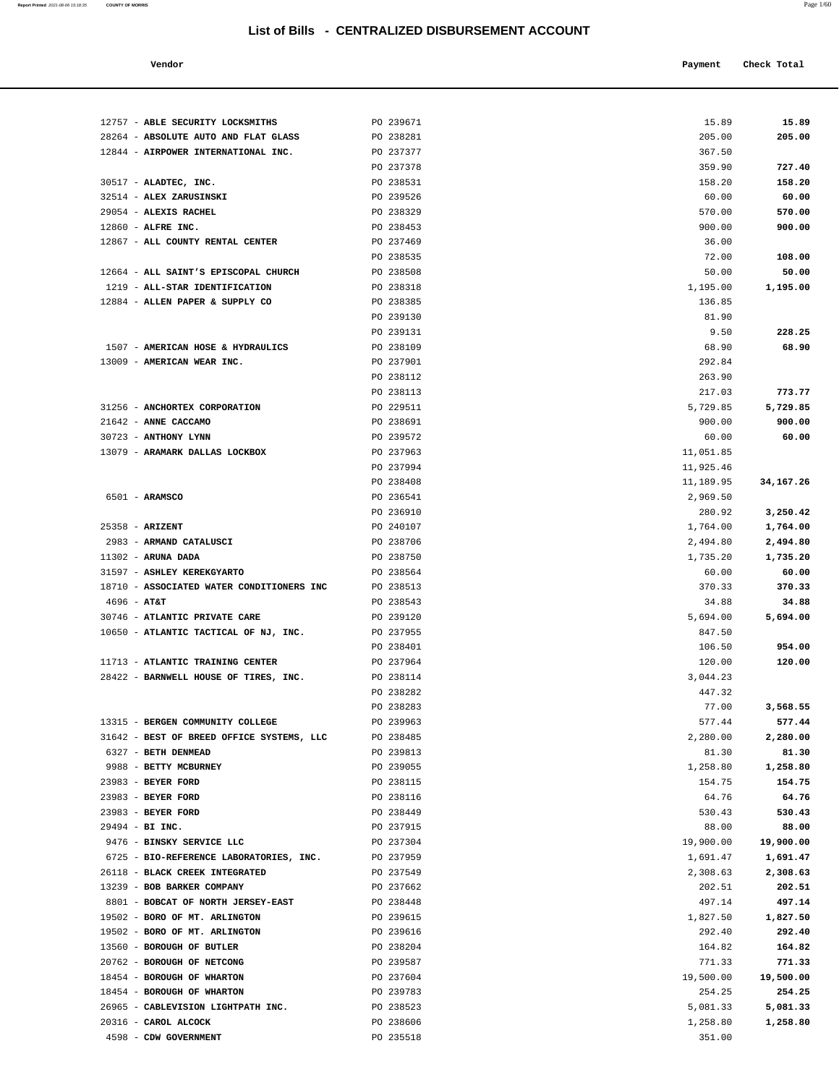| Vendor | Payment Check Total |
|--------|---------------------|
|        |                     |

| 12757 - ABLE SECURITY LOCKSMITHS             | PO 239671              | 15.89              | 15.89              |
|----------------------------------------------|------------------------|--------------------|--------------------|
| 28264 - ABSOLUTE AUTO AND FLAT GLASS         | PO 238281              | 205.00             | 205.00             |
| 12844 - AIRPOWER INTERNATIONAL INC.          | PO 237377              | 367.50             |                    |
|                                              | PO 237378              | 359.90             | 727.40             |
| 30517 - ALADTEC, INC.                        | PO 238531              | 158.20             | 158.20             |
| 32514 - ALEX ZARUSINSKI                      | PO 239526              | 60.00              | 60.00              |
| 29054 - ALEXIS RACHEL                        | PO 238329              | 570.00             | 570.00             |
| 12860 - ALFRE INC.                           | PO 238453              | 900.00             | 900.00             |
| 12867 - ALL COUNTY RENTAL CENTER             | PO 237469              | 36.00              |                    |
|                                              | PO 238535              | 72.00              | 108.00             |
| 12664 - ALL SAINT'S EPISCOPAL CHURCH         | PO 238508              | 50.00              | 50.00              |
| 1219 - ALL-STAR IDENTIFICATION               | PO 238318              | 1,195.00           | 1,195.00           |
| 12884 - ALLEN PAPER & SUPPLY CO              | PO 238385              | 136.85             |                    |
|                                              | PO 239130              | 81.90              |                    |
| 1507 - AMERICAN HOSE & HYDRAULICS            | PO 239131<br>PO 238109 | 9.50<br>68.90      | 228.25             |
| 13009 - AMERICAN WEAR INC.                   | PO 237901              | 292.84             | 68.90              |
|                                              | PO 238112              | 263.90             |                    |
|                                              | PO 238113              | 217.03             | 773.77             |
| 31256 - ANCHORTEX CORPORATION                | PO 229511              | 5,729.85           | 5,729.85           |
| 21642 - ANNE CACCAMO                         | PO 238691              | 900.00             | 900.00             |
| 30723 - ANTHONY LYNN                         | PO 239572              | 60.00              | 60.00              |
| 13079 - ARAMARK DALLAS LOCKBOX               | PO 237963              | 11,051.85          |                    |
|                                              | PO 237994              | 11,925.46          |                    |
|                                              | PO 238408              | 11,189.95          | 34, 167. 26        |
| 6501 - ARAMSCO                               | PO 236541              | 2,969.50           |                    |
|                                              | PO 236910              | 280.92             | 3,250.42           |
| $25358 - ARIZENT$                            | PO 240107              | 1,764.00           | 1,764.00           |
| 2983 - ARMAND CATALUSCI                      | PO 238706              | 2,494.80           | 2,494.80           |
| $11302$ - ARUNA DADA                         | PO 238750              | 1,735.20           | 1,735.20           |
| 31597 - ASHLEY KEREKGYARTO                   | PO 238564              | 60.00              | 60.00              |
| 18710 - ASSOCIATED WATER CONDITIONERS INC    | PO 238513              | 370.33             | 370.33             |
| $4696 - AT&T$                                | PO 238543              | 34.88              | 34.88              |
| 30746 - ATLANTIC PRIVATE CARE                | PO 239120              | 5,694.00           | 5,694.00           |
| 10650 - ATLANTIC TACTICAL OF NJ, INC.        | PO 237955              | 847.50             |                    |
|                                              | PO 238401              | 106.50             | 954.00             |
| 11713 - ATLANTIC TRAINING CENTER             | PO 237964              | 120.00             | 120.00             |
| 28422 - BARNWELL HOUSE OF TIRES, INC.        | PO 238114              | 3,044.23           |                    |
|                                              | PO 238282              | 447.32             |                    |
|                                              | PO 238283              | 77.00              | 3,568.55           |
| 13315 - BERGEN COMMUNITY COLLEGE             | PO 239963              | 577.44             | 577.44             |
| 31642 - BEST OF BREED OFFICE SYSTEMS, LLC    | PO 238485              | 2,280.00           | 2,280.00           |
| 6327 - BETH DENMEAD                          | PO 239813              | 81.30              | 81.30              |
| 9988 - BETTY MCBURNEY                        | PO 239055              | 1,258.80           | 1,258.80           |
| 23983 - BEYER FORD                           | PO 238115              | 154.75             | 154.75             |
| 23983 - BEYER FORD                           | PO 238116              | 64.76              | 64.76              |
| 23983 - BEYER FORD                           | PO 238449              | 530.43             | 530.43             |
| 29494 - BI INC.<br>9476 - BINSKY SERVICE LLC | PO 237915<br>PO 237304 | 88.00<br>19,900.00 | 88.00<br>19,900.00 |
| 6725 - BIO-REFERENCE LABORATORIES, INC.      | PO 237959              | 1,691.47           | 1,691.47           |
| 26118 - BLACK CREEK INTEGRATED               | PO 237549              | 2,308.63           | 2,308.63           |
| 13239 - BOB BARKER COMPANY                   | PO 237662              | 202.51             | 202.51             |
| 8801 - BOBCAT OF NORTH JERSEY-EAST           | PO 238448              | 497.14             | 497.14             |
| 19502 - BORO OF MT. ARLINGTON                | PO 239615              | 1,827.50           | 1,827.50           |
| 19502 - BORO OF MT. ARLINGTON                | PO 239616              | 292.40             | 292.40             |
| 13560 - BOROUGH OF BUTLER                    | PO 238204              | 164.82             | 164.82             |
| 20762 - BOROUGH OF NETCONG                   | PO 239587              | 771.33             | 771.33             |
| 18454 - BOROUGH OF WHARTON                   | PO 237604              | 19,500.00          | 19,500.00          |
| 18454 - BOROUGH OF WHARTON                   | PO 239783              | 254.25             | 254.25             |
| 26965 - CABLEVISION LIGHTPATH INC.           | PO 238523              | 5,081.33           | 5,081.33           |
| 20316 - CAROL ALCOCK                         | PO 238606              | 1,258.80           | 1,258.80           |
| 4598 - CDW GOVERNMENT                        | PO 235518              | 351.00             |                    |

**Report Printed** 2021-08-06 15:18:35 **COUNTY OF MORRIS** Page 1/60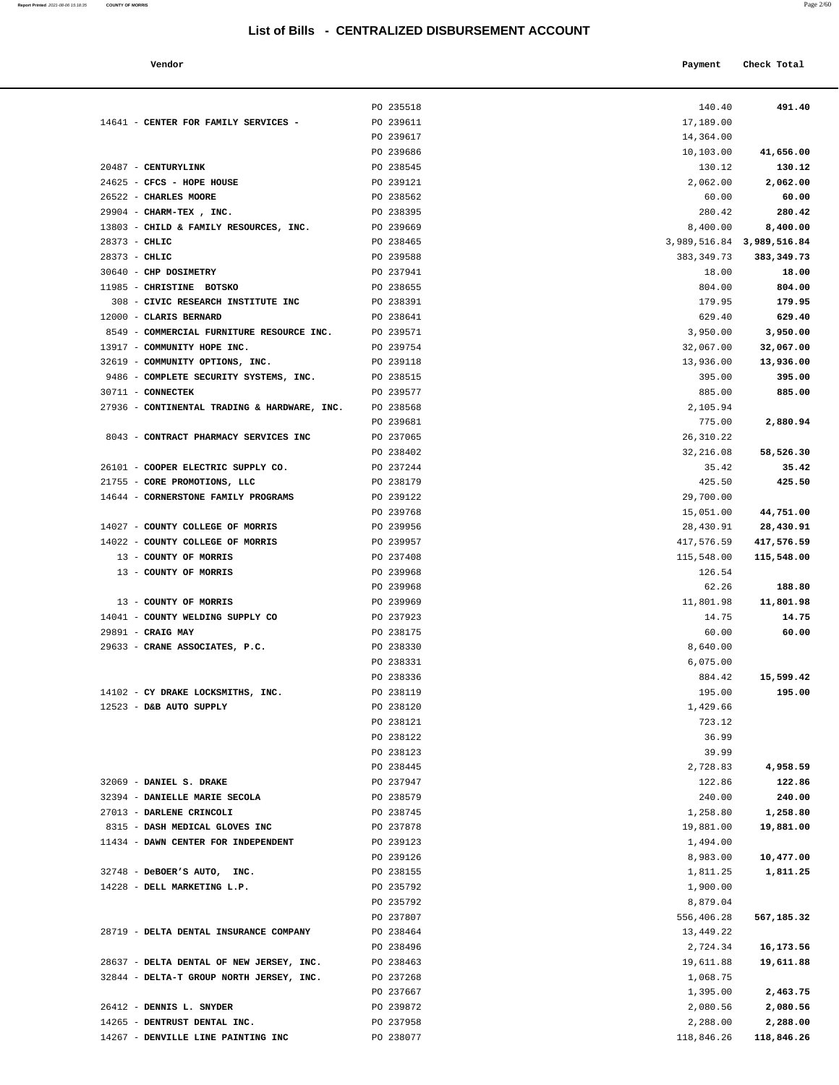24625 - **CFCS - HOPE HOUSE** PO 239121 2,062.00 **2,062.00**

14641 - **CENTER FOR FAMILY SERVICES -** PO 239611

20487 - **CENTURYLINK** PO 238545<br>24625 - **CFCS - HOPE HOUSE** PO 239121

 26522 - **CHARLES MOORE** PO 238562 60.00 **60.00** 29904 - **CHARM-TEX**, **INC.** PO 238395 13803 - **CHILD & FAMILY RESOURCES, INC.** PO 239669 28373 - **CHLIC** 3,98465

| Report Printed 2021-08-06 15:18:35<br>the contract of the contract of the contract of the contract of the contract of the contract of the contract of | <b>COUNTY OF MORRIS</b> |  | Page 2/60 |
|-------------------------------------------------------------------------------------------------------------------------------------------------------|-------------------------|--|-----------|
|                                                                                                                                                       |                         |  |           |

| Vendor                               |           | Payment                   | Check Total  |
|--------------------------------------|-----------|---------------------------|--------------|
|                                      | PO 235518 | 140.40                    | 491.40       |
| <b>CENTER FOR FAMILY SERVICES -</b>  | PO 239611 | 17,189.00                 |              |
|                                      | PO 239617 | 14,364.00                 |              |
|                                      | PO 239686 | 10,103.00                 | 41,656.00    |
| CENTURYLINK                          | PO 238545 | 130.12                    | 130.12       |
| CFCS - HOPE HOUSE                    | PO 239121 | 2,062.00                  | 2,062.00     |
| <b>CHARLES MOORE</b>                 | PO 238562 | 60.00                     | 60.00        |
| CHARM-TEX , INC.                     | PO 238395 | 280.42                    | 280.42       |
| CHILD & FAMILY RESOURCES, INC.       | PO 239669 | 8,400.00                  | 8,400.00     |
| CHLIC                                | PO 238465 | 3,989,516.84 3,989,516.84 |              |
| CHLIC                                | PO 239588 | 383, 349. 73              | 383, 349. 73 |
| <b>CHP DOSIMETRY</b>                 | PO 237941 | 18.00                     | 18.00        |
| CHRISTINE BOTSKO                     | PO 238655 | 804.00                    | 804.00       |
| CIVIC RESEARCH INSTITUTE INC         | PO 238391 | 179.95                    | 179.95       |
| <b>CLARIS BERNARD</b>                | PO 238641 | 629.40                    | 629.40       |
| COMMERCIAL FURNITURE RESOURCE INC.   | PO 239571 | 3,950.00                  | 3,950.00     |
| COMMUNITY HOPE INC.                  | PO 239754 | 32,067.00                 | 32,067.00    |
| COMMUNITY OPTIONS, INC.              | PO 239118 | 13,936.00                 | 13,936.00    |
| COMPLETE SECURITY SYSTEMS, INC.      | PO 238515 | 395.00                    | 395.00       |
| <b>CONNECTEK</b>                     | PO 239577 | 885.00                    | 885.00       |
| CONTINENTAL TRADING & HARDWARE, INC. | PO 238568 | 2,105.94                  |              |
|                                      | PO 239681 | 775.00                    | 2,880.94     |
| CONTRACT PHARMACY SERVICES INC       | PO 237065 | 26, 310.22                |              |
|                                      | PO 238402 | 32,216.08                 | 58,526.30    |
| COOPER ELECTRIC SUPPLY CO.           | PO 237244 | 35.42                     | 35.42        |
| CORE PROMOTIONS, LLC                 | PO 238179 | 425.50                    | 425.50       |
| CORNERSTONE FAMILY PROGRAMS          | PO 239122 | 29,700.00                 |              |
|                                      | PO 239768 | 15,051.00                 | 44,751.00    |
| COUNTY COLLEGE OF MORRIS             | PO 239956 | 28,430.91                 | 28,430.91    |
| COUNTY COLLEGE OF MORRIS             | PO 239957 | 417,576.59                | 417,576.59   |
| <b>COUNTY OF MORRIS</b>              | PO 237408 | 115,548.00                | 115,548.00   |
| <b>COUNTY OF MORRIS</b>              | PO 239968 | 126.54                    |              |
|                                      | PO 239968 | 62.26                     | 188.80       |
| COUNTY OF MORRIS                     | PO 239969 | 11,801.98                 | 11,801.98    |
| COUNTY WELDING SUPPLY CO             | PO 237923 | 14.75                     | 14.75        |
| CRAIG MAY                            | PO 238175 | 60.00                     | 60.00        |
| CRANE ASSOCIATES, P.C.               | PO 238330 | 8,640.00                  |              |
|                                      | PO 238331 | 6,075.00                  |              |
|                                      | PO 238336 | 884.42                    | 15,599.42    |
| CY DRAKE LOCKSMITHS, INC.            | PO 238119 | 195.00                    | 195.00       |
| D&B AUTO SUPPLY                      | PO 238120 | 1,429.66                  |              |
|                                      | PO 238121 | 723.12                    |              |
|                                      | PO 238122 | 36.99                     |              |
|                                      | PO 238123 | 39.99                     |              |
|                                      | PO 238445 | 2,728.83                  | 4,958.59     |
| <b>DANIEL S. DRAKE</b>               | PO 237947 | 122.86                    | 122.86       |
| DANIELLE MARIE SECOLA                | PO 238579 | 240.00                    | 240.00       |
| DARLENE CRINCOLI                     | PO 238745 | 1,258.80                  | 1,258.80     |
| DASH MEDICAL GLOVES INC              | PO 237878 | 19,881.00                 | 19,881.00    |
| DAWN CENTER FOR INDEPENDENT          | PO 239123 |                           |              |
|                                      |           | 1,494.00                  |              |
|                                      | PO 239126 | 8,983.00                  | 10,477.00    |
| DeBOER'S AUTO, INC.                  | PO 238155 | 1,811.25                  | 1,811.25     |
| DELL MARKETING L.P.                  | PO 235792 | 1,900.00                  |              |
|                                      | PO 235792 | 8,879.04                  |              |
|                                      | PO 237807 | 556,406.28                | 567,185.32   |
| DELTA DENTAL INSURANCE COMPANY       | PO 238464 | 13,449.22                 |              |
|                                      | PO 238496 | 2,724.34                  | 16,173.56    |

| $28373 - CHLIC$                                                                      | PO 239588              | 383, 349.73           | 383, 349.73 |
|--------------------------------------------------------------------------------------|------------------------|-----------------------|-------------|
| 30640 - CHP DOSIMETRY                                                                | PO 237941              | 18.00                 | 18.00       |
| 11985 - CHRISTINE BOTSKO                                                             | PO 238655              | 804.00                | 804.00      |
| 308 - CIVIC RESEARCH INSTITUTE INC                                                   | PO 238391              | 179.95                | 179.95      |
| 12000 - CLARIS BERNARD                                                               | PO 238641              | 629.40                | 629.40      |
| 8549 - COMMERCIAL FURNITURE RESOURCE INC. PO 239571                                  |                        | 3,950.00              | 3,950.00    |
| 13917 - COMMUNITY HOPE INC.                                                          | PO 239754              | 32,067.00             | 32,067.00   |
| 32619 - COMMUNITY OPTIONS, INC.                                                      | PO 239118              | 13,936.00             | 13,936.00   |
| 9486 - COMPLETE SECURITY SYSTEMS, INC.                                               | PO 238515              | 395.00                | 395.00      |
| 30711 - CONNECTEK                                                                    | PO 239577              | 885.00                | 885.00      |
| 27936 - CONTINENTAL TRADING & HARDWARE, INC.                                         | PO 238568              | 2,105.94              |             |
|                                                                                      | PO 239681              | 775.00                | 2,880.94    |
| 8043 - CONTRACT PHARMACY SERVICES INC                                                | PO 237065              | 26, 310.22            |             |
|                                                                                      | PO 238402              | 32,216.08             | 58,526.30   |
| 26101 - COOPER ELECTRIC SUPPLY CO.                                                   | PO 237244              | 35.42                 | 35.42       |
| 21755 - CORE PROMOTIONS, LLC                                                         | PO 238179              | 425.50                | 425.50      |
| 14644 - CORNERSTONE FAMILY PROGRAMS                                                  | PO 239122              | 29,700.00             |             |
|                                                                                      | PO 239768              | 15,051.00             | 44,751.00   |
| 14027 - COUNTY COLLEGE OF MORRIS                                                     | PO 239956              | 28,430.91             | 28,430.91   |
| 14022 - COUNTY COLLEGE OF MORRIS                                                     | PO 239957              | 417,576.59            | 417,576.59  |
| 13 - COUNTY OF MORRIS                                                                | PO 237408              | 115,548.00            | 115,548.00  |
| 13 - COUNTY OF MORRIS                                                                | PO 239968              | 126.54                |             |
|                                                                                      | PO 239968              | 62.26                 | 188.80      |
| 13 - COUNTY OF MORRIS                                                                | PO 239969              | 11,801.98             | 11,801.98   |
| 14041 - COUNTY WELDING SUPPLY CO                                                     | PO 237923              | 14.75                 | 14.75       |
| 29891 - CRAIG MAY                                                                    | PO 238175              | 60.00                 | 60.00       |
| 29633 - CRANE ASSOCIATES, P.C.                                                       | PO 238330              | 8,640.00              |             |
|                                                                                      | PO 238331              | 6,075.00              |             |
|                                                                                      | PO 238336              | 884.42                | 15,599.42   |
| 14102 - CY DRAKE LOCKSMITHS, INC.                                                    | PO 238119              | 195.00                | 195.00      |
| 12523 - D&B AUTO SUPPLY                                                              | PO 238120              | 1,429.66              |             |
|                                                                                      | PO 238121              | 723.12                |             |
|                                                                                      | PO 238122              | 36.99                 |             |
|                                                                                      | PO 238123              | 39.99                 |             |
|                                                                                      | PO 238445              | 2,728.83              | 4,958.59    |
| 32069 - DANIEL S. DRAKE                                                              | PO 237947              | 122.86                | 122.86      |
| 32394 - DANIELLE MARIE SECOLA                                                        | PO 238579              | 240.00                | 240.00      |
| 27013 - DARLENE CRINCOLI                                                             | PO 238745              | 1,258.80              | 1,258.80    |
| 8315 - DASH MEDICAL GLOVES INC                                                       | PO 237878              | 19,881.00             | 19,881.00   |
| 11434 - DAWN CENTER FOR INDEPENDENT                                                  | PO 239123              | 1,494.00              |             |
|                                                                                      | PO 239126              | 8,983.00              | 10,477.00   |
| 32748 - DeBOER'S AUTO, INC.                                                          | PO 238155              | 1,811.25              | 1,811.25    |
| 14228 - DELL MARKETING L.P.                                                          | PO 235792<br>PO 235792 | 1,900.00              |             |
|                                                                                      | PO 237807              | 8,879.04              |             |
| 28719 - DELTA DENTAL INSURANCE COMPANY                                               | PO 238464              | 556,406.28            | 567,185.32  |
|                                                                                      | PO 238496              | 13,449.22             |             |
|                                                                                      |                        | 2,724.34              | 16,173.56   |
| 28637 - DELTA DENTAL OF NEW JERSEY, INC.<br>32844 - DELTA-T GROUP NORTH JERSEY, INC. | PO 238463<br>PO 237268 | 19,611.88<br>1,068.75 | 19,611.88   |
|                                                                                      | PO 237667              | 1,395.00              | 2,463.75    |
| 26412 - DENNIS L. SNYDER                                                             | PO 239872              | 2,080.56              | 2,080.56    |
| 14265 - DENTRUST DENTAL INC.                                                         | PO 237958              | 2,288.00              | 2,288.00    |
| 14267 - DENVILLE LINE PAINTING INC                                                   | PO 238077              | 118,846.26            | 118,846.26  |
|                                                                                      |                        |                       |             |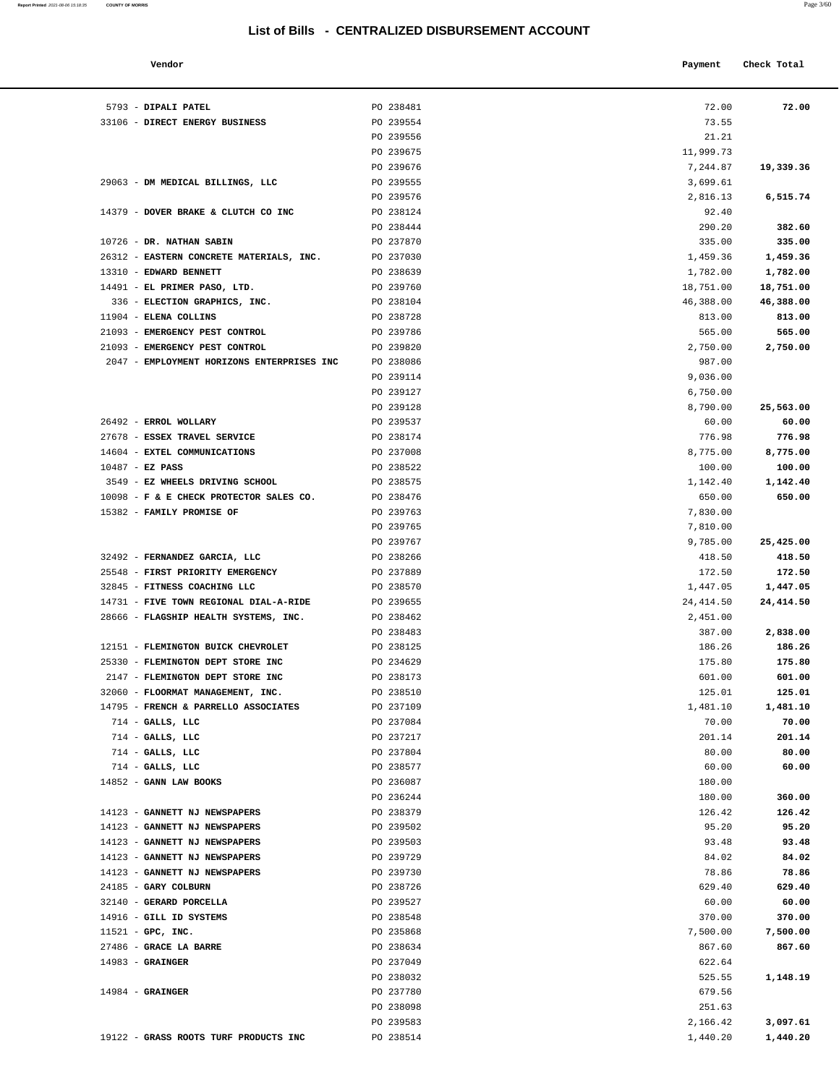5793 - **DIPALI PATEL** 238481 33106 - **DIRECT ENERGY BUSINESS** PO 239554

29063 - **DM MEDICAL BILLINGS, LLC** PO 239555

**Report Printed** 2021-08-06 15:18:35 **COUNTY OF MORRIS** 

| - 62 | 10 3/61<br>0 |
|------|--------------|
|      |              |

| Vendor                                  |           | Payment    | Check Total |
|-----------------------------------------|-----------|------------|-------------|
| <b>DIPALI PATEL</b>                     | PO 238481 | 72.00      | 72.00       |
| DIRECT ENERGY BUSINESS                  | PO 239554 | 73.55      |             |
|                                         | PO 239556 | 21.21      |             |
|                                         | PO 239675 | 11,999.73  |             |
|                                         | PO 239676 | 7,244.87   | 19,339.36   |
| DM MEDICAL BILLINGS, LLC                | PO 239555 | 3,699.61   |             |
|                                         | PO 239576 | 2,816.13   | 6,515.74    |
| DOVER BRAKE & CLUTCH CO INC             | PO 238124 | 92.40      |             |
|                                         | PO 238444 | 290.20     | 382.60      |
| DR. NATHAN SABIN                        | PO 237870 | 335.00     | 335.00      |
| EASTERN CONCRETE MATERIALS, INC.        | PO 237030 | 1,459.36   | 1,459.36    |
| <b>EDWARD BENNETT</b>                   | PO 238639 | 1,782.00   | 1,782.00    |
| EL PRIMER PASO, LTD.                    | PO 239760 | 18,751.00  | 18,751.00   |
| ELECTION GRAPHICS, INC.                 | PO 238104 | 46,388.00  | 46,388.00   |
| ELENA COLLINS                           | PO 238728 | 813.00     | 813.00      |
| EMERGENCY PEST CONTROL                  | PO 239786 | 565.00     | 565.00      |
| EMERGENCY PEST CONTROL                  | PO 239820 | 2,750.00   | 2,750.00    |
| EMPLOYMENT HORIZONS ENTERPRISES INC     | PO 238086 | 987.00     |             |
|                                         | PO 239114 | 9,036.00   |             |
|                                         | PO 239127 | 6,750.00   |             |
|                                         | PO 239128 | 8,790.00   | 25,563.00   |
| ERROL WOLLARY                           | PO 239537 | 60.00      | 60.00       |
| ESSEX TRAVEL SERVICE                    | PO 238174 | 776.98     | 776.98      |
| EXTEL COMMUNICATIONS                    | PO 237008 | 8,775.00   | 8,775.00    |
| EZ PASS                                 | PO 238522 | 100.00     | 100.00      |
| <b>EZ WHEELS DRIVING SCHOOL</b>         | PO 238575 | 1,142.40   | 1,142.40    |
| F & E CHECK PROTECTOR SALES CO.         | PO 238476 | 650.00     | 650.00      |
| <b>FAMILY PROMISE OF</b>                | PO 239763 | 7,830.00   |             |
|                                         | PO 239765 | 7,810.00   |             |
|                                         | PO 239767 | 9,785.00   | 25,425.00   |
| FERNANDEZ GARCIA, LLC                   | PO 238266 | 418.50     | 418.50      |
| FIRST PRIORITY EMERGENCY                | PO 237889 | 172.50     | 172.50      |
| FITNESS COACHING LLC                    | PO 238570 | 1,447.05   | 1,447.05    |
| FIVE TOWN REGIONAL DIAL-A-RIDE          | PO 239655 | 24, 414.50 | 24, 414.50  |
| FLAGSHIP HEALTH SYSTEMS, INC.           | PO 238462 | 2,451.00   |             |
|                                         | PO 238483 | 387.00     | 2,838.00    |
| FLEMINGTON BUICK CHEVROLET              | PO 238125 | 186.26     | 186.26      |
| FLEMINGTON DEPT STORE INC               | PO 234629 | 175.80     | 175.80      |
| FLEMINGTON DEPT STORE INC               | PO 238173 | 601.00     | 601.00      |
| FLOORMAT MANAGEMENT, INC.               | PO 238510 | 125.01     | 125.01      |
| <b>FRENCH &amp; PARRELLO ASSOCIATES</b> | PO 237109 | 1,481.10   | 1,481.10    |
| GALLS, LLC                              | PO 237084 | 70.00      | 70.00       |
| GALLS, LLC                              | PO 237217 | 201.14     | 201.14      |
| GALLS, LLC                              | PO 237804 | 80.00      | 80.00       |
| GALLS, LLC                              | PO 238577 | 60.00      | 60.00       |
| GANN LAW BOOKS                          | PO 236087 | 180.00     |             |
|                                         | PO 236244 | 180.00     | 360.00      |
| <b>GANNETT NJ NEWSPAPERS</b>            | PO 238379 | 126.42     | 126.42      |
| <b>GANNETT NJ NEWSPAPERS</b>            | PO 239502 | 95.20      | 95.20       |
| <b>GANNETT NJ NEWSPAPERS</b>            | PO 239503 | 93.48      | 93.48       |
| <b>GANNETT NJ NEWSPAPERS</b>            | PO 239729 | 84.02      | 84.02       |
| <b>GANNETT NJ NEWSPAPERS</b>            | PO 239730 | 78.86      | 78.86       |
| <b>GARY COLBURN</b>                     | PO 238726 | 629.40     | 629.40      |
| ג.ד.דפי <i>ח</i> סחס חסגספט             | DO 239527 | 60 00      | 50.00       |

| 14379 - DOVER BRAKE & CLUTCH CO INC                            | PO 238124              | 92.40          |                  |
|----------------------------------------------------------------|------------------------|----------------|------------------|
|                                                                | PO 238444              | 290.20         | 382.60           |
| 10726 - DR. NATHAN SABIN                                       | PO 237870              | 335.00         | 335.00           |
| 26312 - EASTERN CONCRETE MATERIALS, INC.                       | PO 237030              | 1,459.36       | 1,459.36         |
| 13310 - EDWARD BENNETT                                         | PO 238639              | 1,782.00       | 1,782.00         |
| 14491 - EL PRIMER PASO, LTD.                                   | PO 239760              | 18,751.00      | 18,751.00        |
| 336 - ELECTION GRAPHICS, INC.                                  | PO 238104              | 46,388.00      | 46,388.00        |
| 11904 - ELENA COLLINS                                          | PO 238728              | 813.00         | 813.00           |
| 21093 - EMERGENCY PEST CONTROL                                 | PO 239786              | 565.00         | 565.00           |
| 21093 - EMERGENCY PEST CONTROL                                 | PO 239820              | 2,750.00       | 2,750.00         |
| 2047 - EMPLOYMENT HORIZONS ENTERPRISES INC                     | PO 238086              | 987.00         |                  |
|                                                                | PO 239114              | 9,036.00       |                  |
|                                                                | PO 239127              | 6,750.00       |                  |
|                                                                | PO 239128              | 8,790.00       | 25,563.00        |
| 26492 - ERROL WOLLARY                                          | PO 239537              | 60.00          | 60.00            |
| 27678 - ESSEX TRAVEL SERVICE                                   | PO 238174              | 776.98         | 776.98           |
| 14604 - EXTEL COMMUNICATIONS                                   | PO 237008              | 8,775.00       | 8,775.00         |
| $10487 - EZ$ PASS                                              | PO 238522              | 100.00         | 100.00           |
| 3549 - EZ WHEELS DRIVING SCHOOL                                | PO 238575              | 1,142.40       | 1,142.40         |
| 10098 - F & E CHECK PROTECTOR SALES CO.                        | PO 238476              | 650.00         | 650.00           |
| 15382 - FAMILY PROMISE OF                                      | PO 239763              | 7,830.00       |                  |
|                                                                | PO 239765              | 7,810.00       |                  |
|                                                                | PO 239767              | 9,785.00       | 25,425.00        |
| 32492 - FERNANDEZ GARCIA, LLC                                  | PO 238266              | 418.50         | 418.50           |
| 25548 - FIRST PRIORITY EMERGENCY                               | PO 237889              | 172.50         | 172.50           |
| 32845 - FITNESS COACHING LLC                                   | PO 238570              | 1,447.05       | 1,447.05         |
| 14731 - FIVE TOWN REGIONAL DIAL-A-RIDE                         | PO 239655              | 24, 414.50     | 24, 414.50       |
| 28666 - FLAGSHIP HEALTH SYSTEMS, INC.                          | PO 238462              | 2,451.00       |                  |
|                                                                | PO 238483              | 387.00         | 2,838.00         |
| 12151 - FLEMINGTON BUICK CHEVROLET                             | PO 238125              | 186.26         | 186.26           |
| 25330 - FLEMINGTON DEPT STORE INC                              | PO 234629              | 175.80         | 175.80           |
| 2147 - FLEMINGTON DEPT STORE INC                               | PO 238173              | 601.00         | 601.00           |
| 32060 - FLOORMAT MANAGEMENT, INC.                              | PO 238510              | 125.01         | 125.01           |
| 14795 - FRENCH & PARRELLO ASSOCIATES                           | PO 237109              | 1,481.10       | 1,481.10         |
| $714$ - GALLS, LLC                                             | PO 237084              | 70.00          | 70.00            |
| $714$ - GALLS, LLC                                             | PO 237217              | 201.14         | 201.14           |
| $714$ - GALLS, LLC                                             | PO 237804              | 80.00          | 80.00            |
| $714$ - GALLS, LLC                                             | PO 238577              | 60.00          | 60.00            |
| 14852 - GANN LAW BOOKS                                         | PO 236087              | 180.00         |                  |
|                                                                | PO 236244<br>PO 238379 | 180.00         | 360.00<br>126.42 |
| 14123 - GANNETT NJ NEWSPAPERS<br>14123 - GANNETT NJ NEWSPAPERS |                        | 126.42         | 95.20            |
| 14123 - GANNETT NJ NEWSPAPERS                                  | PO 239502<br>PO 239503 | 95.20<br>93.48 | 93.48            |
| 14123 - GANNETT NJ NEWSPAPERS                                  | PO 239729              | 84.02          | 84.02            |
| 14123 - GANNETT NJ NEWSPAPERS                                  | PO 239730              | 78.86          | 78.86            |
| 24185 - GARY COLBURN                                           | PO 238726              | 629.40         | 629.40           |
| 32140 - GERARD PORCELLA                                        | PO 239527              | 60.00          | 60.00            |
| 14916 - GILL ID SYSTEMS                                        | PO 238548              | 370.00         | 370.00           |
| $11521$ - GPC, INC.                                            | PO 235868              | 7,500.00       | 7,500.00         |
| 27486 - GRACE LA BARRE                                         | PO 238634              | 867.60         | 867.60           |
| $14983$ - GRAINGER                                             | PO 237049              | 622.64         |                  |
|                                                                | PO 238032              | 525.55         | 1,148.19         |
| $14984$ - GRAINGER                                             | PO 237780              | 679.56         |                  |
|                                                                | PO 238098              | 251.63         |                  |
|                                                                | PO 239583              | 2,166.42       | 3,097.61         |
| 19122 - GRASS ROOTS TURF PRODUCTS INC                          | PO 238514              | 1,440.20       | 1,440.20         |
|                                                                |                        |                |                  |
|                                                                |                        |                |                  |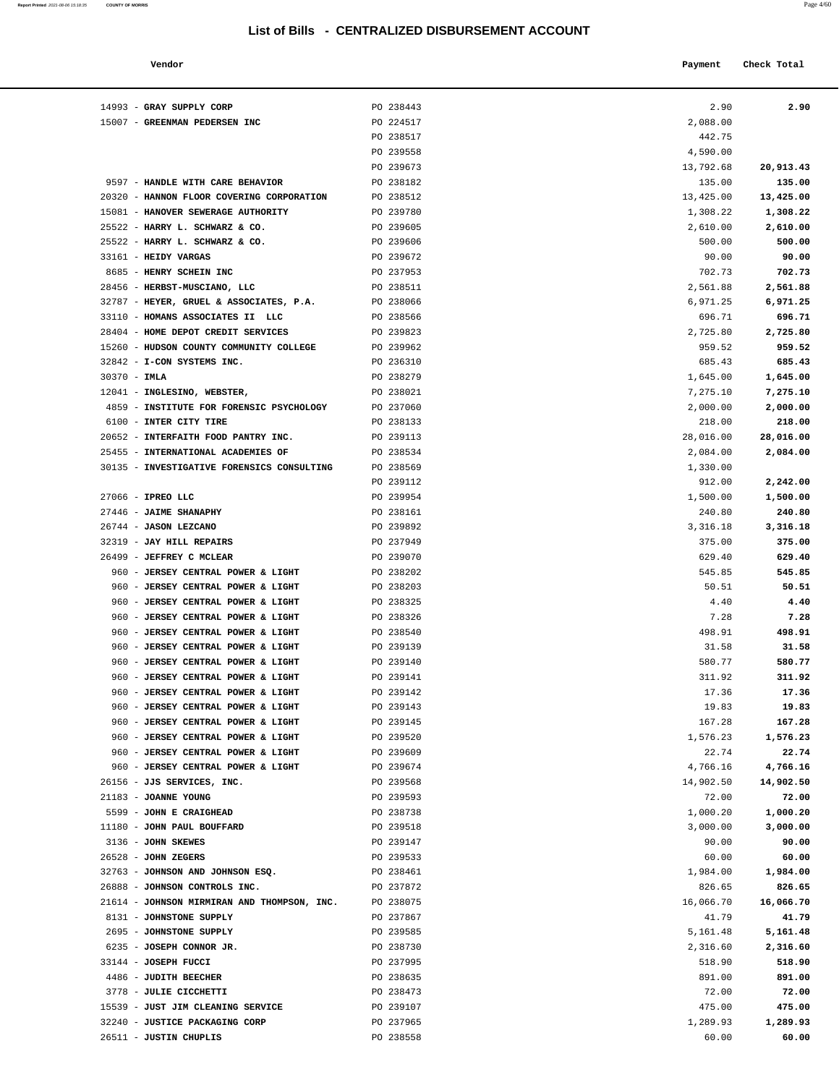| Report Printed 2021-08-06 15:18:35 | <b>COUNTY OF MORRIS</b> | Page 4/60 |
|------------------------------------|-------------------------|-----------|
|                                    |                         |           |

|           | 2,088.00  |
|-----------|-----------|
|           | 442.75    |
|           | 4,590.00  |
|           |           |
| 20,913.43 | 13,792.68 |
| 135.00    | 135.00    |
| 13,425.00 | 13,425.00 |
| 1,308.22  | 1,308.22  |
|           | 2,610.00  |
| 2,610.00  |           |
| 500.00    | 500.00    |
| 90.00     | 90.00     |
| 702.73    | 702.73    |
| 2,561.88  | 2,561.88  |
|           |           |
| 6,971.25  | 6,971.25  |
| 696.71    | 696.71    |
| 2,725.80  | 2,725.80  |
| 959.52    | 959.52    |
| 685.43    | 685.43    |
| 1,645.00  | 1,645.00  |
|           |           |
| 7,275.10  | 7,275.10  |
| 2,000.00  | 2,000.00  |
| 218.00    | 218.00    |
| 28,016.00 | 28,016.00 |
| 2,084.00  | 2,084.00  |
|           |           |
|           | 1,330.00  |
| 2,242.00  | 912.00    |
| 1,500.00  | 1,500.00  |
| 240.80    | 240.80    |
| 3,316.18  | 3,316.18  |
| 375.00    | 375.00    |
|           | 629.40    |
| 629.40    |           |
| 545.85    | 545.85    |
| 50.51     | 50.51     |
| 4.40      | 4.40      |
| 7.28      | 7.28      |
| 498.91    | 498.91    |
|           |           |
| 31.58     | 31.58     |
| 580.77    | 580.77    |
| 311.92    | 311.92    |
| 17.36     | 17.36     |
| 19.83     | 19.83     |
| 167.28    | 167.28    |
|           |           |
| 1,576.23  | 1,576.23  |
| 22.74     | 22.74     |
| 4,766.16  | 4,766.16  |
| 14,902.50 | 14,902.50 |
| 72.00     | 72.00     |
| 1,000.20  | 1,000.20  |
| 3,000.00  | 3,000.00  |
|           |           |
| 90.00     | 90.00     |
| 60.00     | 60.00     |
| 1,984.00  | 1,984.00  |
| 826.65    | 826.65    |
| 16,066.70 | 16,066.70 |
| 41.79     |           |
|           | 41.79     |
| 5,161.48  | 5,161.48  |
| 2,316.60  | 2,316.60  |
| 518.90    | 518.90    |
| 891.00    | 891.00    |
| 72.00     | 72.00     |
|           |           |
|           | 475.00    |
| 475.00    |           |
| 1,289.93  | 1,289.93  |

| Vendor                                      |           | Payment   | Check Total |
|---------------------------------------------|-----------|-----------|-------------|
| 14993 - GRAY SUPPLY CORP                    | PO 238443 | 2.90      | 2.90        |
| 15007 - GREENMAN PEDERSEN INC               | PO 224517 | 2,088.00  |             |
|                                             | PO 238517 | 442.75    |             |
|                                             | PO 239558 | 4,590.00  |             |
|                                             | PO 239673 | 13,792.68 | 20,913.43   |
| 9597 - HANDLE WITH CARE BEHAVIOR            | PO 238182 | 135.00    | 135.00      |
| 20320 - HANNON FLOOR COVERING CORPORATION   | PO 238512 | 13,425.00 | 13,425.00   |
| 15081 - HANOVER SEWERAGE AUTHORITY          | PO 239780 | 1,308.22  | 1,308.22    |
| 25522 - HARRY L. SCHWARZ & CO.              | PO 239605 | 2,610.00  | 2,610.00    |
| 25522 - HARRY L. SCHWARZ & CO.              | PO 239606 | 500.00    | 500.00      |
| 33161 - HEIDY VARGAS                        | PO 239672 | 90.00     | 90.00       |
| 8685 - HENRY SCHEIN INC                     | PO 237953 | 702.73    | 702.73      |
| 28456 - HERBST-MUSCIANO, LLC                | PO 238511 | 2,561.88  | 2,561.88    |
| 32787 - HEYER, GRUEL & ASSOCIATES, P.A.     | PO 238066 | 6,971.25  | 6,971.25    |
| 33110 - HOMANS ASSOCIATES II LLC            | PO 238566 | 696.71    | 696.71      |
| 28404 - HOME DEPOT CREDIT SERVICES          | PO 239823 | 2,725.80  | 2,725.80    |
| 15260 - HUDSON COUNTY COMMUNITY COLLEGE     | PO 239962 | 959.52    | 959.52      |
| 32842 - I-CON SYSTEMS INC.                  | PO 236310 | 685.43    | 685.43      |
| $30370 - IMLA$                              | PO 238279 | 1,645.00  | 1,645.00    |
| 12041 - INGLESINO, WEBSTER,                 | PO 238021 | 7,275.10  | 7,275.10    |
| 4859 - INSTITUTE FOR FORENSIC PSYCHOLOGY    | PO 237060 | 2,000.00  | 2,000.00    |
| 6100 - INTER CITY TIRE                      | PO 238133 | 218.00    | 218.00      |
| 20652 - INTERFAITH FOOD PANTRY INC.         | PO 239113 | 28,016.00 | 28,016.00   |
| 25455 - INTERNATIONAL ACADEMIES OF          | PO 238534 | 2,084.00  | 2,084.00    |
| 30135 - INVESTIGATIVE FORENSICS CONSULTING  | PO 238569 | 1,330.00  |             |
|                                             | PO 239112 | 912.00    | 2,242.00    |
| 27066 - IPREO LLC                           | PO 239954 | 1,500.00  | 1,500.00    |
| 27446 - JAIME SHANAPHY                      | PO 238161 | 240.80    | 240.80      |
| 26744 - JASON LEZCANO                       | PO 239892 | 3,316.18  | 3,316.18    |
| 32319 - JAY HILL REPAIRS                    | PO 237949 | 375.00    | 375.00      |
| 26499 - JEFFREY C MCLEAR                    | PO 239070 | 629.40    | 629.40      |
| 960 - JERSEY CENTRAL POWER & LIGHT          | PO 238202 | 545.85    | 545.85      |
| 960 - JERSEY CENTRAL POWER & LIGHT          | PO 238203 | 50.51     | 50.51       |
| 960 - JERSEY CENTRAL POWER & LIGHT          | PO 238325 | 4.40      | 4.40        |
| 960 - JERSEY CENTRAL POWER & LIGHT          | PO 238326 | 7.28      | 7.28        |
| 960 - JERSEY CENTRAL POWER & LIGHT          | PO 238540 | 498.91    | 498.91      |
| 960 - JERSEY CENTRAL POWER & LIGHT          | PO 239139 | 31.58     | 31.58       |
| 960 - JERSEY CENTRAL POWER & LIGHT          | PO 239140 | 580.77    | 580.77      |
| 960 - JERSEY CENTRAL POWER & LIGHT          | PO 239141 | 311.92    | 311.92      |
| 960 - JERSEY CENTRAL POWER & LIGHT          | PO 239142 | 17.36     | 17.36       |
| 960 - JERSEY CENTRAL POWER & LIGHT          | PO 239143 | 19.83     | 19.83       |
| 960 - JERSEY CENTRAL POWER & LIGHT          | PO 239145 | 167.28    | 167.28      |
| 960 - JERSEY CENTRAL POWER & LIGHT          | PO 239520 | 1,576.23  | 1,576.23    |
| 960 - JERSEY CENTRAL POWER & LIGHT          | PO 239609 | 22.74     | 22.74       |
| 960 - JERSEY CENTRAL POWER & LIGHT          | PO 239674 | 4,766.16  | 4,766.16    |
| 26156 - JJS SERVICES, INC.                  | PO 239568 | 14,902.50 | 14,902.50   |
| 21183 - JOANNE YOUNG                        | PO 239593 | 72.00     | 72.00       |
| 5599 - JOHN E CRAIGHEAD                     | PO 238738 | 1,000.20  | 1,000.20    |
| 11180 - JOHN PAUL BOUFFARD                  | PO 239518 | 3,000.00  | 3,000.00    |
| 3136 - JOHN SKEWES                          | PO 239147 | 90.00     | 90.00       |
| 26528 - JOHN ZEGERS                         | PO 239533 | 60.00     | 60.00       |
| 32763 - JOHNSON AND JOHNSON ESQ.            | PO 238461 | 1,984.00  | 1,984.00    |
| 26888 - JOHNSON CONTROLS INC.               | PO 237872 | 826.65    | 826.65      |
| 21614 - JOHNSON MIRMIRAN AND THOMPSON, INC. | PO 238075 | 16,066.70 | 16,066.70   |
| 8131 - JOHNSTONE SUPPLY                     | PO 237867 | 41.79     | 41.79       |
| 2695 - JOHNSTONE SUPPLY                     | PO 239585 | 5,161.48  | 5,161.48    |
| 6235 - JOSEPH CONNOR JR.                    | PO 238730 | 2,316.60  | 2,316.60    |
| 33144 - JOSEPH FUCCI                        | PO 237995 | 518.90    | 518.90      |
| 4486 - JUDITH BEECHER                       | PO 238635 | 891.00    | 891.00      |
| 3778 - JULIE CICCHETTI                      | PO 238473 | 72.00     | 72.00       |
| 15539 - JUST JIM CLEANING SERVICE           | PO 239107 | 475.00    | 475.00      |
| 32240 - JUSTICE PACKAGING CORP              | PO 237965 | 1,289.93  | 1,289.93    |
| 26511 - JUSTIN CHUPLIS                      | PO 238558 | 60.00     | 60.00       |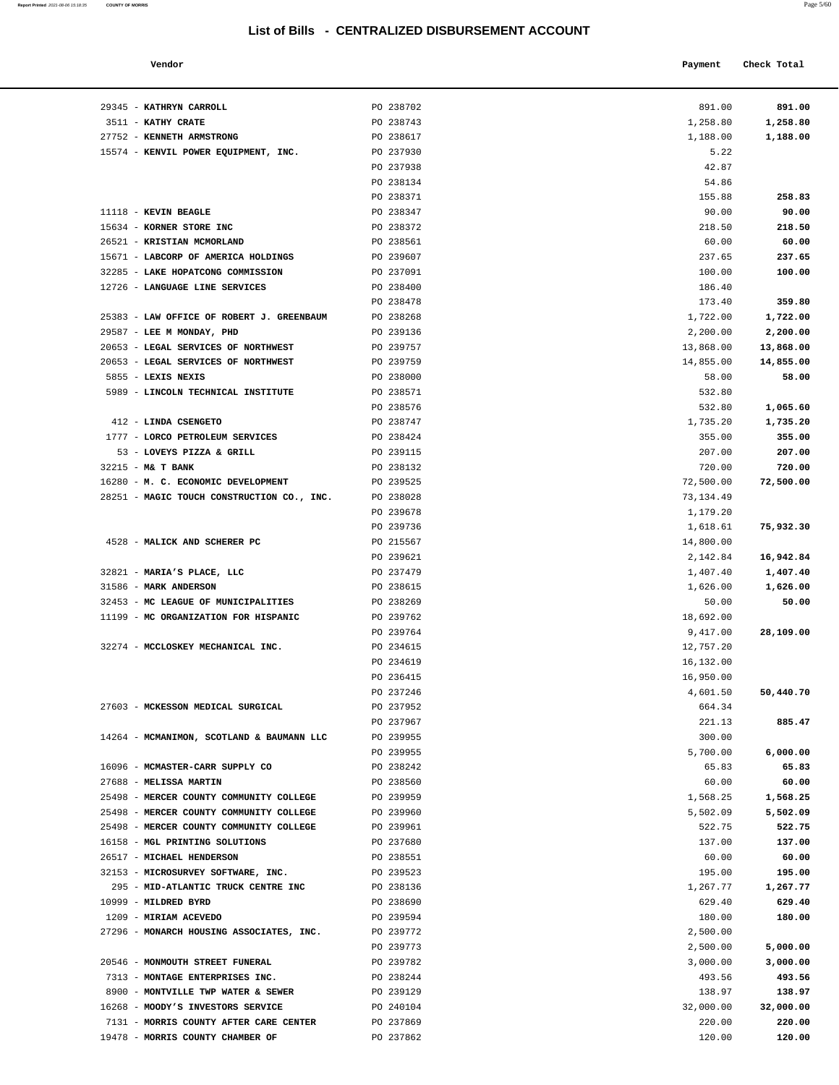| Report Printed 2021-08-06 15:18:35 COUNTY OF MORRIS |  |  | Page 5/60 |
|-----------------------------------------------------|--|--|-----------|
|                                                     |  |  |           |

| Vendor       |                     | Payment | Check Total |        |  |
|--------------|---------------------|---------|-------------|--------|--|
| $\mathbf{r}$ | $P^{\alpha}$ 230703 | 0.0100  |             | 0.0100 |  |

| 29345 - KATHRYN CARROLL                                               | PO 238702              | 891.00           | 891.00           |
|-----------------------------------------------------------------------|------------------------|------------------|------------------|
| 3511 - KATHY CRATE                                                    | PO 238743              | 1,258.80         | 1,258.80         |
| 27752 - KENNETH ARMSTRONG                                             | PO 238617              | 1,188.00         | 1,188.00         |
| 15574 - KENVIL POWER EQUIPMENT, INC.                                  | PO 237930              | 5.22             |                  |
|                                                                       | PO 237938              | 42.87            |                  |
|                                                                       | PO 238134              | 54.86            |                  |
| 11118 - KEVIN BEAGLE                                                  | PO 238371<br>PO 238347 | 155.88<br>90.00  | 258.83<br>90.00  |
| 15634 - KORNER STORE INC                                              | PO 238372              | 218.50           | 218.50           |
| 26521 - KRISTIAN MCMORLAND                                            | PO 238561              | 60.00            | 60.00            |
| 15671 - LABCORP OF AMERICA HOLDINGS                                   | PO 239607              | 237.65           | 237.65           |
| 32285 - LAKE HOPATCONG COMMISSION                                     | PO 237091              | 100.00           | 100.00           |
| 12726 - LANGUAGE LINE SERVICES                                        | PO 238400              | 186.40           |                  |
|                                                                       | PO 238478              | 173.40           | 359.80           |
| 25383 - LAW OFFICE OF ROBERT J. GREENBAUM                             | PO 238268              | 1,722.00         | 1,722.00         |
| 29587 - LEE M MONDAY, PHD                                             | PO 239136              | 2,200.00         | 2,200.00         |
| 20653 - LEGAL SERVICES OF NORTHWEST                                   | PO 239757              | 13,868.00        | 13,868.00        |
| 20653 - LEGAL SERVICES OF NORTHWEST                                   | PO 239759              | 14,855.00        | 14,855.00        |
| 5855 - LEXIS NEXIS                                                    | PO 238000              | 58.00            | 58.00            |
| 5989 - LINCOLN TECHNICAL INSTITUTE                                    | PO 238571              | 532.80           |                  |
|                                                                       | PO 238576              | 532.80           | 1,065.60         |
| 412 - LINDA CSENGETO                                                  | PO 238747              | 1,735.20         | 1,735.20         |
| 1777 - LORCO PETROLEUM SERVICES                                       | PO 238424              | 355.00           | 355.00           |
| 53 - LOVEYS PIZZA & GRILL                                             | PO 239115              | 207.00           | 207.00           |
| 32215 - M& T BANK                                                     | PO 238132              | 720.00           | 720.00           |
| 16280 - M. C. ECONOMIC DEVELOPMENT                                    | PO 239525              | 72,500.00        | 72,500.00        |
| 28251 - MAGIC TOUCH CONSTRUCTION CO., INC.                            | PO 238028              | 73,134.49        |                  |
|                                                                       | PO 239678              | 1,179.20         |                  |
|                                                                       | PO 239736              | 1,618.61         | 75,932.30        |
| 4528 - MALICK AND SCHERER PC                                          | PO 215567              | 14,800.00        |                  |
|                                                                       | PO 239621              | 2,142.84         | 16,942.84        |
| 32821 - MARIA'S PLACE, LLC                                            | PO 237479              | 1,407.40         | 1,407.40         |
| 31586 - MARK ANDERSON                                                 | PO 238615              | 1,626.00         | 1,626.00         |
| 32453 - MC LEAGUE OF MUNICIPALITIES                                   | PO 238269              | 50.00            | 50.00            |
| 11199 - MC ORGANIZATION FOR HISPANIC                                  | PO 239762              | 18,692.00        |                  |
|                                                                       | PO 239764              | 9,417.00         | 28,109.00        |
| 32274 - MCCLOSKEY MECHANICAL INC.                                     | PO 234615              | 12,757.20        |                  |
|                                                                       | PO 234619              | 16,132.00        |                  |
|                                                                       | PO 236415              | 16,950.00        |                  |
|                                                                       | PO 237246              | 4,601.50         | 50,440.70        |
| 27603 - MCKESSON MEDICAL SURGICAL                                     | PO 237952              | 664.34           |                  |
|                                                                       | PO 237967              | 221.13           | 885.47           |
| 14264 - MCMANIMON, SCOTLAND & BAUMANN LLC                             | PO 239955              | 300.00           |                  |
|                                                                       | PO 239955              | 5,700.00         | 6,000.00         |
| 16096 - MCMASTER-CARR SUPPLY CO                                       | PO 238242              | 65.83            | 65.83            |
| 27688 - MELISSA MARTIN                                                | PO 238560              | 60.00            | 60.00            |
| 25498 - MERCER COUNTY COMMUNITY COLLEGE                               | PO 239959              | 1,568.25         | 1,568.25         |
| 25498 - MERCER COUNTY COMMUNITY COLLEGE                               | PO 239960              | 5,502.09         | 5,502.09         |
| 25498 - MERCER COUNTY COMMUNITY COLLEGE                               | PO 239961              | 522.75           | 522.75           |
| 16158 - MGL PRINTING SOLUTIONS                                        | PO 237680              | 137.00           | 137.00           |
| 26517 - MICHAEL HENDERSON                                             | PO 238551              | 60.00            | 60.00            |
| 32153 - MICROSURVEY SOFTWARE, INC.                                    | PO 239523              | 195.00           | 195.00           |
| 295 - MID-ATLANTIC TRUCK CENTRE INC                                   | PO 238136              | 1,267.77         | 1,267.77         |
| 10999 - MILDRED BYRD                                                  | PO 238690              | 629.40           | 629.40           |
| 1209 - MIRIAM ACEVEDO                                                 | PO 239594              | 180.00           | 180.00           |
| 27296 - MONARCH HOUSING ASSOCIATES, INC.                              | PO 239772              | 2,500.00         |                  |
|                                                                       | PO 239773              | 2,500.00         | 5,000.00         |
| 20546 - MONMOUTH STREET FUNERAL                                       | PO 239782              | 3,000.00         | 3,000.00         |
| 7313 - MONTAGE ENTERPRISES INC.<br>8900 - MONTVILLE TWP WATER & SEWER | PO 238244<br>PO 239129 | 493.56<br>138.97 | 493.56<br>138.97 |
| 16268 - MOODY'S INVESTORS SERVICE                                     | PO 240104              | 32,000.00        | 32,000.00        |
| 7131 - MORRIS COUNTY AFTER CARE CENTER                                | PO 237869              | 220.00           | 220.00           |
|                                                                       |                        |                  |                  |

19478 - **MORRIS COUNTY CHAMBER OF** PO 237862 120.00 **120.00**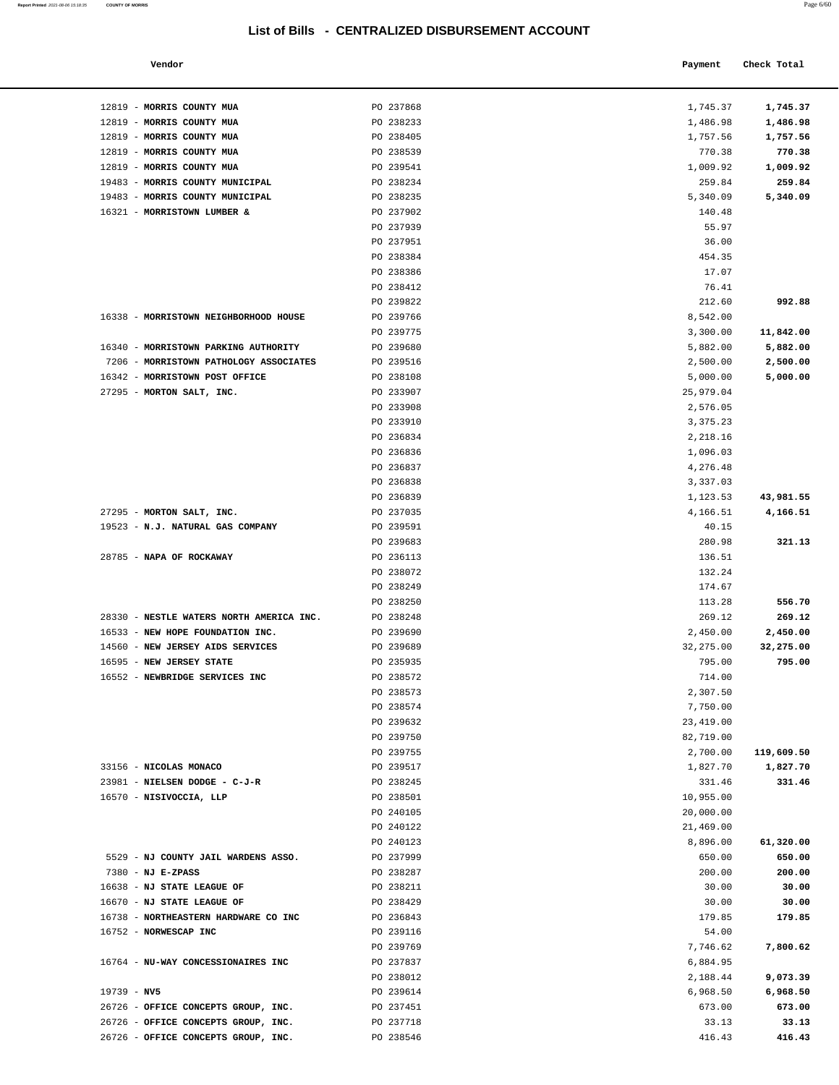12819 - **MORRIS COUNTY MUA PO 237868** 12819 - **MORRIS COUNTY MUA PO 238233** 12819 - **MORRIS COUNTY MUA** PO 238405 12819 - **MORRIS COUNTY MUA** PO 238539

| Vendor                         |           | Check Total<br>Payment |  |
|--------------------------------|-----------|------------------------|--|
| MORRIS COUNTY MUA              | PO 237868 | 1,745.37<br>1,745.37   |  |
| MORRIS COUNTY MUA              | PO 238233 | 1,486.98<br>1,486.98   |  |
| <b>MORRIS COUNTY MUA</b>       | PO 238405 | 1,757.56<br>1,757.56   |  |
| MORRIS COUNTY MUA              | PO 238539 | 770.38<br>770.38       |  |
| MORRIS COUNTY MUA              | PO 239541 | 1,009.92<br>1,009.92   |  |
| MORRIS COUNTY MUNICIPAL        | PO 238234 | 259.84<br>259.84       |  |
| MORRIS COUNTY MUNICIPAL        | PO 238235 | 5,340.09<br>5,340.09   |  |
| <b>MORRISTOWN LUMBER &amp;</b> | PO 237902 | 140.48                 |  |
|                                | PO 237939 | 55.97                  |  |
|                                | PO 237951 | 36.00                  |  |
|                                | PO 238384 | 454.35                 |  |

| 19483 - MORRIS COUNTY MUNICIPAL<br>PO 238234<br>259.84<br>19483 - MORRIS COUNTY MUNICIPAL<br>PO 238235<br>5,340.09<br>5,340.09<br>PO 237902<br>16321 - MORRISTOWN LUMBER &<br>140.48<br>PO 237939<br>55.97<br>PO 237951<br>36.00<br>PO 238384<br>454.35<br>PO 238386<br>17.07<br>PO 238412<br>76.41<br>992.88<br>PO 239822<br>212.60<br>PO 239766<br>8,542.00<br>16338 - MORRISTOWN NEIGHBORHOOD HOUSE<br>PO 239775<br>3,300.00<br>11,842.00<br>16340 - MORRISTOWN PARKING AUTHORITY<br>PO 239680<br>5,882.00<br>5,882.00<br>7206 - MORRISTOWN PATHOLOGY ASSOCIATES<br>PO 239516<br>2,500.00<br>2,500.00<br>16342 - MORRISTOWN POST OFFICE<br>PO 238108<br>5,000.00<br>5,000.00<br>27295 - MORTON SALT, INC.<br>PO 233907<br>25,979.04<br>PO 233908<br>2,576.05<br>PO 233910<br>3, 375. 23<br>PO 236834<br>2,218.16<br>PO 236836<br>1,096.03<br>PO 236837<br>4,276.48<br>PO 236838<br>3,337.03<br>PO 236839<br>1,123.53<br>27295 - MORTON SALT, INC.<br>PO 237035<br>4,166.51<br>PO 239591<br>19523 - N.J. NATURAL GAS COMPANY<br>40.15<br>PO 239683<br>280.98<br>28785 - NAPA OF ROCKAWAY<br>PO 236113<br>136.51<br>PO 238072<br>132.24<br>PO 238249<br>174.67<br>PO 238250<br>113.28<br>28330 - NESTLE WATERS NORTH AMERICA INC.<br>PO 238248<br>269.12<br>16533 - NEW HOPE FOUNDATION INC.<br>PO 239690<br>2,450.00<br>2,450.00<br>14560 - NEW JERSEY AIDS SERVICES<br>PO 239689<br>32,275.00<br>32,275.00<br>16595 - NEW JERSEY STATE<br>PO 235935<br>795.00<br>795.00<br>16552 - NEWBRIDGE SERVICES INC<br>PO 238572<br>714.00<br>PO 238573<br>2,307.50<br>PO 238574<br>7,750.00<br>PO 239632<br>23,419.00<br>PO 239750<br>82,719.00<br>PO 239755<br>2,700.00<br>119,609.50<br>PO 239517<br>1,827.70<br>1,827.70<br>33156 - NICOLAS MONACO<br>23981 - NIELSEN DODGE - C-J-R<br>PO 238245<br>331.46<br>331.46<br>PO 238501<br>10,955.00<br>16570 - NISIVOCCIA, LLP<br>PO 240105<br>20,000.00<br>PO 240122<br>21,469.00<br>PO 240123<br>8,896.00<br>5529 - NJ COUNTY JAIL WARDENS ASSO.<br>PO 237999<br>650.00<br>650.00<br>$7380 - NJ E-ZPASS$<br>PO 238287<br>200.00<br>30.00<br>16638 - NJ STATE LEAGUE OF<br>PO 238211<br>30.00<br>16670 - NJ STATE LEAGUE OF<br>PO 238429<br>30.00<br>16738 - NORTHEASTERN HARDWARE CO INC<br>PO 236843<br>179.85<br>16752 - NORWESCAP INC<br>PO 239116<br>54.00<br>PO 239769<br>7,746.62<br>PO 237837<br>6,884.95<br>16764 - NU-WAY CONCESSIONAIRES INC<br>PO 238012<br>2,188.44<br>$19739 - NV5$<br>PO 239614<br>6,968.50<br>26726 - OFFICE CONCEPTS GROUP, INC.<br>PO 237451<br>673.00<br>26726 - OFFICE CONCEPTS GROUP, INC.<br>PO 237718<br>33.13<br>26726 - OFFICE CONCEPTS GROUP, INC.<br>PO 238546<br>416.43 | 12819 - MORRIS COUNTY MUA | PO 239541 | 1,009.92 | 1,009.92  |
|--------------------------------------------------------------------------------------------------------------------------------------------------------------------------------------------------------------------------------------------------------------------------------------------------------------------------------------------------------------------------------------------------------------------------------------------------------------------------------------------------------------------------------------------------------------------------------------------------------------------------------------------------------------------------------------------------------------------------------------------------------------------------------------------------------------------------------------------------------------------------------------------------------------------------------------------------------------------------------------------------------------------------------------------------------------------------------------------------------------------------------------------------------------------------------------------------------------------------------------------------------------------------------------------------------------------------------------------------------------------------------------------------------------------------------------------------------------------------------------------------------------------------------------------------------------------------------------------------------------------------------------------------------------------------------------------------------------------------------------------------------------------------------------------------------------------------------------------------------------------------------------------------------------------------------------------------------------------------------------------------------------------------------------------------------------------------------------------------------------------------------------------------------------------------------------------------------------------------------------------------------------------------------------------------------------------------------------------------------------------------------------------------------------------------------------------------------------------------------------------------------------------------------------------------------------------------------------------------------------------------------------------------------------|---------------------------|-----------|----------|-----------|
|                                                                                                                                                                                                                                                                                                                                                                                                                                                                                                                                                                                                                                                                                                                                                                                                                                                                                                                                                                                                                                                                                                                                                                                                                                                                                                                                                                                                                                                                                                                                                                                                                                                                                                                                                                                                                                                                                                                                                                                                                                                                                                                                                                                                                                                                                                                                                                                                                                                                                                                                                                                                                                                              |                           |           |          | 259.84    |
|                                                                                                                                                                                                                                                                                                                                                                                                                                                                                                                                                                                                                                                                                                                                                                                                                                                                                                                                                                                                                                                                                                                                                                                                                                                                                                                                                                                                                                                                                                                                                                                                                                                                                                                                                                                                                                                                                                                                                                                                                                                                                                                                                                                                                                                                                                                                                                                                                                                                                                                                                                                                                                                              |                           |           |          |           |
|                                                                                                                                                                                                                                                                                                                                                                                                                                                                                                                                                                                                                                                                                                                                                                                                                                                                                                                                                                                                                                                                                                                                                                                                                                                                                                                                                                                                                                                                                                                                                                                                                                                                                                                                                                                                                                                                                                                                                                                                                                                                                                                                                                                                                                                                                                                                                                                                                                                                                                                                                                                                                                                              |                           |           |          |           |
|                                                                                                                                                                                                                                                                                                                                                                                                                                                                                                                                                                                                                                                                                                                                                                                                                                                                                                                                                                                                                                                                                                                                                                                                                                                                                                                                                                                                                                                                                                                                                                                                                                                                                                                                                                                                                                                                                                                                                                                                                                                                                                                                                                                                                                                                                                                                                                                                                                                                                                                                                                                                                                                              |                           |           |          |           |
|                                                                                                                                                                                                                                                                                                                                                                                                                                                                                                                                                                                                                                                                                                                                                                                                                                                                                                                                                                                                                                                                                                                                                                                                                                                                                                                                                                                                                                                                                                                                                                                                                                                                                                                                                                                                                                                                                                                                                                                                                                                                                                                                                                                                                                                                                                                                                                                                                                                                                                                                                                                                                                                              |                           |           |          |           |
|                                                                                                                                                                                                                                                                                                                                                                                                                                                                                                                                                                                                                                                                                                                                                                                                                                                                                                                                                                                                                                                                                                                                                                                                                                                                                                                                                                                                                                                                                                                                                                                                                                                                                                                                                                                                                                                                                                                                                                                                                                                                                                                                                                                                                                                                                                                                                                                                                                                                                                                                                                                                                                                              |                           |           |          |           |
|                                                                                                                                                                                                                                                                                                                                                                                                                                                                                                                                                                                                                                                                                                                                                                                                                                                                                                                                                                                                                                                                                                                                                                                                                                                                                                                                                                                                                                                                                                                                                                                                                                                                                                                                                                                                                                                                                                                                                                                                                                                                                                                                                                                                                                                                                                                                                                                                                                                                                                                                                                                                                                                              |                           |           |          |           |
|                                                                                                                                                                                                                                                                                                                                                                                                                                                                                                                                                                                                                                                                                                                                                                                                                                                                                                                                                                                                                                                                                                                                                                                                                                                                                                                                                                                                                                                                                                                                                                                                                                                                                                                                                                                                                                                                                                                                                                                                                                                                                                                                                                                                                                                                                                                                                                                                                                                                                                                                                                                                                                                              |                           |           |          |           |
|                                                                                                                                                                                                                                                                                                                                                                                                                                                                                                                                                                                                                                                                                                                                                                                                                                                                                                                                                                                                                                                                                                                                                                                                                                                                                                                                                                                                                                                                                                                                                                                                                                                                                                                                                                                                                                                                                                                                                                                                                                                                                                                                                                                                                                                                                                                                                                                                                                                                                                                                                                                                                                                              |                           |           |          |           |
|                                                                                                                                                                                                                                                                                                                                                                                                                                                                                                                                                                                                                                                                                                                                                                                                                                                                                                                                                                                                                                                                                                                                                                                                                                                                                                                                                                                                                                                                                                                                                                                                                                                                                                                                                                                                                                                                                                                                                                                                                                                                                                                                                                                                                                                                                                                                                                                                                                                                                                                                                                                                                                                              |                           |           |          |           |
|                                                                                                                                                                                                                                                                                                                                                                                                                                                                                                                                                                                                                                                                                                                                                                                                                                                                                                                                                                                                                                                                                                                                                                                                                                                                                                                                                                                                                                                                                                                                                                                                                                                                                                                                                                                                                                                                                                                                                                                                                                                                                                                                                                                                                                                                                                                                                                                                                                                                                                                                                                                                                                                              |                           |           |          |           |
|                                                                                                                                                                                                                                                                                                                                                                                                                                                                                                                                                                                                                                                                                                                                                                                                                                                                                                                                                                                                                                                                                                                                                                                                                                                                                                                                                                                                                                                                                                                                                                                                                                                                                                                                                                                                                                                                                                                                                                                                                                                                                                                                                                                                                                                                                                                                                                                                                                                                                                                                                                                                                                                              |                           |           |          |           |
|                                                                                                                                                                                                                                                                                                                                                                                                                                                                                                                                                                                                                                                                                                                                                                                                                                                                                                                                                                                                                                                                                                                                                                                                                                                                                                                                                                                                                                                                                                                                                                                                                                                                                                                                                                                                                                                                                                                                                                                                                                                                                                                                                                                                                                                                                                                                                                                                                                                                                                                                                                                                                                                              |                           |           |          |           |
|                                                                                                                                                                                                                                                                                                                                                                                                                                                                                                                                                                                                                                                                                                                                                                                                                                                                                                                                                                                                                                                                                                                                                                                                                                                                                                                                                                                                                                                                                                                                                                                                                                                                                                                                                                                                                                                                                                                                                                                                                                                                                                                                                                                                                                                                                                                                                                                                                                                                                                                                                                                                                                                              |                           |           |          |           |
|                                                                                                                                                                                                                                                                                                                                                                                                                                                                                                                                                                                                                                                                                                                                                                                                                                                                                                                                                                                                                                                                                                                                                                                                                                                                                                                                                                                                                                                                                                                                                                                                                                                                                                                                                                                                                                                                                                                                                                                                                                                                                                                                                                                                                                                                                                                                                                                                                                                                                                                                                                                                                                                              |                           |           |          |           |
|                                                                                                                                                                                                                                                                                                                                                                                                                                                                                                                                                                                                                                                                                                                                                                                                                                                                                                                                                                                                                                                                                                                                                                                                                                                                                                                                                                                                                                                                                                                                                                                                                                                                                                                                                                                                                                                                                                                                                                                                                                                                                                                                                                                                                                                                                                                                                                                                                                                                                                                                                                                                                                                              |                           |           |          |           |
|                                                                                                                                                                                                                                                                                                                                                                                                                                                                                                                                                                                                                                                                                                                                                                                                                                                                                                                                                                                                                                                                                                                                                                                                                                                                                                                                                                                                                                                                                                                                                                                                                                                                                                                                                                                                                                                                                                                                                                                                                                                                                                                                                                                                                                                                                                                                                                                                                                                                                                                                                                                                                                                              |                           |           |          |           |
|                                                                                                                                                                                                                                                                                                                                                                                                                                                                                                                                                                                                                                                                                                                                                                                                                                                                                                                                                                                                                                                                                                                                                                                                                                                                                                                                                                                                                                                                                                                                                                                                                                                                                                                                                                                                                                                                                                                                                                                                                                                                                                                                                                                                                                                                                                                                                                                                                                                                                                                                                                                                                                                              |                           |           |          |           |
|                                                                                                                                                                                                                                                                                                                                                                                                                                                                                                                                                                                                                                                                                                                                                                                                                                                                                                                                                                                                                                                                                                                                                                                                                                                                                                                                                                                                                                                                                                                                                                                                                                                                                                                                                                                                                                                                                                                                                                                                                                                                                                                                                                                                                                                                                                                                                                                                                                                                                                                                                                                                                                                              |                           |           |          |           |
|                                                                                                                                                                                                                                                                                                                                                                                                                                                                                                                                                                                                                                                                                                                                                                                                                                                                                                                                                                                                                                                                                                                                                                                                                                                                                                                                                                                                                                                                                                                                                                                                                                                                                                                                                                                                                                                                                                                                                                                                                                                                                                                                                                                                                                                                                                                                                                                                                                                                                                                                                                                                                                                              |                           |           |          |           |
|                                                                                                                                                                                                                                                                                                                                                                                                                                                                                                                                                                                                                                                                                                                                                                                                                                                                                                                                                                                                                                                                                                                                                                                                                                                                                                                                                                                                                                                                                                                                                                                                                                                                                                                                                                                                                                                                                                                                                                                                                                                                                                                                                                                                                                                                                                                                                                                                                                                                                                                                                                                                                                                              |                           |           |          |           |
|                                                                                                                                                                                                                                                                                                                                                                                                                                                                                                                                                                                                                                                                                                                                                                                                                                                                                                                                                                                                                                                                                                                                                                                                                                                                                                                                                                                                                                                                                                                                                                                                                                                                                                                                                                                                                                                                                                                                                                                                                                                                                                                                                                                                                                                                                                                                                                                                                                                                                                                                                                                                                                                              |                           |           |          |           |
|                                                                                                                                                                                                                                                                                                                                                                                                                                                                                                                                                                                                                                                                                                                                                                                                                                                                                                                                                                                                                                                                                                                                                                                                                                                                                                                                                                                                                                                                                                                                                                                                                                                                                                                                                                                                                                                                                                                                                                                                                                                                                                                                                                                                                                                                                                                                                                                                                                                                                                                                                                                                                                                              |                           |           |          | 43,981.55 |
|                                                                                                                                                                                                                                                                                                                                                                                                                                                                                                                                                                                                                                                                                                                                                                                                                                                                                                                                                                                                                                                                                                                                                                                                                                                                                                                                                                                                                                                                                                                                                                                                                                                                                                                                                                                                                                                                                                                                                                                                                                                                                                                                                                                                                                                                                                                                                                                                                                                                                                                                                                                                                                                              |                           |           |          | 4,166.51  |
|                                                                                                                                                                                                                                                                                                                                                                                                                                                                                                                                                                                                                                                                                                                                                                                                                                                                                                                                                                                                                                                                                                                                                                                                                                                                                                                                                                                                                                                                                                                                                                                                                                                                                                                                                                                                                                                                                                                                                                                                                                                                                                                                                                                                                                                                                                                                                                                                                                                                                                                                                                                                                                                              |                           |           |          |           |
|                                                                                                                                                                                                                                                                                                                                                                                                                                                                                                                                                                                                                                                                                                                                                                                                                                                                                                                                                                                                                                                                                                                                                                                                                                                                                                                                                                                                                                                                                                                                                                                                                                                                                                                                                                                                                                                                                                                                                                                                                                                                                                                                                                                                                                                                                                                                                                                                                                                                                                                                                                                                                                                              |                           |           |          | 321.13    |
|                                                                                                                                                                                                                                                                                                                                                                                                                                                                                                                                                                                                                                                                                                                                                                                                                                                                                                                                                                                                                                                                                                                                                                                                                                                                                                                                                                                                                                                                                                                                                                                                                                                                                                                                                                                                                                                                                                                                                                                                                                                                                                                                                                                                                                                                                                                                                                                                                                                                                                                                                                                                                                                              |                           |           |          |           |
|                                                                                                                                                                                                                                                                                                                                                                                                                                                                                                                                                                                                                                                                                                                                                                                                                                                                                                                                                                                                                                                                                                                                                                                                                                                                                                                                                                                                                                                                                                                                                                                                                                                                                                                                                                                                                                                                                                                                                                                                                                                                                                                                                                                                                                                                                                                                                                                                                                                                                                                                                                                                                                                              |                           |           |          |           |
|                                                                                                                                                                                                                                                                                                                                                                                                                                                                                                                                                                                                                                                                                                                                                                                                                                                                                                                                                                                                                                                                                                                                                                                                                                                                                                                                                                                                                                                                                                                                                                                                                                                                                                                                                                                                                                                                                                                                                                                                                                                                                                                                                                                                                                                                                                                                                                                                                                                                                                                                                                                                                                                              |                           |           |          |           |
|                                                                                                                                                                                                                                                                                                                                                                                                                                                                                                                                                                                                                                                                                                                                                                                                                                                                                                                                                                                                                                                                                                                                                                                                                                                                                                                                                                                                                                                                                                                                                                                                                                                                                                                                                                                                                                                                                                                                                                                                                                                                                                                                                                                                                                                                                                                                                                                                                                                                                                                                                                                                                                                              |                           |           |          | 556.70    |
|                                                                                                                                                                                                                                                                                                                                                                                                                                                                                                                                                                                                                                                                                                                                                                                                                                                                                                                                                                                                                                                                                                                                                                                                                                                                                                                                                                                                                                                                                                                                                                                                                                                                                                                                                                                                                                                                                                                                                                                                                                                                                                                                                                                                                                                                                                                                                                                                                                                                                                                                                                                                                                                              |                           |           |          | 269.12    |
|                                                                                                                                                                                                                                                                                                                                                                                                                                                                                                                                                                                                                                                                                                                                                                                                                                                                                                                                                                                                                                                                                                                                                                                                                                                                                                                                                                                                                                                                                                                                                                                                                                                                                                                                                                                                                                                                                                                                                                                                                                                                                                                                                                                                                                                                                                                                                                                                                                                                                                                                                                                                                                                              |                           |           |          |           |
|                                                                                                                                                                                                                                                                                                                                                                                                                                                                                                                                                                                                                                                                                                                                                                                                                                                                                                                                                                                                                                                                                                                                                                                                                                                                                                                                                                                                                                                                                                                                                                                                                                                                                                                                                                                                                                                                                                                                                                                                                                                                                                                                                                                                                                                                                                                                                                                                                                                                                                                                                                                                                                                              |                           |           |          |           |
|                                                                                                                                                                                                                                                                                                                                                                                                                                                                                                                                                                                                                                                                                                                                                                                                                                                                                                                                                                                                                                                                                                                                                                                                                                                                                                                                                                                                                                                                                                                                                                                                                                                                                                                                                                                                                                                                                                                                                                                                                                                                                                                                                                                                                                                                                                                                                                                                                                                                                                                                                                                                                                                              |                           |           |          |           |
|                                                                                                                                                                                                                                                                                                                                                                                                                                                                                                                                                                                                                                                                                                                                                                                                                                                                                                                                                                                                                                                                                                                                                                                                                                                                                                                                                                                                                                                                                                                                                                                                                                                                                                                                                                                                                                                                                                                                                                                                                                                                                                                                                                                                                                                                                                                                                                                                                                                                                                                                                                                                                                                              |                           |           |          |           |
|                                                                                                                                                                                                                                                                                                                                                                                                                                                                                                                                                                                                                                                                                                                                                                                                                                                                                                                                                                                                                                                                                                                                                                                                                                                                                                                                                                                                                                                                                                                                                                                                                                                                                                                                                                                                                                                                                                                                                                                                                                                                                                                                                                                                                                                                                                                                                                                                                                                                                                                                                                                                                                                              |                           |           |          |           |
|                                                                                                                                                                                                                                                                                                                                                                                                                                                                                                                                                                                                                                                                                                                                                                                                                                                                                                                                                                                                                                                                                                                                                                                                                                                                                                                                                                                                                                                                                                                                                                                                                                                                                                                                                                                                                                                                                                                                                                                                                                                                                                                                                                                                                                                                                                                                                                                                                                                                                                                                                                                                                                                              |                           |           |          |           |
|                                                                                                                                                                                                                                                                                                                                                                                                                                                                                                                                                                                                                                                                                                                                                                                                                                                                                                                                                                                                                                                                                                                                                                                                                                                                                                                                                                                                                                                                                                                                                                                                                                                                                                                                                                                                                                                                                                                                                                                                                                                                                                                                                                                                                                                                                                                                                                                                                                                                                                                                                                                                                                                              |                           |           |          |           |
|                                                                                                                                                                                                                                                                                                                                                                                                                                                                                                                                                                                                                                                                                                                                                                                                                                                                                                                                                                                                                                                                                                                                                                                                                                                                                                                                                                                                                                                                                                                                                                                                                                                                                                                                                                                                                                                                                                                                                                                                                                                                                                                                                                                                                                                                                                                                                                                                                                                                                                                                                                                                                                                              |                           |           |          |           |
|                                                                                                                                                                                                                                                                                                                                                                                                                                                                                                                                                                                                                                                                                                                                                                                                                                                                                                                                                                                                                                                                                                                                                                                                                                                                                                                                                                                                                                                                                                                                                                                                                                                                                                                                                                                                                                                                                                                                                                                                                                                                                                                                                                                                                                                                                                                                                                                                                                                                                                                                                                                                                                                              |                           |           |          |           |
|                                                                                                                                                                                                                                                                                                                                                                                                                                                                                                                                                                                                                                                                                                                                                                                                                                                                                                                                                                                                                                                                                                                                                                                                                                                                                                                                                                                                                                                                                                                                                                                                                                                                                                                                                                                                                                                                                                                                                                                                                                                                                                                                                                                                                                                                                                                                                                                                                                                                                                                                                                                                                                                              |                           |           |          |           |
|                                                                                                                                                                                                                                                                                                                                                                                                                                                                                                                                                                                                                                                                                                                                                                                                                                                                                                                                                                                                                                                                                                                                                                                                                                                                                                                                                                                                                                                                                                                                                                                                                                                                                                                                                                                                                                                                                                                                                                                                                                                                                                                                                                                                                                                                                                                                                                                                                                                                                                                                                                                                                                                              |                           |           |          |           |
|                                                                                                                                                                                                                                                                                                                                                                                                                                                                                                                                                                                                                                                                                                                                                                                                                                                                                                                                                                                                                                                                                                                                                                                                                                                                                                                                                                                                                                                                                                                                                                                                                                                                                                                                                                                                                                                                                                                                                                                                                                                                                                                                                                                                                                                                                                                                                                                                                                                                                                                                                                                                                                                              |                           |           |          |           |
|                                                                                                                                                                                                                                                                                                                                                                                                                                                                                                                                                                                                                                                                                                                                                                                                                                                                                                                                                                                                                                                                                                                                                                                                                                                                                                                                                                                                                                                                                                                                                                                                                                                                                                                                                                                                                                                                                                                                                                                                                                                                                                                                                                                                                                                                                                                                                                                                                                                                                                                                                                                                                                                              |                           |           |          |           |
|                                                                                                                                                                                                                                                                                                                                                                                                                                                                                                                                                                                                                                                                                                                                                                                                                                                                                                                                                                                                                                                                                                                                                                                                                                                                                                                                                                                                                                                                                                                                                                                                                                                                                                                                                                                                                                                                                                                                                                                                                                                                                                                                                                                                                                                                                                                                                                                                                                                                                                                                                                                                                                                              |                           |           |          |           |
|                                                                                                                                                                                                                                                                                                                                                                                                                                                                                                                                                                                                                                                                                                                                                                                                                                                                                                                                                                                                                                                                                                                                                                                                                                                                                                                                                                                                                                                                                                                                                                                                                                                                                                                                                                                                                                                                                                                                                                                                                                                                                                                                                                                                                                                                                                                                                                                                                                                                                                                                                                                                                                                              |                           |           |          |           |
|                                                                                                                                                                                                                                                                                                                                                                                                                                                                                                                                                                                                                                                                                                                                                                                                                                                                                                                                                                                                                                                                                                                                                                                                                                                                                                                                                                                                                                                                                                                                                                                                                                                                                                                                                                                                                                                                                                                                                                                                                                                                                                                                                                                                                                                                                                                                                                                                                                                                                                                                                                                                                                                              |                           |           |          | 61,320.00 |
|                                                                                                                                                                                                                                                                                                                                                                                                                                                                                                                                                                                                                                                                                                                                                                                                                                                                                                                                                                                                                                                                                                                                                                                                                                                                                                                                                                                                                                                                                                                                                                                                                                                                                                                                                                                                                                                                                                                                                                                                                                                                                                                                                                                                                                                                                                                                                                                                                                                                                                                                                                                                                                                              |                           |           |          |           |
|                                                                                                                                                                                                                                                                                                                                                                                                                                                                                                                                                                                                                                                                                                                                                                                                                                                                                                                                                                                                                                                                                                                                                                                                                                                                                                                                                                                                                                                                                                                                                                                                                                                                                                                                                                                                                                                                                                                                                                                                                                                                                                                                                                                                                                                                                                                                                                                                                                                                                                                                                                                                                                                              |                           |           |          | 200.00    |
|                                                                                                                                                                                                                                                                                                                                                                                                                                                                                                                                                                                                                                                                                                                                                                                                                                                                                                                                                                                                                                                                                                                                                                                                                                                                                                                                                                                                                                                                                                                                                                                                                                                                                                                                                                                                                                                                                                                                                                                                                                                                                                                                                                                                                                                                                                                                                                                                                                                                                                                                                                                                                                                              |                           |           |          |           |
|                                                                                                                                                                                                                                                                                                                                                                                                                                                                                                                                                                                                                                                                                                                                                                                                                                                                                                                                                                                                                                                                                                                                                                                                                                                                                                                                                                                                                                                                                                                                                                                                                                                                                                                                                                                                                                                                                                                                                                                                                                                                                                                                                                                                                                                                                                                                                                                                                                                                                                                                                                                                                                                              |                           |           |          | 30.00     |
|                                                                                                                                                                                                                                                                                                                                                                                                                                                                                                                                                                                                                                                                                                                                                                                                                                                                                                                                                                                                                                                                                                                                                                                                                                                                                                                                                                                                                                                                                                                                                                                                                                                                                                                                                                                                                                                                                                                                                                                                                                                                                                                                                                                                                                                                                                                                                                                                                                                                                                                                                                                                                                                              |                           |           |          | 179.85    |
|                                                                                                                                                                                                                                                                                                                                                                                                                                                                                                                                                                                                                                                                                                                                                                                                                                                                                                                                                                                                                                                                                                                                                                                                                                                                                                                                                                                                                                                                                                                                                                                                                                                                                                                                                                                                                                                                                                                                                                                                                                                                                                                                                                                                                                                                                                                                                                                                                                                                                                                                                                                                                                                              |                           |           |          |           |
|                                                                                                                                                                                                                                                                                                                                                                                                                                                                                                                                                                                                                                                                                                                                                                                                                                                                                                                                                                                                                                                                                                                                                                                                                                                                                                                                                                                                                                                                                                                                                                                                                                                                                                                                                                                                                                                                                                                                                                                                                                                                                                                                                                                                                                                                                                                                                                                                                                                                                                                                                                                                                                                              |                           |           |          | 7,800.62  |
|                                                                                                                                                                                                                                                                                                                                                                                                                                                                                                                                                                                                                                                                                                                                                                                                                                                                                                                                                                                                                                                                                                                                                                                                                                                                                                                                                                                                                                                                                                                                                                                                                                                                                                                                                                                                                                                                                                                                                                                                                                                                                                                                                                                                                                                                                                                                                                                                                                                                                                                                                                                                                                                              |                           |           |          |           |
|                                                                                                                                                                                                                                                                                                                                                                                                                                                                                                                                                                                                                                                                                                                                                                                                                                                                                                                                                                                                                                                                                                                                                                                                                                                                                                                                                                                                                                                                                                                                                                                                                                                                                                                                                                                                                                                                                                                                                                                                                                                                                                                                                                                                                                                                                                                                                                                                                                                                                                                                                                                                                                                              |                           |           |          | 9,073.39  |
|                                                                                                                                                                                                                                                                                                                                                                                                                                                                                                                                                                                                                                                                                                                                                                                                                                                                                                                                                                                                                                                                                                                                                                                                                                                                                                                                                                                                                                                                                                                                                                                                                                                                                                                                                                                                                                                                                                                                                                                                                                                                                                                                                                                                                                                                                                                                                                                                                                                                                                                                                                                                                                                              |                           |           |          | 6,968.50  |
|                                                                                                                                                                                                                                                                                                                                                                                                                                                                                                                                                                                                                                                                                                                                                                                                                                                                                                                                                                                                                                                                                                                                                                                                                                                                                                                                                                                                                                                                                                                                                                                                                                                                                                                                                                                                                                                                                                                                                                                                                                                                                                                                                                                                                                                                                                                                                                                                                                                                                                                                                                                                                                                              |                           |           |          | 673.00    |
|                                                                                                                                                                                                                                                                                                                                                                                                                                                                                                                                                                                                                                                                                                                                                                                                                                                                                                                                                                                                                                                                                                                                                                                                                                                                                                                                                                                                                                                                                                                                                                                                                                                                                                                                                                                                                                                                                                                                                                                                                                                                                                                                                                                                                                                                                                                                                                                                                                                                                                                                                                                                                                                              |                           |           |          | 33.13     |
|                                                                                                                                                                                                                                                                                                                                                                                                                                                                                                                                                                                                                                                                                                                                                                                                                                                                                                                                                                                                                                                                                                                                                                                                                                                                                                                                                                                                                                                                                                                                                                                                                                                                                                                                                                                                                                                                                                                                                                                                                                                                                                                                                                                                                                                                                                                                                                                                                                                                                                                                                                                                                                                              |                           |           |          | 416.43    |
|                                                                                                                                                                                                                                                                                                                                                                                                                                                                                                                                                                                                                                                                                                                                                                                                                                                                                                                                                                                                                                                                                                                                                                                                                                                                                                                                                                                                                                                                                                                                                                                                                                                                                                                                                                                                                                                                                                                                                                                                                                                                                                                                                                                                                                                                                                                                                                                                                                                                                                                                                                                                                                                              |                           |           |          |           |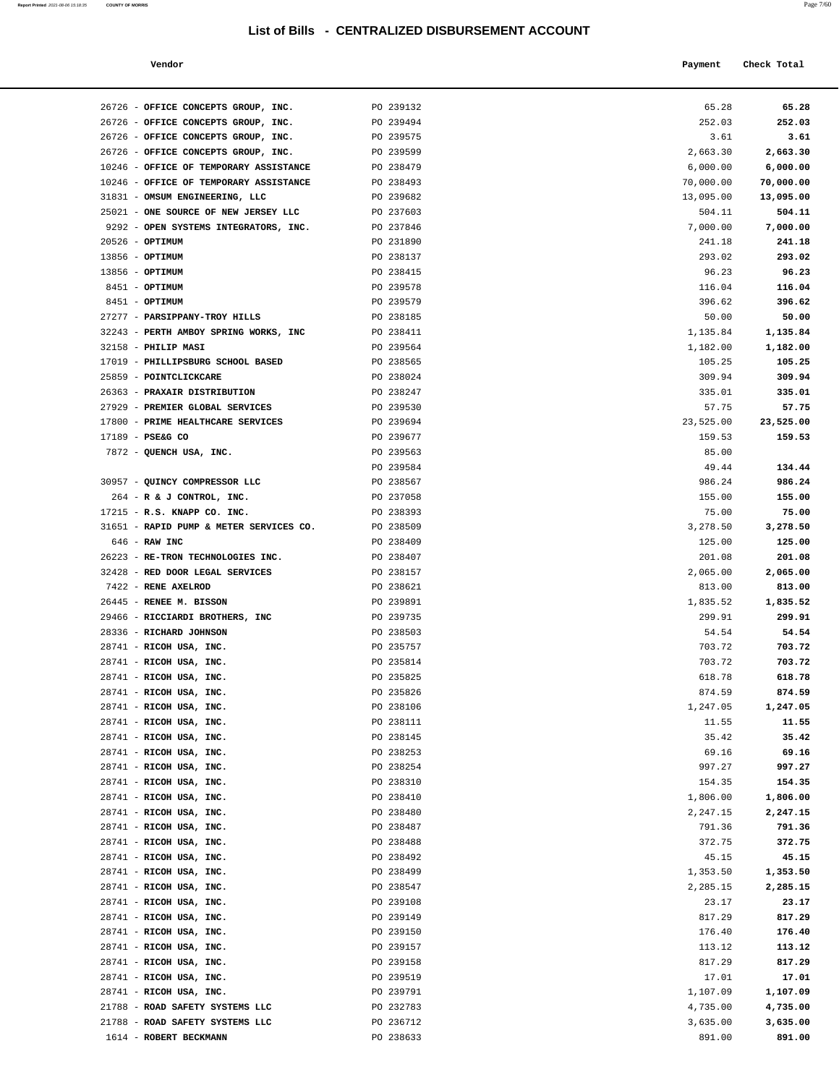**Report Printed** 2021-08-06 15:18:35 **COUNTY OF MORRIS** Page 7/60

| Vendor                                                                     |                        | Payment            | Check Total          |
|----------------------------------------------------------------------------|------------------------|--------------------|----------------------|
|                                                                            |                        |                    |                      |
|                                                                            |                        |                    | 65.28                |
| 26726 - OFFICE CONCEPTS GROUP, INC.                                        | PO 239132              | 65.28<br>252.03    | 252.03               |
| 26726 - OFFICE CONCEPTS GROUP, INC.<br>26726 - OFFICE CONCEPTS GROUP, INC. | PO 239494<br>PO 239575 | 3.61               | 3.61                 |
| 26726 - OFFICE CONCEPTS GROUP, INC.                                        | PO 239599              | 2,663.30           | 2,663.30             |
| 10246 - OFFICE OF TEMPORARY ASSISTANCE                                     | PO 238479              | 6,000.00           | 6,000.00             |
| 10246 - OFFICE OF TEMPORARY ASSISTANCE                                     | PO 238493              | 70,000.00          | 70,000.00            |
| 31831 - OMSUM ENGINEERING, LLC                                             | PO 239682              | 13,095.00          | 13,095.00            |
| 25021 - ONE SOURCE OF NEW JERSEY LLC                                       | PO 237603              | 504.11             | 504.11               |
| 9292 - OPEN SYSTEMS INTEGRATORS, INC.                                      | PO 237846              | 7,000.00           | 7,000.00             |
| $20526$ - OPTIMUM                                                          | PO 231890              | 241.18             | 241.18               |
| 13856 - OPTIMUM                                                            | PO 238137              | 293.02             | 293.02               |
| 13856 - OPTIMUM                                                            | PO 238415              | 96.23              | 96.23                |
| 8451 - OPTIMUM                                                             | PO 239578              | 116.04             | 116.04               |
| 8451 - OPTIMUM                                                             | PO 239579              | 396.62             | 396.62               |
| 27277 - PARSIPPANY-TROY HILLS                                              | PO 238185              | 50.00              | 50.00                |
| 32243 - PERTH AMBOY SPRING WORKS, INC                                      | PO 238411              | 1,135.84           | 1,135.84             |
| 32158 - PHILIP MASI                                                        | PO 239564              | 1,182.00           | 1,182.00             |
| 17019 - PHILLIPSBURG SCHOOL BASED                                          | PO 238565              | 105.25             | 105.25               |
| 25859 - POINTCLICKCARE                                                     | PO 238024              | 309.94             | 309.94               |
| 26363 - PRAXAIR DISTRIBUTION                                               | PO 238247              | 335.01             | 335.01               |
| 27929 - PREMIER GLOBAL SERVICES                                            | PO 239530              | 57.75              | 57.75                |
| 17800 - PRIME HEALTHCARE SERVICES                                          | PO 239694              | 23,525.00          | 23,525.00            |
| 17189 - PSE&G CO                                                           | PO 239677              | 159.53             | 159.53               |
| 7872 - QUENCH USA, INC.                                                    | PO 239563              | 85.00              |                      |
|                                                                            | PO 239584              | 49.44              | 134.44               |
| 30957 - QUINCY COMPRESSOR LLC                                              | PO 238567              | 986.24             | 986.24               |
| 264 - R & J CONTROL, INC.                                                  | PO 237058              | 155.00             | 155.00               |
| 17215 - R.S. KNAPP CO. INC.                                                | PO 238393              | 75.00              | 75.00                |
| 31651 - RAPID PUMP & METER SERVICES CO.                                    | PO 238509              | 3,278.50           | 3,278.50             |
| 646 - RAW INC                                                              | PO 238409              | 125.00             | 125.00               |
| 26223 - RE-TRON TECHNOLOGIES INC.                                          | PO 238407              | 201.08             | 201.08               |
| 32428 - RED DOOR LEGAL SERVICES                                            | PO 238157              | 2,065.00           | 2,065.00             |
| 7422 - RENE AXELROD                                                        | PO 238621              | 813.00             | 813.00               |
| 26445 - RENEE M. BISSON                                                    | PO 239891              | 1,835.52           | 1,835.52             |
| 29466 - RICCIARDI BROTHERS, INC                                            | PO 239735              | 299.91             | 299.91               |
| 28336 - RICHARD JOHNSON                                                    | PO 238503              | 54.54              | 54.54                |
| 28741 - RICOH USA, INC.                                                    | PO 235757              | 703.72             | 703.72               |
| 28741 - RICOH USA, INC.                                                    | PO 235814              | 703.72             | 703.72               |
| 28741 - RICOH USA, INC.                                                    | PO 235825              | 618.78             | 618.78               |
| 28741 - RICOH USA, INC.                                                    | PO 235826              | 874.59             | 874.59               |
| 28741 - RICOH USA, INC.                                                    | PO 238106              | 1,247.05           | 1,247.05             |
| 28741 - RICOH USA, INC.                                                    | PO 238111              | 11.55              | 11.55                |
| 28741 - RICOH USA, INC.                                                    | PO 238145              | 35.42              | 35.42                |
| 28741 - RICOH USA, INC.<br>28741 - RICOH USA, INC.                         | PO 238253<br>PO 238254 | 69.16<br>997.27    | 69.16<br>997.27      |
|                                                                            |                        |                    |                      |
| 28741 - RICOH USA, INC.<br>28741 - RICOH USA, INC.                         | PO 238310<br>PO 238410 | 154.35<br>1,806.00 | 154.35               |
| 28741 - RICOH USA, INC.                                                    | PO 238480              | 2,247.15           | 1,806.00<br>2,247.15 |
| 28741 - RICOH USA, INC.                                                    | PO 238487              | 791.36             | 791.36               |
| 28741 - RICOH USA, INC.                                                    | PO 238488              | 372.75             | 372.75               |
| 28741 - RICOH USA, INC.                                                    | PO 238492              | 45.15              | 45.15                |
| 28741 - RICOH USA, INC.                                                    | PO 238499              | 1,353.50           | 1,353.50             |
| 28741 - RICOH USA, INC.                                                    | PO 238547              | 2,285.15           | 2,285.15             |
| 28741 - RICOH USA, INC.                                                    | PO 239108              | 23.17              | 23.17                |
| 28741 - RICOH USA, INC.                                                    | PO 239149              | 817.29             | 817.29               |
| 28741 - RICOH USA, INC.                                                    | PO 239150              | 176.40             | 176.40               |
| 28741 - RICOH USA, INC.                                                    | PO 239157              | 113.12             | 113.12               |
| 28741 - RICOH USA, INC.                                                    | PO 239158              | 817.29             | 817.29               |
| 28741 - RICOH USA, INC.                                                    | PO 239519              | 17.01              | 17.01                |
| 28741 - RICOH USA, INC.                                                    | PO 239791              | 1,107.09           | 1,107.09             |
| 21788 - ROAD SAFETY SYSTEMS LLC                                            | PO 232783              | 4,735.00           | 4,735.00             |
| 21788 - ROAD SAFETY SYSTEMS LLC                                            | PO 236712              | 3,635.00           | 3,635.00             |
| 1614 - ROBERT BECKMANN                                                     | PO 238633              | 891.00             | 891.00               |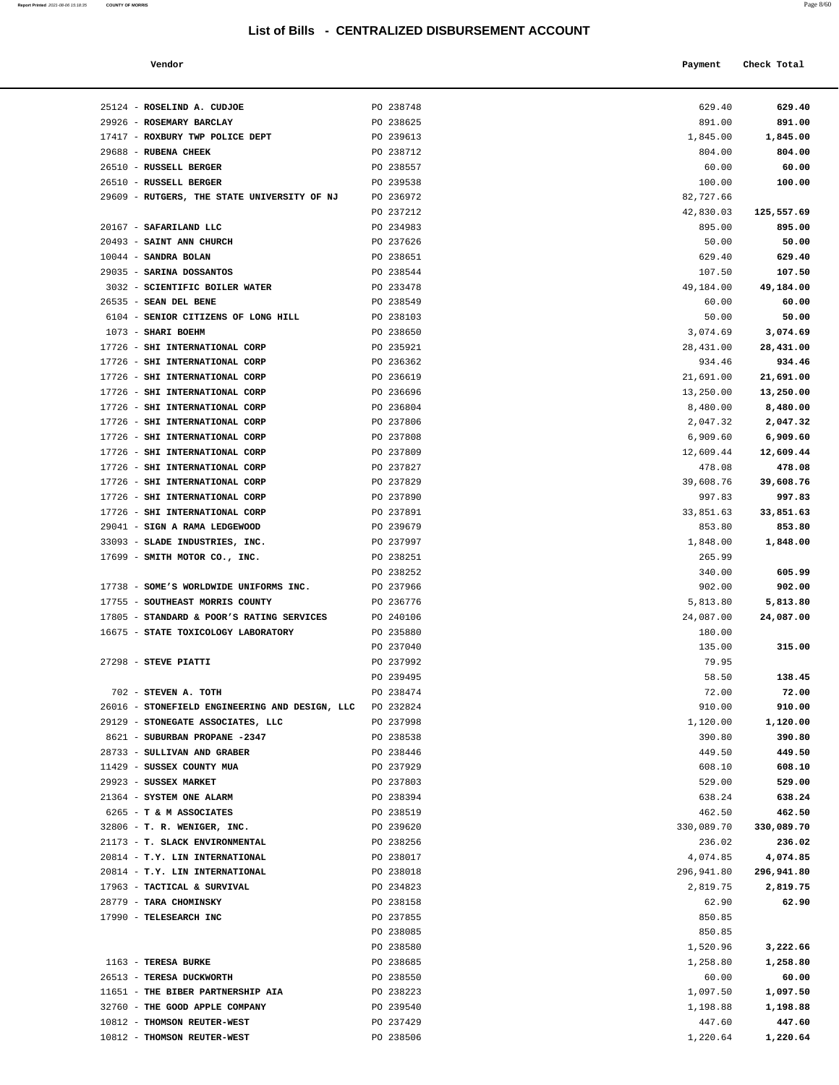**Report Printed** 2021-08-06 15:18:35 **COUNTY OF MORRIS** Page 8/60

| Vendor                                                             |                        | Payment             | Check Total         |
|--------------------------------------------------------------------|------------------------|---------------------|---------------------|
|                                                                    |                        |                     |                     |
|                                                                    |                        |                     |                     |
| 25124 - ROSELIND A. CUDJOE                                         | PO 238748              | 629.40              | 629.40              |
| 29926 - ROSEMARY BARCLAY                                           | PO 238625              | 891.00              | 891.00              |
| 17417 - ROXBURY TWP POLICE DEPT                                    | PO 239613              | 1,845.00            | 1,845.00            |
| 29688 - RUBENA CHEEK                                               | PO 238712              | 804.00              | 804.00              |
| 26510 - RUSSELL BERGER                                             | PO 238557              | 60.00               | 60.00               |
| 26510 - RUSSELL BERGER                                             | PO 239538              | 100.00              | 100.00              |
| 29609 - RUTGERS, THE STATE UNIVERSITY OF NJ                        | PO 236972              | 82,727.66           |                     |
|                                                                    | PO 237212              | 42,830.03           | 125,557.69          |
| 20167 - SAFARILAND LLC                                             | PO 234983<br>PO 237626 | 895.00              | 895.00<br>50.00     |
| 20493 - SAINT ANN CHURCH<br>$10044$ - SANDRA BOLAN                 | PO 238651              | 50.00<br>629.40     |                     |
| 29035 - SARINA DOSSANTOS                                           | PO 238544              |                     | 629.40              |
| 3032 - SCIENTIFIC BOILER WATER                                     | PO 233478              | 107.50<br>49,184.00 | 107.50<br>49,184.00 |
| $26535 -$ SEAN DEL BENE                                            | PO 238549              | 60.00               | 60.00               |
| 6104 - SENIOR CITIZENS OF LONG HILL                                | PO 238103              | 50.00               | 50.00               |
| 1073 - SHARI BOEHM                                                 | PO 238650              | 3,074.69            | 3,074.69            |
| 17726 - SHI INTERNATIONAL CORP                                     | PO 235921              | 28,431.00           | 28,431.00           |
| 17726 - SHI INTERNATIONAL CORP                                     | PO 236362              | 934.46              | 934.46              |
| 17726 - SHI INTERNATIONAL CORP                                     | PO 236619              | 21,691.00           | 21,691.00           |
| 17726 - SHI INTERNATIONAL CORP                                     | PO 236696              | 13,250.00           | 13,250.00           |
| 17726 - SHI INTERNATIONAL CORP                                     | PO 236804              | 8,480.00            | 8,480.00            |
| 17726 - SHI INTERNATIONAL CORP                                     | PO 237806              | 2,047.32            | 2,047.32            |
| 17726 - SHI INTERNATIONAL CORP                                     | PO 237808              | 6,909.60            | 6,909.60            |
| 17726 - SHI INTERNATIONAL CORP                                     | PO 237809              | 12,609.44           | 12,609.44           |
| 17726 - SHI INTERNATIONAL CORP                                     | PO 237827              | 478.08              | 478.08              |
| 17726 - SHI INTERNATIONAL CORP                                     | PO 237829              | 39,608.76           | 39,608.76           |
| 17726 - SHI INTERNATIONAL CORP                                     | PO 237890              | 997.83              | 997.83              |
| 17726 - SHI INTERNATIONAL CORP                                     | PO 237891              | 33,851.63           | 33,851.63           |
| 29041 - SIGN A RAMA LEDGEWOOD                                      | PO 239679              | 853.80              | 853.80              |
| 33093 - SLADE INDUSTRIES, INC.                                     | PO 237997              | 1,848.00            | 1,848.00            |
| 17699 - SMITH MOTOR CO., INC.                                      | PO 238251              | 265.99              |                     |
|                                                                    | PO 238252              | 340.00              | 605.99              |
| 17738 - SOME'S WORLDWIDE UNIFORMS INC.                             | PO 237966              | 902.00              | 902.00              |
| 17755 - SOUTHEAST MORRIS COUNTY                                    | PO 236776              | 5,813.80            | 5,813.80            |
| 17805 - STANDARD & POOR'S RATING SERVICES                          | PO 240106              | 24,087.00           | 24,087.00           |
| 16675 - STATE TOXICOLOGY LABORATORY                                | PO 235880              | 180.00              |                     |
|                                                                    | PO 237040              | 135.00              | 315.00              |
| 27298 - STEVE PIATTI                                               | PO 237992              | 79.95               |                     |
|                                                                    | PO 239495              | 58.50               | 138.45              |
| 702 - STEVEN A. TOTH                                               | PO 238474              | 72.00               | 72.00               |
| 26016 - STONEFIELD ENGINEERING AND DESIGN, LLC                     | PO 232824              | 910.00              | 910.00              |
| 29129 - STONEGATE ASSOCIATES, LLC<br>8621 - SUBURBAN PROPANE -2347 | PO 237998              | 1,120.00            | 1,120.00            |
| 28733 - SULLIVAN AND GRABER                                        | PO 238538<br>PO 238446 | 390.80<br>449.50    | 390.80<br>449.50    |
| 11429 - SUSSEX COUNTY MUA                                          | PO 237929              | 608.10              | 608.10              |
| 29923 - SUSSEX MARKET                                              | PO 237803              | 529.00              | 529.00              |
| 21364 - SYSTEM ONE ALARM                                           | PO 238394              | 638.24              | 638.24              |
| 6265 - T & M ASSOCIATES                                            | PO 238519              | 462.50              | 462.50              |
| 32806 - T. R. WENIGER, INC.                                        | PO 239620              | 330,089.70          | 330,089.70          |
| 21173 - T. SLACK ENVIRONMENTAL                                     | PO 238256              | 236.02              | 236.02              |
| 20814 - T.Y. LIN INTERNATIONAL                                     | PO 238017              | 4,074.85            | 4,074.85            |
| 20814 - T.Y. LIN INTERNATIONAL                                     | PO 238018              | 296,941.80          | 296,941.80          |
| 17963 - TACTICAL & SURVIVAL                                        | PO 234823              | 2,819.75            | 2,819.75            |
| 28779 - TARA CHOMINSKY                                             | PO 238158              | 62.90               | 62.90               |
| 17990 - TELESEARCH INC                                             | PO 237855              | 850.85              |                     |
|                                                                    | PO 238085              | 850.85              |                     |
|                                                                    | PO 238580              | 1,520.96            | 3,222.66            |
| 1163 - TERESA BURKE                                                | PO 238685              | 1,258.80            | 1,258.80            |
| 26513 - TERESA DUCKWORTH                                           | PO 238550              | 60.00               | 60.00               |
| 11651 - THE BIBER PARTNERSHIP AIA                                  | PO 238223              | 1,097.50            | 1,097.50            |
| 32760 - THE GOOD APPLE COMPANY                                     | PO 239540              | 1,198.88            | 1,198.88            |
| 10812 - THOMSON REUTER-WEST                                        | PO 237429              | 447.60              | 447.60              |
| 10812 - THOMSON REUTER-WEST                                        | PO 238506              | 1,220.64            | 1,220.64            |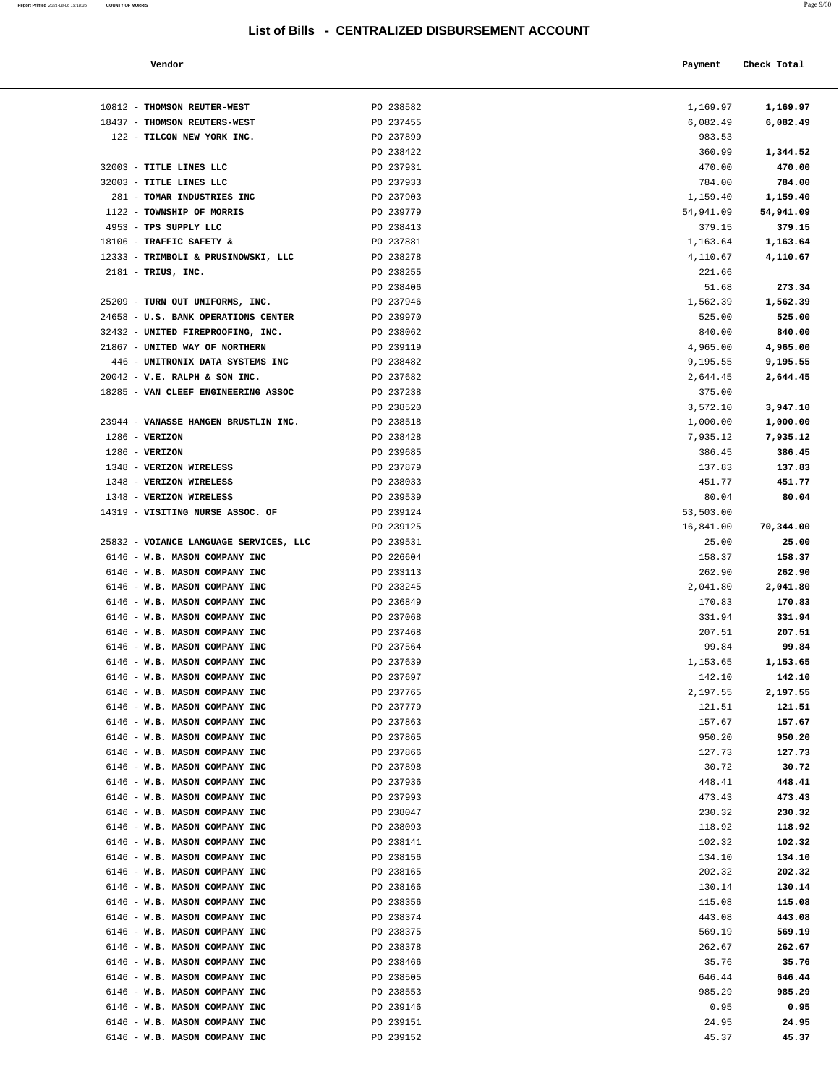10812 - **THOMSON REUTER-WEST** PO 238582 1,169.97 **1,169.97** 18437 - **THOMSON REUTERS-WEST** PO 237455 6,082.49 **6,082.49**

| Report Printed 2021-08-06 15:18:35 COUNTY OF MORRIS | Page 9/60 |
|-----------------------------------------------------|-----------|
|                                                     |           |

| Vendor | Payment Check Total |
|--------|---------------------|
|        |                     |

| 122 - TILCON NEW YORK INC.             | PO 237899 | 983.53    |           |
|----------------------------------------|-----------|-----------|-----------|
|                                        | PO 238422 | 360.99    | 1,344.52  |
| 32003 - TITLE LINES LLC                | PO 237931 | 470.00    | 470.00    |
| 32003 - TITLE LINES LLC                | PO 237933 | 784.00    | 784.00    |
| 281 - TOMAR INDUSTRIES INC             | PO 237903 | 1,159.40  | 1,159.40  |
| 1122 - TOWNSHIP OF MORRIS              | PO 239779 | 54,941.09 | 54,941.09 |
| 4953 - TPS SUPPLY LLC                  | PO 238413 | 379.15    | 379.15    |
| 18106 - TRAFFIC SAFETY &               | PO 237881 | 1,163.64  | 1,163.64  |
| 12333 - TRIMBOLI & PRUSINOWSKI, LLC    | PO 238278 | 4,110.67  | 4,110.67  |
| 2181 - TRIUS, INC.                     | PO 238255 | 221.66    |           |
|                                        | PO 238406 | 51.68     | 273.34    |
| 25209 - TURN OUT UNIFORMS, INC.        | PO 237946 | 1,562.39  | 1,562.39  |
| 24658 - U.S. BANK OPERATIONS CENTER    | PO 239970 | 525.00    | 525.00    |
| 32432 - UNITED FIREPROOFING, INC.      | PO 238062 | 840.00    | 840.00    |
| 21867 - UNITED WAY OF NORTHERN         | PO 239119 | 4,965.00  | 4,965.00  |
| 446 - UNITRONIX DATA SYSTEMS INC       | PO 238482 | 9,195.55  | 9,195.55  |
| $20042$ - V.E. RALPH & SON INC.        | PO 237682 | 2,644.45  | 2,644.45  |
| 18285 - VAN CLEEF ENGINEERING ASSOC    | PO 237238 | 375.00    |           |
|                                        | PO 238520 | 3,572.10  | 3,947.10  |
| 23944 - VANASSE HANGEN BRUSTLIN INC.   | PO 238518 | 1,000.00  | 1,000.00  |
| $1286$ - VERIZON                       | PO 238428 | 7,935.12  | 7,935.12  |
| $1286$ - VERIZON                       | PO 239685 | 386.45    | 386.45    |
| 1348 - VERIZON WIRELESS                | PO 237879 | 137.83    | 137.83    |
| 1348 - VERIZON WIRELESS                | PO 238033 | 451.77    | 451.77    |
| 1348 - VERIZON WIRELESS                | PO 239539 | 80.04     | 80.04     |
| 14319 - VISITING NURSE ASSOC. OF       | PO 239124 | 53,503.00 |           |
|                                        | PO 239125 | 16,841.00 | 70,344.00 |
| 25832 - VOIANCE LANGUAGE SERVICES, LLC | PO 239531 | 25.00     | 25.00     |
| 6146 - W.B. MASON COMPANY INC          | PO 226604 | 158.37    | 158.37    |
| 6146 - W.B. MASON COMPANY INC          | PO 233113 | 262.90    | 262.90    |
| 6146 - W.B. MASON COMPANY INC          | PO 233245 | 2,041.80  | 2,041.80  |
| 6146 - W.B. MASON COMPANY INC          | PO 236849 | 170.83    | 170.83    |
| 6146 - W.B. MASON COMPANY INC          | PO 237068 | 331.94    | 331.94    |
| 6146 - W.B. MASON COMPANY INC          | PO 237468 | 207.51    | 207.51    |
| 6146 - W.B. MASON COMPANY INC          | PO 237564 | 99.84     | 99.84     |
| 6146 - W.B. MASON COMPANY INC          | PO 237639 | 1,153.65  | 1,153.65  |
| 6146 - W.B. MASON COMPANY INC          | PO 237697 | 142.10    | 142.10    |
| 6146 - W.B. MASON COMPANY INC          | PO 237765 | 2,197.55  | 2,197.55  |
| 6146 - W.B. MASON COMPANY INC          | PO 237779 | 121.51    | 121.51    |
| 6146 - W.B. MASON COMPANY INC          | PO 237863 | 157.67    | 157.67    |
| 6146 - W.B. MASON COMPANY INC          | PO 237865 | 950.20    | 950.20    |
| 6146 - W.B. MASON COMPANY INC          | PO 237866 | 127.73    | 127.73    |
| 6146 - W.B. MASON COMPANY INC          | PO 237898 | 30.72     | 30.72     |
| 6146 - W.B. MASON COMPANY INC          | PO 237936 | 448.41    | 448.41    |
| 6146 - W.B. MASON COMPANY INC          | PO 237993 | 473.43    | 473.43    |
| 6146 - W.B. MASON COMPANY INC          | PO 238047 | 230.32    | 230.32    |
| 6146 - W.B. MASON COMPANY INC          | PO 238093 | 118.92    | 118.92    |
| 6146 - W.B. MASON COMPANY INC          | PO 238141 | 102.32    | 102.32    |
| 6146 - W.B. MASON COMPANY INC          | PO 238156 | 134.10    | 134.10    |
| 6146 - W.B. MASON COMPANY INC          | PO 238165 | 202.32    | 202.32    |
| 6146 - W.B. MASON COMPANY INC          | PO 238166 | 130.14    | 130.14    |
| 6146 - W.B. MASON COMPANY INC          | PO 238356 | 115.08    | 115.08    |
| 6146 - W.B. MASON COMPANY INC          | PO 238374 | 443.08    | 443.08    |
| 6146 - W.B. MASON COMPANY INC          | PO 238375 | 569.19    | 569.19    |
| 6146 - W.B. MASON COMPANY INC          | PO 238378 | 262.67    | 262.67    |
| 6146 - W.B. MASON COMPANY INC          | PO 238466 | 35.76     | 35.76     |
| 6146 - W.B. MASON COMPANY INC          | PO 238505 | 646.44    | 646.44    |
| 6146 - W.B. MASON COMPANY INC          | PO 238553 | 985.29    | 985.29    |
| 6146 - W.B. MASON COMPANY INC          | PO 239146 | 0.95      | 0.95      |
| 6146 - W.B. MASON COMPANY INC          | PO 239151 | 24.95     | 24.95     |
| 6146 - W.B. MASON COMPANY INC          | PO 239152 | 45.37     | 45.37     |
|                                        |           |           |           |
|                                        |           |           |           |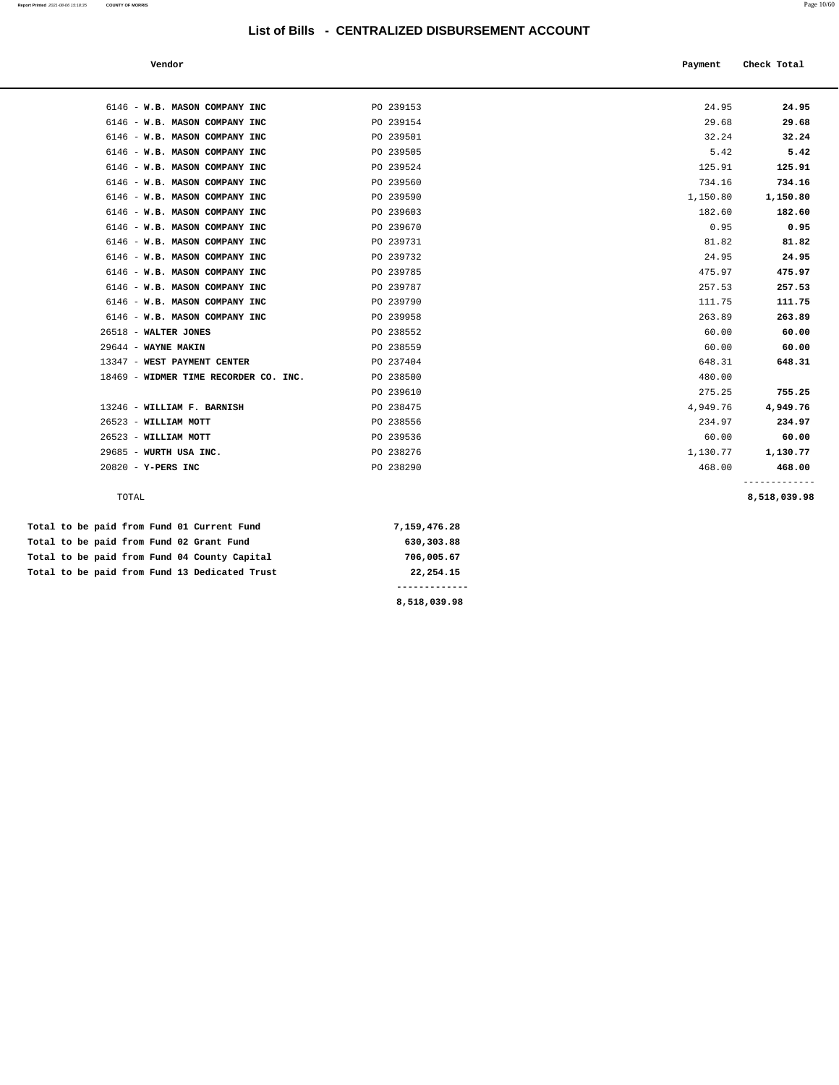| Vendor                                |           | Payment  | Check Total  |
|---------------------------------------|-----------|----------|--------------|
|                                       |           |          |              |
| 6146 - W.B. MASON COMPANY INC         | PO 239153 | 24.95    | 24.95        |
| 6146 - W.B. MASON COMPANY INC         | PO 239154 | 29.68    | 29.68        |
| 6146 - W.B. MASON COMPANY INC         | PO 239501 | 32.24    | 32.24        |
| 6146 - W.B. MASON COMPANY INC         | PO 239505 | 5.42     | 5.42         |
| 6146 - W.B. MASON COMPANY INC         | PO 239524 | 125.91   | 125.91       |
| 6146 - W.B. MASON COMPANY INC         | PO 239560 | 734.16   | 734.16       |
| 6146 - W.B. MASON COMPANY INC         | PO 239590 | 1,150.80 | 1,150.80     |
| 6146 - W.B. MASON COMPANY INC         | PO 239603 | 182.60   | 182.60       |
| 6146 - W.B. MASON COMPANY INC         | PO 239670 | 0.95     | 0.95         |
| 6146 - W.B. MASON COMPANY INC         | PO 239731 | 81.82    | 81.82        |
| 6146 - W.B. MASON COMPANY INC         | PO 239732 | 24.95    | 24.95        |
| 6146 - W.B. MASON COMPANY INC         | PO 239785 | 475.97   | 475.97       |
| 6146 - W.B. MASON COMPANY INC         | PO 239787 | 257.53   | 257.53       |
| 6146 - W.B. MASON COMPANY INC         | PO 239790 | 111.75   | 111.75       |
| 6146 - W.B. MASON COMPANY INC         | PO 239958 | 263.89   | 263.89       |
| 26518 - WALTER JONES                  | PO 238552 | 60.00    | 60.00        |
| 29644 - WAYNE MAKIN                   | PO 238559 | 60.00    | 60.00        |
| 13347 - WEST PAYMENT CENTER           | PO 237404 | 648.31   | 648.31       |
| 18469 - WIDMER TIME RECORDER CO. INC. | PO 238500 | 480.00   |              |
|                                       | PO 239610 | 275.25   | 755.25       |
| 13246 - WILLIAM F. BARNISH            | PO 238475 | 4,949.76 | 4,949.76     |
| 26523 - WILLIAM MOTT                  | PO 238556 | 234.97   | 234.97       |
| $26523$ - WILLIAM MOTT                | PO 239536 | 60.00    | 60.00        |
| 29685 - WURTH USA INC.                | PO 238276 | 1,130.77 | 1,130.77     |
| $20820 - Y - PERS INC$                | PO 238290 | 468.00   | 468.00       |
| TOTAL                                 |           |          | 8,518,039.98 |

| Total to be paid from Fund 01 Current Fund    | 7,159,476.28 |
|-----------------------------------------------|--------------|
| Total to be paid from Fund 02 Grant Fund      | 630,303.88   |
| Total to be paid from Fund 04 County Capital  | 706,005.67   |
| Total to be paid from Fund 13 Dedicated Trust | 22,254.15    |
|                                               |              |

**8,518,039.98**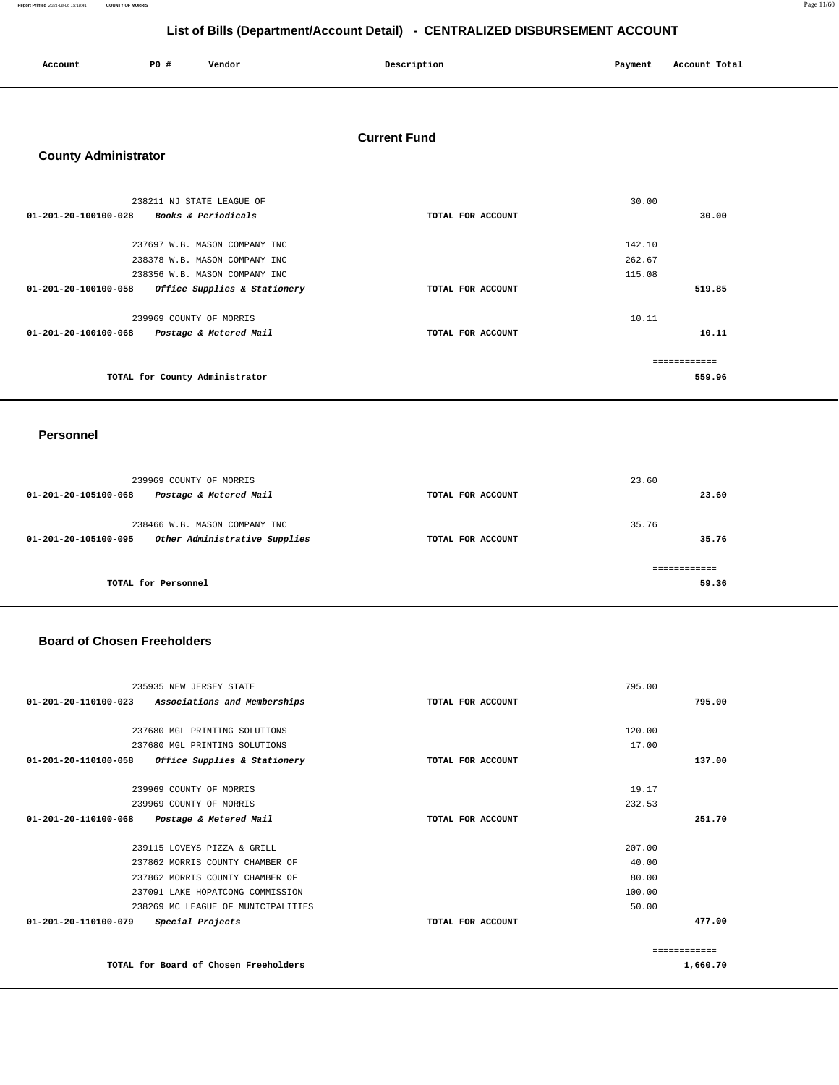**Report Printed** 2021-08-06 15:18:41 **COUNTY OF MORRIS** Page 11/60

## **List of Bills (Department/Account Detail) - CENTRALIZED DISBURSEMENT ACCOUNT**

| Account | P <sub>0</sub> | Vendor | Description | Payment | Account Total |
|---------|----------------|--------|-------------|---------|---------------|
|         |                |        |             |         |               |

## **Current Fund**

### **County Administrator**

| 238211 NJ STATE LEAGUE OF                                      |                   | 30.00  |
|----------------------------------------------------------------|-------------------|--------|
| 01-201-20-100100-028<br><i>Books &amp; Periodicals</i>         | TOTAL FOR ACCOUNT | 30.00  |
|                                                                |                   |        |
| 237697 W.B. MASON COMPANY INC                                  |                   | 142.10 |
| 238378 W.B. MASON COMPANY INC                                  |                   | 262.67 |
| 238356 W.B. MASON COMPANY INC                                  |                   | 115.08 |
| Office Supplies & Stationery<br>$01 - 201 - 20 - 100100 - 058$ | TOTAL FOR ACCOUNT | 519.85 |
|                                                                |                   |        |
| 239969 COUNTY OF MORRIS                                        |                   | 10.11  |
| 01-201-20-100100-068<br>Postage & Metered Mail                 | TOTAL FOR ACCOUNT | 10.11  |
|                                                                |                   |        |
|                                                                |                   |        |
| TOTAL for County Administrator                                 |                   | 559.96 |

#### **Personnel**

| 239969 COUNTY OF MORRIS                               |                   | 23.60 |
|-------------------------------------------------------|-------------------|-------|
| 01-201-20-105100-068<br>Postage & Metered Mail        | TOTAL FOR ACCOUNT | 23.60 |
| 238466 W.B. MASON COMPANY INC                         |                   | 35.76 |
| Other Administrative Supplies<br>01-201-20-105100-095 | TOTAL FOR ACCOUNT | 35.76 |
|                                                       |                   |       |
| TOTAL for Personnel                                   |                   | 59.36 |

### **Board of Chosen Freeholders**

|                                | 235935 NEW JERSEY STATE               |                   | 795.00 |              |
|--------------------------------|---------------------------------------|-------------------|--------|--------------|
| 01-201-20-110100-023           | Associations and Memberships          | TOTAL FOR ACCOUNT |        | 795.00       |
|                                |                                       |                   |        |              |
|                                | 237680 MGL PRINTING SOLUTIONS         |                   | 120.00 |              |
|                                | 237680 MGL PRINTING SOLUTIONS         |                   | 17.00  |              |
| $01 - 201 - 20 - 110100 - 058$ | Office Supplies & Stationery          | TOTAL FOR ACCOUNT |        | 137.00       |
|                                |                                       |                   |        |              |
|                                | 239969 COUNTY OF MORRIS               |                   | 19.17  |              |
|                                | 239969 COUNTY OF MORRIS               |                   | 232.53 |              |
| 01-201-20-110100-068           | Postage & Metered Mail                | TOTAL FOR ACCOUNT |        | 251.70       |
|                                |                                       |                   |        |              |
|                                | 239115 LOVEYS PIZZA & GRILL           |                   | 207.00 |              |
|                                | 237862 MORRIS COUNTY CHAMBER OF       |                   | 40.00  |              |
|                                | 237862 MORRIS COUNTY CHAMBER OF       |                   | 80.00  |              |
|                                | 237091 LAKE HOPATCONG COMMISSION      |                   | 100.00 |              |
|                                | 238269 MC LEAGUE OF MUNICIPALITIES    |                   | 50.00  |              |
| 01-201-20-110100-079           | Special Projects                      | TOTAL FOR ACCOUNT |        | 477.00       |
|                                |                                       |                   |        |              |
|                                |                                       |                   |        | ------------ |
|                                | TOTAL for Board of Chosen Freeholders |                   |        | 1,660.70     |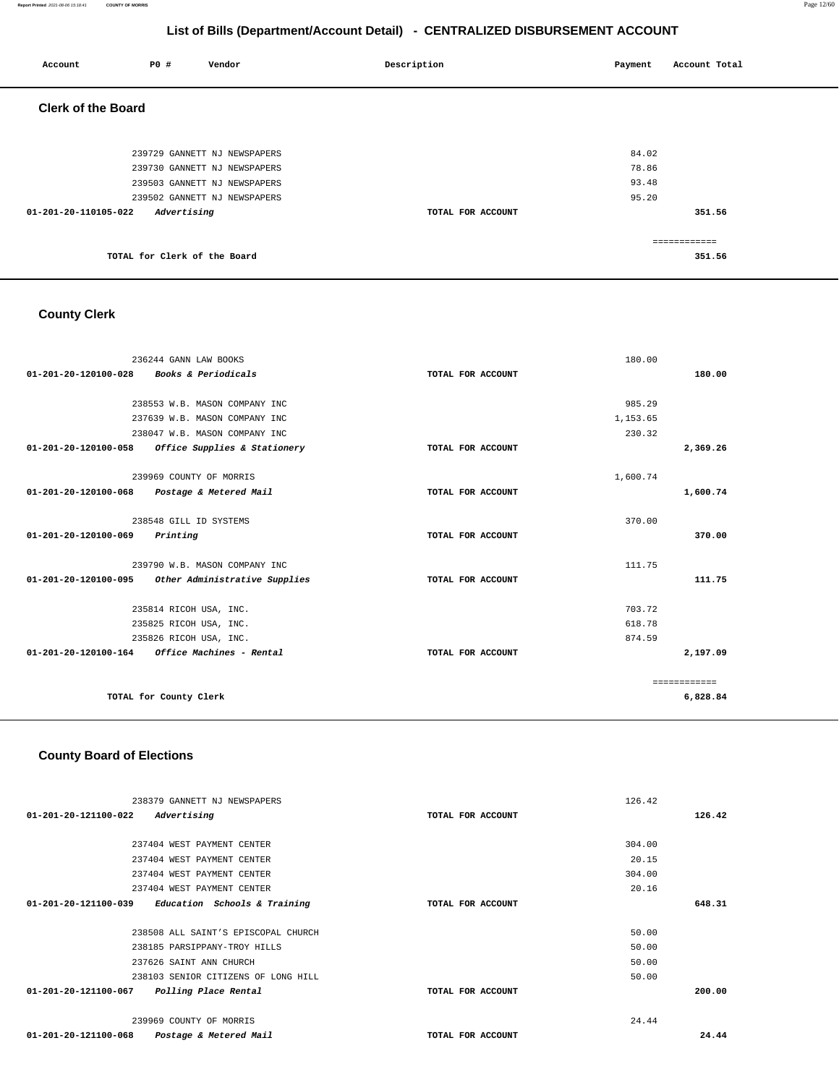#### **Report Printed** 2021-08-06 15:18:41 **COUNTY OF MORRIS** Page 12/60

## **List of Bills (Department/Account Detail) - CENTRALIZED DISBURSEMENT ACCOUNT**

| Account                   | <b>PO #</b>                  | Vendor                       | Description       | Payment | Account Total |
|---------------------------|------------------------------|------------------------------|-------------------|---------|---------------|
| <b>Clerk of the Board</b> |                              |                              |                   |         |               |
|                           |                              |                              |                   |         |               |
|                           |                              | 239729 GANNETT NJ NEWSPAPERS |                   | 84.02   |               |
|                           |                              | 239730 GANNETT NJ NEWSPAPERS |                   | 78.86   |               |
|                           |                              | 239503 GANNETT NJ NEWSPAPERS |                   | 93.48   |               |
|                           |                              | 239502 GANNETT NJ NEWSPAPERS |                   | 95.20   |               |
| 01-201-20-110105-022      | Advertising                  |                              | TOTAL FOR ACCOUNT |         | 351.56        |
|                           |                              |                              |                   |         |               |
|                           |                              |                              |                   |         | ============  |
|                           | TOTAL for Clerk of the Board |                              |                   |         | 351.56        |

## **County Clerk**

| 236244 GANN LAW BOOKS                                   |                   | 180.00       |          |
|---------------------------------------------------------|-------------------|--------------|----------|
| <b>Books &amp; Periodicals</b><br>01-201-20-120100-028  | TOTAL FOR ACCOUNT |              | 180.00   |
|                                                         |                   |              |          |
| 238553 W.B. MASON COMPANY INC                           |                   | 985.29       |          |
| 237639 W.B. MASON COMPANY INC                           |                   | 1,153.65     |          |
| 238047 W.B. MASON COMPANY INC                           |                   | 230.32       |          |
| 01-201-20-120100-058<br>Office Supplies & Stationery    | TOTAL FOR ACCOUNT |              | 2,369.26 |
|                                                         |                   |              |          |
| 239969 COUNTY OF MORRIS                                 |                   | 1,600.74     |          |
| 01-201-20-120100-068 Postage & Metered Mail             | TOTAL FOR ACCOUNT |              | 1,600.74 |
|                                                         |                   |              |          |
| 238548 GILL ID SYSTEMS                                  |                   | 370.00       |          |
| 01-201-20-120100-069<br>Printing                        | TOTAL FOR ACCOUNT |              | 370.00   |
| 239790 W.B. MASON COMPANY INC                           |                   | 111.75       |          |
| 01-201-20-120100-095 Other Administrative Supplies      | TOTAL FOR ACCOUNT |              | 111.75   |
|                                                         |                   |              |          |
| 235814 RICOH USA, INC.                                  |                   | 703.72       |          |
| 235825 RICOH USA, INC.                                  |                   | 618.78       |          |
| 235826 RICOH USA, INC.                                  |                   | 874.59       |          |
| $01 - 201 - 20 - 120100 - 164$ Office Machines - Rental | TOTAL FOR ACCOUNT |              | 2,197.09 |
|                                                         |                   | ============ |          |
| TOTAL for County Clerk                                  |                   |              | 6,828.84 |

## **County Board of Elections**

| 238379 GANNETT NJ NEWSPAPERS                         |                   | 126.42 |
|------------------------------------------------------|-------------------|--------|
| 01-201-20-121100-022<br>Advertising                  | TOTAL FOR ACCOUNT | 126.42 |
|                                                      |                   |        |
| 237404 WEST PAYMENT CENTER                           |                   | 304.00 |
| 237404 WEST PAYMENT CENTER                           |                   | 20.15  |
| 237404 WEST PAYMENT CENTER                           |                   | 304.00 |
| 237404 WEST PAYMENT CENTER                           |                   | 20.16  |
| 01-201-20-121100-039<br>Education Schools & Training | TOTAL FOR ACCOUNT | 648.31 |
|                                                      |                   |        |
| 238508 ALL SAINT'S EPISCOPAL CHURCH                  |                   | 50.00  |
| 238185 PARSIPPANY-TROY HILLS                         |                   | 50.00  |
| 237626 SAINT ANN CHURCH                              |                   | 50.00  |
| 238103 SENIOR CITIZENS OF LONG HILL                  |                   | 50.00  |
| 01-201-20-121100-067<br>Polling Place Rental         | TOTAL FOR ACCOUNT | 200.00 |
|                                                      |                   |        |
| 239969 COUNTY OF MORRIS                              |                   | 24.44  |
| 01-201-20-121100-068<br>Postage & Metered Mail       | TOTAL FOR ACCOUNT | 24.44  |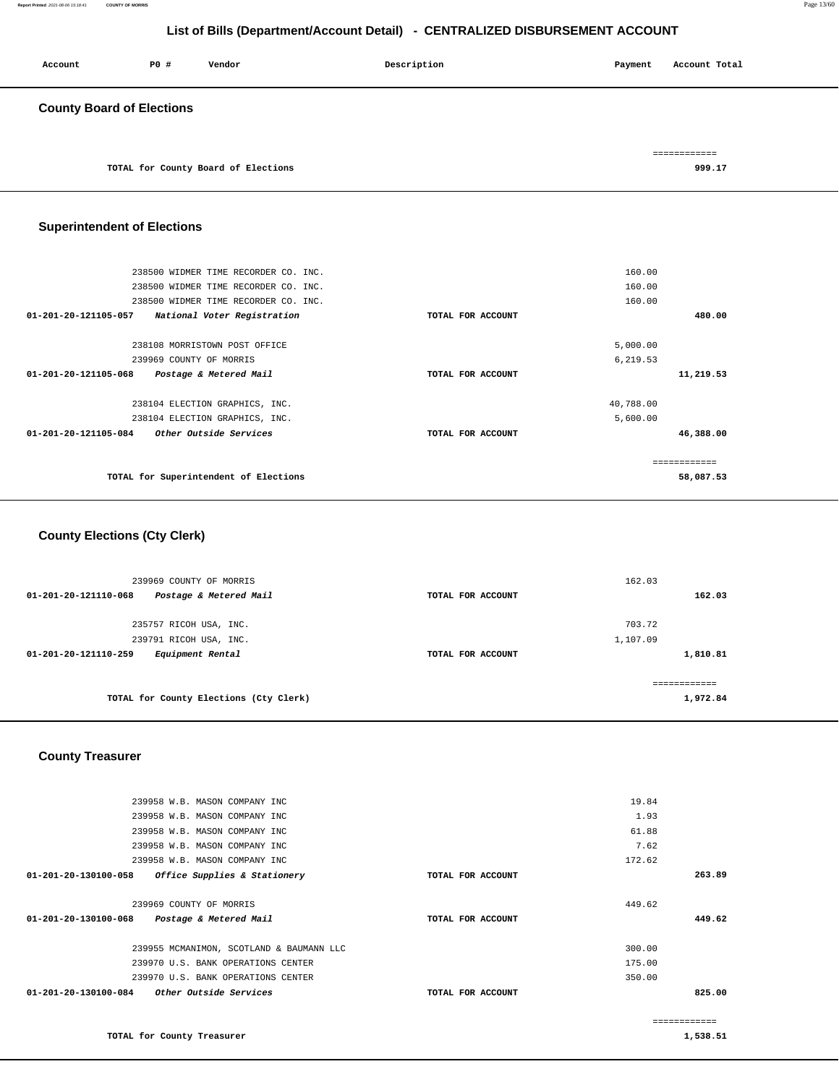| Account                          | P0 # | Vendor                              | Description | Account Total<br>Payment |
|----------------------------------|------|-------------------------------------|-------------|--------------------------|
| <b>County Board of Elections</b> |      |                                     |             |                          |
|                                  |      | TOTAL for County Board of Elections |             | ============<br>999.17   |

## **Superintendent of Elections**

| 238500 WIDMER TIME RECORDER CO. INC.                |                   | 160.00       |
|-----------------------------------------------------|-------------------|--------------|
| 238500 WIDMER TIME RECORDER CO. INC.                |                   | 160.00       |
| 238500 WIDMER TIME RECORDER CO. INC.                |                   | 160.00       |
| 01-201-20-121105-057<br>National Voter Registration | TOTAL FOR ACCOUNT | 480.00       |
| 238108 MORRISTOWN POST OFFICE                       |                   | 5,000.00     |
| 239969 COUNTY OF MORRIS                             |                   | 6,219.53     |
| 01-201-20-121105-068<br>Postage & Metered Mail      | TOTAL FOR ACCOUNT | 11,219.53    |
| 238104 ELECTION GRAPHICS, INC.                      |                   | 40,788.00    |
| 238104 ELECTION GRAPHICS, INC.                      |                   | 5,600.00     |
| Other Outside Services<br>01-201-20-121105-084      | TOTAL FOR ACCOUNT | 46,388.00    |
|                                                     |                   | ------------ |
| TOTAL for Superintendent of Elections               |                   | 58,087.53    |
|                                                     |                   |              |

## **County Elections (Cty Clerk)**

| 239969 COUNTY OF MORRIS<br>Postage & Metered Mail<br>01-201-20-121110-068 | TOTAL FOR ACCOUNT | 162.03<br>162.03 |
|---------------------------------------------------------------------------|-------------------|------------------|
| 235757 RICOH USA, INC.                                                    |                   | 703.72           |
| 239791 RICOH USA, INC.                                                    |                   | 1,107.09         |
| Equipment Rental<br>$01 - 201 - 20 - 121110 - 259$                        | TOTAL FOR ACCOUNT | 1,810.81         |
| TOTAL for County Elections (Cty Clerk)                                    |                   | 1,972.84         |

## **County Treasurer**

| 239958 W.B. MASON COMPANY INC                            |                   | 19.84  |              |
|----------------------------------------------------------|-------------------|--------|--------------|
| 239958 W.B. MASON COMPANY INC                            |                   | 1.93   |              |
| 239958 W.B. MASON COMPANY INC                            |                   | 61.88  |              |
| 239958 W.B. MASON COMPANY INC                            |                   | 7.62   |              |
| 239958 W.B. MASON COMPANY INC                            |                   | 172.62 |              |
| 01-201-20-130100-058<br>Office Supplies & Stationery     | TOTAL FOR ACCOUNT |        | 263.89       |
|                                                          |                   |        |              |
| 239969 COUNTY OF MORRIS                                  |                   | 449.62 |              |
| 01-201-20-130100-068<br>Postage & Metered Mail           | TOTAL FOR ACCOUNT |        | 449.62       |
|                                                          |                   |        |              |
| 239955 MCMANIMON, SCOTLAND & BAUMANN LLC                 |                   | 300.00 |              |
| 239970 U.S. BANK OPERATIONS CENTER                       |                   | 175.00 |              |
| 239970 U.S. BANK OPERATIONS CENTER                       |                   | 350.00 |              |
| $01 - 201 - 20 - 130100 - 084$<br>Other Outside Services | TOTAL FOR ACCOUNT |        | 825.00       |
|                                                          |                   |        |              |
|                                                          |                   |        | ------------ |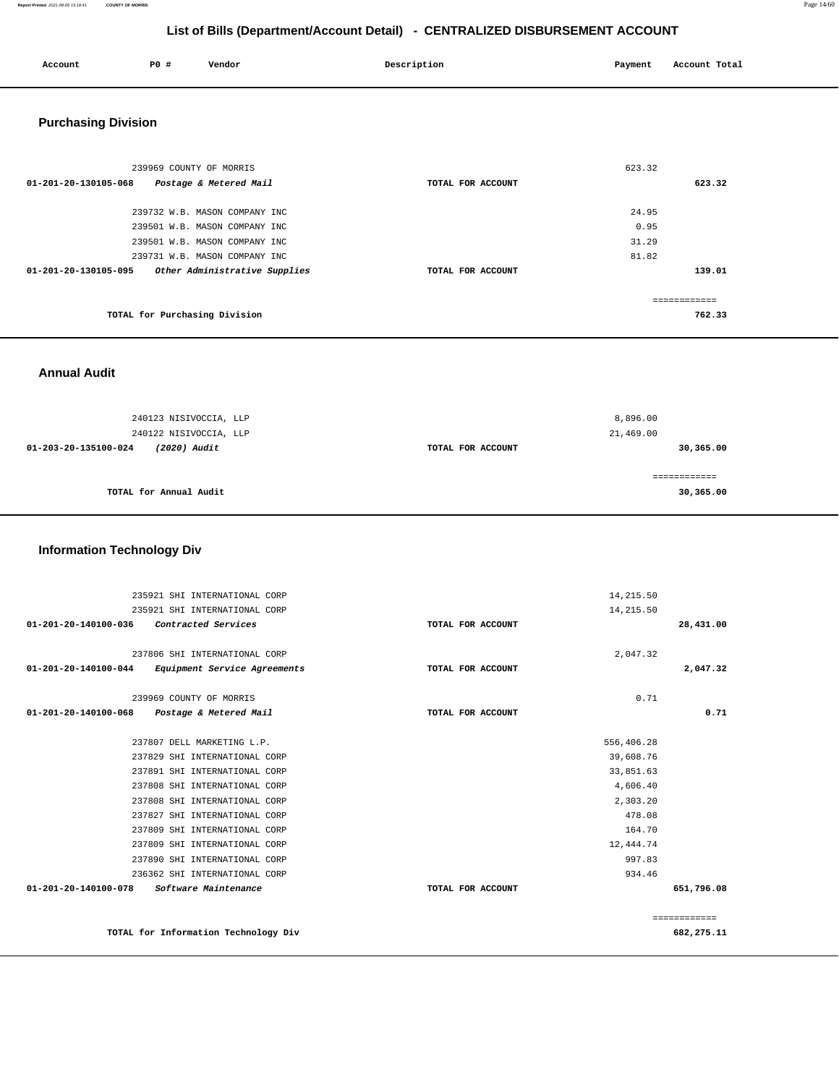| Account                    | P0 #                          | Vendor                        | Description       | Payment | Account Total |
|----------------------------|-------------------------------|-------------------------------|-------------------|---------|---------------|
| <b>Purchasing Division</b> |                               |                               |                   |         |               |
|                            | 239969 COUNTY OF MORRIS       |                               |                   | 623.32  |               |
| 01-201-20-130105-068       |                               | Postage & Metered Mail        | TOTAL FOR ACCOUNT |         | 623.32        |
|                            |                               | 239732 W.B. MASON COMPANY INC |                   | 24.95   |               |
|                            |                               | 239501 W.B. MASON COMPANY INC |                   | 0.95    |               |
|                            |                               | 239501 W.B. MASON COMPANY INC |                   | 31.29   |               |
|                            |                               | 239731 W.B. MASON COMPANY INC |                   | 81.82   |               |
| 01-201-20-130105-095       |                               | Other Administrative Supplies | TOTAL FOR ACCOUNT |         | 139.01        |
|                            |                               |                               |                   |         | ============  |
|                            | TOTAL for Purchasing Division |                               |                   |         | 762.33        |

 **Annual Audit** 

| 240123 NISIVOCCIA, LLP<br>240122 NISIVOCCIA, LLP |                   | 8,896.00<br>21,469.00 |
|--------------------------------------------------|-------------------|-----------------------|
| (2020) Audit<br>01-203-20-135100-024             | TOTAL FOR ACCOUNT | 30,365.00             |
| TOTAL for Annual Audit                           |                   | 30,365.00             |

### **Information Technology Div**

| 235921 SHI INTERNATIONAL CORP                        |                   | 14,215.50  |              |
|------------------------------------------------------|-------------------|------------|--------------|
| 235921 SHI INTERNATIONAL CORP                        |                   | 14,215.50  |              |
| 01-201-20-140100-036<br>Contracted Services          | TOTAL FOR ACCOUNT |            | 28,431.00    |
|                                                      |                   |            |              |
| 237806 SHI INTERNATIONAL CORP                        |                   | 2,047.32   |              |
| 01-201-20-140100-044<br>Equipment Service Agreements | TOTAL FOR ACCOUNT |            | 2,047.32     |
| 239969 COUNTY OF MORRIS                              |                   | 0.71       |              |
| 01-201-20-140100-068<br>Postage & Metered Mail       | TOTAL FOR ACCOUNT |            | 0.71         |
| 237807 DELL MARKETING L.P.                           |                   | 556,406.28 |              |
| 237829 SHI INTERNATIONAL CORP                        |                   | 39,608.76  |              |
| 237891 SHI INTERNATIONAL CORP                        |                   | 33,851.63  |              |
| 237808 SHI INTERNATIONAL CORP                        |                   | 4,606.40   |              |
| 237808 SHI INTERNATIONAL CORP                        |                   | 2,303.20   |              |
| 237827 SHI INTERNATIONAL CORP                        |                   | 478.08     |              |
| 237809 SHI INTERNATIONAL CORP                        |                   | 164.70     |              |
| 237809 SHI INTERNATIONAL CORP                        |                   | 12,444.74  |              |
| 237890 SHI INTERNATIONAL CORP                        |                   | 997.83     |              |
| 236362 SHI INTERNATIONAL CORP                        |                   | 934.46     |              |
| 01-201-20-140100-078<br>Software Maintenance         | TOTAL FOR ACCOUNT |            | 651,796.08   |
|                                                      |                   |            | ============ |
| TOTAL for Information Technology Div                 |                   |            | 682,275.11   |

**Report Printed** 2021-08-06 15:18:41 **COUNTY OF MORRIS** Page 14/60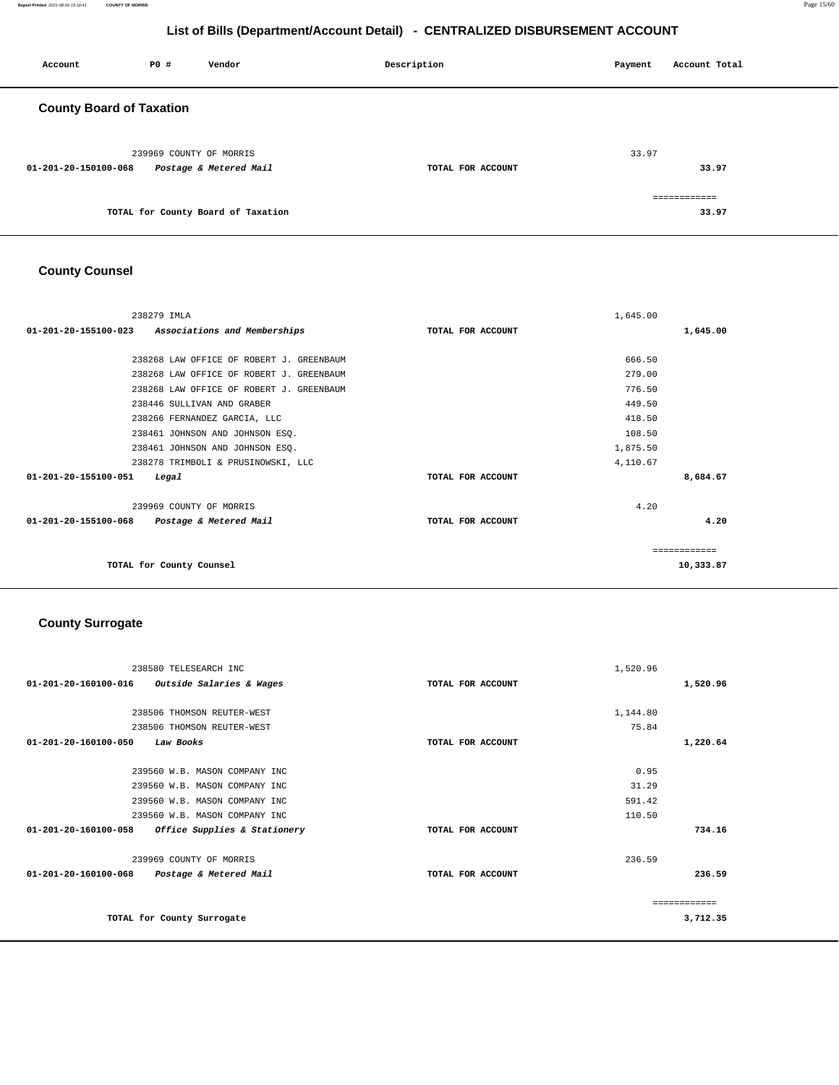#### **Report Printed** 2021-08-06 15:18:41 **COUNTY OF MORRIS** Page 15/60

## **List of Bills (Department/Account Detail) - CENTRALIZED DISBURSEMENT ACCOUNT**

| Account                         | <b>PO #</b>             | Vendor                             | Description       | Payment | Account Total         |
|---------------------------------|-------------------------|------------------------------------|-------------------|---------|-----------------------|
| <b>County Board of Taxation</b> |                         |                                    |                   |         |                       |
| 01-201-20-150100-068            | 239969 COUNTY OF MORRIS | Postage & Metered Mail             | TOTAL FOR ACCOUNT | 33.97   | 33.97                 |
|                                 |                         | TOTAL for County Board of Taxation |                   |         | ============<br>33.97 |

## **County Counsel**

| 238279 IMLA                                                    |                   | 1,645.00 |           |
|----------------------------------------------------------------|-------------------|----------|-----------|
| $01 - 201 - 20 - 155100 - 023$<br>Associations and Memberships | TOTAL FOR ACCOUNT |          | 1,645.00  |
|                                                                |                   |          |           |
| 238268 LAW OFFICE OF ROBERT J. GREENBAUM                       |                   | 666.50   |           |
| 238268 LAW OFFICE OF ROBERT J. GREENBAUM                       |                   | 279.00   |           |
| 238268 LAW OFFICE OF ROBERT J. GREENBAUM                       |                   | 776.50   |           |
| 238446 SULLIVAN AND GRABER                                     |                   | 449.50   |           |
| 238266 FERNANDEZ GARCIA, LLC                                   |                   | 418.50   |           |
| 238461 JOHNSON AND JOHNSON ESO.                                |                   | 108.50   |           |
| 238461 JOHNSON AND JOHNSON ESO.                                |                   | 1,875.50 |           |
| 238278 TRIMBOLI & PRUSINOWSKI, LLC                             |                   | 4,110.67 |           |
| 01-201-20-155100-051<br>Legal                                  | TOTAL FOR ACCOUNT |          | 8,684.67  |
| 239969 COUNTY OF MORRIS                                        |                   | 4.20     |           |
| $01 - 201 - 20 - 155100 - 068$<br>Postage & Metered Mail       | TOTAL FOR ACCOUNT |          | 4.20      |
|                                                                |                   |          |           |
| TOTAL for County Counsel                                       |                   |          | 10,333.87 |

## **County Surrogate**

| 238580 TELESEARCH INC                                |                   | 1,520.96 |               |
|------------------------------------------------------|-------------------|----------|---------------|
| 01-201-20-160100-016<br>Outside Salaries & Wages     | TOTAL FOR ACCOUNT |          | 1,520.96      |
|                                                      |                   |          |               |
| 238506 THOMSON REUTER-WEST                           |                   | 1,144.80 |               |
| 238506 THOMSON REUTER-WEST                           |                   | 75.84    |               |
| 01-201-20-160100-050<br>Law Books                    | TOTAL FOR ACCOUNT |          | 1,220.64      |
| 239560 W.B. MASON COMPANY INC                        |                   | 0.95     |               |
| 239560 W.B. MASON COMPANY INC                        |                   | 31.29    |               |
| 239560 W.B. MASON COMPANY INC                        |                   | 591.42   |               |
| 239560 W.B. MASON COMPANY INC                        |                   | 110.50   |               |
| 01-201-20-160100-058<br>Office Supplies & Stationery | TOTAL FOR ACCOUNT |          | 734.16        |
| 239969 COUNTY OF MORRIS                              |                   | 236.59   |               |
| 01-201-20-160100-068<br>Postage & Metered Mail       | TOTAL FOR ACCOUNT |          | 236.59        |
|                                                      |                   |          | ============= |
| TOTAL for County Surrogate                           |                   |          | 3,712.35      |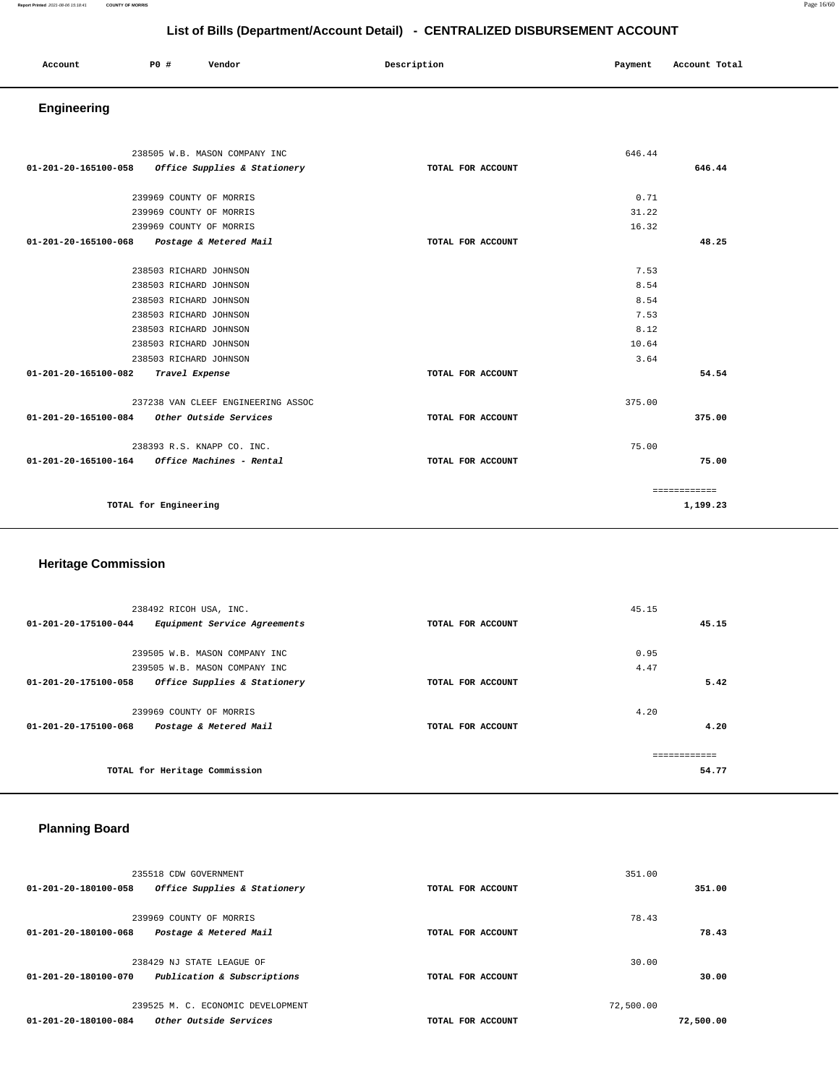| Account<br>. | P <sub>0</sub> | Vendor | Description | Payment<br>$\sim$ $\sim$ | Account Total |
|--------------|----------------|--------|-------------|--------------------------|---------------|
|              |                |        |             |                          |               |

## **Engineering**

|                      | 238505 W.B. MASON COMPANY INC               |                   | 646.44       |
|----------------------|---------------------------------------------|-------------------|--------------|
| 01-201-20-165100-058 | Office Supplies & Stationery                | TOTAL FOR ACCOUNT | 646.44       |
|                      |                                             |                   |              |
|                      | 239969 COUNTY OF MORRIS                     |                   | 0.71         |
|                      | 239969 COUNTY OF MORRIS                     |                   | 31.22        |
|                      | 239969 COUNTY OF MORRIS                     |                   | 16.32        |
| 01-201-20-165100-068 | Postage & Metered Mail                      | TOTAL FOR ACCOUNT | 48.25        |
|                      |                                             |                   |              |
|                      | 238503 RICHARD JOHNSON                      |                   | 7.53         |
|                      | 238503 RICHARD JOHNSON                      |                   | 8.54         |
|                      | 238503 RICHARD JOHNSON                      |                   | 8.54         |
|                      | 238503 RICHARD JOHNSON                      |                   | 7.53         |
|                      | 238503 RICHARD JOHNSON                      |                   | 8.12         |
|                      | 238503 RICHARD JOHNSON                      |                   | 10.64        |
|                      | 238503 RICHARD JOHNSON                      |                   | 3.64         |
| 01-201-20-165100-082 | Travel Expense                              | TOTAL FOR ACCOUNT | 54.54        |
|                      | 237238 VAN CLEEF ENGINEERING ASSOC          |                   | 375.00       |
|                      | 01-201-20-165100-084 Other Outside Services | TOTAL FOR ACCOUNT | 375.00       |
|                      | 238393 R.S. KNAPP CO. INC.                  |                   | 75.00        |
| 01-201-20-165100-164 | Office Machines - Rental                    | TOTAL FOR ACCOUNT | 75.00        |
|                      |                                             |                   | ============ |
|                      | TOTAL for Engineering                       |                   | 1,199.23     |

## **Heritage Commission**

| 238492 RICOH USA, INC.                                   |                   | 45.15 |
|----------------------------------------------------------|-------------------|-------|
| 01-201-20-175100-044<br>Equipment Service Agreements     | TOTAL FOR ACCOUNT | 45.15 |
|                                                          |                   |       |
| 239505 W.B. MASON COMPANY INC                            |                   | 0.95  |
| 239505 W.B. MASON COMPANY INC                            |                   | 4.47  |
| 01-201-20-175100-058<br>Office Supplies & Stationery     | TOTAL FOR ACCOUNT | 5.42  |
|                                                          |                   |       |
| 239969 COUNTY OF MORRIS                                  |                   | 4.20  |
| $01 - 201 - 20 - 175100 - 068$<br>Postage & Metered Mail | TOTAL FOR ACCOUNT | 4.20  |
|                                                          |                   |       |
|                                                          |                   |       |
| TOTAL for Heritage Commission                            |                   | 54.77 |
|                                                          |                   |       |

## **Planning Board**

|                      | 235518 CDW GOVERNMENT             |                   | 351.00    |           |
|----------------------|-----------------------------------|-------------------|-----------|-----------|
| 01-201-20-180100-058 | Office Supplies & Stationery      | TOTAL FOR ACCOUNT |           | 351.00    |
|                      | 239969 COUNTY OF MORRIS           |                   | 78.43     |           |
| 01-201-20-180100-068 | Postage & Metered Mail            | TOTAL FOR ACCOUNT |           | 78.43     |
|                      |                                   |                   |           |           |
|                      | 238429 NJ STATE LEAGUE OF         |                   | 30.00     |           |
| 01-201-20-180100-070 | Publication & Subscriptions       | TOTAL FOR ACCOUNT |           | 30.00     |
|                      |                                   |                   |           |           |
|                      | 239525 M. C. ECONOMIC DEVELOPMENT |                   | 72,500.00 |           |
| 01-201-20-180100-084 | Other Outside Services            | TOTAL FOR ACCOUNT |           | 72,500.00 |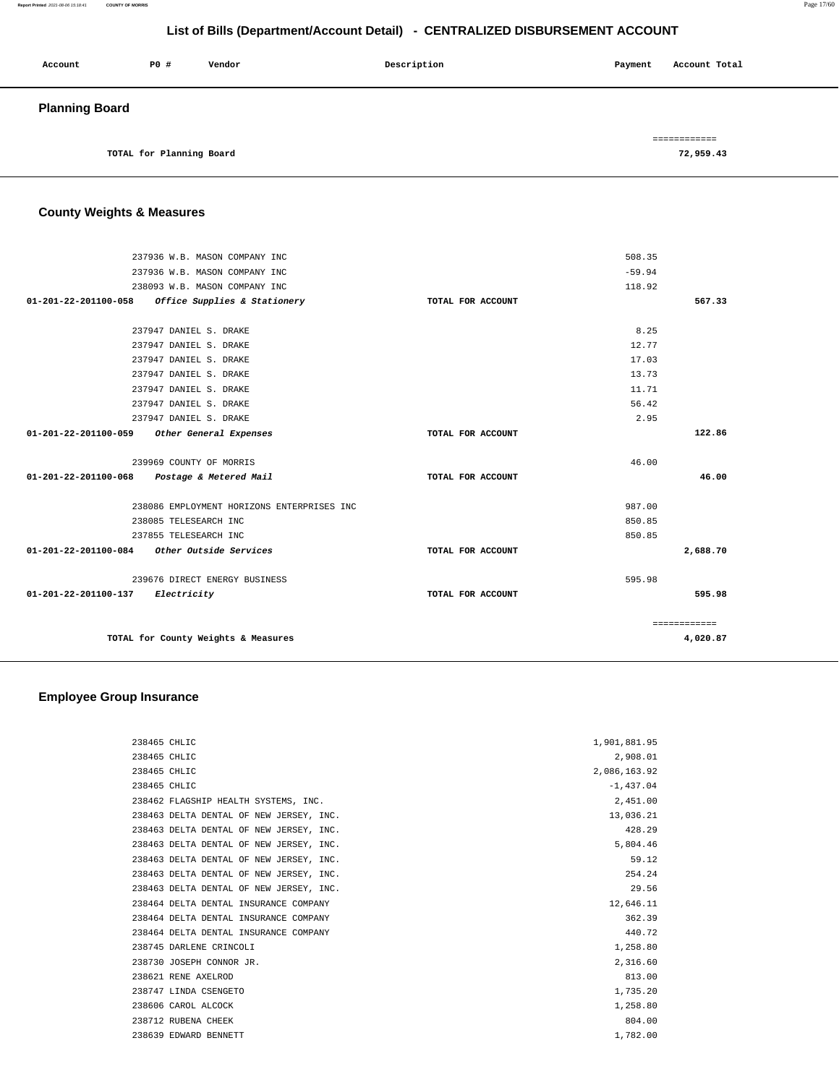#### **Report Printed** 2021-08-06 15:18:41 **COUNTY OF MORRIS** Page 17/60

## **List of Bills (Department/Account Detail) - CENTRALIZED DISBURSEMENT ACCOUNT**

| Account               | PO#                      | Vendor | Description | Account Total<br>Payment |  |
|-----------------------|--------------------------|--------|-------------|--------------------------|--|
| <b>Planning Board</b> |                          |        |             |                          |  |
|                       |                          |        |             | ============             |  |
|                       | TOTAL for Planning Board |        |             | 72,959.43                |  |

## **County Weights & Measures**

| 237936 W.B. MASON COMPANY INC                        | 508.35            |              |
|------------------------------------------------------|-------------------|--------------|
| 237936 W.B. MASON COMPANY INC                        | $-59.94$          |              |
| 238093 W.B. MASON COMPANY INC                        | 118.92            |              |
| 01-201-22-201100-058<br>Office Supplies & Stationery | TOTAL FOR ACCOUNT | 567.33       |
|                                                      |                   |              |
| 237947 DANIEL S. DRAKE                               | 8.25              |              |
| 237947 DANIEL S. DRAKE                               | 12.77             |              |
| 237947 DANIEL S. DRAKE                               | 17.03             |              |
| 237947 DANIEL S. DRAKE                               | 13.73             |              |
| 237947 DANIEL S. DRAKE                               | 11.71             |              |
| 237947 DANIEL S. DRAKE                               | 56.42             |              |
| 237947 DANIEL S. DRAKE                               | 2.95              |              |
| 01-201-22-201100-059<br>Other General Expenses       | TOTAL FOR ACCOUNT | 122.86       |
|                                                      |                   |              |
| 239969 COUNTY OF MORRIS                              | 46.00             |              |
| 01-201-22-201100-068<br>Postage & Metered Mail       | TOTAL FOR ACCOUNT | 46.00        |
| 238086 EMPLOYMENT HORIZONS ENTERPRISES INC           | 987.00            |              |
| 238085 TELESEARCH INC                                | 850.85            |              |
| 237855 TELESEARCH INC                                | 850.85            |              |
| 01-201-22-201100-084 Other Outside Services          | TOTAL FOR ACCOUNT | 2,688.70     |
|                                                      |                   |              |
| 239676 DIRECT ENERGY BUSINESS                        | 595.98            |              |
| 01-201-22-201100-137 Electricity                     | TOTAL FOR ACCOUNT | 595.98       |
|                                                      |                   | ============ |
| TOTAL for County Weights & Measures                  |                   | 4,020.87     |
|                                                      |                   |              |

## **Employee Group Insurance**

| 238465 CHLIC                            | 1,901,881.95 |
|-----------------------------------------|--------------|
| 238465 CHLIC                            | 2,908.01     |
| 238465 CHLIC                            | 2,086,163.92 |
| 238465 CHLIC                            | $-1.437.04$  |
| 238462 FLAGSHIP HEALTH SYSTEMS, INC.    | 2,451.00     |
| 238463 DELTA DENTAL OF NEW JERSEY, INC. | 13,036.21    |
| 238463 DELTA DENTAL OF NEW JERSEY, INC. | 428.29       |
| 238463 DELTA DENTAL OF NEW JERSEY, INC. | 5,804.46     |
| 238463 DELTA DENTAL OF NEW JERSEY, INC. | 59.12        |
| 238463 DELTA DENTAL OF NEW JERSEY, INC. | 254.24       |
| 238463 DELTA DENTAL OF NEW JERSEY, INC. | 29.56        |
| 238464 DELTA DENTAL INSURANCE COMPANY   | 12,646.11    |
| 238464 DELTA DENTAL INSURANCE COMPANY   | 362.39       |
| 238464 DELTA DENTAL INSURANCE COMPANY   | 440.72       |
| 238745 DARLENE CRINCOLI                 | 1,258.80     |
| 238730 JOSEPH CONNOR JR.                | 2,316.60     |
| 238621 RENE AXELROD                     | 813.00       |
| 238747 LINDA CSENGETO                   | 1,735.20     |
| 238606 CAROL ALCOCK                     | 1,258.80     |
| 238712 RUBENA CHEEK                     | 804.00       |
| 238639 EDWARD BENNETT                   | 1,782.00     |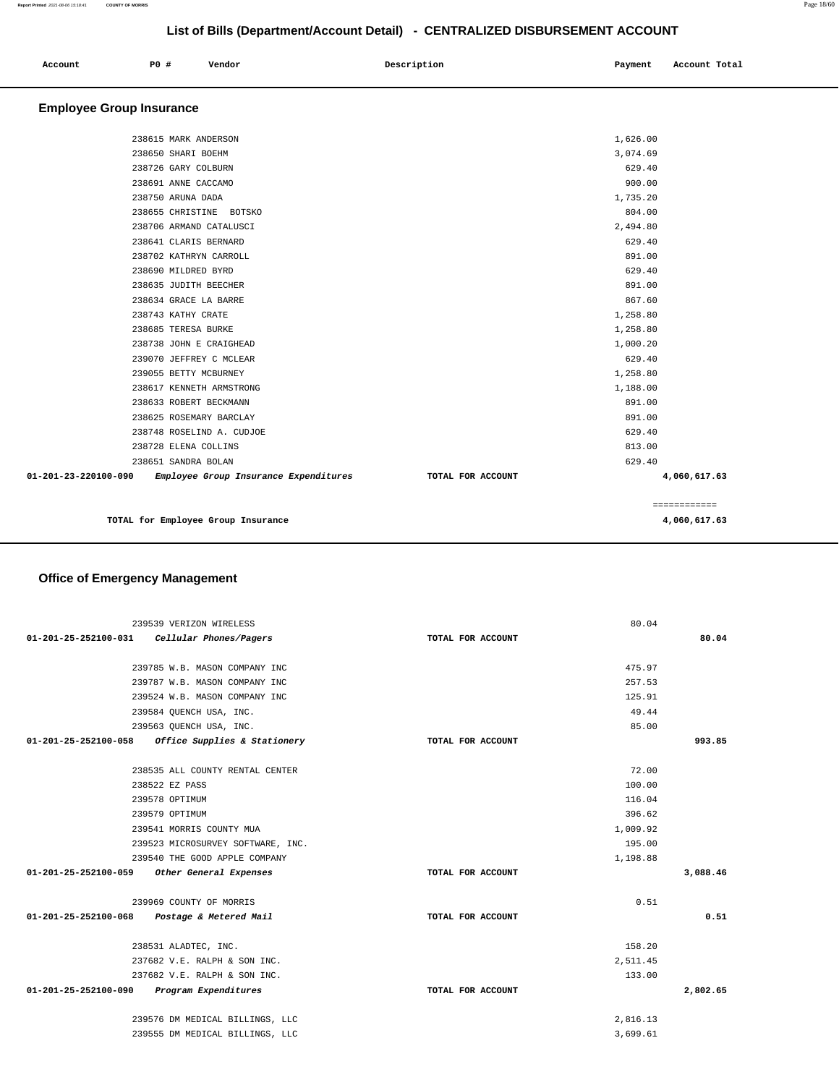| Account<br>. | <b>PO #</b> | Vendor | Description | Payment | Account Total |
|--------------|-------------|--------|-------------|---------|---------------|
|              |             |        |             |         |               |

## **Employee Group Insurance**

| 4,060,617.63 |                   |  | TOTAL for Employee Group Insurance    |                                |
|--------------|-------------------|--|---------------------------------------|--------------------------------|
|              | ============      |  |                                       |                                |
| 4,060,617.63 | TOTAL FOR ACCOUNT |  | Employee Group Insurance Expenditures | $01 - 201 - 23 - 220100 - 090$ |
|              | 629.40            |  | 238651 SANDRA BOLAN                   |                                |
|              | 813.00            |  | 238728 ELENA COLLINS                  |                                |
|              | 629.40            |  | 238748 ROSELIND A. CUDJOE             |                                |
|              | 891.00            |  | 238625 ROSEMARY BARCLAY               |                                |
|              | 891.00            |  | 238633 ROBERT BECKMANN                |                                |
|              | 1,188.00          |  | 238617 KENNETH ARMSTRONG              |                                |
|              | 1,258.80          |  | 239055 BETTY MCBURNEY                 |                                |
|              | 629.40            |  | 239070 JEFFREY C MCLEAR               |                                |
|              | 1,000.20          |  | 238738 JOHN E CRAIGHEAD               |                                |
|              | 1,258.80          |  | 238685 TERESA BURKE                   |                                |
|              | 1,258.80          |  | 238743 KATHY CRATE                    |                                |
|              | 867.60            |  | 238634 GRACE LA BARRE                 |                                |
|              | 891.00            |  | 238635 JUDITH BEECHER                 |                                |
|              | 629.40            |  | 238690 MILDRED BYRD                   |                                |
|              | 891.00            |  | 238702 KATHRYN CARROLL                |                                |
|              | 629.40            |  | 238641 CLARIS BERNARD                 |                                |
|              | 2,494.80          |  | 238706 ARMAND CATALUSCI               |                                |
|              | 804.00            |  | 238655 CHRISTINE BOTSKO               |                                |
|              | 1,735.20          |  | 238750 ARUNA DADA                     |                                |
|              | 900.00            |  | 238691 ANNE CACCAMO                   |                                |
|              | 629.40            |  | 238726 GARY COLBURN                   |                                |
|              | 3,074.69          |  | 238650 SHARI BOEHM                    |                                |
|              | 1,626.00          |  | 238615 MARK ANDERSON                  |                                |
|              |                   |  |                                       |                                |

## **Office of Emergency Management**

|                      | 239539 VERIZON WIRELESS                           |                   | 80.04    |
|----------------------|---------------------------------------------------|-------------------|----------|
| 01-201-25-252100-031 | Cellular Phones/Pagers                            | TOTAL FOR ACCOUNT | 80.04    |
|                      |                                                   |                   |          |
|                      | 239785 W.B. MASON COMPANY INC                     |                   | 475.97   |
|                      | 239787 W.B. MASON COMPANY INC                     |                   | 257.53   |
|                      | 239524 W.B. MASON COMPANY INC                     |                   | 125.91   |
|                      | 239584 QUENCH USA, INC.                           |                   | 49.44    |
|                      | 239563 QUENCH USA, INC.                           |                   | 85.00    |
|                      | 01-201-25-252100-058 Office Supplies & Stationery | TOTAL FOR ACCOUNT | 993.85   |
|                      |                                                   |                   |          |
|                      | 238535 ALL COUNTY RENTAL CENTER                   |                   | 72.00    |
|                      | 238522 EZ PASS                                    |                   | 100.00   |
|                      | 239578 OPTIMUM                                    |                   | 116.04   |
|                      | 239579 OPTIMUM                                    |                   | 396.62   |
|                      | 239541 MORRIS COUNTY MUA                          |                   | 1,009.92 |
|                      | 239523 MICROSURVEY SOFTWARE, INC.                 |                   | 195.00   |
|                      | 239540 THE GOOD APPLE COMPANY                     |                   | 1,198.88 |
| 01-201-25-252100-059 | Other General Expenses                            | TOTAL FOR ACCOUNT | 3,088.46 |
|                      | 239969 COUNTY OF MORRIS                           |                   | 0.51     |
|                      | 01-201-25-252100-068 Postage & Metered Mail       | TOTAL FOR ACCOUNT | 0.51     |
|                      | 238531 ALADTEC, INC.                              |                   | 158.20   |
|                      | 237682 V.E. RALPH & SON INC.                      |                   | 2,511.45 |
|                      | 237682 V.E. RALPH & SON INC.                      |                   | 133.00   |
| 01-201-25-252100-090 | Program Expenditures                              | TOTAL FOR ACCOUNT | 2,802.65 |
|                      |                                                   |                   |          |
|                      | 239576 DM MEDICAL BILLINGS, LLC                   |                   | 2,816.13 |
|                      | 239555 DM MEDICAL BILLINGS, LLC                   |                   | 3,699.61 |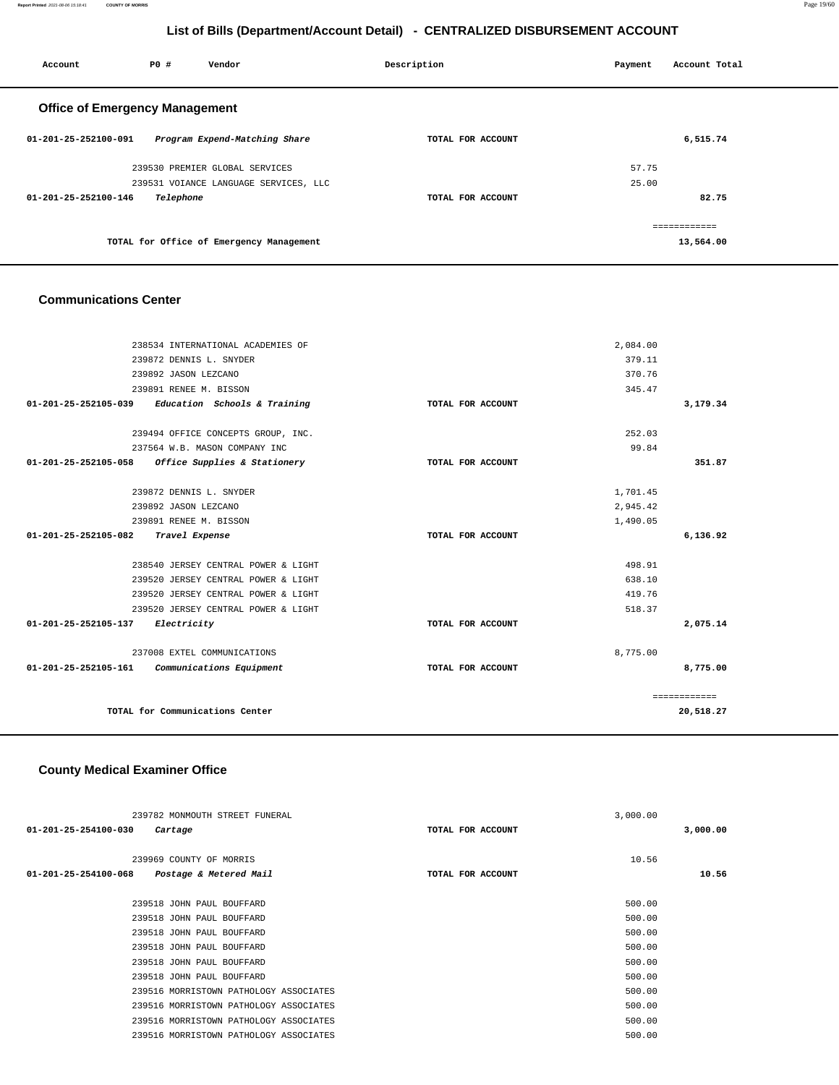**Report Printed** 2021-08-06 15:18:41 **COUNTY OF MORRIS** Page 19/60

## **List of Bills (Department/Account Detail) - CENTRALIZED DISBURSEMENT ACCOUNT**

| Account                               | <b>PO #</b> | Vendor                                   | Description       | Payment | Account Total |  |
|---------------------------------------|-------------|------------------------------------------|-------------------|---------|---------------|--|
| <b>Office of Emergency Management</b> |             |                                          |                   |         |               |  |
| 01-201-25-252100-091                  |             | Program Expend-Matching Share            | TOTAL FOR ACCOUNT |         | 6,515.74      |  |
|                                       |             | 239530 PREMIER GLOBAL SERVICES           |                   | 57.75   |               |  |
|                                       |             | 239531 VOIANCE LANGUAGE SERVICES, LLC    |                   | 25.00   |               |  |
| $01 - 201 - 25 - 252100 - 146$        | Telephone   |                                          | TOTAL FOR ACCOUNT |         | 82.75         |  |
|                                       |             |                                          |                   |         | ------------- |  |
|                                       |             | TOTAL for Office of Emergency Management |                   |         | 13,564.00     |  |
|                                       |             |                                          |                   |         |               |  |

#### **Communications Center**

|                                     | 238534 INTERNATIONAL ACADEMIES OF                   |                   | 2,084.00 |              |
|-------------------------------------|-----------------------------------------------------|-------------------|----------|--------------|
|                                     | 239872 DENNIS L. SNYDER                             |                   | 379.11   |              |
|                                     | 239892 JASON LEZCANO                                |                   | 370.76   |              |
|                                     | 239891 RENEE M. BISSON                              |                   | 345.47   |              |
|                                     | $01-201-25-252105-039$ Education Schools & Training | TOTAL FOR ACCOUNT |          | 3,179.34     |
|                                     |                                                     |                   |          |              |
|                                     | 239494 OFFICE CONCEPTS GROUP, INC.                  |                   | 252.03   |              |
|                                     | 237564 W.B. MASON COMPANY INC                       |                   | 99.84    |              |
| 01-201-25-252105-058                | Office Supplies & Stationery                        | TOTAL FOR ACCOUNT |          | 351.87       |
|                                     |                                                     |                   |          |              |
|                                     | 239872 DENNIS L. SNYDER                             |                   | 1,701.45 |              |
|                                     | 239892 JASON LEZCANO                                |                   | 2,945.42 |              |
|                                     | 239891 RENEE M. BISSON                              |                   | 1,490.05 |              |
| 01-201-25-252105-082 Travel Expense |                                                     | TOTAL FOR ACCOUNT |          | 6,136.92     |
|                                     |                                                     |                   |          |              |
|                                     | 238540 JERSEY CENTRAL POWER & LIGHT                 |                   | 498.91   |              |
|                                     | 239520 JERSEY CENTRAL POWER & LIGHT                 |                   | 638.10   |              |
|                                     | 239520 JERSEY CENTRAL POWER & LIGHT                 |                   | 419.76   |              |
|                                     | 239520 JERSEY CENTRAL POWER & LIGHT                 |                   | 518.37   |              |
| 01-201-25-252105-137                | Electricity                                         | TOTAL FOR ACCOUNT |          | 2,075.14     |
|                                     |                                                     |                   |          |              |
|                                     | 237008 EXTEL COMMUNICATIONS                         |                   | 8,775.00 |              |
| 01-201-25-252105-161                | Communications Equipment                            | TOTAL FOR ACCOUNT |          | 8,775.00     |
|                                     |                                                     |                   |          |              |
|                                     |                                                     |                   |          | ============ |
|                                     | TOTAL for Communications Center                     |                   |          | 20,518.27    |
|                                     |                                                     |                   |          |              |
|                                     |                                                     |                   |          |              |

### **County Medical Examiner Office**

| 239782 MONMOUTH STREET FUNERAL                 |                   | 3,000.00 |          |
|------------------------------------------------|-------------------|----------|----------|
| 01-201-25-254100-030<br>Cartage                | TOTAL FOR ACCOUNT |          | 3,000.00 |
|                                                |                   |          |          |
| 239969 COUNTY OF MORRIS                        |                   | 10.56    |          |
| 01-201-25-254100-068<br>Postage & Metered Mail | TOTAL FOR ACCOUNT |          | 10.56    |
|                                                |                   |          |          |
| 239518 JOHN PAUL BOUFFARD                      |                   | 500.00   |          |
| 239518 JOHN PAUL BOUFFARD                      |                   | 500.00   |          |
| 239518 JOHN PAUL BOUFFARD                      |                   | 500.00   |          |
| 239518 JOHN PAUL BOUFFARD                      |                   | 500.00   |          |
| 239518 JOHN PAUL BOUFFARD                      |                   | 500.00   |          |
| 239518 JOHN PAUL BOUFFARD                      |                   | 500.00   |          |
| 239516 MORRISTOWN PATHOLOGY ASSOCIATES         |                   | 500.00   |          |
| 239516 MORRISTOWN PATHOLOGY ASSOCIATES         |                   | 500.00   |          |
| 239516 MORRISTOWN PATHOLOGY ASSOCIATES         |                   | 500.00   |          |
| 239516 MORRISTOWN PATHOLOGY ASSOCIATES         |                   | 500.00   |          |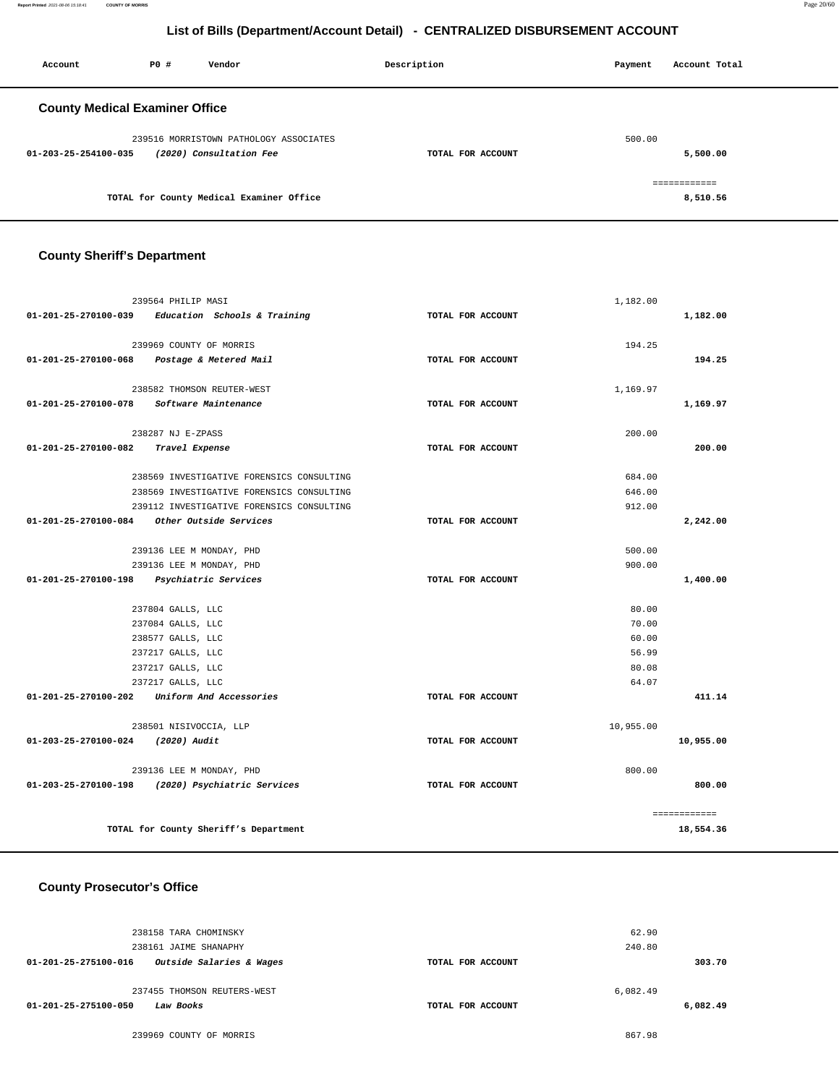**Report Printed** 2021-08-06 15:18:41 **COUNTY OF MORRIS** Page 20/60

## **List of Bills (Department/Account Detail) - CENTRALIZED DISBURSEMENT ACCOUNT**

| Account                               | P0 # | Vendor                                   | Description       | Payment | Account Total |
|---------------------------------------|------|------------------------------------------|-------------------|---------|---------------|
| <b>County Medical Examiner Office</b> |      |                                          |                   |         |               |
|                                       |      | 239516 MORRISTOWN PATHOLOGY ASSOCIATES   |                   | 500.00  |               |
| 01-203-25-254100-035                  |      | (2020) Consultation Fee                  | TOTAL FOR ACCOUNT |         | 5,500.00      |
|                                       |      |                                          |                   |         | ============  |
|                                       |      | TOTAL for County Medical Examiner Office |                   |         | 8,510.56      |

### **County Sheriff's Department**

|                                           | 239564 PHILIP MASI                                  |                   | 1,182.00  |              |
|-------------------------------------------|-----------------------------------------------------|-------------------|-----------|--------------|
|                                           | $01-201-25-270100-039$ Education Schools & Training | TOTAL FOR ACCOUNT |           | 1,182.00     |
|                                           |                                                     |                   |           |              |
|                                           | 239969 COUNTY OF MORRIS                             |                   | 194.25    |              |
|                                           | 01-201-25-270100-068 Postage & Metered Mail         | TOTAL FOR ACCOUNT |           | 194.25       |
|                                           |                                                     |                   |           |              |
|                                           | 238582 THOMSON REUTER-WEST                          |                   | 1,169.97  |              |
| 01-201-25-270100-078                      | Software Maintenance                                | TOTAL FOR ACCOUNT |           | 1,169.97     |
|                                           |                                                     |                   |           |              |
|                                           | 238287 NJ E-ZPASS                                   |                   | 200.00    |              |
| 01-201-25-270100-082                      | Travel Expense                                      | TOTAL FOR ACCOUNT |           | 200.00       |
|                                           |                                                     |                   |           |              |
|                                           | 238569 INVESTIGATIVE FORENSICS CONSULTING           |                   | 684.00    |              |
|                                           | 238569 INVESTIGATIVE FORENSICS CONSULTING           |                   | 646.00    |              |
|                                           | 239112 INVESTIGATIVE FORENSICS CONSULTING           |                   | 912.00    |              |
| 01-201-25-270100-084                      | Other Outside Services                              | TOTAL FOR ACCOUNT |           | 2,242.00     |
|                                           |                                                     |                   |           |              |
|                                           | 239136 LEE M MONDAY, PHD                            |                   | 500.00    |              |
| 239136 LEE M MONDAY, PHD                  |                                                     |                   | 900.00    |              |
| 01-201-25-270100-198 Psychiatric Services |                                                     | TOTAL FOR ACCOUNT |           | 1,400.00     |
|                                           |                                                     |                   |           |              |
|                                           | 237804 GALLS, LLC                                   |                   | 80.00     |              |
|                                           | 237084 GALLS, LLC                                   |                   | 70.00     |              |
|                                           | 238577 GALLS, LLC                                   |                   | 60.00     |              |
|                                           | 237217 GALLS, LLC                                   |                   | 56.99     |              |
|                                           | 237217 GALLS, LLC                                   |                   | 80.08     |              |
|                                           | 237217 GALLS, LLC                                   |                   | 64.07     |              |
|                                           | 01-201-25-270100-202 Uniform And Accessories        | TOTAL FOR ACCOUNT |           | 411.14       |
|                                           | 238501 NISIVOCCIA, LLP                              |                   | 10,955.00 |              |
| 01-203-25-270100-024 (2020) Audit         |                                                     | TOTAL FOR ACCOUNT |           | 10,955.00    |
|                                           |                                                     |                   |           |              |
|                                           | 239136 LEE M MONDAY, PHD                            |                   | 800.00    |              |
|                                           | 01-203-25-270100-198 (2020) Psychiatric Services    | TOTAL FOR ACCOUNT |           | 800.00       |
|                                           |                                                     |                   |           |              |
|                                           |                                                     |                   |           | ============ |
|                                           | TOTAL for County Sheriff's Department               |                   |           | 18,554.36    |

#### **County Prosecutor's Office**

| 238158 TARA CHOMINSKY<br>238161 JAIME SHANAPHY                   |                   | 62.90<br>240.80 |          |
|------------------------------------------------------------------|-------------------|-----------------|----------|
| Outside Salaries & Wages<br>01-201-25-275100-016                 | TOTAL FOR ACCOUNT |                 | 303.70   |
| 237455 THOMSON REUTERS-WEST<br>01-201-25-275100-050<br>Law Books | TOTAL FOR ACCOUNT | 6,082.49        | 6,082.49 |

239969 COUNTY OF MORRIS 867.98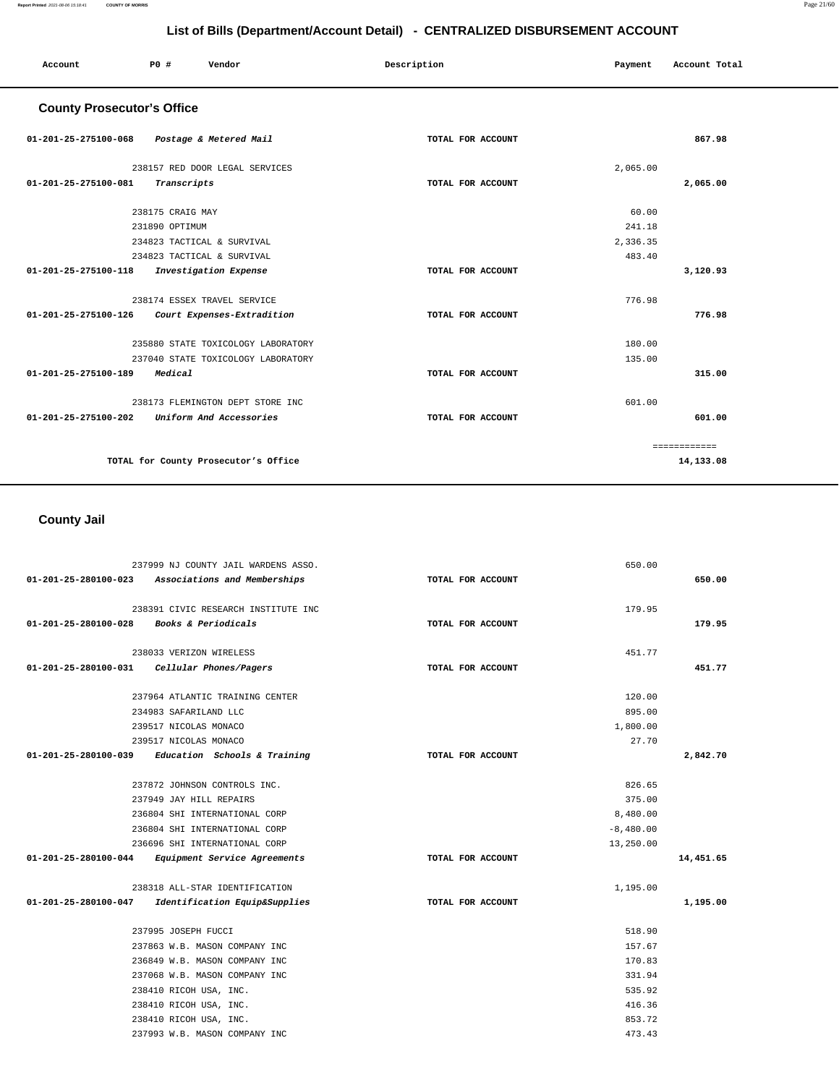| Account                           | P0 #             | Vendor                               | Description       | Payment  | Account Total |  |
|-----------------------------------|------------------|--------------------------------------|-------------------|----------|---------------|--|
| <b>County Prosecutor's Office</b> |                  |                                      |                   |          |               |  |
| 01-201-25-275100-068              |                  | Postage & Metered Mail               | TOTAL FOR ACCOUNT |          | 867.98        |  |
|                                   |                  | 238157 RED DOOR LEGAL SERVICES       |                   | 2,065.00 |               |  |
| 01-201-25-275100-081              | Transcripts      |                                      | TOTAL FOR ACCOUNT |          | 2,065.00      |  |
|                                   | 238175 CRAIG MAY |                                      |                   | 60.00    |               |  |
|                                   | 231890 OPTIMUM   |                                      |                   | 241.18   |               |  |
|                                   |                  | 234823 TACTICAL & SURVIVAL           |                   | 2,336.35 |               |  |
|                                   |                  | 234823 TACTICAL & SURVIVAL           |                   | 483.40   |               |  |
| 01-201-25-275100-118              |                  | Investigation Expense                | TOTAL FOR ACCOUNT |          | 3,120.93      |  |
|                                   |                  | 238174 ESSEX TRAVEL SERVICE          |                   | 776.98   |               |  |
| 01-201-25-275100-126              |                  | Court Expenses-Extradition           | TOTAL FOR ACCOUNT |          | 776.98        |  |
|                                   |                  | 235880 STATE TOXICOLOGY LABORATORY   |                   | 180.00   |               |  |
|                                   |                  | 237040 STATE TOXICOLOGY LABORATORY   |                   | 135.00   |               |  |
| 01-201-25-275100-189              | Medical          |                                      | TOTAL FOR ACCOUNT |          | 315.00        |  |
|                                   |                  | 238173 FLEMINGTON DEPT STORE INC     |                   | 601.00   |               |  |
| 01-201-25-275100-202              |                  | Uniform And Accessories              | TOTAL FOR ACCOUNT |          | 601.00        |  |
|                                   |                  |                                      |                   |          | ============  |  |
|                                   |                  | TOTAL for County Prosecutor's Office |                   |          | 14,133.08     |  |

 **County Jail** 

|                                                     | 237999 NJ COUNTY JAIL WARDENS ASSO. |                   | 650.00      |           |
|-----------------------------------------------------|-------------------------------------|-------------------|-------------|-----------|
| 01-201-25-280100-023 Associations and Memberships   |                                     | TOTAL FOR ACCOUNT |             | 650.00    |
|                                                     | 238391 CIVIC RESEARCH INSTITUTE INC |                   | 179.95      |           |
| 01-201-25-280100-028 Books & Periodicals            |                                     | TOTAL FOR ACCOUNT |             | 179.95    |
|                                                     | 238033 VERIZON WIRELESS             |                   | 451.77      |           |
| 01-201-25-280100-031 Cellular Phones/Pagers         |                                     | TOTAL FOR ACCOUNT |             | 451.77    |
|                                                     | 237964 ATLANTIC TRAINING CENTER     |                   | 120.00      |           |
| 234983 SAFARILAND LLC                               |                                     |                   | 895.00      |           |
| 239517 NICOLAS MONACO                               |                                     |                   | 1,800.00    |           |
| 239517 NICOLAS MONACO                               |                                     |                   | 27.70       |           |
| $01-201-25-280100-039$ Education Schools & Training |                                     | TOTAL FOR ACCOUNT |             | 2,842.70  |
|                                                     | 237872 JOHNSON CONTROLS INC.        |                   | 826.65      |           |
|                                                     | 237949 JAY HILL REPAIRS             |                   | 375.00      |           |
|                                                     | 236804 SHI INTERNATIONAL CORP       |                   | 8,480.00    |           |
|                                                     | 236804 SHI INTERNATIONAL CORP       |                   | $-8,480.00$ |           |
|                                                     | 236696 SHI INTERNATIONAL CORP       |                   | 13,250.00   |           |
| 01-201-25-280100-044 Equipment Service Agreements   |                                     | TOTAL FOR ACCOUNT |             | 14,451.65 |
|                                                     | 238318 ALL-STAR IDENTIFICATION      |                   | 1,195.00    |           |
| 01-201-25-280100-047                                | Identification Equip&Supplies       | TOTAL FOR ACCOUNT |             | 1,195.00  |
| 237995 JOSEPH FUCCI                                 |                                     |                   | 518.90      |           |
|                                                     | 237863 W.B. MASON COMPANY INC       |                   | 157.67      |           |
|                                                     | 236849 W.B. MASON COMPANY INC       |                   | 170.83      |           |
|                                                     | 237068 W.B. MASON COMPANY INC       |                   | 331.94      |           |
| 238410 RICOH USA, INC.                              |                                     |                   | 535.92      |           |
| 238410 RICOH USA, INC.                              |                                     |                   | 416.36      |           |
| 238410 RICOH USA, INC.                              |                                     |                   | 853.72      |           |
|                                                     | 237993 W.B. MASON COMPANY INC       |                   | 473.43      |           |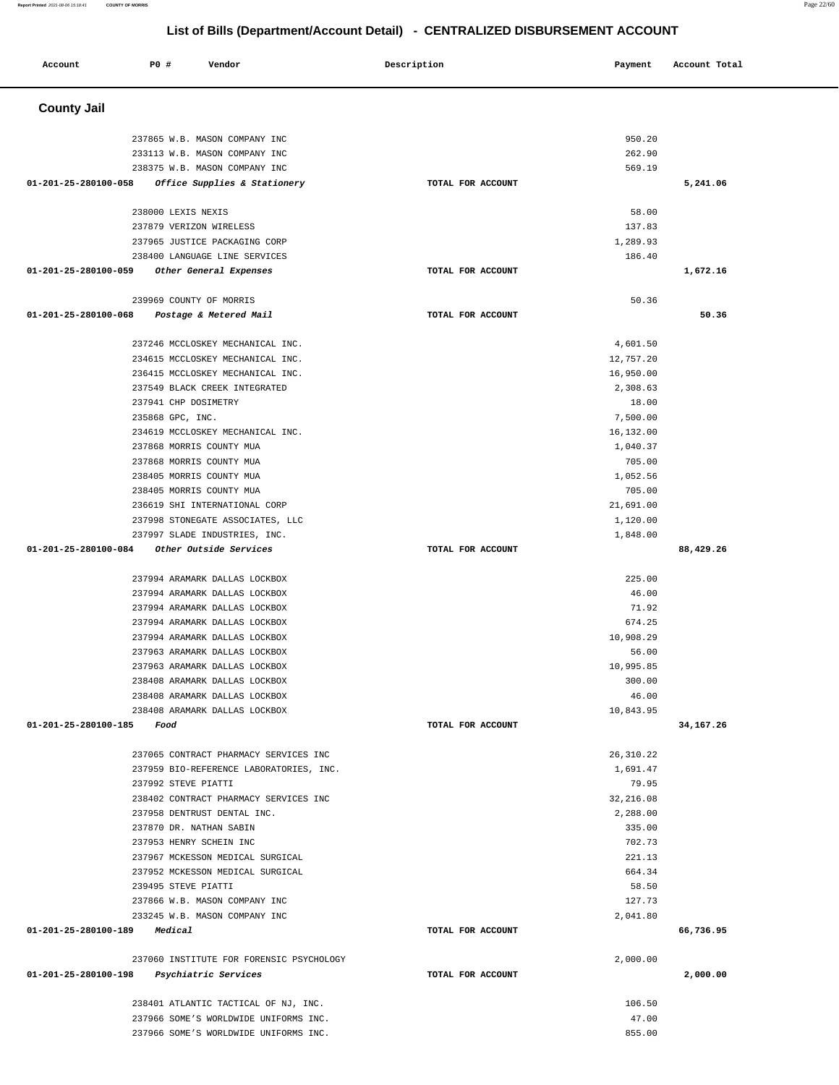## **Account P0 # Vendor Description Payment Account Total County Jail**  237865 W.B. MASON COMPANY INC 950.20 233113 W.B. MASON COMPANY INC 262.90 238375 W.B. MASON COMPANY INC 569.19  **01-201-25-280100-058 Office Supplies & Stationery TOTAL FOR ACCOUNT 5,241.06** 238000 LEXIS NEXIS 58.00 237879 VERIZON WIRELESS 137.83 237965 JUSTICE PACKAGING CORP 1,289.93 238400 LANGUAGE LINE SERVICES 186.40  **01-201-25-280100-059 Other General Expenses TOTAL FOR ACCOUNT 1,672.16** 239969 COUNTY OF MORRIS 50.36  **01-201-25-280100-068 Postage & Metered Mail TOTAL FOR ACCOUNT 50.36** 237246 MCCLOSKEY MECHANICAL INC. 4,601.50 234615 MCCLOSKEY MECHANICAL INC. 12,757.20 236415 MCCLOSKEY MECHANICAL INC. 26 (2002) 236415 MCCLOSKEY MECHANICAL INC. 237549 BLACK CREEK INTEGRATED 2,308.63 237941 CHP DOSIMETRY 18.00 235868 GPC, INC. 7,500.00 234619 MCCLOSKEY MECHANICAL INC. 2002 234619 16.132.00 237868 MORRIS COUNTY MUA 1,040.37 237868 MORRIS COUNTY MUA 705.00 238405 MORRIS COUNTY MUA 1,052.56 238405 MORRIS COUNTY MUA 705.00 236619 SHI INTERNATIONAL CORP 21,691.00 237998 STONEGATE ASSOCIATES, LLC 1,120.00 237997 SLADE INDUSTRIES, INC. 1,848.00  **01-201-25-280100-084 Other Outside Services TOTAL FOR ACCOUNT 88,429.26** 237994 ARAMARK DALLAS LOCKBOX 225.00 237994 ARAMARK DALLAS LOCKBOX 46.00 237994 ARAMARK DALLAS LOCKBOX 71.92 237994 ARAMARK DALLAS LOCKBOX 674.25 237994 ARAMARK DALLAS LOCKBOX 10,908.29 237963 ARAMARK DALLAS LOCKBOX 56.00 237963 ARAMARK DALLAS LOCKBOX 10,995.85 238408 ARAMARK DALLAS LOCKBOX 300.00 238408 ARAMARK DALLAS LOCKBOX 46.00 238408 ARAMARK DALLAS LOCKBOX 10,843.95  **01-201-25-280100-185 Food TOTAL FOR ACCOUNT 34,167.26** 237065 CONTRACT PHARMACY SERVICES INC 26,310.22 237959 BIO-REFERENCE LABORATORIES, INC. 1,691.47 237992 STEVE PIATTI 79.95 238402 CONTRACT PHARMACY SERVICES INC 32,216.08 237958 DENTRUST DENTAL INC. 2,288.00 237870 DR. NATHAN SABIN 335.00 237953 HENRY SCHEIN INC 702.73 237967 MCKESSON MEDICAL SURGICAL 221.13 237952 MCKESSON MEDICAL SURGICAL 664.34 239495 STEVE PIATTI 58.50 237866 W.B. MASON COMPANY INC 127.73 233245 W.B. MASON COMPANY INC 2,041.80  **01-201-25-280100-189 Medical TOTAL FOR ACCOUNT 66,736.95** 237060 INSTITUTE FOR FORENSIC PSYCHOLOGY 2,000.00  **01-201-25-280100-198 Psychiatric Services TOTAL FOR ACCOUNT 2,000.00** 238401 ATLANTIC TACTICAL OF NJ, INC. 106.50 237966 SOME'S WORLDWIDE UNIFORMS INC. 47.00 237966 SOME'S WORLDWIDE UNIFORMS INC. 855.00

## **List of Bills (Department/Account Detail) - CENTRALIZED DISBURSEMENT ACCOUNT**

**Report Printed** 2021-08-06 15:18:41 **COUNTY OF MORRIS** Page 22/60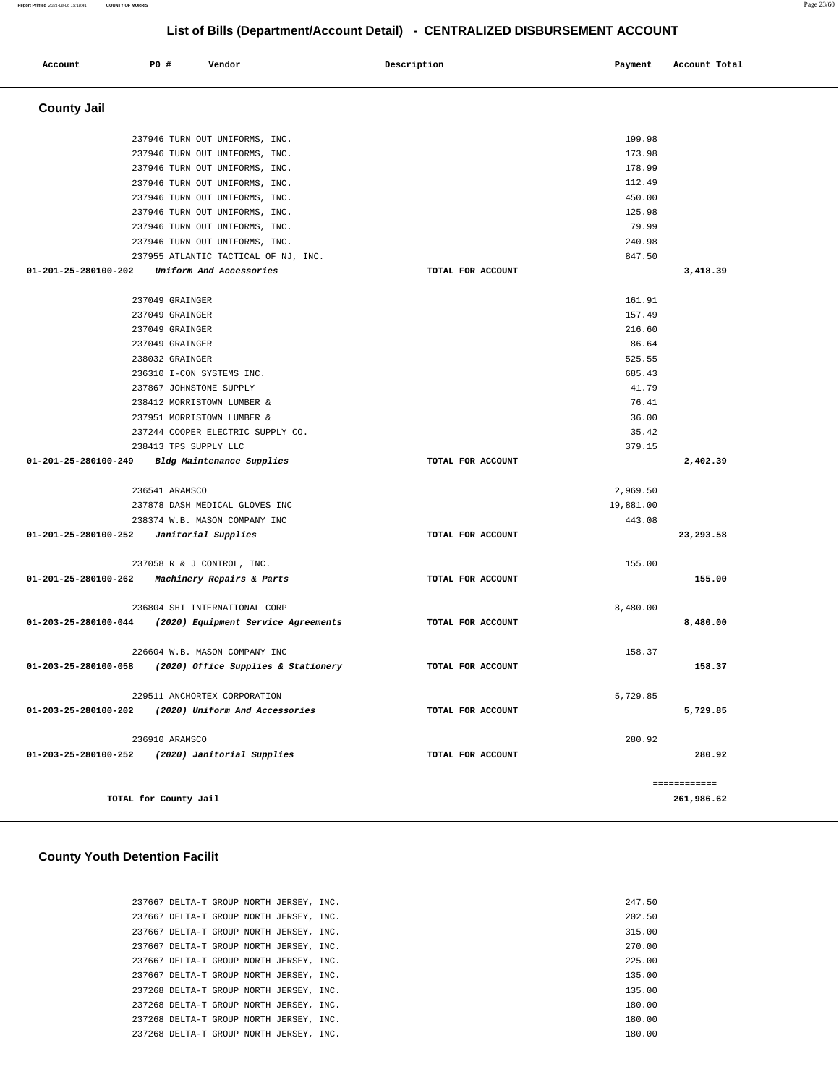| Account            | <b>PO #</b> | Vendor | Description | Payment | Account Total |
|--------------------|-------------|--------|-------------|---------|---------------|
| <b>County Jail</b> |             |        |             |         |               |

| 237946 TURN OUT UNIFORMS, INC.                           |                   | 199.98    |              |
|----------------------------------------------------------|-------------------|-----------|--------------|
| 237946 TURN OUT UNIFORMS, INC.                           |                   | 173.98    |              |
| 237946 TURN OUT UNIFORMS, INC.                           |                   | 178.99    |              |
| 237946 TURN OUT UNIFORMS, INC.                           |                   | 112.49    |              |
| 237946 TURN OUT UNIFORMS, INC.                           |                   | 450.00    |              |
| 237946 TURN OUT UNIFORMS, INC.                           |                   | 125.98    |              |
| 237946 TURN OUT UNIFORMS, INC.                           |                   | 79.99     |              |
| 237946 TURN OUT UNIFORMS, INC.                           |                   | 240.98    |              |
| 237955 ATLANTIC TACTICAL OF NJ, INC.                     |                   | 847.50    |              |
| 01-201-25-280100-202<br>Uniform And Accessories          | TOTAL FOR ACCOUNT |           | 3,418.39     |
|                                                          |                   |           |              |
| 237049 GRAINGER                                          |                   | 161.91    |              |
| 237049 GRAINGER                                          |                   | 157.49    |              |
| 237049 GRAINGER                                          |                   | 216.60    |              |
| 237049 GRAINGER                                          |                   | 86.64     |              |
| 238032 GRAINGER                                          |                   | 525.55    |              |
| 236310 I-CON SYSTEMS INC.                                |                   | 685.43    |              |
| 237867 JOHNSTONE SUPPLY                                  |                   | 41.79     |              |
| 238412 MORRISTOWN LUMBER &                               |                   | 76.41     |              |
| 237951 MORRISTOWN LUMBER &                               |                   | 36.00     |              |
| 237244 COOPER ELECTRIC SUPPLY CO.                        |                   | 35.42     |              |
| 238413 TPS SUPPLY LLC                                    |                   | 379.15    |              |
| 01-201-25-280100-249 Bldg Maintenance Supplies           | TOTAL FOR ACCOUNT |           | 2,402.39     |
| 236541 ARAMSCO                                           |                   | 2,969.50  |              |
| 237878 DASH MEDICAL GLOVES INC                           |                   | 19,881.00 |              |
| 238374 W.B. MASON COMPANY INC                            |                   | 443.08    |              |
| 01-201-25-280100-252    Janitorial Supplies              | TOTAL FOR ACCOUNT |           | 23,293.58    |
|                                                          |                   |           |              |
| 237058 R & J CONTROL, INC.                               |                   | 155.00    |              |
| 01-201-25-280100-262 Machinery Repairs & Parts           | TOTAL FOR ACCOUNT |           | 155.00       |
|                                                          |                   |           |              |
| 236804 SHI INTERNATIONAL CORP                            |                   | 8,480.00  |              |
| 01-203-25-280100-044 (2020) Equipment Service Agreements | TOTAL FOR ACCOUNT |           | 8,480.00     |
|                                                          |                   |           |              |
| 226604 W.B. MASON COMPANY INC                            |                   | 158.37    |              |
| 01-203-25-280100-058 (2020) Office Supplies & Stationery | TOTAL FOR ACCOUNT |           | 158.37       |
| 229511 ANCHORTEX CORPORATION                             |                   | 5,729.85  |              |
| 01-203-25-280100-202 (2020) Uniform And Accessories      | TOTAL FOR ACCOUNT |           | 5,729.85     |
|                                                          |                   |           |              |
| 236910 ARAMSCO                                           |                   | 280.92    |              |
| 01-203-25-280100-252 (2020) Janitorial Supplies          | TOTAL FOR ACCOUNT |           | 280.92       |
|                                                          |                   |           |              |
|                                                          |                   |           | ------------ |
| TOTAL for County Jail                                    |                   |           | 261,986.62   |

### **County Youth Detention Facilit**

|  | 237667 DELTA-T GROUP NORTH JERSEY, INC. |  |  | 247.50 |
|--|-----------------------------------------|--|--|--------|
|  | 237667 DELTA-T GROUP NORTH JERSEY, INC. |  |  | 202.50 |
|  | 237667 DELTA-T GROUP NORTH JERSEY, INC. |  |  | 315.00 |
|  | 237667 DELTA-T GROUP NORTH JERSEY, INC. |  |  | 270.00 |
|  | 237667 DELTA-T GROUP NORTH JERSEY, INC. |  |  | 225.00 |
|  | 237667 DELTA-T GROUP NORTH JERSEY, INC. |  |  | 135.00 |
|  | 237268 DELTA-T GROUP NORTH JERSEY, INC. |  |  | 135.00 |
|  | 237268 DELTA-T GROUP NORTH JERSEY, INC. |  |  | 180.00 |
|  | 237268 DELTA-T GROUP NORTH JERSEY, INC. |  |  | 180.00 |
|  | 237268 DELTA-T GROUP NORTH JERSEY, INC. |  |  | 180.00 |
|  |                                         |  |  |        |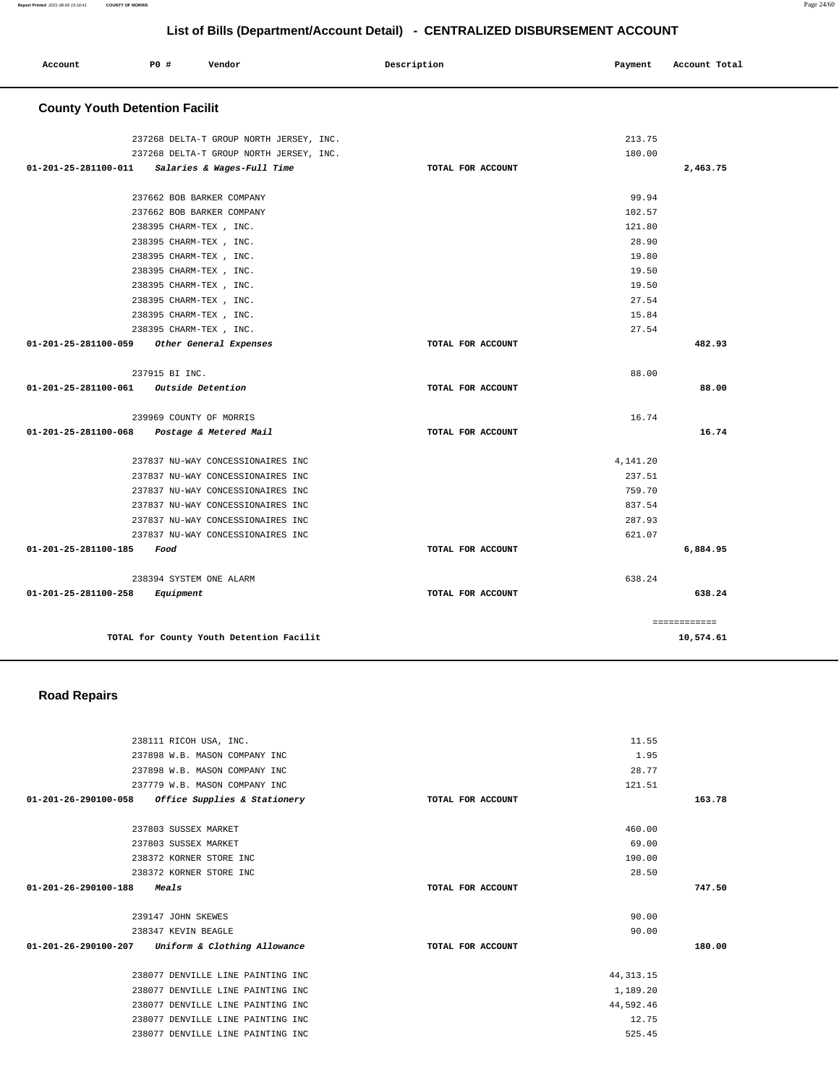| Account<br>. | P0 # | Vendor | Description | Payment | Account Total<br>. |
|--------------|------|--------|-------------|---------|--------------------|
|              |      |        |             |         |                    |

## **County Youth Detention Facilit**

| TOTAL for County Youth Detention Facilit                               |                   |                  | 10,574.61    |
|------------------------------------------------------------------------|-------------------|------------------|--------------|
|                                                                        |                   |                  | ============ |
| 01-201-25-281100-258 Equipment                                         | TOTAL FOR ACCOUNT |                  | 638.24       |
| 238394 SYSTEM ONE ALARM                                                |                   | 638.24           |              |
|                                                                        |                   |                  |              |
| 01-201-25-281100-185<br>Food                                           | TOTAL FOR ACCOUNT |                  | 6,884.95     |
| 237837 NU-WAY CONCESSIONAIRES INC                                      |                   | 621.07           |              |
| 237837 NU-WAY CONCESSIONAIRES INC<br>237837 NU-WAY CONCESSIONAIRES INC |                   | 837.54<br>287.93 |              |
| 237837 NU-WAY CONCESSIONAIRES INC                                      |                   | 759.70           |              |
| 237837 NU-WAY CONCESSIONAIRES INC                                      |                   | 237.51           |              |
| 237837 NU-WAY CONCESSIONAIRES INC                                      |                   | 4,141.20         |              |
|                                                                        |                   |                  |              |
| 01-201-25-281100-068 Postage & Metered Mail                            | TOTAL FOR ACCOUNT |                  | 16.74        |
| 239969 COUNTY OF MORRIS                                                |                   | 16.74            |              |
| 01-201-25-281100-061 Outside Detention                                 | TOTAL FOR ACCOUNT |                  | 88.00        |
| 237915 BI INC.                                                         |                   | 88.00            |              |
| 01-201-25-281100-059<br>Other General Expenses                         | TOTAL FOR ACCOUNT |                  | 482.93       |
| 238395 CHARM-TEX, INC.                                                 |                   | 27.54            |              |
| 238395 CHARM-TEX, INC.                                                 |                   | 15.84            |              |
| 238395 CHARM-TEX, INC.                                                 |                   | 27.54            |              |
| 238395 CHARM-TEX , INC.                                                |                   | 19.50            |              |
| 238395 CHARM-TEX, INC.                                                 |                   | 19.50            |              |
| 238395 CHARM-TEX , INC.                                                |                   | 19.80            |              |
| 238395 CHARM-TEX , INC.                                                |                   | 28.90            |              |
| 238395 CHARM-TEX, INC.                                                 |                   | 121.80           |              |
| 237662 BOB BARKER COMPANY                                              |                   | 102.57           |              |
| 237662 BOB BARKER COMPANY                                              |                   | 99.94            |              |
|                                                                        |                   |                  |              |
| 01-201-25-281100-011<br><i>Salaries &amp; Wages-Full Time</i>          | TOTAL FOR ACCOUNT |                  | 2,463.75     |
| 237268 DELTA-T GROUP NORTH JERSEY, INC.                                |                   | 180.00           |              |
| 237268 DELTA-T GROUP NORTH JERSEY, INC.                                |                   | 213.75           |              |

 **Road Repairs** 

| 238111 RICOH USA, INC.                              |                   | 11.55       |        |
|-----------------------------------------------------|-------------------|-------------|--------|
| 237898 W.B. MASON COMPANY INC                       |                   | 1.95        |        |
| 237898 W.B. MASON COMPANY INC                       |                   | 28.77       |        |
| 237779 W.B. MASON COMPANY INC                       |                   | 121.51      |        |
| $01-201-26-290100-058$ Office Supplies & Stationery | TOTAL FOR ACCOUNT |             | 163.78 |
| 237803 SUSSEX MARKET                                |                   | 460.00      |        |
| 237803 SUSSEX MARKET                                |                   | 69.00       |        |
| 238372 KORNER STORE INC                             |                   | 190.00      |        |
| 238372 KORNER STORE INC                             |                   | 28.50       |        |
|                                                     |                   |             |        |
| $01 - 201 - 26 - 290100 - 188$<br>Meals             | TOTAL FOR ACCOUNT |             | 747.50 |
| 239147 JOHN SKEWES                                  |                   | 90.00       |        |
| 238347 KEVIN BEAGLE                                 |                   | 90.00       |        |
| $01-201-26-290100-207$ Uniform & Clothing Allowance | TOTAL FOR ACCOUNT |             | 180.00 |
| 238077 DENVILLE LINE PAINTING INC                   |                   | 44, 313. 15 |        |
| 238077 DENVILLE LINE PAINTING INC                   |                   | 1,189.20    |        |
| 238077 DENVILLE LINE PAINTING INC                   |                   | 44,592.46   |        |
| 238077 DENVILLE LINE PAINTING INC                   |                   | 12.75       |        |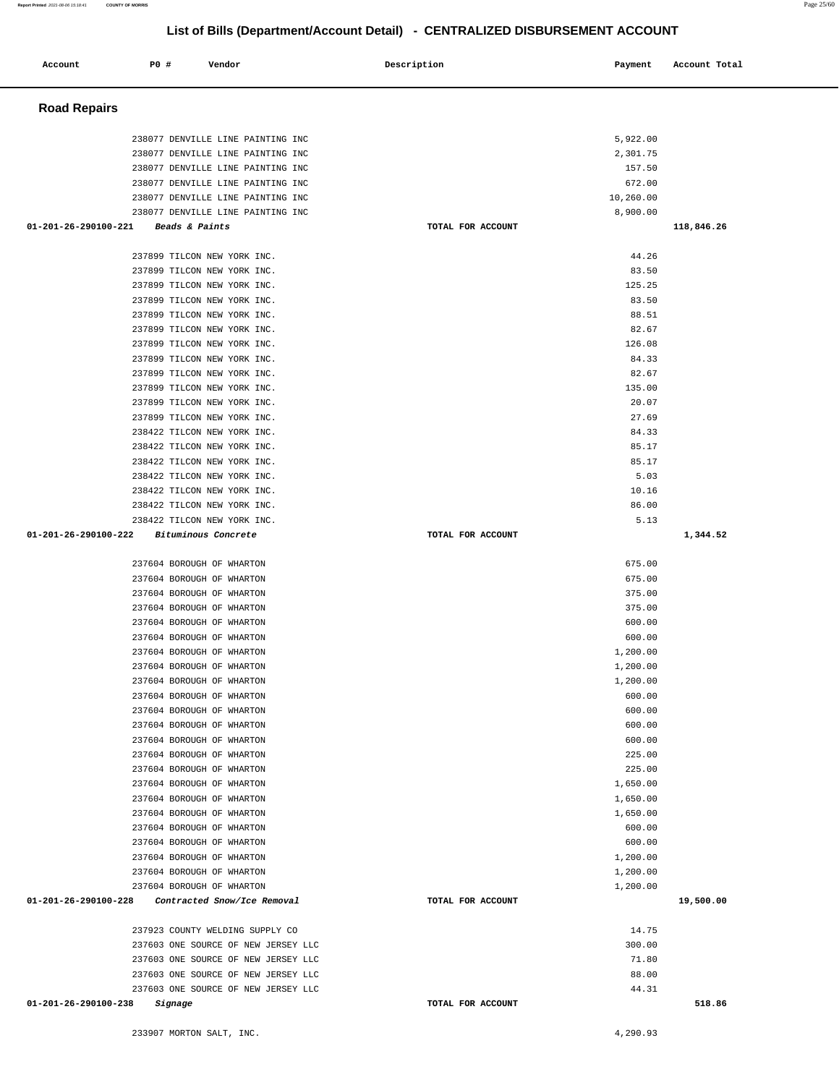| 237604 BOROUGH OF WHARTON                           |                   | 600.00   |           |
|-----------------------------------------------------|-------------------|----------|-----------|
| 237604 BOROUGH OF WHARTON                           |                   | 600.00   |           |
| 237604 BOROUGH OF WHARTON                           |                   | 1,200.00 |           |
| 237604 BOROUGH OF WHARTON                           |                   | 1,200.00 |           |
| 237604 BOROUGH OF WHARTON                           |                   | 1,200.00 |           |
| 237604 BOROUGH OF WHARTON                           |                   | 600.00   |           |
| 237604 BOROUGH OF WHARTON                           |                   | 600.00   |           |
| 237604 BOROUGH OF WHARTON                           |                   | 600.00   |           |
| 237604 BOROUGH OF WHARTON                           |                   | 600.00   |           |
| 237604 BOROUGH OF WHARTON                           |                   | 225.00   |           |
| 237604 BOROUGH OF WHARTON                           |                   | 225.00   |           |
| 237604 BOROUGH OF WHARTON                           |                   | 1,650.00 |           |
| 237604 BOROUGH OF WHARTON                           |                   | 1,650.00 |           |
| 237604 BOROUGH OF WHARTON                           |                   | 1,650.00 |           |
| 237604 BOROUGH OF WHARTON                           |                   | 600.00   |           |
| 237604 BOROUGH OF WHARTON                           |                   | 600.00   |           |
| 237604 BOROUGH OF WHARTON                           |                   | 1,200.00 |           |
| 237604 BOROUGH OF WHARTON                           |                   | 1,200.00 |           |
| 237604 BOROUGH OF WHARTON                           |                   | 1,200.00 |           |
| 01-201-26-290100-228<br>Contracted Snow/Ice Removal | TOTAL FOR ACCOUNT |          | 19,500.00 |
| 237923 COUNTY WELDING SUPPLY CO                     |                   | 14.75    |           |
| 237603 ONE SOURCE OF NEW JERSEY LLC                 |                   | 300.00   |           |
| 237603 ONE SOURCE OF NEW JERSEY LLC                 |                   | 71.80    |           |
| 237603 ONE SOURCE OF NEW JERSEY LLC                 |                   | 88.00    |           |
| 237603 ONE SOURCE OF NEW JERSEY LLC                 |                   | 44.31    |           |
| 01-201-26-290100-238<br>Signage                     | TOTAL FOR ACCOUNT |          | 518.86    |
| 233907 MORTON SALT, INC.                            |                   | 4,290.93 |           |

| 238077 DENVILLE LINE PAINTING INC             |                   | 5,922.00  |            |
|-----------------------------------------------|-------------------|-----------|------------|
| 238077 DENVILLE LINE PAINTING INC             |                   | 2,301.75  |            |
| 238077 DENVILLE LINE PAINTING INC             |                   | 157.50    |            |
| 238077 DENVILLE LINE PAINTING INC             |                   | 672.00    |            |
| 238077 DENVILLE LINE PAINTING INC             |                   | 10,260.00 |            |
| 238077 DENVILLE LINE PAINTING INC             |                   | 8,900.00  |            |
| $01 - 201 - 26 - 290100 - 221$ Beads & Paints | TOTAL FOR ACCOUNT |           | 118,846.26 |
|                                               |                   |           |            |
| 237899 TILCON NEW YORK INC.                   |                   | 44.26     |            |
| 237899 TILCON NEW YORK INC.                   |                   | 83.50     |            |
| 237899 TILCON NEW YORK INC.                   |                   | 125.25    |            |
| 237899 TILCON NEW YORK INC.                   |                   | 83.50     |            |
| 237899 TILCON NEW YORK INC.                   |                   | 88.51     |            |
| 237899 TILCON NEW YORK INC.                   |                   | 82.67     |            |
| 237899 TILCON NEW YORK INC.                   |                   | 126.08    |            |
| 237899 TILCON NEW YORK INC.                   |                   | 84.33     |            |
| 237899 TILCON NEW YORK INC.                   |                   | 82.67     |            |
| 237899 TILCON NEW YORK INC.                   |                   | 135.00    |            |
| 237899 TILCON NEW YORK INC.                   |                   | 20.07     |            |
| 237899 TILCON NEW YORK INC.                   |                   | 27.69     |            |
| 238422 TILCON NEW YORK INC.                   |                   | 84.33     |            |
| 238422 TILCON NEW YORK INC.                   |                   | 85.17     |            |
| 238422 TILCON NEW YORK INC.                   |                   | 85.17     |            |
| 238422 TILCON NEW YORK INC.                   |                   | 5.03      |            |
| 238422 TILCON NEW YORK INC.                   |                   | 10.16     |            |
| 238422 TILCON NEW YORK INC.                   |                   | 86.00     |            |
| 238422 TILCON NEW YORK INC.                   |                   | 5.13      |            |
| 01-201-26-290100-222 Bituminous Concrete      | TOTAL FOR ACCOUNT |           | 1,344.52   |
| 237604 BOROUGH OF WHARTON                     |                   | 675.00    |            |

 237604 BOROUGH OF WHARTON 675.00 237604 BOROUGH OF WHARTON 375.00 237604 BOROUGH OF WHARTON 375.00

#### **Road Repairs**

## **List of Bills (Department/Account Detail) - CENTRALIZED DISBURSEMENT ACCOUNT**

 **Account** 20 **P P**  $\uparrow$  **Payment** Payment Account Total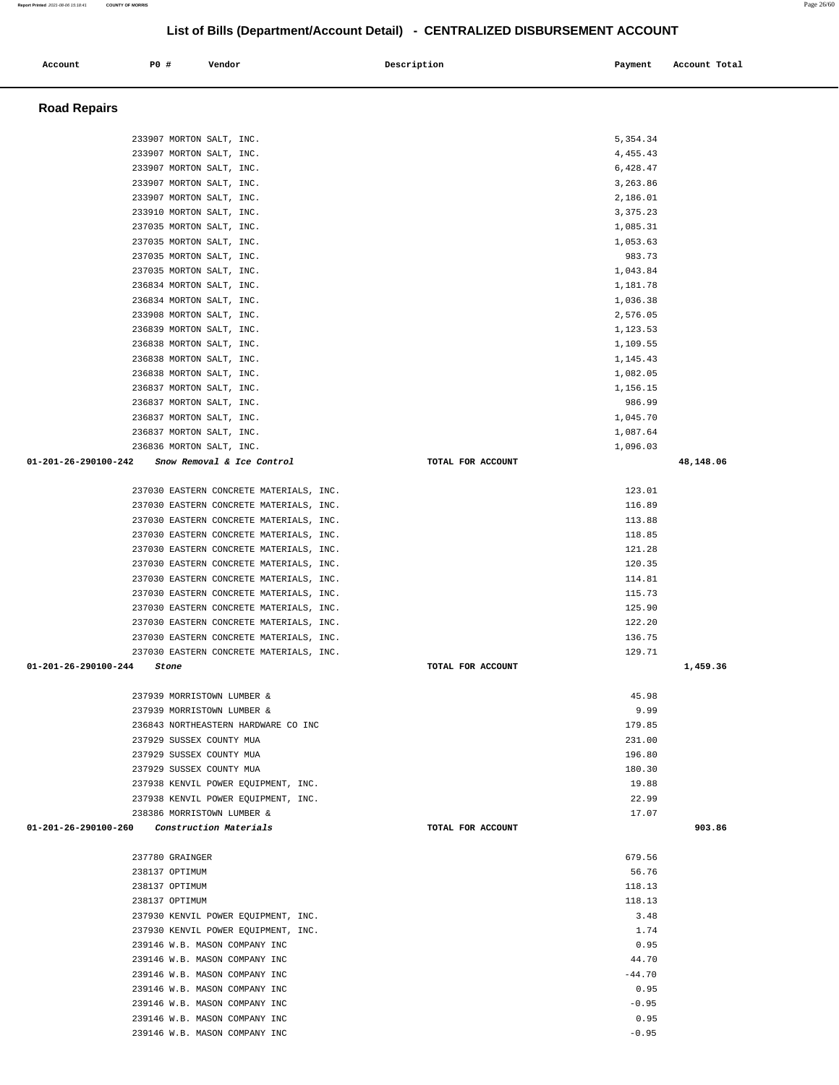| 233907 MORTON SALT, INC.                              |                   | 5,354.34   |           |
|-------------------------------------------------------|-------------------|------------|-----------|
| 233907 MORTON SALT, INC.                              |                   | 4,455.43   |           |
| 233907 MORTON SALT, INC.                              |                   | 6,428.47   |           |
| 233907 MORTON SALT, INC.                              |                   | 3,263.86   |           |
| 233907 MORTON SALT, INC.                              |                   | 2,186.01   |           |
| 233910 MORTON SALT, INC.                              |                   | 3, 375. 23 |           |
| 237035 MORTON SALT, INC.                              |                   |            |           |
|                                                       |                   | 1,085.31   |           |
| 237035 MORTON SALT, INC.                              |                   | 1,053.63   |           |
| 237035 MORTON SALT, INC.                              |                   | 983.73     |           |
| 237035 MORTON SALT, INC.                              |                   | 1,043.84   |           |
| 236834 MORTON SALT, INC.                              |                   | 1,181.78   |           |
| 236834 MORTON SALT, INC.                              |                   | 1,036.38   |           |
| 233908 MORTON SALT, INC.                              |                   | 2,576.05   |           |
| 236839 MORTON SALT, INC.                              |                   | 1,123.53   |           |
| 236838 MORTON SALT, INC.                              |                   | 1,109.55   |           |
|                                                       |                   |            |           |
| 236838 MORTON SALT, INC.                              |                   | 1,145.43   |           |
| 236838 MORTON SALT, INC.                              |                   | 1,082.05   |           |
| 236837 MORTON SALT, INC.                              |                   | 1,156.15   |           |
| 236837 MORTON SALT, INC.                              |                   | 986.99     |           |
| 236837 MORTON SALT, INC.                              |                   | 1,045.70   |           |
| 236837 MORTON SALT, INC.                              |                   | 1,087.64   |           |
| 236836 MORTON SALT, INC.                              |                   | 1,096.03   |           |
| 01-201-26-290100-242 Snow Removal & Ice Control       | TOTAL FOR ACCOUNT |            | 48,148.06 |
|                                                       |                   |            |           |
|                                                       |                   |            |           |
| 237030 EASTERN CONCRETE MATERIALS, INC.               |                   | 123.01     |           |
| 237030 EASTERN CONCRETE MATERIALS, INC.               |                   | 116.89     |           |
| 237030 EASTERN CONCRETE MATERIALS, INC.               |                   | 113.88     |           |
| 237030 EASTERN CONCRETE MATERIALS, INC.               |                   | 118.85     |           |
| 237030 EASTERN CONCRETE MATERIALS, INC.               |                   | 121.28     |           |
| 237030 EASTERN CONCRETE MATERIALS, INC.               |                   | 120.35     |           |
| 237030 EASTERN CONCRETE MATERIALS, INC.               |                   | 114.81     |           |
|                                                       |                   |            |           |
| 237030 EASTERN CONCRETE MATERIALS, INC.               |                   | 115.73     |           |
| 237030 EASTERN CONCRETE MATERIALS, INC.               |                   | 125.90     |           |
| 237030 EASTERN CONCRETE MATERIALS, INC.               |                   | 122.20     |           |
| 237030 EASTERN CONCRETE MATERIALS, INC.               |                   | 136.75     |           |
| 237030 EASTERN CONCRETE MATERIALS, INC.               |                   | 129.71     |           |
| 01-201-26-290100-244<br>Stone                         | TOTAL FOR ACCOUNT |            | 1,459.36  |
|                                                       |                   |            |           |
| 237939 MORRISTOWN LUMBER &                            |                   | 45.98      |           |
| 237939 MORRISTOWN LUMBER &                            |                   | 9.99       |           |
| 236843 NORTHEASTERN HARDWARE CO INC                   |                   | 179.85     |           |
|                                                       |                   |            |           |
| 237929 SUSSEX COUNTY MUA                              |                   | 231.00     |           |
| 237929 SUSSEX COUNTY MUA                              |                   | 196.80     |           |
| 237929 SUSSEX COUNTY MUA                              |                   | 180.30     |           |
| 237938 KENVIL POWER EOUIPMENT, INC.                   |                   | 19.88      |           |
| 237938 KENVIL POWER EQUIPMENT, INC.                   |                   | 22.99      |           |
| 238386 MORRISTOWN LUMBER &                            |                   | 17.07      |           |
| 01-201-26-290100-260<br><i>Construction Materials</i> | TOTAL FOR ACCOUNT |            | 903.86    |
|                                                       |                   |            |           |
| 237780 GRAINGER                                       |                   | 679.56     |           |
| 238137 OPTIMUM                                        |                   | 56.76      |           |
|                                                       |                   |            |           |
| 238137 OPTIMUM                                        |                   | 118.13     |           |
| 238137 OPTIMUM                                        |                   | 118.13     |           |
| 237930 KENVIL POWER EQUIPMENT, INC.                   |                   | 3.48       |           |
| 237930 KENVIL POWER EQUIPMENT, INC.                   |                   | 1.74       |           |
| 239146 W.B. MASON COMPANY INC                         |                   | 0.95       |           |
| 239146 W.B. MASON COMPANY INC                         |                   | 44.70      |           |
| 239146 W.B. MASON COMPANY INC                         |                   | $-44.70$   |           |
| 239146 W.B. MASON COMPANY INC                         |                   | 0.95       |           |
| 239146 W.B. MASON COMPANY INC                         |                   | $-0.95$    |           |
|                                                       |                   |            |           |
| 239146 W.B. MASON COMPANY INC                         |                   | 0.95       |           |
| 239146 W.B. MASON COMPANY INC                         |                   | $-0.95$    |           |
|                                                       |                   |            |           |
|                                                       |                   |            |           |

 **Account P0 # Vendor Description Payment Account Total**

 **Road Repairs**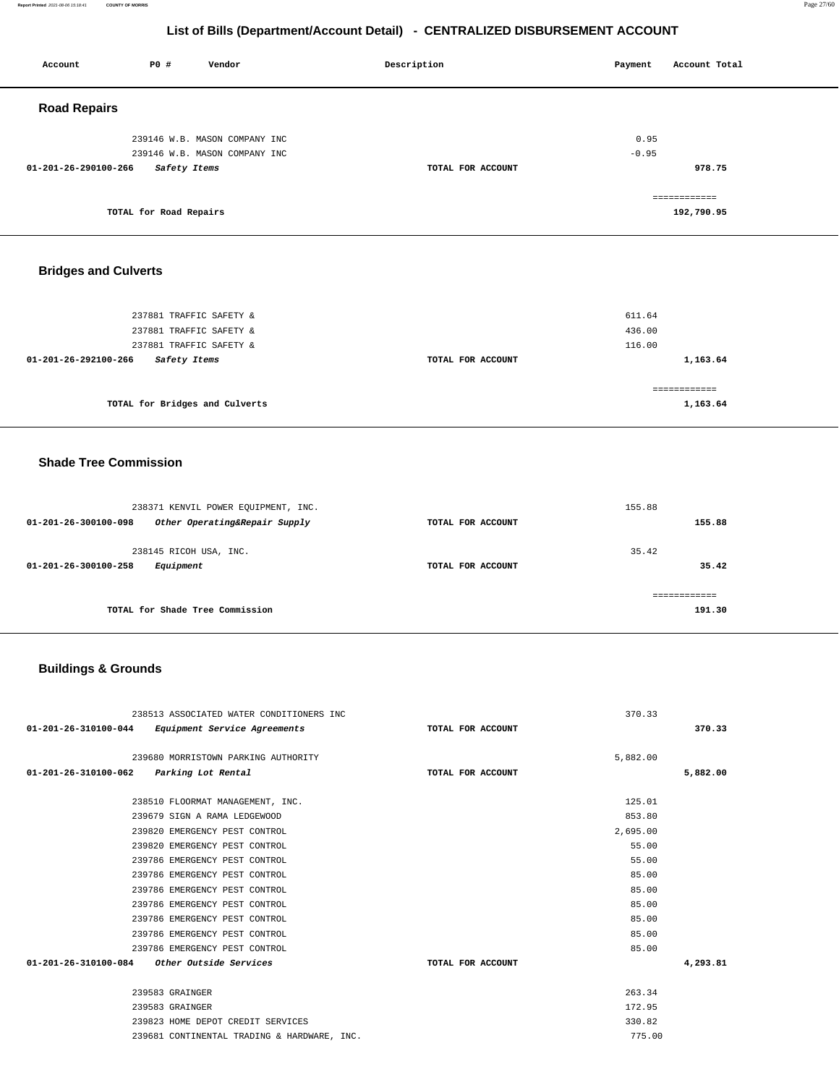**Report Printed** 2021-08-06 15:18:41 **COUNTY OF MORRIS** Page 27/60

## **List of Bills (Department/Account Detail) - CENTRALIZED DISBURSEMENT ACCOUNT**

| Account              | P0 #                   | Vendor                                                         | Description       | Payment         | Account Total              |  |
|----------------------|------------------------|----------------------------------------------------------------|-------------------|-----------------|----------------------------|--|
| <b>Road Repairs</b>  |                        |                                                                |                   |                 |                            |  |
|                      |                        | 239146 W.B. MASON COMPANY INC<br>239146 W.B. MASON COMPANY INC |                   | 0.95<br>$-0.95$ |                            |  |
| 01-201-26-290100-266 | Safety Items           |                                                                | TOTAL FOR ACCOUNT |                 | 978.75                     |  |
|                      | TOTAL for Road Repairs |                                                                |                   |                 | ============<br>192,790.95 |  |
|                      |                        |                                                                |                   |                 |                            |  |

## **Bridges and Culverts**

| 237881 TRAFFIC SAFETY &<br>237881 TRAFFIC SAFETY & |                   | 611.64<br>436.00         |
|----------------------------------------------------|-------------------|--------------------------|
| 237881 TRAFFIC SAFETY &<br>01-201-26-292100-266    |                   | 116.00                   |
| Safety Items                                       | TOTAL FOR ACCOUNT | 1,163.64                 |
| TOTAL for Bridges and Culverts                     |                   | ============<br>1,163.64 |

### **Shade Tree Commission**

| 238371 KENVIL POWER EQUIPMENT, INC.<br>Other Operating&Repair Supply<br>01-201-26-300100-098 | TOTAL FOR ACCOUNT | 155.88<br>155.88 |  |  |
|----------------------------------------------------------------------------------------------|-------------------|------------------|--|--|
| 238145 RICOH USA, INC.<br>01-201-26-300100-258<br>Equipment                                  | TOTAL FOR ACCOUNT | 35.42<br>35.42   |  |  |
| TOTAL for Shade Tree Commission                                                              |                   | 191.30           |  |  |

## **Buildings & Grounds**

| 238513 ASSOCIATED WATER CONDITIONERS INC             |                   | 370.33   |          |
|------------------------------------------------------|-------------------|----------|----------|
| 01-201-26-310100-044<br>Equipment Service Agreements | TOTAL FOR ACCOUNT |          | 370.33   |
|                                                      |                   |          |          |
| 239680 MORRISTOWN PARKING AUTHORITY                  |                   | 5,882.00 |          |
| Parking Lot Rental<br>01-201-26-310100-062           | TOTAL FOR ACCOUNT |          | 5,882.00 |
| 238510 FLOORMAT MANAGEMENT, INC.                     |                   | 125.01   |          |
| 239679 SIGN A RAMA LEDGEWOOD                         |                   | 853.80   |          |
| 239820 EMERGENCY PEST CONTROL                        |                   | 2,695.00 |          |
| 239820 EMERGENCY PEST CONTROL                        |                   | 55.00    |          |
| 239786 EMERGENCY PEST CONTROL                        |                   | 55.00    |          |
| 239786 EMERGENCY PEST CONTROL                        |                   | 85.00    |          |
| 239786 EMERGENCY PEST CONTROL                        |                   | 85.00    |          |
| 239786 EMERGENCY PEST CONTROL                        |                   | 85.00    |          |
| 239786 EMERGENCY PEST CONTROL                        |                   | 85.00    |          |
| 239786 EMERGENCY PEST CONTROL                        |                   | 85.00    |          |
| 239786 EMERGENCY PEST CONTROL                        |                   | 85.00    |          |
| $01-201-26-310100-084$ Other Outside Services        | TOTAL FOR ACCOUNT |          | 4,293.81 |
|                                                      |                   |          |          |
| 239583 GRAINGER                                      |                   | 263.34   |          |
| 239583 GRAINGER                                      |                   | 172.95   |          |
| 239823 HOME DEPOT CREDIT SERVICES                    |                   | 330.82   |          |
| 239681 CONTINENTAL TRADING & HARDWARE, INC.          |                   | 775.00   |          |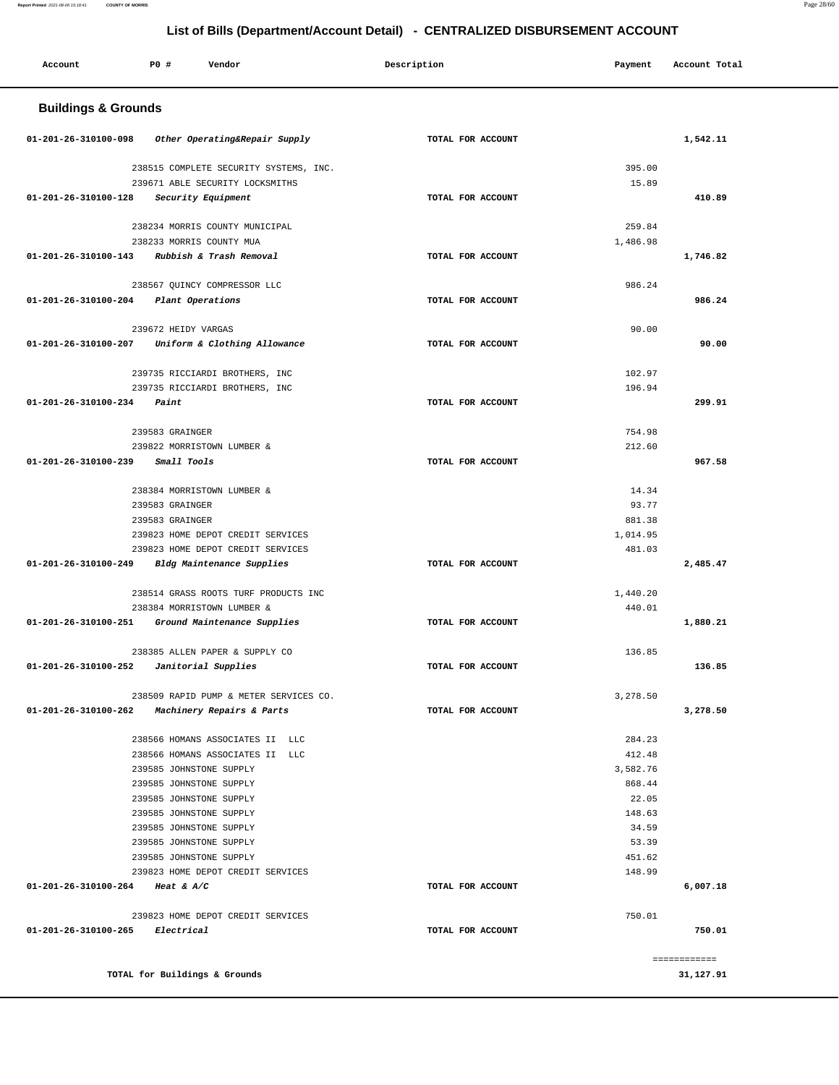#### **Report Printed** 2021-08-06 15:18:41 **COUNTY OF MORRIS** Page 28/60

## **List of Bills (Department/Account Detail) - CENTRALIZED DISBURSEMENT ACCOUNT**

| <b>Buildings &amp; Grounds</b><br>Other Operating&Repair Supply<br>TOTAL FOR ACCOUNT<br>1,542.11<br>01-201-26-310100-098<br>238515 COMPLETE SECURITY SYSTEMS, INC.<br>395.00<br>239671 ABLE SECURITY LOCKSMITHS<br>15.89<br>01-201-26-310100-128<br>Security Equipment<br>TOTAL FOR ACCOUNT<br>410.89<br>238234 MORRIS COUNTY MUNICIPAL<br>259.84<br>238233 MORRIS COUNTY MUA<br>1,486.98<br>01-201-26-310100-143<br>Rubbish & Trash Removal<br>TOTAL FOR ACCOUNT<br>1,746.82<br>238567 QUINCY COMPRESSOR LLC<br>986.24<br>986.24<br>01-201-26-310100-204<br>Plant Operations<br>TOTAL FOR ACCOUNT<br>239672 HEIDY VARGAS<br>90.00<br>01-201-26-310100-207<br>Uniform & Clothing Allowance<br>TOTAL FOR ACCOUNT<br>90.00<br>102.97<br>239735 RICCIARDI BROTHERS, INC<br>239735 RICCIARDI BROTHERS, INC<br>196.94<br>299.91<br>01-201-26-310100-234<br>Paint<br>TOTAL FOR ACCOUNT<br>239583 GRAINGER<br>754.98<br>239822 MORRISTOWN LUMBER &<br>212.60<br>01-201-26-310100-239<br>Small Tools<br>TOTAL FOR ACCOUNT<br>967.58<br>238384 MORRISTOWN LUMBER &<br>14.34<br>93.77<br>239583 GRAINGER<br>239583 GRAINGER<br>881.38<br>239823 HOME DEPOT CREDIT SERVICES<br>1,014.95<br>239823 HOME DEPOT CREDIT SERVICES<br>481.03<br>01-201-26-310100-249<br>2,485.47<br>Bldg Maintenance Supplies<br>TOTAL FOR ACCOUNT<br>238514 GRASS ROOTS TURF PRODUCTS INC<br>1,440.20<br>440.01<br>238384 MORRISTOWN LUMBER &<br>01-201-26-310100-251<br>Ground Maintenance Supplies<br>TOTAL FOR ACCOUNT<br>1,880.21<br>238385 ALLEN PAPER & SUPPLY CO<br>136.85<br>01-201-26-310100-252<br>Janitorial Supplies<br>TOTAL FOR ACCOUNT<br>136.85<br>238509 RAPID PUMP & METER SERVICES CO.<br>3,278.50<br>01-201-26-310100-262<br>Machinery Repairs & Parts<br>TOTAL FOR ACCOUNT<br>3,278.50<br>284.23<br>238566 HOMANS ASSOCIATES II LLC<br>238566 HOMANS ASSOCIATES II LLC<br>412.48<br>239585 JOHNSTONE SUPPLY<br>3,582.76<br>239585 JOHNSTONE SUPPLY<br>868.44<br>239585 JOHNSTONE SUPPLY<br>22.05<br>239585 JOHNSTONE SUPPLY<br>148.63<br>34.59<br>239585 JOHNSTONE SUPPLY<br>239585 JOHNSTONE SUPPLY<br>53.39<br>239585 JOHNSTONE SUPPLY<br>451.62<br>239823 HOME DEPOT CREDIT SERVICES<br>148.99<br>01-201-26-310100-264 Heat & A/C<br>6,007.18<br>TOTAL FOR ACCOUNT<br>239823 HOME DEPOT CREDIT SERVICES<br>750.01<br>01-201-26-310100-265<br><i>Electrical</i><br>TOTAL FOR ACCOUNT<br>750.01<br>------------<br>TOTAL for Buildings & Grounds<br>31,127.91 | Account | PO# | Vendor | Description | Payment | Account Total |  |
|-----------------------------------------------------------------------------------------------------------------------------------------------------------------------------------------------------------------------------------------------------------------------------------------------------------------------------------------------------------------------------------------------------------------------------------------------------------------------------------------------------------------------------------------------------------------------------------------------------------------------------------------------------------------------------------------------------------------------------------------------------------------------------------------------------------------------------------------------------------------------------------------------------------------------------------------------------------------------------------------------------------------------------------------------------------------------------------------------------------------------------------------------------------------------------------------------------------------------------------------------------------------------------------------------------------------------------------------------------------------------------------------------------------------------------------------------------------------------------------------------------------------------------------------------------------------------------------------------------------------------------------------------------------------------------------------------------------------------------------------------------------------------------------------------------------------------------------------------------------------------------------------------------------------------------------------------------------------------------------------------------------------------------------------------------------------------------------------------------------------------------------------------------------------------------------------------------------------------------------------------------------------------------------------------------------------------------------------------------------------------------------------------------------------------------------------------------|---------|-----|--------|-------------|---------|---------------|--|
|                                                                                                                                                                                                                                                                                                                                                                                                                                                                                                                                                                                                                                                                                                                                                                                                                                                                                                                                                                                                                                                                                                                                                                                                                                                                                                                                                                                                                                                                                                                                                                                                                                                                                                                                                                                                                                                                                                                                                                                                                                                                                                                                                                                                                                                                                                                                                                                                                                                     |         |     |        |             |         |               |  |
|                                                                                                                                                                                                                                                                                                                                                                                                                                                                                                                                                                                                                                                                                                                                                                                                                                                                                                                                                                                                                                                                                                                                                                                                                                                                                                                                                                                                                                                                                                                                                                                                                                                                                                                                                                                                                                                                                                                                                                                                                                                                                                                                                                                                                                                                                                                                                                                                                                                     |         |     |        |             |         |               |  |
|                                                                                                                                                                                                                                                                                                                                                                                                                                                                                                                                                                                                                                                                                                                                                                                                                                                                                                                                                                                                                                                                                                                                                                                                                                                                                                                                                                                                                                                                                                                                                                                                                                                                                                                                                                                                                                                                                                                                                                                                                                                                                                                                                                                                                                                                                                                                                                                                                                                     |         |     |        |             |         |               |  |
|                                                                                                                                                                                                                                                                                                                                                                                                                                                                                                                                                                                                                                                                                                                                                                                                                                                                                                                                                                                                                                                                                                                                                                                                                                                                                                                                                                                                                                                                                                                                                                                                                                                                                                                                                                                                                                                                                                                                                                                                                                                                                                                                                                                                                                                                                                                                                                                                                                                     |         |     |        |             |         |               |  |
|                                                                                                                                                                                                                                                                                                                                                                                                                                                                                                                                                                                                                                                                                                                                                                                                                                                                                                                                                                                                                                                                                                                                                                                                                                                                                                                                                                                                                                                                                                                                                                                                                                                                                                                                                                                                                                                                                                                                                                                                                                                                                                                                                                                                                                                                                                                                                                                                                                                     |         |     |        |             |         |               |  |
|                                                                                                                                                                                                                                                                                                                                                                                                                                                                                                                                                                                                                                                                                                                                                                                                                                                                                                                                                                                                                                                                                                                                                                                                                                                                                                                                                                                                                                                                                                                                                                                                                                                                                                                                                                                                                                                                                                                                                                                                                                                                                                                                                                                                                                                                                                                                                                                                                                                     |         |     |        |             |         |               |  |
|                                                                                                                                                                                                                                                                                                                                                                                                                                                                                                                                                                                                                                                                                                                                                                                                                                                                                                                                                                                                                                                                                                                                                                                                                                                                                                                                                                                                                                                                                                                                                                                                                                                                                                                                                                                                                                                                                                                                                                                                                                                                                                                                                                                                                                                                                                                                                                                                                                                     |         |     |        |             |         |               |  |
|                                                                                                                                                                                                                                                                                                                                                                                                                                                                                                                                                                                                                                                                                                                                                                                                                                                                                                                                                                                                                                                                                                                                                                                                                                                                                                                                                                                                                                                                                                                                                                                                                                                                                                                                                                                                                                                                                                                                                                                                                                                                                                                                                                                                                                                                                                                                                                                                                                                     |         |     |        |             |         |               |  |
|                                                                                                                                                                                                                                                                                                                                                                                                                                                                                                                                                                                                                                                                                                                                                                                                                                                                                                                                                                                                                                                                                                                                                                                                                                                                                                                                                                                                                                                                                                                                                                                                                                                                                                                                                                                                                                                                                                                                                                                                                                                                                                                                                                                                                                                                                                                                                                                                                                                     |         |     |        |             |         |               |  |
|                                                                                                                                                                                                                                                                                                                                                                                                                                                                                                                                                                                                                                                                                                                                                                                                                                                                                                                                                                                                                                                                                                                                                                                                                                                                                                                                                                                                                                                                                                                                                                                                                                                                                                                                                                                                                                                                                                                                                                                                                                                                                                                                                                                                                                                                                                                                                                                                                                                     |         |     |        |             |         |               |  |
|                                                                                                                                                                                                                                                                                                                                                                                                                                                                                                                                                                                                                                                                                                                                                                                                                                                                                                                                                                                                                                                                                                                                                                                                                                                                                                                                                                                                                                                                                                                                                                                                                                                                                                                                                                                                                                                                                                                                                                                                                                                                                                                                                                                                                                                                                                                                                                                                                                                     |         |     |        |             |         |               |  |
|                                                                                                                                                                                                                                                                                                                                                                                                                                                                                                                                                                                                                                                                                                                                                                                                                                                                                                                                                                                                                                                                                                                                                                                                                                                                                                                                                                                                                                                                                                                                                                                                                                                                                                                                                                                                                                                                                                                                                                                                                                                                                                                                                                                                                                                                                                                                                                                                                                                     |         |     |        |             |         |               |  |
|                                                                                                                                                                                                                                                                                                                                                                                                                                                                                                                                                                                                                                                                                                                                                                                                                                                                                                                                                                                                                                                                                                                                                                                                                                                                                                                                                                                                                                                                                                                                                                                                                                                                                                                                                                                                                                                                                                                                                                                                                                                                                                                                                                                                                                                                                                                                                                                                                                                     |         |     |        |             |         |               |  |
|                                                                                                                                                                                                                                                                                                                                                                                                                                                                                                                                                                                                                                                                                                                                                                                                                                                                                                                                                                                                                                                                                                                                                                                                                                                                                                                                                                                                                                                                                                                                                                                                                                                                                                                                                                                                                                                                                                                                                                                                                                                                                                                                                                                                                                                                                                                                                                                                                                                     |         |     |        |             |         |               |  |
|                                                                                                                                                                                                                                                                                                                                                                                                                                                                                                                                                                                                                                                                                                                                                                                                                                                                                                                                                                                                                                                                                                                                                                                                                                                                                                                                                                                                                                                                                                                                                                                                                                                                                                                                                                                                                                                                                                                                                                                                                                                                                                                                                                                                                                                                                                                                                                                                                                                     |         |     |        |             |         |               |  |
|                                                                                                                                                                                                                                                                                                                                                                                                                                                                                                                                                                                                                                                                                                                                                                                                                                                                                                                                                                                                                                                                                                                                                                                                                                                                                                                                                                                                                                                                                                                                                                                                                                                                                                                                                                                                                                                                                                                                                                                                                                                                                                                                                                                                                                                                                                                                                                                                                                                     |         |     |        |             |         |               |  |
|                                                                                                                                                                                                                                                                                                                                                                                                                                                                                                                                                                                                                                                                                                                                                                                                                                                                                                                                                                                                                                                                                                                                                                                                                                                                                                                                                                                                                                                                                                                                                                                                                                                                                                                                                                                                                                                                                                                                                                                                                                                                                                                                                                                                                                                                                                                                                                                                                                                     |         |     |        |             |         |               |  |
|                                                                                                                                                                                                                                                                                                                                                                                                                                                                                                                                                                                                                                                                                                                                                                                                                                                                                                                                                                                                                                                                                                                                                                                                                                                                                                                                                                                                                                                                                                                                                                                                                                                                                                                                                                                                                                                                                                                                                                                                                                                                                                                                                                                                                                                                                                                                                                                                                                                     |         |     |        |             |         |               |  |
|                                                                                                                                                                                                                                                                                                                                                                                                                                                                                                                                                                                                                                                                                                                                                                                                                                                                                                                                                                                                                                                                                                                                                                                                                                                                                                                                                                                                                                                                                                                                                                                                                                                                                                                                                                                                                                                                                                                                                                                                                                                                                                                                                                                                                                                                                                                                                                                                                                                     |         |     |        |             |         |               |  |
|                                                                                                                                                                                                                                                                                                                                                                                                                                                                                                                                                                                                                                                                                                                                                                                                                                                                                                                                                                                                                                                                                                                                                                                                                                                                                                                                                                                                                                                                                                                                                                                                                                                                                                                                                                                                                                                                                                                                                                                                                                                                                                                                                                                                                                                                                                                                                                                                                                                     |         |     |        |             |         |               |  |
|                                                                                                                                                                                                                                                                                                                                                                                                                                                                                                                                                                                                                                                                                                                                                                                                                                                                                                                                                                                                                                                                                                                                                                                                                                                                                                                                                                                                                                                                                                                                                                                                                                                                                                                                                                                                                                                                                                                                                                                                                                                                                                                                                                                                                                                                                                                                                                                                                                                     |         |     |        |             |         |               |  |
|                                                                                                                                                                                                                                                                                                                                                                                                                                                                                                                                                                                                                                                                                                                                                                                                                                                                                                                                                                                                                                                                                                                                                                                                                                                                                                                                                                                                                                                                                                                                                                                                                                                                                                                                                                                                                                                                                                                                                                                                                                                                                                                                                                                                                                                                                                                                                                                                                                                     |         |     |        |             |         |               |  |
|                                                                                                                                                                                                                                                                                                                                                                                                                                                                                                                                                                                                                                                                                                                                                                                                                                                                                                                                                                                                                                                                                                                                                                                                                                                                                                                                                                                                                                                                                                                                                                                                                                                                                                                                                                                                                                                                                                                                                                                                                                                                                                                                                                                                                                                                                                                                                                                                                                                     |         |     |        |             |         |               |  |
|                                                                                                                                                                                                                                                                                                                                                                                                                                                                                                                                                                                                                                                                                                                                                                                                                                                                                                                                                                                                                                                                                                                                                                                                                                                                                                                                                                                                                                                                                                                                                                                                                                                                                                                                                                                                                                                                                                                                                                                                                                                                                                                                                                                                                                                                                                                                                                                                                                                     |         |     |        |             |         |               |  |
|                                                                                                                                                                                                                                                                                                                                                                                                                                                                                                                                                                                                                                                                                                                                                                                                                                                                                                                                                                                                                                                                                                                                                                                                                                                                                                                                                                                                                                                                                                                                                                                                                                                                                                                                                                                                                                                                                                                                                                                                                                                                                                                                                                                                                                                                                                                                                                                                                                                     |         |     |        |             |         |               |  |
|                                                                                                                                                                                                                                                                                                                                                                                                                                                                                                                                                                                                                                                                                                                                                                                                                                                                                                                                                                                                                                                                                                                                                                                                                                                                                                                                                                                                                                                                                                                                                                                                                                                                                                                                                                                                                                                                                                                                                                                                                                                                                                                                                                                                                                                                                                                                                                                                                                                     |         |     |        |             |         |               |  |
|                                                                                                                                                                                                                                                                                                                                                                                                                                                                                                                                                                                                                                                                                                                                                                                                                                                                                                                                                                                                                                                                                                                                                                                                                                                                                                                                                                                                                                                                                                                                                                                                                                                                                                                                                                                                                                                                                                                                                                                                                                                                                                                                                                                                                                                                                                                                                                                                                                                     |         |     |        |             |         |               |  |
|                                                                                                                                                                                                                                                                                                                                                                                                                                                                                                                                                                                                                                                                                                                                                                                                                                                                                                                                                                                                                                                                                                                                                                                                                                                                                                                                                                                                                                                                                                                                                                                                                                                                                                                                                                                                                                                                                                                                                                                                                                                                                                                                                                                                                                                                                                                                                                                                                                                     |         |     |        |             |         |               |  |
|                                                                                                                                                                                                                                                                                                                                                                                                                                                                                                                                                                                                                                                                                                                                                                                                                                                                                                                                                                                                                                                                                                                                                                                                                                                                                                                                                                                                                                                                                                                                                                                                                                                                                                                                                                                                                                                                                                                                                                                                                                                                                                                                                                                                                                                                                                                                                                                                                                                     |         |     |        |             |         |               |  |
|                                                                                                                                                                                                                                                                                                                                                                                                                                                                                                                                                                                                                                                                                                                                                                                                                                                                                                                                                                                                                                                                                                                                                                                                                                                                                                                                                                                                                                                                                                                                                                                                                                                                                                                                                                                                                                                                                                                                                                                                                                                                                                                                                                                                                                                                                                                                                                                                                                                     |         |     |        |             |         |               |  |
|                                                                                                                                                                                                                                                                                                                                                                                                                                                                                                                                                                                                                                                                                                                                                                                                                                                                                                                                                                                                                                                                                                                                                                                                                                                                                                                                                                                                                                                                                                                                                                                                                                                                                                                                                                                                                                                                                                                                                                                                                                                                                                                                                                                                                                                                                                                                                                                                                                                     |         |     |        |             |         |               |  |
|                                                                                                                                                                                                                                                                                                                                                                                                                                                                                                                                                                                                                                                                                                                                                                                                                                                                                                                                                                                                                                                                                                                                                                                                                                                                                                                                                                                                                                                                                                                                                                                                                                                                                                                                                                                                                                                                                                                                                                                                                                                                                                                                                                                                                                                                                                                                                                                                                                                     |         |     |        |             |         |               |  |
|                                                                                                                                                                                                                                                                                                                                                                                                                                                                                                                                                                                                                                                                                                                                                                                                                                                                                                                                                                                                                                                                                                                                                                                                                                                                                                                                                                                                                                                                                                                                                                                                                                                                                                                                                                                                                                                                                                                                                                                                                                                                                                                                                                                                                                                                                                                                                                                                                                                     |         |     |        |             |         |               |  |
|                                                                                                                                                                                                                                                                                                                                                                                                                                                                                                                                                                                                                                                                                                                                                                                                                                                                                                                                                                                                                                                                                                                                                                                                                                                                                                                                                                                                                                                                                                                                                                                                                                                                                                                                                                                                                                                                                                                                                                                                                                                                                                                                                                                                                                                                                                                                                                                                                                                     |         |     |        |             |         |               |  |
|                                                                                                                                                                                                                                                                                                                                                                                                                                                                                                                                                                                                                                                                                                                                                                                                                                                                                                                                                                                                                                                                                                                                                                                                                                                                                                                                                                                                                                                                                                                                                                                                                                                                                                                                                                                                                                                                                                                                                                                                                                                                                                                                                                                                                                                                                                                                                                                                                                                     |         |     |        |             |         |               |  |
|                                                                                                                                                                                                                                                                                                                                                                                                                                                                                                                                                                                                                                                                                                                                                                                                                                                                                                                                                                                                                                                                                                                                                                                                                                                                                                                                                                                                                                                                                                                                                                                                                                                                                                                                                                                                                                                                                                                                                                                                                                                                                                                                                                                                                                                                                                                                                                                                                                                     |         |     |        |             |         |               |  |
|                                                                                                                                                                                                                                                                                                                                                                                                                                                                                                                                                                                                                                                                                                                                                                                                                                                                                                                                                                                                                                                                                                                                                                                                                                                                                                                                                                                                                                                                                                                                                                                                                                                                                                                                                                                                                                                                                                                                                                                                                                                                                                                                                                                                                                                                                                                                                                                                                                                     |         |     |        |             |         |               |  |
|                                                                                                                                                                                                                                                                                                                                                                                                                                                                                                                                                                                                                                                                                                                                                                                                                                                                                                                                                                                                                                                                                                                                                                                                                                                                                                                                                                                                                                                                                                                                                                                                                                                                                                                                                                                                                                                                                                                                                                                                                                                                                                                                                                                                                                                                                                                                                                                                                                                     |         |     |        |             |         |               |  |
|                                                                                                                                                                                                                                                                                                                                                                                                                                                                                                                                                                                                                                                                                                                                                                                                                                                                                                                                                                                                                                                                                                                                                                                                                                                                                                                                                                                                                                                                                                                                                                                                                                                                                                                                                                                                                                                                                                                                                                                                                                                                                                                                                                                                                                                                                                                                                                                                                                                     |         |     |        |             |         |               |  |
|                                                                                                                                                                                                                                                                                                                                                                                                                                                                                                                                                                                                                                                                                                                                                                                                                                                                                                                                                                                                                                                                                                                                                                                                                                                                                                                                                                                                                                                                                                                                                                                                                                                                                                                                                                                                                                                                                                                                                                                                                                                                                                                                                                                                                                                                                                                                                                                                                                                     |         |     |        |             |         |               |  |
|                                                                                                                                                                                                                                                                                                                                                                                                                                                                                                                                                                                                                                                                                                                                                                                                                                                                                                                                                                                                                                                                                                                                                                                                                                                                                                                                                                                                                                                                                                                                                                                                                                                                                                                                                                                                                                                                                                                                                                                                                                                                                                                                                                                                                                                                                                                                                                                                                                                     |         |     |        |             |         |               |  |
|                                                                                                                                                                                                                                                                                                                                                                                                                                                                                                                                                                                                                                                                                                                                                                                                                                                                                                                                                                                                                                                                                                                                                                                                                                                                                                                                                                                                                                                                                                                                                                                                                                                                                                                                                                                                                                                                                                                                                                                                                                                                                                                                                                                                                                                                                                                                                                                                                                                     |         |     |        |             |         |               |  |
|                                                                                                                                                                                                                                                                                                                                                                                                                                                                                                                                                                                                                                                                                                                                                                                                                                                                                                                                                                                                                                                                                                                                                                                                                                                                                                                                                                                                                                                                                                                                                                                                                                                                                                                                                                                                                                                                                                                                                                                                                                                                                                                                                                                                                                                                                                                                                                                                                                                     |         |     |        |             |         |               |  |
|                                                                                                                                                                                                                                                                                                                                                                                                                                                                                                                                                                                                                                                                                                                                                                                                                                                                                                                                                                                                                                                                                                                                                                                                                                                                                                                                                                                                                                                                                                                                                                                                                                                                                                                                                                                                                                                                                                                                                                                                                                                                                                                                                                                                                                                                                                                                                                                                                                                     |         |     |        |             |         |               |  |
|                                                                                                                                                                                                                                                                                                                                                                                                                                                                                                                                                                                                                                                                                                                                                                                                                                                                                                                                                                                                                                                                                                                                                                                                                                                                                                                                                                                                                                                                                                                                                                                                                                                                                                                                                                                                                                                                                                                                                                                                                                                                                                                                                                                                                                                                                                                                                                                                                                                     |         |     |        |             |         |               |  |
|                                                                                                                                                                                                                                                                                                                                                                                                                                                                                                                                                                                                                                                                                                                                                                                                                                                                                                                                                                                                                                                                                                                                                                                                                                                                                                                                                                                                                                                                                                                                                                                                                                                                                                                                                                                                                                                                                                                                                                                                                                                                                                                                                                                                                                                                                                                                                                                                                                                     |         |     |        |             |         |               |  |
|                                                                                                                                                                                                                                                                                                                                                                                                                                                                                                                                                                                                                                                                                                                                                                                                                                                                                                                                                                                                                                                                                                                                                                                                                                                                                                                                                                                                                                                                                                                                                                                                                                                                                                                                                                                                                                                                                                                                                                                                                                                                                                                                                                                                                                                                                                                                                                                                                                                     |         |     |        |             |         |               |  |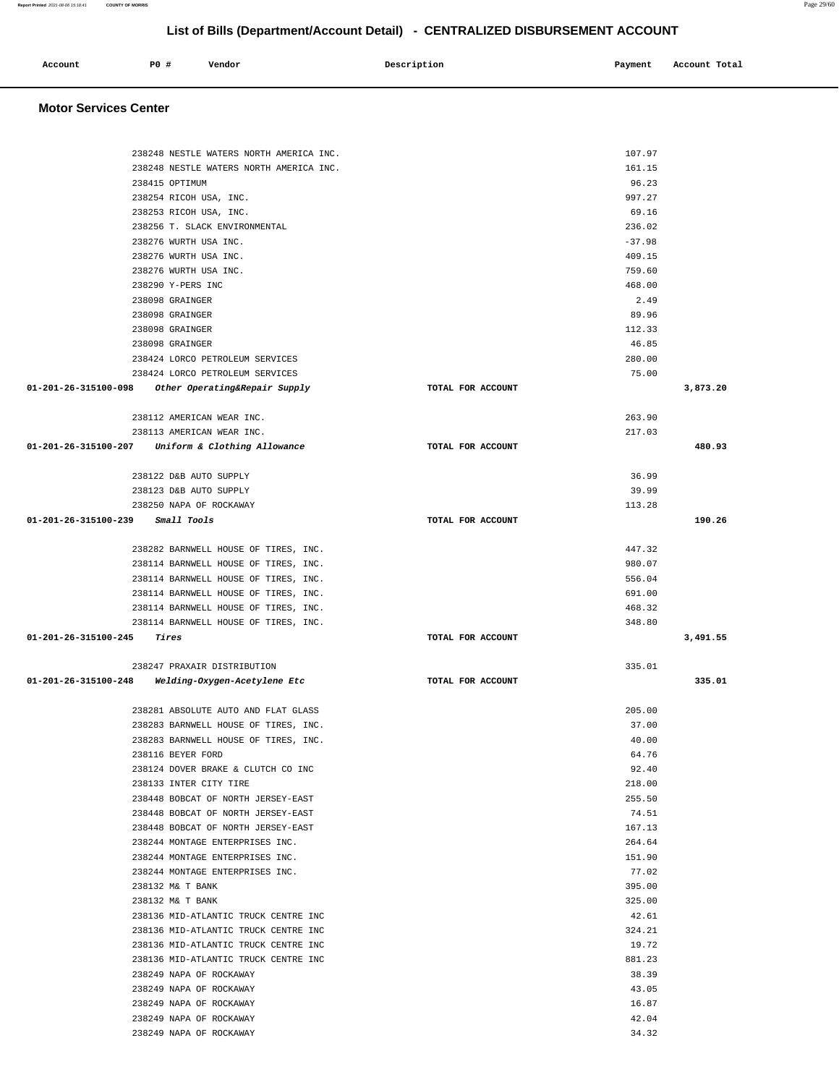| Account | <b>PO #</b> | Vendor | Description | Payment | Account Total |
|---------|-------------|--------|-------------|---------|---------------|
|         |             |        |             |         |               |

 **Motor Services Center** 

|                                  | 238248 NESTLE WATERS NORTH AMERICA INC.             |                   | 107.97         |          |
|----------------------------------|-----------------------------------------------------|-------------------|----------------|----------|
|                                  | 238248 NESTLE WATERS NORTH AMERICA INC.             |                   | 161.15         |          |
|                                  | 238415 OPTIMUM                                      |                   | 96.23          |          |
|                                  | 238254 RICOH USA, INC.                              |                   | 997.27         |          |
|                                  | 238253 RICOH USA, INC.                              |                   | 69.16          |          |
|                                  | 238256 T. SLACK ENVIRONMENTAL                       |                   | 236.02         |          |
|                                  | 238276 WURTH USA INC.                               |                   | $-37.98$       |          |
|                                  | 238276 WURTH USA INC.                               |                   | 409.15         |          |
|                                  | 238276 WURTH USA INC.                               |                   | 759.60         |          |
|                                  | 238290 Y-PERS INC                                   |                   | 468.00         |          |
|                                  | 238098 GRAINGER                                     |                   | 2.49           |          |
|                                  | 238098 GRAINGER                                     |                   | 89.96          |          |
|                                  | 238098 GRAINGER                                     |                   | 112.33         |          |
|                                  | 238098 GRAINGER                                     |                   | 46.85          |          |
|                                  | 238424 LORCO PETROLEUM SERVICES                     |                   | 280.00         |          |
|                                  | 238424 LORCO PETROLEUM SERVICES                     |                   | 75.00          |          |
|                                  | 01-201-26-315100-098 Other Operating&Repair Supply  | TOTAL FOR ACCOUNT |                | 3,873.20 |
|                                  |                                                     |                   |                |          |
|                                  | 238112 AMERICAN WEAR INC.                           |                   | 263.90         |          |
|                                  | 238113 AMERICAN WEAR INC.                           |                   | 217.03         |          |
|                                  | $01-201-26-315100-207$ Uniform & Clothing Allowance | TOTAL FOR ACCOUNT |                | 480.93   |
|                                  |                                                     |                   |                |          |
|                                  | 238122 D&B AUTO SUPPLY                              |                   | 36.99          |          |
|                                  |                                                     |                   |                |          |
|                                  | 238123 D&B AUTO SUPPLY                              |                   | 39.99          |          |
|                                  | 238250 NAPA OF ROCKAWAY                             |                   | 113.28         |          |
| 01-201-26-315100-239 Small Tools |                                                     | TOTAL FOR ACCOUNT |                | 190.26   |
|                                  |                                                     |                   |                |          |
|                                  | 238282 BARNWELL HOUSE OF TIRES, INC.                |                   | 447.32         |          |
|                                  | 238114 BARNWELL HOUSE OF TIRES, INC.                |                   | 980.07         |          |
|                                  | 238114 BARNWELL HOUSE OF TIRES, INC.                |                   | 556.04         |          |
|                                  | 238114 BARNWELL HOUSE OF TIRES, INC.                |                   | 691.00         |          |
|                                  | 238114 BARNWELL HOUSE OF TIRES, INC.                |                   | 468.32         |          |
|                                  | 238114 BARNWELL HOUSE OF TIRES, INC.                |                   | 348.80         |          |
| 01-201-26-315100-245             | Tires                                               | TOTAL FOR ACCOUNT |                | 3,491.55 |
|                                  |                                                     |                   |                |          |
|                                  | 238247 PRAXAIR DISTRIBUTION                         |                   | 335.01         |          |
|                                  | 01-201-26-315100-248 Welding-Oxygen-Acetylene Etc   | TOTAL FOR ACCOUNT |                | 335.01   |
|                                  |                                                     |                   |                |          |
|                                  | 238281 ABSOLUTE AUTO AND FLAT GLASS                 |                   | 205.00         |          |
|                                  | 238283 BARNWELL HOUSE OF TIRES, INC.                |                   | 37.00          |          |
|                                  | 238283 BARNWELL HOUSE OF TIRES, INC.                |                   | 40.00          |          |
|                                  | 238116 BEYER FORD                                   |                   | 64.76          |          |
|                                  | 238124 DOVER BRAKE & CLUTCH CO INC                  |                   | 92.40          |          |
|                                  | 238133 INTER CITY TIRE                              |                   | 218.00         |          |
|                                  |                                                     |                   |                |          |
|                                  | 238448 BOBCAT OF NORTH JERSEY-EAST                  |                   | 255.50         |          |
|                                  | 238448 BOBCAT OF NORTH JERSEY-EAST                  |                   | 74.51          |          |
|                                  | 238448 BOBCAT OF NORTH JERSEY-EAST                  |                   | 167.13         |          |
|                                  | 238244 MONTAGE ENTERPRISES INC.                     |                   | 264.64         |          |
|                                  | 238244 MONTAGE ENTERPRISES INC.                     |                   | 151.90         |          |
|                                  | 238244 MONTAGE ENTERPRISES INC.                     |                   | 77.02          |          |
|                                  | 238132 M& T BANK                                    |                   | 395.00         |          |
|                                  | 238132 M& T BANK                                    |                   | 325.00         |          |
|                                  | 238136 MID-ATLANTIC TRUCK CENTRE INC                |                   | 42.61          |          |
|                                  |                                                     |                   |                |          |
|                                  | 238136 MID-ATLANTIC TRUCK CENTRE INC                |                   | 324.21         |          |
|                                  | 238136 MID-ATLANTIC TRUCK CENTRE INC                |                   | 19.72          |          |
|                                  | 238136 MID-ATLANTIC TRUCK CENTRE INC                |                   | 881.23         |          |
|                                  | 238249 NAPA OF ROCKAWAY                             |                   | 38.39          |          |
|                                  | 238249 NAPA OF ROCKAWAY                             |                   | 43.05          |          |
|                                  | 238249 NAPA OF ROCKAWAY                             |                   | 16.87          |          |
|                                  | 238249 NAPA OF ROCKAWAY<br>238249 NAPA OF ROCKAWAY  |                   | 42.04<br>34.32 |          |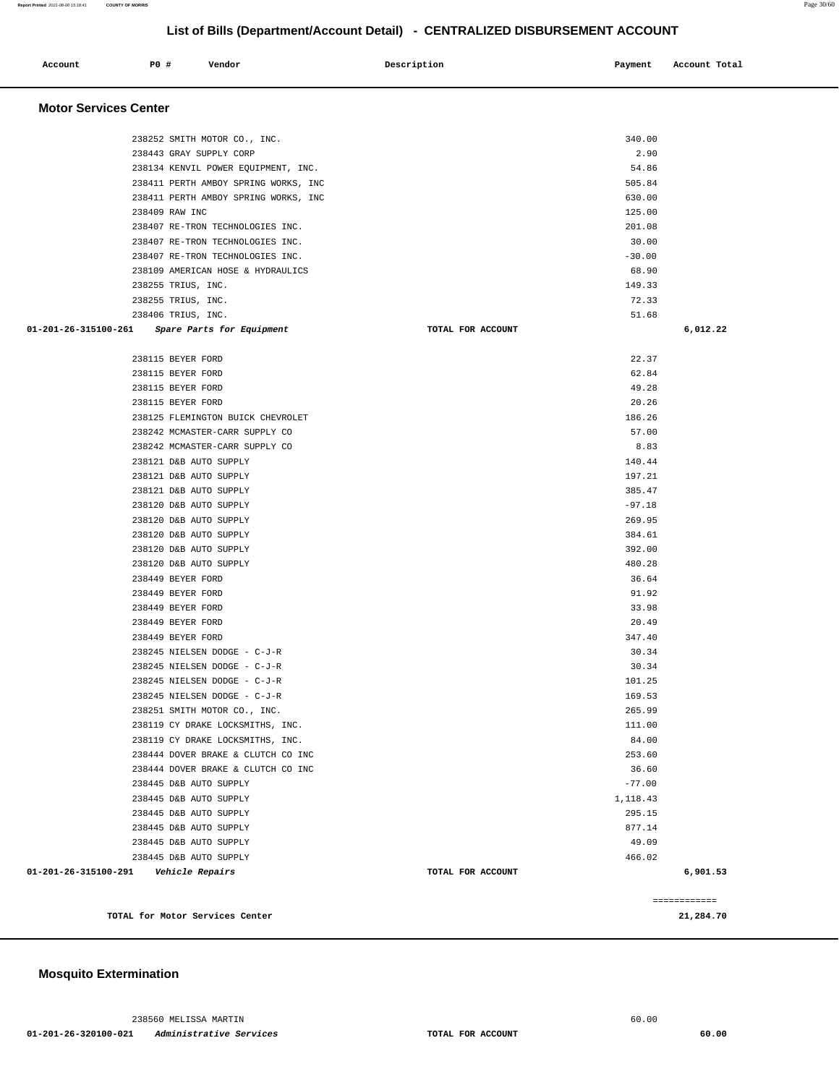| <b>PO #</b><br>Account       | Vendor                                           | Description       | Payment          | Account Total |
|------------------------------|--------------------------------------------------|-------------------|------------------|---------------|
| <b>Motor Services Center</b> |                                                  |                   |                  |               |
|                              | 238252 SMITH MOTOR CO., INC.                     |                   | 340.00           |               |
|                              | 238443 GRAY SUPPLY CORP                          |                   | 2.90             |               |
|                              | 238134 KENVIL POWER EQUIPMENT, INC.              |                   | 54.86            |               |
|                              | 238411 PERTH AMBOY SPRING WORKS, INC             |                   | 505.84           |               |
|                              | 238411 PERTH AMBOY SPRING WORKS, INC             |                   | 630.00           |               |
|                              | 238409 RAW INC                                   |                   | 125.00           |               |
|                              | 238407 RE-TRON TECHNOLOGIES INC.                 |                   | 201.08           |               |
|                              | 238407 RE-TRON TECHNOLOGIES INC.                 |                   | 30.00            |               |
|                              | 238407 RE-TRON TECHNOLOGIES INC.                 |                   | $-30.00$         |               |
|                              | 238109 AMERICAN HOSE & HYDRAULICS                |                   | 68.90            |               |
|                              | 238255 TRIUS, INC.<br>238255 TRIUS, INC.         |                   | 149.33<br>72.33  |               |
|                              | 238406 TRIUS, INC.                               |                   | 51.68            |               |
| 01-201-26-315100-261         | Spare Parts for Equipment                        | TOTAL FOR ACCOUNT |                  | 6,012.22      |
|                              |                                                  |                   |                  |               |
|                              | 238115 BEYER FORD                                |                   | 22.37            |               |
|                              | 238115 BEYER FORD                                |                   | 62.84            |               |
|                              | 238115 BEYER FORD                                |                   | 49.28            |               |
|                              | 238115 BEYER FORD                                |                   | 20.26            |               |
|                              | 238125 FLEMINGTON BUICK CHEVROLET                |                   | 186.26           |               |
|                              | 238242 MCMASTER-CARR SUPPLY CO                   |                   | 57.00            |               |
|                              | 238242 MCMASTER-CARR SUPPLY CO                   |                   | 8.83             |               |
|                              | 238121 D&B AUTO SUPPLY                           |                   | 140.44           |               |
|                              | 238121 D&B AUTO SUPPLY                           |                   | 197.21           |               |
|                              | 238121 D&B AUTO SUPPLY                           |                   | 385.47           |               |
|                              | 238120 D&B AUTO SUPPLY                           |                   | $-97.18$         |               |
|                              | 238120 D&B AUTO SUPPLY                           |                   | 269.95           |               |
|                              | 238120 D&B AUTO SUPPLY                           |                   | 384.61           |               |
|                              | 238120 D&B AUTO SUPPLY<br>238120 D&B AUTO SUPPLY |                   | 392.00<br>480.28 |               |
|                              | 238449 BEYER FORD                                |                   | 36.64            |               |
|                              | 238449 BEYER FORD                                |                   | 91.92            |               |
|                              | 238449 BEYER FORD                                |                   | 33.98            |               |
|                              | 238449 BEYER FORD                                |                   | 20.49            |               |
|                              | 238449 BEYER FORD                                |                   | 347.40           |               |
|                              | 238245 NIELSEN DODGE - C-J-R                     |                   | 30.34            |               |
|                              | 238245 NIELSEN DODGE - C-J-R                     |                   | 30.34            |               |
|                              | 238245 NIELSEN DODGE - C-J-R                     |                   | 101.25           |               |
|                              | 238245 NIELSEN DODGE - C-J-R                     |                   | 169.53           |               |
|                              | 238251 SMITH MOTOR CO., INC.                     |                   | 265.99           |               |
|                              | 238119 CY DRAKE LOCKSMITHS, INC.                 |                   | 111.00           |               |
|                              | 238119 CY DRAKE LOCKSMITHS, INC.                 |                   | 84.00            |               |
|                              | 238444 DOVER BRAKE & CLUTCH CO INC               |                   | 253.60           |               |
|                              | 238444 DOVER BRAKE & CLUTCH CO INC               |                   | 36.60            |               |
|                              | 238445 D&B AUTO SUPPLY                           |                   | $-77.00$         |               |
|                              | 238445 D&B AUTO SUPPLY                           |                   | 1,118.43         |               |
|                              | 238445 D&B AUTO SUPPLY                           |                   | 295.15           |               |
|                              | 238445 D&B AUTO SUPPLY                           |                   | 877.14           |               |
|                              | 238445 D&B AUTO SUPPLY<br>238445 D&B AUTO SUPPLY |                   | 49.09<br>466.02  |               |
| 01-201-26-315100-291         | <i><b>Vehicle Repairs</b></i>                    | TOTAL FOR ACCOUNT |                  | 6,901.53      |
|                              |                                                  |                   |                  |               |
|                              |                                                  |                   |                  | ============  |
|                              | TOTAL for Motor Services Center                  |                   |                  | 21,284.70     |

### **Mosquito Extermination**

238560 MELISSA MARTIN 60.00  **01-201-26-320100-021 Administrative Services TOTAL FOR ACCOUNT 60.00**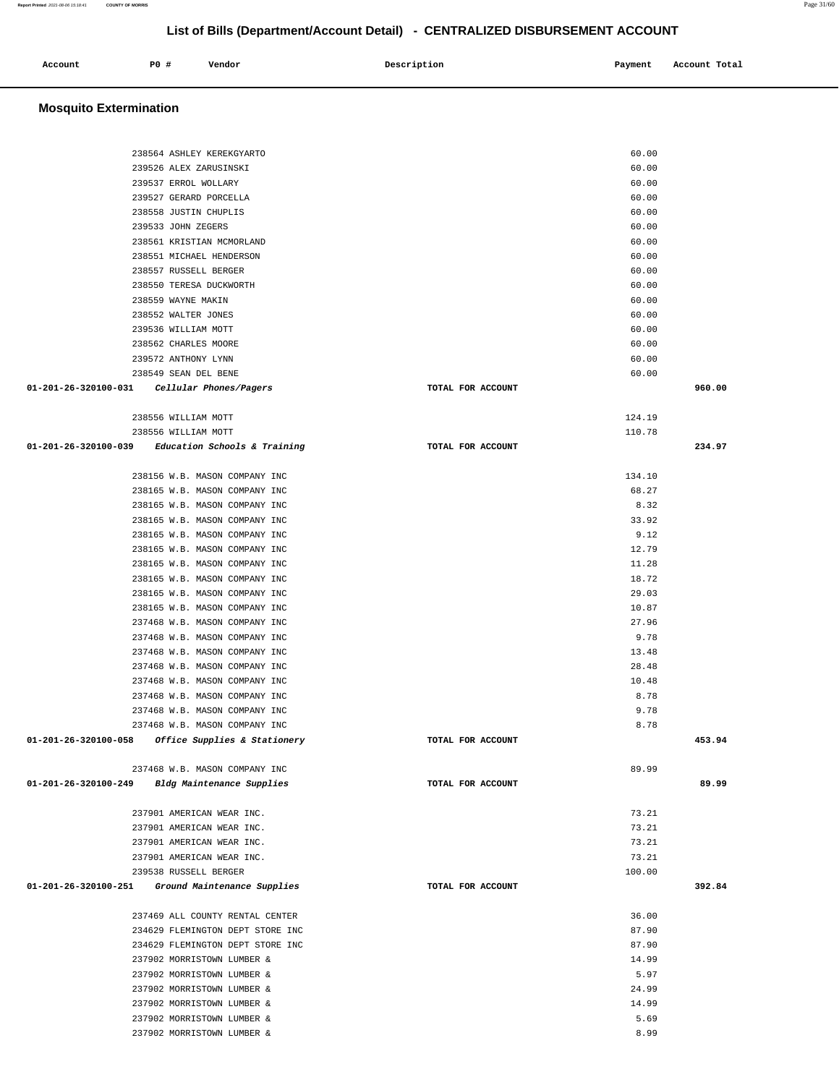| Account<br>. | P <sub>0</sub> | Vendor | Description | Payment | Account Total<br>.<br>. |  |
|--------------|----------------|--------|-------------|---------|-------------------------|--|
|              |                |        |             |         |                         |  |

## **Mosquito Extermination**

| 238564 ASHLEY KEREKGYARTO                            |                   | 60.00  |        |
|------------------------------------------------------|-------------------|--------|--------|
| 239526 ALEX ZARUSINSKI                               |                   | 60.00  |        |
| 239537 ERROL WOLLARY                                 |                   | 60.00  |        |
| 239527 GERARD PORCELLA                               |                   | 60.00  |        |
| 238558 JUSTIN CHUPLIS                                |                   | 60.00  |        |
|                                                      |                   | 60.00  |        |
| 239533 JOHN ZEGERS                                   |                   |        |        |
| 238561 KRISTIAN MCMORLAND                            |                   | 60.00  |        |
| 238551 MICHAEL HENDERSON                             |                   | 60.00  |        |
| 238557 RUSSELL BERGER                                |                   | 60.00  |        |
| 238550 TERESA DUCKWORTH                              |                   | 60.00  |        |
| 238559 WAYNE MAKIN                                   |                   | 60.00  |        |
| 238552 WALTER JONES                                  |                   | 60.00  |        |
| 239536 WILLIAM MOTT                                  |                   | 60.00  |        |
| 238562 CHARLES MOORE                                 |                   | 60.00  |        |
| 239572 ANTHONY LYNN                                  |                   | 60.00  |        |
| 238549 SEAN DEL BENE                                 |                   | 60.00  |        |
| 01-201-26-320100-031 Cellular Phones/Pagers          | TOTAL FOR ACCOUNT |        | 960.00 |
|                                                      |                   |        |        |
| 238556 WILLIAM MOTT                                  |                   | 124.19 |        |
| 238556 WILLIAM MOTT                                  |                   | 110.78 |        |
| 01-201-26-320100-039 Education Schools & Training    | TOTAL FOR ACCOUNT |        | 234.97 |
|                                                      |                   |        |        |
| 238156 W.B. MASON COMPANY INC                        |                   | 134.10 |        |
| 238165 W.B. MASON COMPANY INC                        |                   | 68.27  |        |
| 238165 W.B. MASON COMPANY INC                        |                   | 8.32   |        |
| 238165 W.B. MASON COMPANY INC                        |                   | 33.92  |        |
| 238165 W.B. MASON COMPANY INC                        |                   | 9.12   |        |
| 238165 W.B. MASON COMPANY INC                        |                   | 12.79  |        |
| 238165 W.B. MASON COMPANY INC                        |                   | 11.28  |        |
| 238165 W.B. MASON COMPANY INC                        |                   | 18.72  |        |
| 238165 W.B. MASON COMPANY INC                        |                   | 29.03  |        |
| 238165 W.B. MASON COMPANY INC                        |                   | 10.87  |        |
| 237468 W.B. MASON COMPANY INC                        |                   | 27.96  |        |
| 237468 W.B. MASON COMPANY INC                        |                   | 9.78   |        |
| 237468 W.B. MASON COMPANY INC                        |                   | 13.48  |        |
| 237468 W.B. MASON COMPANY INC                        |                   | 28.48  |        |
| 237468 W.B. MASON COMPANY INC                        |                   | 10.48  |        |
| 237468 W.B. MASON COMPANY INC                        |                   | 8.78   |        |
| 237468 W.B. MASON COMPANY INC                        |                   | 9.78   |        |
| 237468 W.B. MASON COMPANY INC                        |                   | 8.78   |        |
| 01-201-26-320100-058<br>Office Supplies & Stationery | TOTAL FOR ACCOUNT |        | 453.94 |
|                                                      |                   |        |        |
| 237468 W.B. MASON COMPANY INC                        |                   | 89.99  |        |
| 01-201-26-320100-249 Bldg Maintenance Supplies       | TOTAL FOR ACCOUNT |        | 89.99  |
|                                                      |                   |        |        |
| 237901 AMERICAN WEAR INC.                            |                   | 73.21  |        |
| 237901 AMERICAN WEAR INC.                            |                   | 73.21  |        |
|                                                      |                   | 73.21  |        |
| 237901 AMERICAN WEAR INC.                            |                   | 73.21  |        |
| 237901 AMERICAN WEAR INC.                            |                   |        |        |
| 239538 RUSSELL BERGER                                |                   | 100.00 |        |
| 01-201-26-320100-251<br>Ground Maintenance Supplies  | TOTAL FOR ACCOUNT |        | 392.84 |
|                                                      |                   |        |        |
| 237469 ALL COUNTY RENTAL CENTER                      |                   | 36.00  |        |
| 234629 FLEMINGTON DEPT STORE INC                     |                   | 87.90  |        |
| 234629 FLEMINGTON DEPT STORE INC                     |                   | 87.90  |        |
| 237902 MORRISTOWN LUMBER &                           |                   | 14.99  |        |
| 237902 MORRISTOWN LUMBER &                           |                   | 5.97   |        |
| 237902 MORRISTOWN LUMBER &                           |                   | 24.99  |        |
| 237902 MORRISTOWN LUMBER &                           |                   | 14.99  |        |
| 237902 MORRISTOWN LUMBER &                           |                   | 5.69   |        |
| 237902 MORRISTOWN LUMBER &                           |                   | 8.99   |        |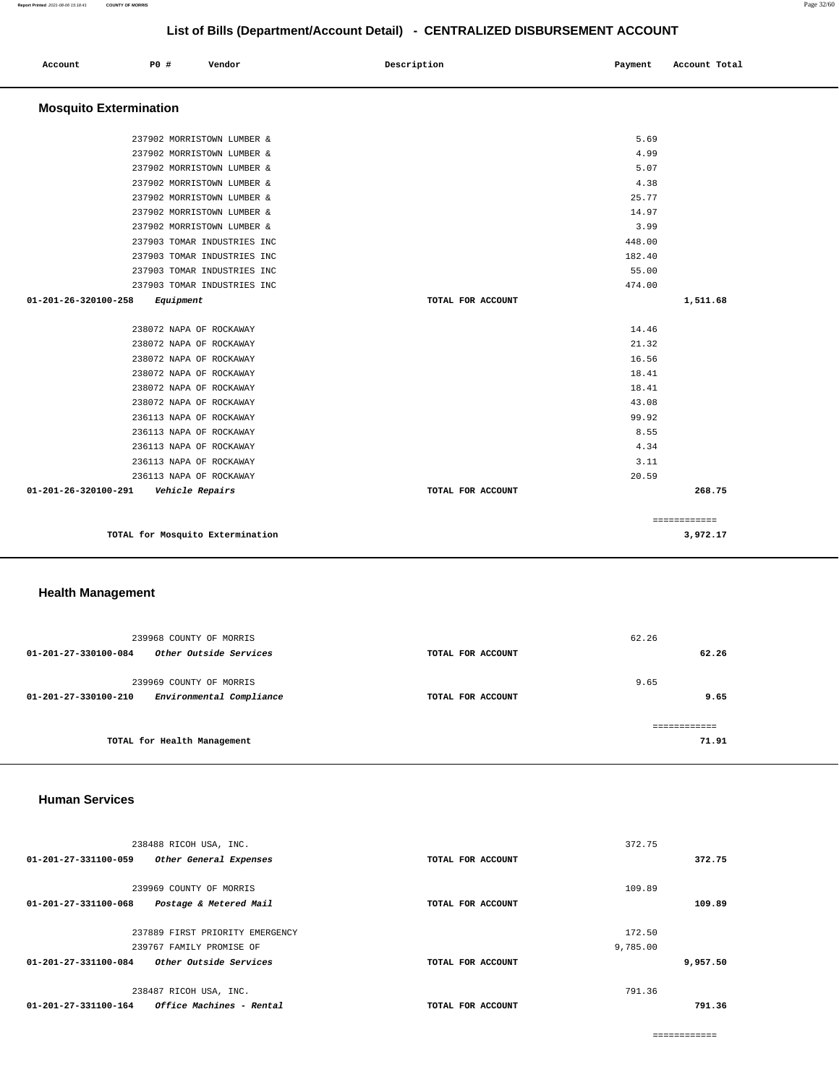|                               |           |                             | ----------        |         |               |
|-------------------------------|-----------|-----------------------------|-------------------|---------|---------------|
| Account                       | P0 #      | Vendor                      | Description       | Payment | Account Total |
| <b>Mosquito Extermination</b> |           |                             |                   |         |               |
|                               |           | 237902 MORRISTOWN LUMBER &  |                   | 5.69    |               |
|                               |           | 237902 MORRISTOWN LUMBER &  |                   | 4.99    |               |
|                               |           | 237902 MORRISTOWN LUMBER &  |                   | 5.07    |               |
|                               |           | 237902 MORRISTOWN LUMBER &  |                   | 4.38    |               |
|                               |           | 237902 MORRISTOWN LUMBER &  |                   | 25.77   |               |
|                               |           | 237902 MORRISTOWN LUMBER &  |                   | 14.97   |               |
|                               |           | 237902 MORRISTOWN LUMBER &  |                   | 3.99    |               |
|                               |           | 237903 TOMAR INDUSTRIES INC |                   | 448.00  |               |
|                               |           | 237903 TOMAR INDUSTRIES INC |                   | 182.40  |               |
|                               |           | 237903 TOMAR INDUSTRIES INC |                   | 55.00   |               |
|                               |           | 237903 TOMAR INDUSTRIES INC |                   | 474.00  |               |
| 01-201-26-320100-258          | Equipment |                             | TOTAL FOR ACCOUNT |         | 1,511.68      |
|                               |           | 238072 NAPA OF ROCKAWAY     |                   | 14.46   |               |
|                               |           | 238072 NAPA OF ROCKAWAY     |                   | 21.32   |               |
|                               |           | 238072 NAPA OF ROCKAWAY     |                   | 16.56   |               |
|                               |           | 238072 NAPA OF ROCKAWAY     |                   | 18.41   |               |
|                               |           | 238072 NAPA OF ROCKAWAY     |                   | 18.41   |               |
|                               |           | 238072 NAPA OF ROCKAWAY     |                   | 43.08   |               |
|                               |           | 236113 NAPA OF ROCKAWAY     |                   | 99.92   |               |
|                               |           | 236113 NAPA OF ROCKAWAY     |                   | 8.55    |               |
|                               |           | 236113 NAPA OF ROCKAWAY     |                   | 4.34    |               |
|                               |           | 236113 NAPA OF ROCKAWAY     |                   | 3.11    |               |
|                               |           | 236113 NAPA OF ROCKAWAY     |                   | 20.59   |               |

| 01-201-26-320100-291     | Vehicle Repairs                  | TOTAL FOR ACCOUNT |       | 268.75                   |
|--------------------------|----------------------------------|-------------------|-------|--------------------------|
|                          | TOTAL for Mosquito Extermination |                   |       | ============<br>3,972.17 |
| <b>Health Management</b> |                                  |                   |       |                          |
|                          | 239968 COUNTY OF MORRIS          |                   | 62.26 |                          |
| 01-201-27-330100-084     | Other Outside Services           | TOTAL FOR ACCOUNT |       | 62.26                    |
|                          | 239969 COUNTY OF MORRIS          |                   | 9.65  |                          |
| 01-201-27-330100-210     | Environmental Compliance         | TOTAL FOR ACCOUNT |       | 9.65                     |

**TOTAL for Health Management** 

#### **Human Services**

| 238488 RICOH USA, INC.                           |                   | 372.75   |
|--------------------------------------------------|-------------------|----------|
| 01-201-27-331100-059<br>Other General Expenses   | TOTAL FOR ACCOUNT | 372.75   |
|                                                  |                   |          |
| 239969 COUNTY OF MORRIS                          |                   | 109.89   |
| 01-201-27-331100-068<br>Postage & Metered Mail   | TOTAL FOR ACCOUNT | 109.89   |
|                                                  |                   |          |
| 237889 FIRST PRIORITY EMERGENCY                  |                   | 172.50   |
| 239767 FAMILY PROMISE OF                         |                   | 9,785.00 |
| 01-201-27-331100-084<br>Other Outside Services   | TOTAL FOR ACCOUNT | 9,957.50 |
| 238487 RICOH USA, INC.                           |                   | 791.36   |
| Office Machines - Rental<br>01-201-27-331100-164 | TOTAL FOR ACCOUNT | 791.36   |

============

**71.91**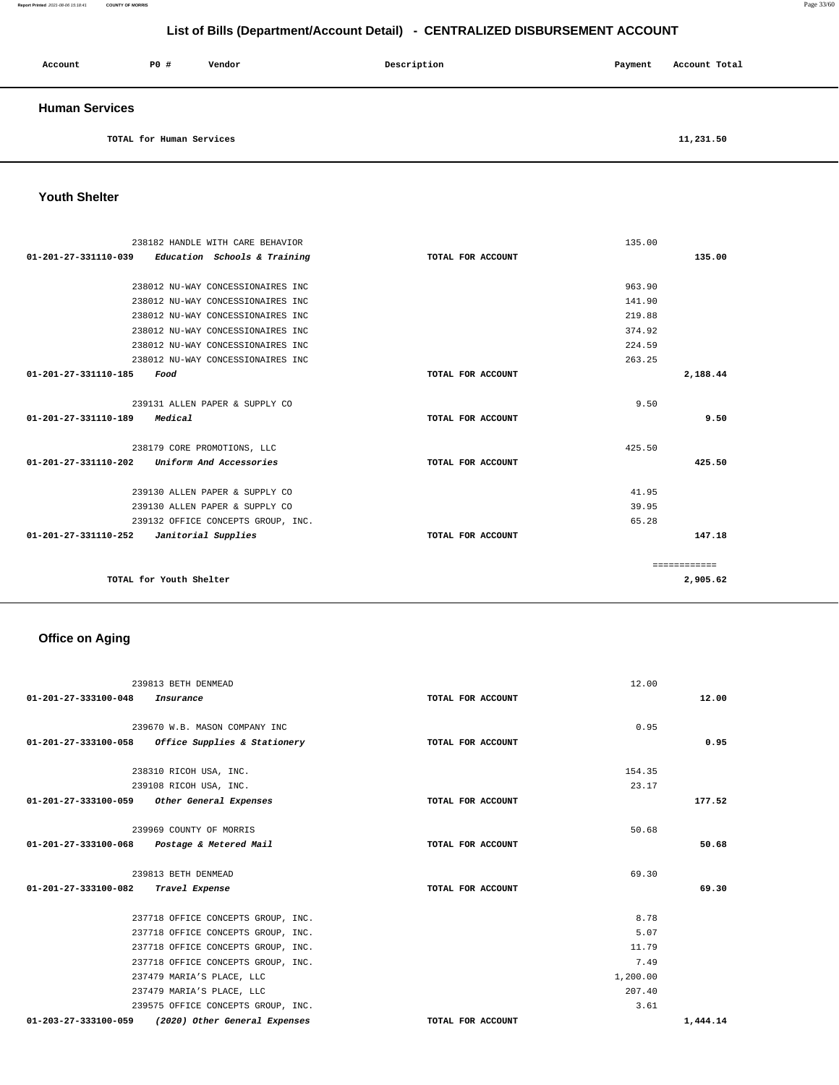#### **Report Printed** 2021-08-06 15:18:41 **COUNTY OF MORRIS** Page 33/60

## **List of Bills (Department/Account Detail) - CENTRALIZED DISBURSEMENT ACCOUNT**

| Account               | PO# | Vendor | Description | Payment | Account Total |
|-----------------------|-----|--------|-------------|---------|---------------|
| <b>Human Services</b> |     |        |             |         |               |

**TOTAL for Human Services [11,231.50](https://11,231.50)** 

#### **Youth Shelter**

| 238182 HANDLE WITH CARE BEHAVIOR                    |                                    |                   | 135.00 |              |
|-----------------------------------------------------|------------------------------------|-------------------|--------|--------------|
| $01-201-27-331110-039$ Education Schools & Training |                                    | TOTAL FOR ACCOUNT |        | 135.00       |
|                                                     |                                    |                   |        |              |
| 238012 NU-WAY CONCESSIONAIRES INC                   |                                    |                   | 963.90 |              |
| 238012 NU-WAY CONCESSIONAIRES INC                   |                                    |                   | 141.90 |              |
| 238012 NU-WAY CONCESSIONAIRES INC                   |                                    |                   | 219.88 |              |
| 238012 NU-WAY CONCESSIONAIRES INC                   |                                    |                   | 374.92 |              |
| 238012 NU-WAY CONCESSIONAIRES INC                   |                                    |                   | 224.59 |              |
| 238012 NU-WAY CONCESSIONAIRES INC                   |                                    |                   | 263.25 |              |
| 01-201-27-331110-185<br>Food                        |                                    | TOTAL FOR ACCOUNT |        | 2,188.44     |
|                                                     |                                    |                   |        |              |
| 239131 ALLEN PAPER & SUPPLY CO                      |                                    |                   | 9.50   |              |
| 01-201-27-331110-189<br>Medical                     |                                    | TOTAL FOR ACCOUNT |        | 9.50         |
|                                                     |                                    |                   |        |              |
| 238179 CORE PROMOTIONS, LLC                         |                                    |                   | 425.50 |              |
| 01-201-27-331110-202 Uniform And Accessories        |                                    | TOTAL FOR ACCOUNT |        | 425.50       |
|                                                     |                                    |                   |        |              |
| 239130 ALLEN PAPER & SUPPLY CO                      |                                    |                   | 41.95  |              |
| 239130 ALLEN PAPER & SUPPLY CO                      |                                    |                   | 39.95  |              |
|                                                     | 239132 OFFICE CONCEPTS GROUP, INC. |                   | 65.28  |              |
| 01-201-27-331110-252<br>Janitorial Supplies         |                                    | TOTAL FOR ACCOUNT |        | 147.18       |
|                                                     |                                    |                   |        |              |
|                                                     |                                    |                   |        | ============ |
| TOTAL for Youth Shelter                             |                                    |                   |        | 2,905.62     |

## **Office on Aging**

| 239813 BETH DENMEAD                                   |                   | 12.00    |          |
|-------------------------------------------------------|-------------------|----------|----------|
| 01-201-27-333100-048<br>Insurance                     | TOTAL FOR ACCOUNT |          | 12.00    |
| 239670 W.B. MASON COMPANY INC                         |                   | 0.95     |          |
| 01-201-27-333100-058 Office Supplies & Stationery     |                   |          | 0.95     |
|                                                       | TOTAL FOR ACCOUNT |          |          |
| 238310 RICOH USA, INC.                                |                   | 154.35   |          |
| 239108 RICOH USA, INC.                                |                   | 23.17    |          |
| 01-201-27-333100-059 Other General Expenses           | TOTAL FOR ACCOUNT |          | 177.52   |
|                                                       |                   |          |          |
| 239969 COUNTY OF MORRIS                               |                   | 50.68    |          |
| 01-201-27-333100-068 Postage & Metered Mail           | TOTAL FOR ACCOUNT |          | 50.68    |
| 239813 BETH DENMEAD                                   |                   | 69.30    |          |
| 01-201-27-333100-082 Travel Expense                   | TOTAL FOR ACCOUNT |          | 69.30    |
|                                                       |                   |          |          |
| 237718 OFFICE CONCEPTS GROUP, INC.                    |                   | 8.78     |          |
| 237718 OFFICE CONCEPTS GROUP, INC.                    |                   | 5.07     |          |
| 237718 OFFICE CONCEPTS GROUP, INC.                    |                   | 11.79    |          |
| 237718 OFFICE CONCEPTS GROUP, INC.                    |                   | 7.49     |          |
| 237479 MARIA'S PLACE, LLC                             |                   | 1,200.00 |          |
| 237479 MARIA'S PLACE, LLC                             |                   | 207.40   |          |
| 239575 OFFICE CONCEPTS GROUP, INC.                    |                   | 3.61     |          |
| 01-203-27-333100-059<br>(2020) Other General Expenses | TOTAL FOR ACCOUNT |          | 1,444.14 |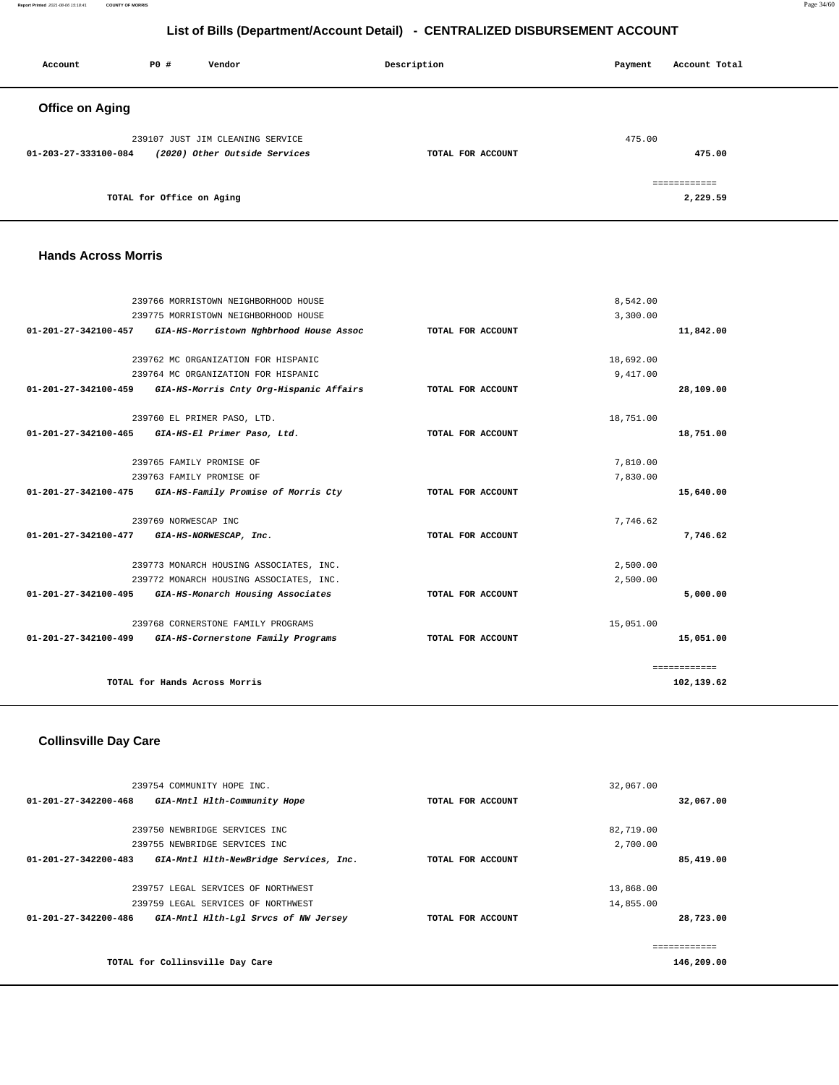**Report Printed** 2021-08-06 15:18:41 **COUNTY OF MORRIS** Page 34/60

## **List of Bills (Department/Account Detail) - CENTRALIZED DISBURSEMENT ACCOUNT**

| Account                | PO#                       | Vendor                           | Description       | Payment | Account Total |
|------------------------|---------------------------|----------------------------------|-------------------|---------|---------------|
| <b>Office on Aging</b> |                           |                                  |                   |         |               |
|                        |                           | 239107 JUST JIM CLEANING SERVICE |                   | 475.00  |               |
| 01-203-27-333100-084   |                           | (2020) Other Outside Services    | TOTAL FOR ACCOUNT |         | 475.00        |
|                        |                           |                                  |                   |         | ============  |
|                        | TOTAL for Office on Aging |                                  |                   |         | 2,229.59      |

#### **Hands Across Morris**

|                                | 239766 MORRISTOWN NEIGHBORHOOD HOUSE    |                   | 8,542.00  |              |
|--------------------------------|-----------------------------------------|-------------------|-----------|--------------|
|                                | 239775 MORRISTOWN NEIGHBORHOOD HOUSE    |                   | 3,300.00  |              |
| 01-201-27-342100-457           | GIA-HS-Morristown Nghbrhood House Assoc | TOTAL FOR ACCOUNT |           | 11,842.00    |
|                                | 239762 MC ORGANIZATION FOR HISPANIC     |                   | 18,692.00 |              |
|                                | 239764 MC ORGANIZATION FOR HISPANIC     |                   | 9,417.00  |              |
| 01-201-27-342100-459           | GIA-HS-Morris Cnty Org-Hispanic Affairs | TOTAL FOR ACCOUNT |           | 28,109.00    |
|                                | 239760 EL PRIMER PASO, LTD.             |                   | 18,751.00 |              |
| 01-201-27-342100-465           | GIA-HS-El Primer Paso, Ltd.             | TOTAL FOR ACCOUNT |           | 18,751.00    |
|                                | 239765 FAMILY PROMISE OF                |                   | 7.810.00  |              |
|                                | 239763 FAMILY PROMISE OF                |                   | 7,830.00  |              |
| 01-201-27-342100-475           | GIA-HS-Family Promise of Morris Cty     | TOTAL FOR ACCOUNT |           | 15,640.00    |
|                                | 239769 NORWESCAP INC                    |                   | 7.746.62  |              |
| $01 - 201 - 27 - 342100 - 477$ | GIA-HS-NORWESCAP, Inc.                  | TOTAL FOR ACCOUNT |           | 7.746.62     |
|                                | 239773 MONARCH HOUSING ASSOCIATES, INC. |                   | 2,500.00  |              |
|                                | 239772 MONARCH HOUSING ASSOCIATES, INC. |                   | 2,500.00  |              |
| 01-201-27-342100-495           | GIA-HS-Monarch Housing Associates       | TOTAL FOR ACCOUNT |           | 5,000.00     |
|                                | 239768 CORNERSTONE FAMILY PROGRAMS      |                   | 15,051.00 |              |
| 01-201-27-342100-499           | GIA-HS-Cornerstone Family Programs      | TOTAL FOR ACCOUNT |           | 15,051.00    |
|                                |                                         |                   |           | ============ |
|                                | TOTAL for Hands Across Morris           |                   |           | 102,139.62   |

### **Collinsville Day Care**

| 239754 COMMUNITY HOPE INC.                                               |                   | 32,067.00  |
|--------------------------------------------------------------------------|-------------------|------------|
| 01-201-27-342200-468<br>GIA-Mntl Hlth-Community Hope                     | TOTAL FOR ACCOUNT | 32,067.00  |
|                                                                          |                   |            |
| 239750 NEWBRIDGE SERVICES INC                                            |                   | 82,719.00  |
| 239755 NEWBRIDGE SERVICES INC                                            |                   | 2,700.00   |
| GIA-Mntl Hlth-NewBridge Services, Inc.<br>$01 - 201 - 27 - 342200 - 483$ | TOTAL FOR ACCOUNT | 85,419.00  |
|                                                                          |                   |            |
| 239757 LEGAL SERVICES OF NORTHWEST                                       |                   | 13,868.00  |
| 239759 LEGAL SERVICES OF NORTHWEST                                       |                   | 14,855.00  |
| $01 - 201 - 27 - 342200 - 486$<br>GIA-Mntl Hlth-Lgl Srvcs of NW Jersey   | TOTAL FOR ACCOUNT | 28,723.00  |
|                                                                          |                   |            |
|                                                                          |                   |            |
| TOTAL for Collinsville Day Care                                          |                   | 146,209.00 |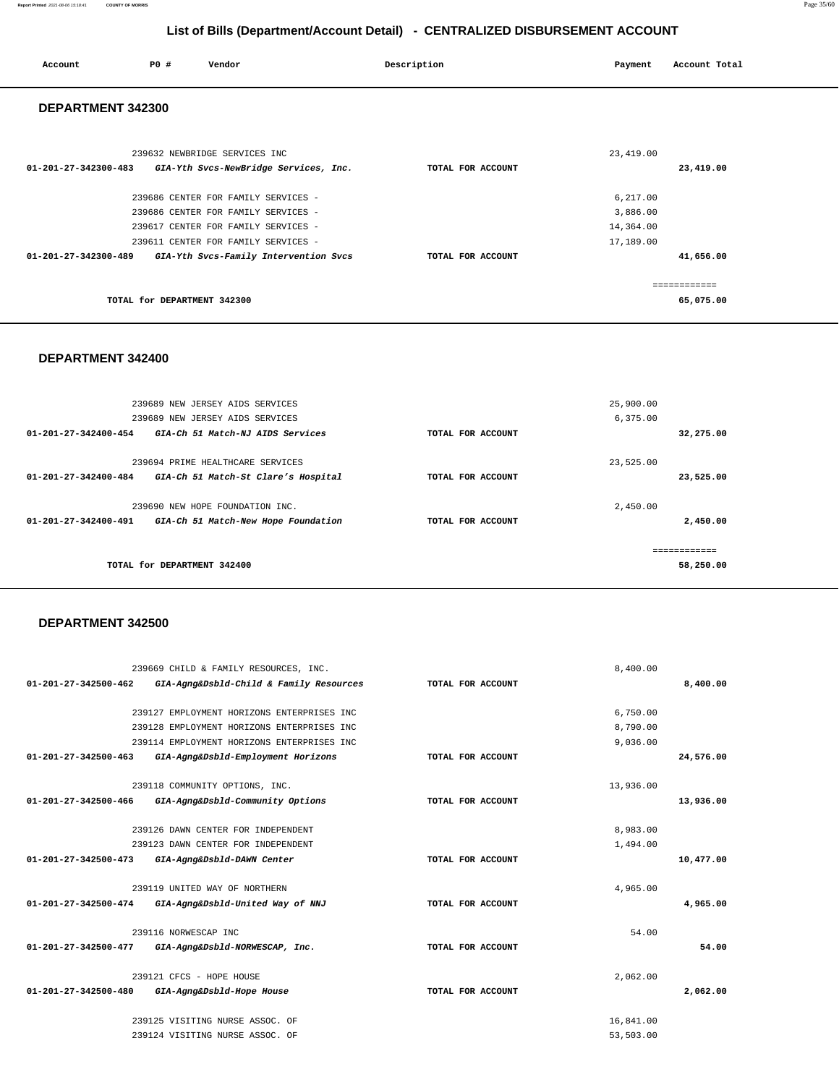| $01 - 201 - 27 - 342500 - 462$ | GIA-Agng&Dsbld-Child & Family Resources    | TOTAL FOR ACCOUNT |           | 8,400.00  |
|--------------------------------|--------------------------------------------|-------------------|-----------|-----------|
|                                |                                            |                   |           |           |
|                                | 239127 EMPLOYMENT HORIZONS ENTERPRISES INC |                   | 6,750.00  |           |
|                                | 239128 EMPLOYMENT HORIZONS ENTERPRISES INC |                   | 8,790.00  |           |
|                                | 239114 EMPLOYMENT HORIZONS ENTERPRISES INC |                   | 9,036.00  |           |
| $01 - 201 - 27 - 342500 - 463$ | GIA-Agng&Dsbld-Employment Horizons         | TOTAL FOR ACCOUNT |           | 24,576.00 |
|                                | 239118 COMMUNITY OPTIONS, INC.             |                   | 13,936.00 |           |
| 01-201-27-342500-466           | GIA-Agng&Dsbld-Community Options           | TOTAL FOR ACCOUNT |           | 13,936.00 |
|                                | 239126 DAWN CENTER FOR INDEPENDENT         |                   | 8,983.00  |           |
|                                | 239123 DAWN CENTER FOR INDEPENDENT         |                   | 1,494.00  |           |
| $01 - 201 - 27 - 342500 - 473$ | GIA-Agng&Dsbld-DAWN Center                 | TOTAL FOR ACCOUNT |           | 10,477.00 |
|                                | 239119 UNITED WAY OF NORTHERN              |                   | 4,965.00  |           |
| 01-201-27-342500-474           | GIA-Agng&Dsbld-United Way of NNJ           | TOTAL FOR ACCOUNT |           | 4,965.00  |
|                                | 239116 NORWESCAP INC                       |                   | 54.00     |           |
| 01-201-27-342500-477           | GIA-Agng&Dsbld-NORWESCAP, Inc.             | TOTAL FOR ACCOUNT |           | 54.00     |
|                                | 239121 CFCS - HOPE HOUSE                   |                   | 2,062.00  |           |
| 01-201-27-342500-480           | GIA-Agng&Dsbld-Hope House                  | TOTAL FOR ACCOUNT |           | 2,062.00  |
|                                | 239125 VISITING NURSE ASSOC. OF            |                   | 16,841.00 |           |
|                                | 239124 VISITING NURSE ASSOC. OF            |                   | 53,503.00 |           |

#### **DEPARTMENT 342500**

239669 CHILD & FAMILY RESOURCES, INC.

|                      | 239689 NEW JERSEY AIDS SERVICES     |                   | 25,900.00 |
|----------------------|-------------------------------------|-------------------|-----------|
|                      | 239689 NEW JERSEY AIDS SERVICES     |                   | 6,375.00  |
| 01-201-27-342400-454 | GIA-Ch 51 Match-NJ AIDS Services    | TOTAL FOR ACCOUNT | 32,275.00 |
|                      |                                     |                   |           |
|                      | 239694 PRIME HEALTHCARE SERVICES    |                   | 23,525.00 |
| 01-201-27-342400-484 | GIA-Ch 51 Match-St Clare's Hospital | TOTAL FOR ACCOUNT | 23,525.00 |
|                      |                                     |                   |           |
|                      | 239690 NEW HOPE FOUNDATION INC.     |                   | 2,450.00  |
| 01-201-27-342400-491 | GIA-Ch 51 Match-New Hope Foundation | TOTAL FOR ACCOUNT | 2,450.00  |
|                      |                                     |                   |           |
|                      |                                     |                   |           |
|                      | TOTAL for DEPARTMENT 342400         |                   | 58,250.00 |
|                      |                                     |                   |           |

8,400.00

#### **DEPARTMENT 342400**

| 239632 NEWBRIDGE SERVICES INC<br>01-201-27-342300-483<br>GIA-Yth Svcs-NewBridge Services, Inc. | TOTAL FOR ACCOUNT | 23,419.00<br>23,419.00     |
|------------------------------------------------------------------------------------------------|-------------------|----------------------------|
| 239686 CENTER FOR FAMILY SERVICES -                                                            |                   | 6,217.00                   |
| 239686 CENTER FOR FAMILY SERVICES -                                                            |                   | 3,886.00                   |
| 239617 CENTER FOR FAMILY SERVICES -                                                            |                   | 14,364.00                  |
| 239611 CENTER FOR FAMILY SERVICES -                                                            |                   | 17,189.00                  |
| $01 - 201 - 27 - 342300 - 489$<br>GIA-Yth Svcs-Family Intervention Svcs                        | TOTAL FOR ACCOUNT | 41,656.00                  |
| TOTAL for DEPARTMENT 342300                                                                    |                   | -------------<br>65,075.00 |

# **List of Bills (Department/Account Detail) - CENTRALIZED DISBURSEMENT ACCOUNT Account** 20 **P P**  $\uparrow$  **Payment** Payment Account Total  **DEPARTMENT 342300**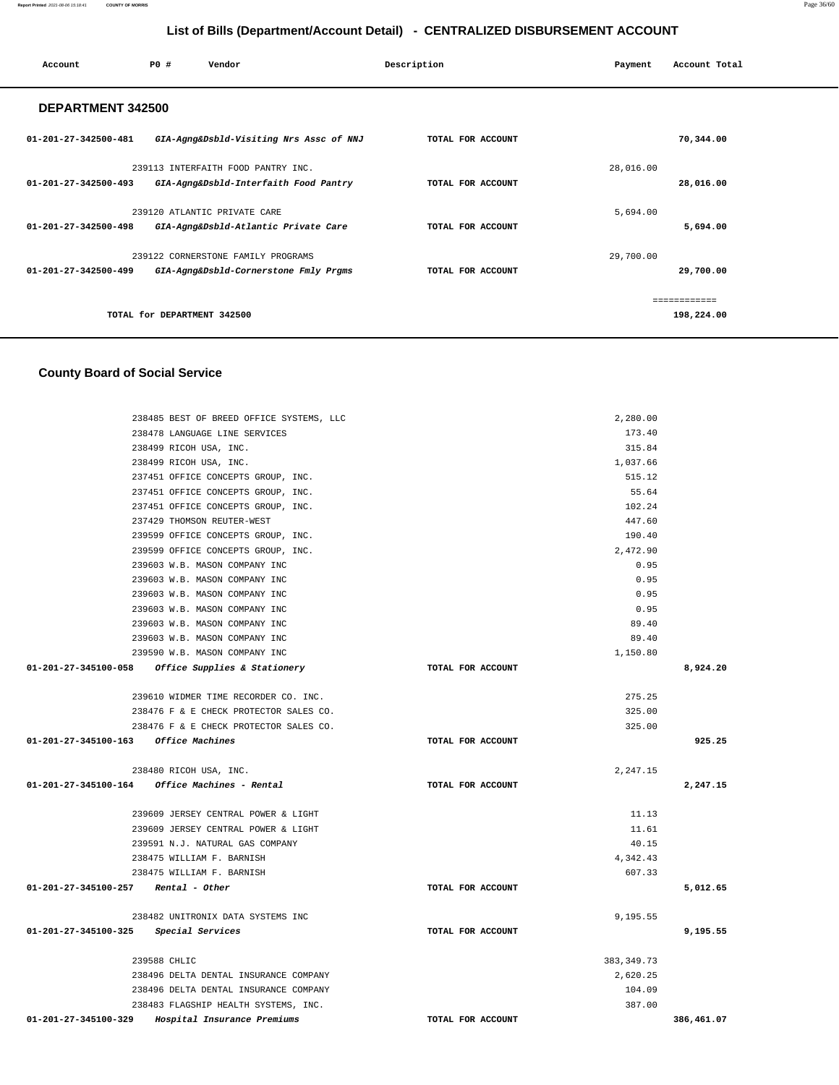| Account                        | PO#                         | Vendor                                  | Description       | Payment   | Account Total |
|--------------------------------|-----------------------------|-----------------------------------------|-------------------|-----------|---------------|
| DEPARTMENT 342500              |                             |                                         |                   |           |               |
| $01 - 201 - 27 - 342500 - 481$ |                             | GIA-Agng&Dsbld-Visiting Nrs Assc of NNJ | TOTAL FOR ACCOUNT |           | 70,344.00     |
|                                |                             | 239113 INTERFAITH FOOD PANTRY INC.      |                   | 28,016.00 |               |
| $01 - 201 - 27 - 342500 - 493$ |                             | GIA-Agng&Dsbld-Interfaith Food Pantry   | TOTAL FOR ACCOUNT |           | 28,016.00     |
|                                |                             | 239120 ATLANTIC PRIVATE CARE            |                   | 5,694.00  |               |
| 01-201-27-342500-498           |                             | GIA-Agng&Dsbld-Atlantic Private Care    | TOTAL FOR ACCOUNT |           | 5,694.00      |
|                                |                             | 239122 CORNERSTONE FAMILY PROGRAMS      |                   | 29,700.00 |               |
| $01 - 201 - 27 - 342500 - 499$ |                             | GIA-Agng&Dsbld-Cornerstone Fmly Prgms   | TOTAL FOR ACCOUNT |           | 29,700.00     |
|                                |                             |                                         |                   |           | ------------  |
|                                | TOTAL for DEPARTMENT 342500 |                                         |                   |           | 198,224.00    |
|                                |                             |                                         |                   |           |               |

### **County Board of Social Service**

| 01-201-27-345100-329                  | Hospital Insurance Premiums                       | TOTAL FOR ACCOUNT |             | 386,461.07 |
|---------------------------------------|---------------------------------------------------|-------------------|-------------|------------|
|                                       | 238483 FLAGSHIP HEALTH SYSTEMS, INC.              |                   | 387.00      |            |
|                                       | 238496 DELTA DENTAL INSURANCE COMPANY             |                   | 104.09      |            |
|                                       | 238496 DELTA DENTAL INSURANCE COMPANY             |                   | 2,620.25    |            |
|                                       | 239588 CHLIC                                      |                   | 383, 349.73 |            |
| 01-201-27-345100-325 Special Services |                                                   | TOTAL FOR ACCOUNT |             | 9,195.55   |
|                                       | 238482 UNITRONIX DATA SYSTEMS INC                 |                   | 9,195.55    |            |
| $01-201-27-345100-257$ Rental - Other |                                                   | TOTAL FOR ACCOUNT |             | 5,012.65   |
|                                       | 238475 WILLIAM F. BARNISH                         |                   | 607.33      |            |
|                                       | 238475 WILLIAM F. BARNISH                         |                   | 4,342.43    |            |
|                                       | 239591 N.J. NATURAL GAS COMPANY                   |                   | 40.15       |            |
|                                       | 239609 JERSEY CENTRAL POWER & LIGHT               |                   | 11.61       |            |
|                                       | 239609 JERSEY CENTRAL POWER & LIGHT               |                   | 11.13       |            |
|                                       |                                                   | TOTAL FOR ACCOUNT |             | 2,247.15   |
|                                       | 238480 RICOH USA, INC.                            |                   | 2,247.15    |            |
| 01-201-27-345100-163 Office Machines  |                                                   | TOTAL FOR ACCOUNT |             | 925.25     |
|                                       | 238476 F & E CHECK PROTECTOR SALES CO.            |                   | 325.00      |            |
|                                       | 238476 F & E CHECK PROTECTOR SALES CO.            |                   | 325.00      |            |
|                                       | 239610 WIDMER TIME RECORDER CO. INC.              |                   | 275.25      |            |
|                                       | 01-201-27-345100-058 Office Supplies & Stationery | TOTAL FOR ACCOUNT |             | 8,924.20   |
|                                       | 239590 W.B. MASON COMPANY INC                     |                   | 1,150.80    |            |
|                                       | 239603 W.B. MASON COMPANY INC                     |                   | 89.40       |            |
|                                       | 239603 W.B. MASON COMPANY INC                     |                   | 89.40       |            |
|                                       | 239603 W.B. MASON COMPANY INC                     |                   | 0.95        |            |
|                                       | 239603 W.B. MASON COMPANY INC                     |                   | 0.95        |            |
|                                       | 239603 W.B. MASON COMPANY INC                     |                   | 0.95        |            |
|                                       | 239603 W.B. MASON COMPANY INC                     |                   | 0.95        |            |
|                                       | 239599 OFFICE CONCEPTS GROUP, INC.                |                   | 2.472.90    |            |
|                                       | 239599 OFFICE CONCEPTS GROUP, INC.                |                   | 190.40      |            |
|                                       | 237429 THOMSON REUTER-WEST                        |                   | 447.60      |            |
|                                       | 237451 OFFICE CONCEPTS GROUP, INC.                |                   | 102.24      |            |
|                                       | 237451 OFFICE CONCEPTS GROUP, INC.                |                   | 55.64       |            |
|                                       | 237451 OFFICE CONCEPTS GROUP, INC.                |                   | 515.12      |            |
|                                       | 238499 RICOH USA, INC.                            |                   | 1,037.66    |            |
|                                       | 238499 RICOH USA, INC.                            |                   | 315.84      |            |
|                                       | 238478 LANGUAGE LINE SERVICES                     |                   | 173.40      |            |
|                                       | 238485 BEST OF BREED OFFICE SYSTEMS, LLC          |                   | 2,280.00    |            |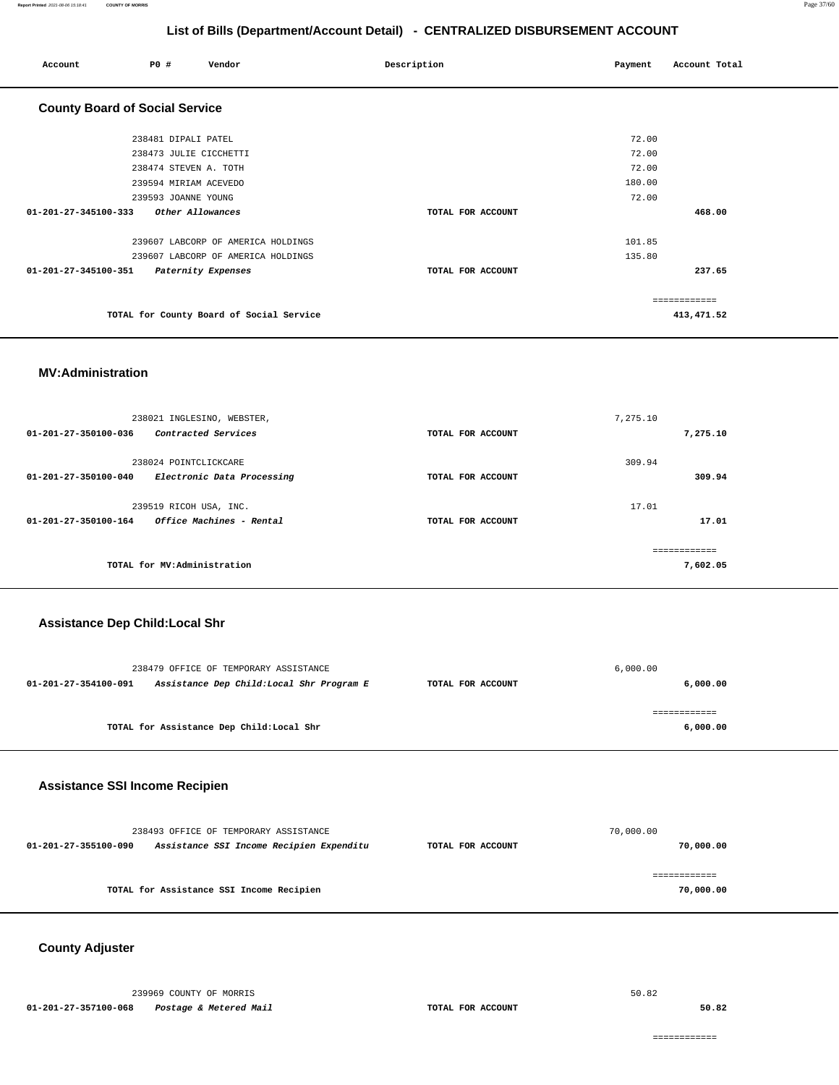| Account                               | PO#                    | Vendor                                   | Description |                   | Payment | Account Total |
|---------------------------------------|------------------------|------------------------------------------|-------------|-------------------|---------|---------------|
| <b>County Board of Social Service</b> |                        |                                          |             |                   |         |               |
|                                       | 238481 DIPALI PATEL    |                                          |             |                   | 72.00   |               |
|                                       | 238473 JULIE CICCHETTI |                                          |             |                   | 72.00   |               |
|                                       | 238474 STEVEN A. TOTH  |                                          |             |                   | 72.00   |               |
|                                       | 239594 MIRIAM ACEVEDO  |                                          |             |                   | 180.00  |               |
|                                       | 239593 JOANNE YOUNG    |                                          |             |                   | 72.00   |               |
| 01-201-27-345100-333                  |                        | Other Allowances                         |             | TOTAL FOR ACCOUNT |         | 468.00        |
|                                       |                        | 239607 LABCORP OF AMERICA HOLDINGS       |             |                   | 101.85  |               |
|                                       |                        | 239607 LABCORP OF AMERICA HOLDINGS       |             |                   | 135.80  |               |
| 01-201-27-345100-351                  |                        | Paternity Expenses                       |             | TOTAL FOR ACCOUNT |         | 237.65        |
|                                       |                        |                                          |             |                   |         | ============  |
|                                       |                        | TOTAL for County Board of Social Service |             |                   |         | 413,471.52    |

#### **MV:Administration**

| 238021 INGLESINO, WEBSTER,<br>Contracted Services<br>$01 - 201 - 27 - 350100 - 036$      | TOTAL FOR ACCOUNT | 7,275.10<br>7,275.10      |        |
|------------------------------------------------------------------------------------------|-------------------|---------------------------|--------|
| 238024 POINTCLICKCARE<br>01-201-27-350100-040<br>Electronic Data Processing              | TOTAL FOR ACCOUNT | 309.94                    | 309.94 |
| 239519 RICOH USA, INC.<br><i><b>Office Machines - Rental</b></i><br>01-201-27-350100-164 | TOTAL FOR ACCOUNT | 17.01                     | 17.01  |
| TOTAL for MV:Administration                                                              |                   | -------------<br>7,602.05 |        |

#### **Assistance Dep Child:Local Shr**

|                      | 238479 OFFICE OF TEMPORARY ASSISTANCE     |                   | 6,000.00 |
|----------------------|-------------------------------------------|-------------------|----------|
| 01-201-27-354100-091 | Assistance Dep Child: Local Shr Program E | TOTAL FOR ACCOUNT | 6,000.00 |
|                      |                                           |                   |          |
|                      |                                           |                   |          |
|                      | TOTAL for Assistance Dep Child:Local Shr  |                   | 6,000.00 |
|                      |                                           |                   |          |

### **Assistance SSI Income Recipien**

|                      | 238493 OFFICE OF TEMPORARY ASSISTANCE    |                   | 70,000.00 |
|----------------------|------------------------------------------|-------------------|-----------|
| 01-201-27-355100-090 | Assistance SSI Income Recipien Expenditu | TOTAL FOR ACCOUNT | 70,000.00 |
|                      | TOTAL for Assistance SSI Income Recipien |                   | 70,000.00 |

### **County Adjuster**

239969 COUNTY OF MORRIS **01-201-27-357100-068 Postage & Metered Mail TOTAL FOR ACCOUNT** 

50.82

**50.82**

============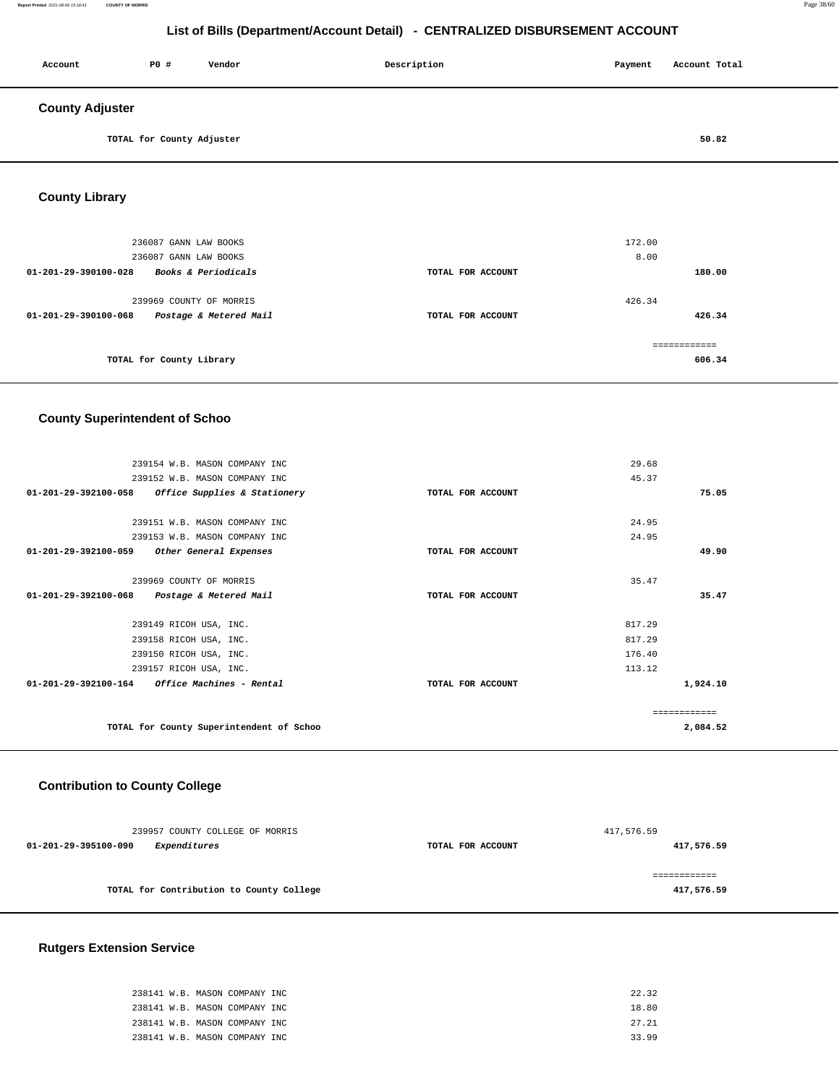#### **Report Printed** 2021-08-06 15:18:41 **COUNTY OF MORRIS** Page 38/60

## **List of Bills (Department/Account Detail) - CENTRALIZED DISBURSEMENT ACCOUNT**

| Account                | PO#                       | Vendor | Description | Payment | Account Total |  |
|------------------------|---------------------------|--------|-------------|---------|---------------|--|
| <b>County Adjuster</b> |                           |        |             |         |               |  |
|                        | TOTAL for County Adjuster |        |             |         | 50.82         |  |

**County Library** 

|                                | 236087 GANN LAW BOOKS          |                   | 172.00 |
|--------------------------------|--------------------------------|-------------------|--------|
|                                | 236087 GANN LAW BOOKS          |                   | 8.00   |
| 01-201-29-390100-028           | <i>Books &amp; Periodicals</i> | TOTAL FOR ACCOUNT | 180.00 |
|                                |                                |                   |        |
|                                | 239969 COUNTY OF MORRIS        |                   | 426.34 |
| $01 - 201 - 29 - 390100 - 068$ | Postage & Metered Mail         | TOTAL FOR ACCOUNT | 426.34 |
|                                |                                |                   |        |
|                                |                                |                   |        |
|                                | TOTAL for County Library       |                   | 606.34 |
|                                |                                |                   |        |

### **County Superintendent of Schoo**

| 239154 W.B. MASON COMPANY INC                           |                   | 29.68        |
|---------------------------------------------------------|-------------------|--------------|
| 239152 W.B. MASON COMPANY INC                           |                   | 45.37        |
| 01-201-29-392100-058<br>Office Supplies & Stationery    | TOTAL FOR ACCOUNT | 75.05        |
|                                                         |                   |              |
| 239151 W.B. MASON COMPANY INC                           |                   | 24.95        |
| 239153 W.B. MASON COMPANY INC                           |                   | 24.95        |
| 01-201-29-392100-059 Other General Expenses             | TOTAL FOR ACCOUNT | 49.90        |
|                                                         |                   |              |
| 239969 COUNTY OF MORRIS                                 |                   | 35.47        |
| 01-201-29-392100-068 Postage & Metered Mail             | TOTAL FOR ACCOUNT | 35.47        |
|                                                         |                   |              |
| 239149 RICOH USA, INC.                                  |                   | 817.29       |
| 239158 RICOH USA, INC.                                  |                   | 817.29       |
| 239150 RICOH USA, INC.                                  |                   | 176.40       |
| 239157 RICOH USA, INC.                                  |                   | 113.12       |
| $01 - 201 - 29 - 392100 - 164$ Office Machines - Rental | TOTAL FOR ACCOUNT | 1,924.10     |
|                                                         |                   |              |
|                                                         |                   | ============ |
| TOTAL for County Superintendent of Schoo                |                   | 2,084.52     |
|                                                         |                   |              |

### **Contribution to County College**

| 239957 COUNTY COLLEGE OF MORRIS          |                   | 417,576.59 |
|------------------------------------------|-------------------|------------|
| 01-201-29-395100-090<br>Expenditures     | TOTAL FOR ACCOUNT | 417,576.59 |
|                                          |                   |            |
| TOTAL for Contribution to County College |                   | 417,576.59 |
|                                          |                   |            |

### **Rutgers Extension Service**

| 238141 W.B. MASON COMPANY INC | 22.32 |
|-------------------------------|-------|
| 238141 W.B. MASON COMPANY INC | 18.80 |
| 238141 W.B. MASON COMPANY INC | 27.21 |
| 238141 W.B. MASON COMPANY INC | 33 99 |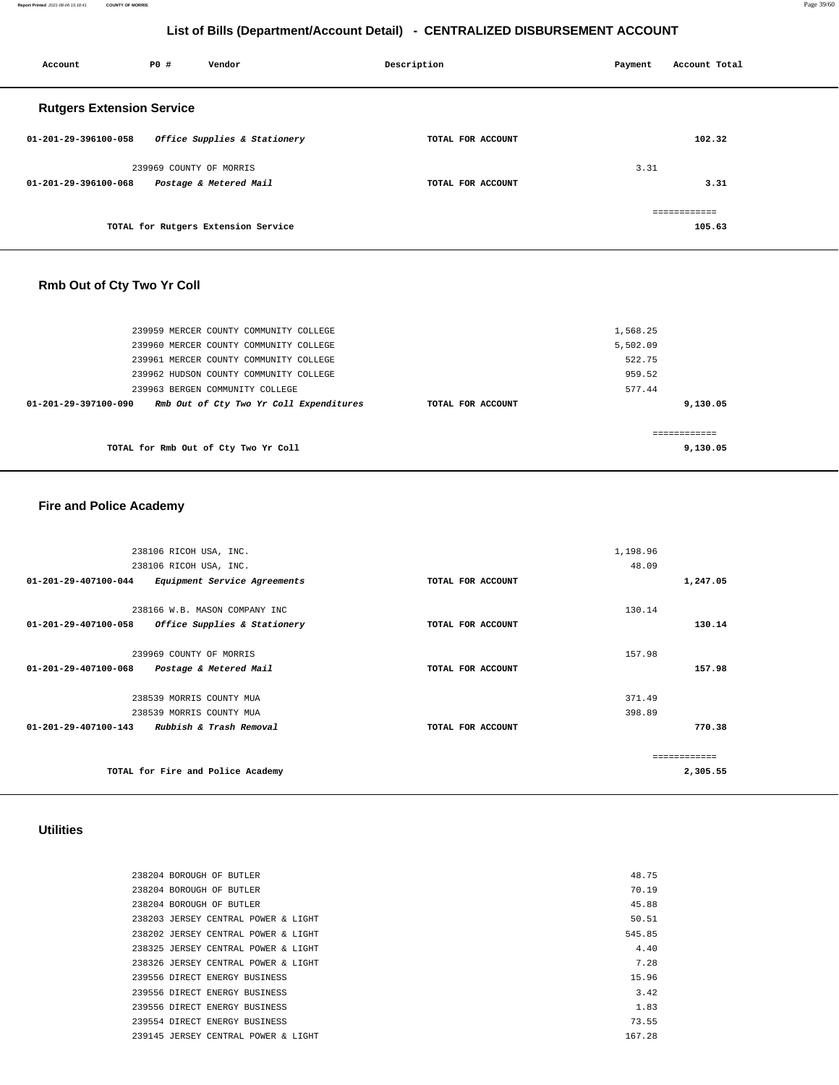**Report Printed** 2021-08-06 15:18:41 **COUNTY OF MORRIS** Page 39/60

## **List of Bills (Department/Account Detail) - CENTRALIZED DISBURSEMENT ACCOUNT**

| Account                          | P0 #                    | Vendor                              | Description       | Payment | Account Total |
|----------------------------------|-------------------------|-------------------------------------|-------------------|---------|---------------|
| <b>Rutgers Extension Service</b> |                         |                                     |                   |         |               |
| 01-201-29-396100-058             |                         | Office Supplies & Stationery        | TOTAL FOR ACCOUNT |         | 102.32        |
|                                  | 239969 COUNTY OF MORRIS |                                     |                   | 3.31    |               |
| 01-201-29-396100-068             |                         | Postage & Metered Mail              | TOTAL FOR ACCOUNT |         | 3.31          |
|                                  |                         |                                     |                   |         | ============  |
|                                  |                         | TOTAL for Rutgers Extension Service |                   |         | 105.63        |

## **Rmb Out of Cty Two Yr Coll**

| 239959 MERCER COUNTY COMMUNITY COLLEGE                          |                   | 1,568.25 |
|-----------------------------------------------------------------|-------------------|----------|
| 239960 MERCER COUNTY COMMUNITY COLLEGE                          |                   | 5,502.09 |
| 239961 MERCER COUNTY COMMUNITY COLLEGE                          |                   | 522.75   |
| 239962 HUDSON COUNTY COMMUNITY COLLEGE                          |                   | 959.52   |
| 239963 BERGEN COMMUNITY COLLEGE                                 |                   | 577.44   |
| Rmb Out of Cty Two Yr Coll Expenditures<br>01-201-29-397100-090 | TOTAL FOR ACCOUNT | 9,130.05 |
|                                                                 |                   |          |
| TOTAL for Rmb Out of Cty Two Yr Coll                            |                   | 9,130.05 |
|                                                                 |                   |          |

### **Fire and Police Academy**

| 238106 RICOH USA, INC.                               | 1,198.96          |               |
|------------------------------------------------------|-------------------|---------------|
| 238106 RICOH USA, INC.                               | 48.09             |               |
| 01-201-29-407100-044<br>Equipment Service Agreements | TOTAL FOR ACCOUNT | 1,247.05      |
| 238166 W.B. MASON COMPANY INC                        | 130.14            |               |
| 01-201-29-407100-058<br>Office Supplies & Stationery | TOTAL FOR ACCOUNT | 130.14        |
| 239969 COUNTY OF MORRIS                              | 157.98            |               |
| 01-201-29-407100-068<br>Postage & Metered Mail       | TOTAL FOR ACCOUNT | 157.98        |
|                                                      |                   |               |
| 238539 MORRIS COUNTY MUA                             | 371.49            |               |
| 238539 MORRIS COUNTY MUA                             | 398.89            |               |
| 01-201-29-407100-143<br>Rubbish & Trash Removal      | TOTAL FOR ACCOUNT | 770.38        |
|                                                      |                   | ------------- |
| TOTAL for Fire and Police Academy                    |                   | 2,305.55      |
|                                                      |                   |               |

### **Utilities**

|  | 238204 BOROUGH OF BUTLER            | 48.75  |
|--|-------------------------------------|--------|
|  | 238204 BOROUGH OF BUTLER            | 70.19  |
|  | 238204 BOROUGH OF BUTLER            | 45.88  |
|  | 238203 JERSEY CENTRAL POWER & LIGHT | 50.51  |
|  | 238202 JERSEY CENTRAL POWER & LIGHT | 545.85 |
|  | 238325 JERSEY CENTRAL POWER & LIGHT | 4.40   |
|  | 238326 JERSEY CENTRAL POWER & LIGHT | 7.28   |
|  | 239556 DIRECT ENERGY BUSINESS       | 15.96  |
|  | 239556 DIRECT ENERGY BUSINESS       | 3.42   |
|  | 239556 DIRECT ENERGY BUSINESS       | 1.83   |
|  | 239554 DIRECT ENERGY BUSINESS       | 73.55  |
|  | 239145 JERSEY CENTRAL POWER & LIGHT | 167.28 |
|  |                                     |        |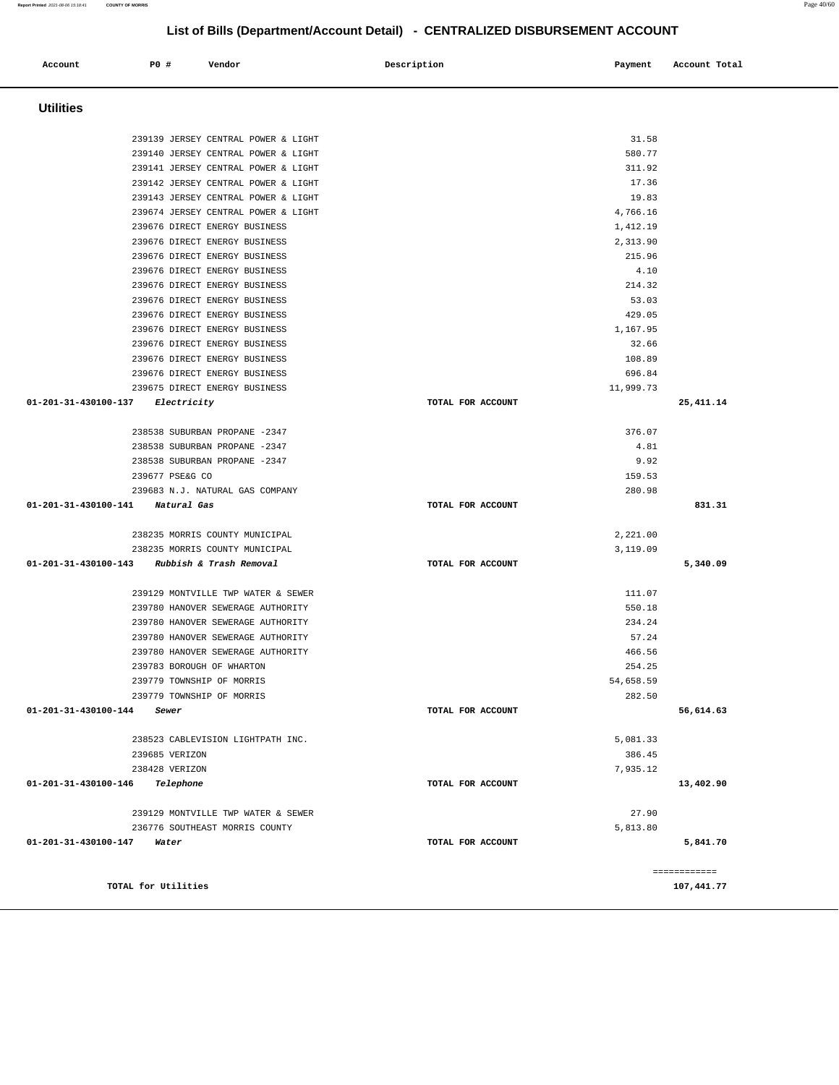| Account                                      | <b>PO #</b> |                     | Vendor                                                                 | Description       | Payment          | Account Total |
|----------------------------------------------|-------------|---------------------|------------------------------------------------------------------------|-------------------|------------------|---------------|
|                                              |             |                     |                                                                        |                   |                  |               |
| <b>Utilities</b>                             |             |                     |                                                                        |                   |                  |               |
|                                              |             |                     | 239139 JERSEY CENTRAL POWER & LIGHT                                    |                   | 31.58            |               |
|                                              |             |                     | 239140 JERSEY CENTRAL POWER & LIGHT                                    |                   | 580.77           |               |
|                                              |             |                     | 239141 JERSEY CENTRAL POWER & LIGHT                                    |                   | 311.92           |               |
|                                              |             |                     | 239142 JERSEY CENTRAL POWER & LIGHT                                    |                   | 17.36            |               |
|                                              |             |                     | 239143 JERSEY CENTRAL POWER & LIGHT                                    |                   | 19.83            |               |
|                                              |             |                     | 239674 JERSEY CENTRAL POWER & LIGHT                                    |                   | 4,766.16         |               |
|                                              |             |                     | 239676 DIRECT ENERGY BUSINESS                                          |                   | 1,412.19         |               |
|                                              |             |                     | 239676 DIRECT ENERGY BUSINESS                                          |                   | 2,313.90         |               |
|                                              |             |                     | 239676 DIRECT ENERGY BUSINESS                                          |                   | 215.96           |               |
|                                              |             |                     | 239676 DIRECT ENERGY BUSINESS                                          |                   | 4.10             |               |
|                                              |             |                     | 239676 DIRECT ENERGY BUSINESS                                          |                   | 214.32           |               |
|                                              |             |                     | 239676 DIRECT ENERGY BUSINESS                                          |                   | 53.03            |               |
|                                              |             |                     | 239676 DIRECT ENERGY BUSINESS                                          |                   | 429.05           |               |
|                                              |             |                     | 239676 DIRECT ENERGY BUSINESS                                          |                   | 1,167.95         |               |
|                                              |             |                     | 239676 DIRECT ENERGY BUSINESS                                          |                   | 32.66            |               |
|                                              |             |                     | 239676 DIRECT ENERGY BUSINESS                                          |                   | 108.89           |               |
|                                              |             |                     | 239676 DIRECT ENERGY BUSINESS                                          |                   | 696.84           |               |
|                                              |             |                     | 239675 DIRECT ENERGY BUSINESS                                          |                   | 11,999.73        |               |
| 01-201-31-430100-137 Electricity             |             |                     |                                                                        | TOTAL FOR ACCOUNT |                  | 25, 411.14    |
|                                              |             |                     | 238538 SUBURBAN PROPANE -2347                                          |                   | 376.07           |               |
|                                              |             |                     | 238538 SUBURBAN PROPANE -2347                                          |                   | 4.81             |               |
|                                              |             |                     | 238538 SUBURBAN PROPANE -2347                                          |                   | 9.92             |               |
|                                              |             | 239677 PSE&G CO     |                                                                        |                   | 159.53           |               |
|                                              |             |                     | 239683 N.J. NATURAL GAS COMPANY                                        |                   | 280.98           |               |
| 01-201-31-430100-141                         |             | Natural Gas         |                                                                        | TOTAL FOR ACCOUNT |                  | 831.31        |
|                                              |             |                     | 238235 MORRIS COUNTY MUNICIPAL                                         |                   | 2,221.00         |               |
|                                              |             |                     | 238235 MORRIS COUNTY MUNICIPAL                                         |                   | 3,119.09         |               |
| 01-201-31-430100-143 Rubbish & Trash Removal |             |                     |                                                                        | TOTAL FOR ACCOUNT |                  | 5,340.09      |
|                                              |             |                     | 239129 MONTVILLE TWP WATER & SEWER                                     |                   |                  |               |
|                                              |             |                     |                                                                        |                   | 111.07<br>550.18 |               |
|                                              |             |                     | 239780 HANOVER SEWERAGE AUTHORITY<br>239780 HANOVER SEWERAGE AUTHORITY |                   | 234.24           |               |
|                                              |             |                     | 239780 HANOVER SEWERAGE AUTHORITY                                      |                   | 57.24            |               |
|                                              |             |                     | 239780 HANOVER SEWERAGE AUTHORITY                                      |                   | 466.56           |               |
|                                              |             |                     | 239783 BOROUGH OF WHARTON                                              |                   | 254.25           |               |
|                                              |             |                     | 239779 TOWNSHIP OF MORRIS                                              |                   | 54,658.59        |               |
|                                              |             |                     | 239779 TOWNSHIP OF MORRIS                                              |                   | 282.50           |               |
| 01-201-31-430100-144                         |             | Sewer               |                                                                        | TOTAL FOR ACCOUNT |                  | 56,614.63     |
|                                              |             |                     | 238523 CABLEVISION LIGHTPATH INC.                                      |                   | 5,081.33         |               |
|                                              |             | 239685 VERIZON      |                                                                        |                   | 386.45           |               |
|                                              |             | 238428 VERIZON      |                                                                        |                   | 7.935.12         |               |
| 01-201-31-430100-146                         |             | Telephone           |                                                                        | TOTAL FOR ACCOUNT |                  | 13,402.90     |
|                                              |             |                     | 239129 MONTVILLE TWP WATER & SEWER                                     |                   | 27.90            |               |
|                                              |             |                     | 236776 SOUTHEAST MORRIS COUNTY                                         |                   | 5,813.80         |               |
| 01-201-31-430100-147                         | Water       |                     |                                                                        | TOTAL FOR ACCOUNT |                  | 5,841.70      |
|                                              |             |                     |                                                                        |                   |                  |               |
|                                              |             |                     |                                                                        |                   |                  | ============  |
|                                              |             | TOTAL for Utilities |                                                                        |                   |                  | 107,441.77    |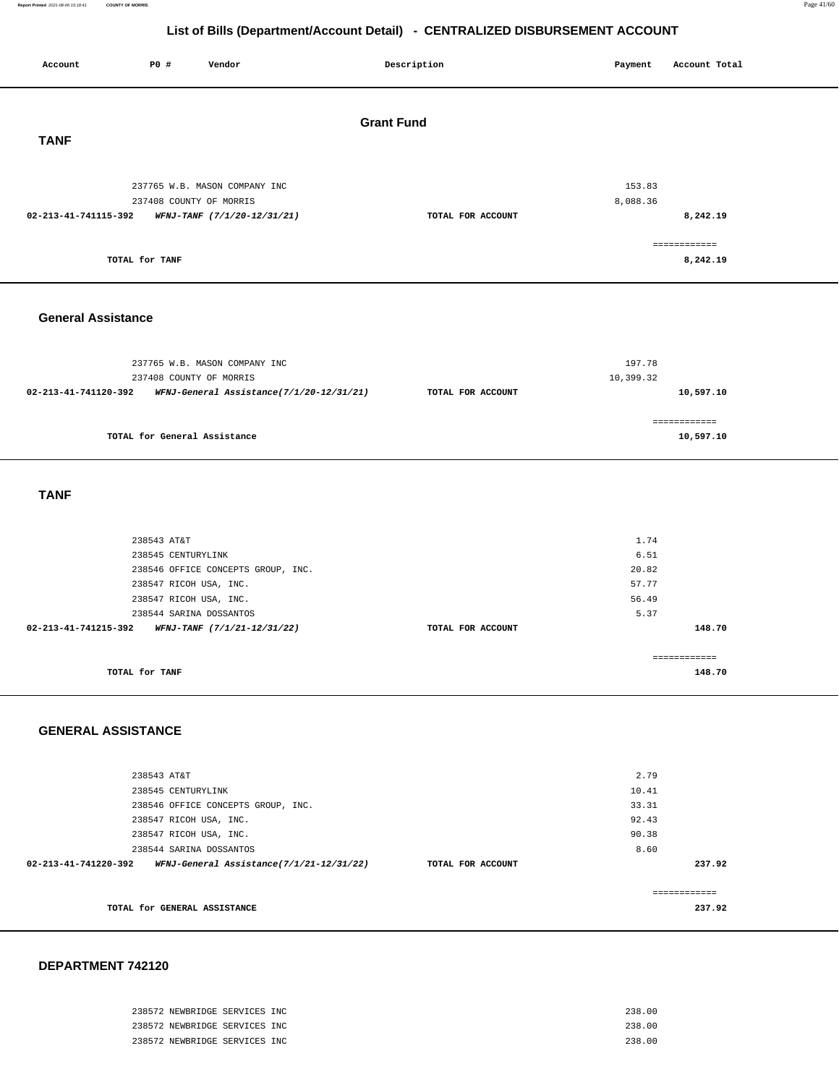#### **Report Printed** 2021-08-06 15:18:41 **COUNTY OF MORRIS** Page 41/60

## **List of Bills (Department/Account Detail) - CENTRALIZED DISBURSEMENT ACCOUNT**

| Account                   | P0 #                                             | Vendor                                   |  | Description       | Payment             | Account Total             |  |  |
|---------------------------|--------------------------------------------------|------------------------------------------|--|-------------------|---------------------|---------------------------|--|--|
| <b>Grant Fund</b>         |                                                  |                                          |  |                   |                     |                           |  |  |
| <b>TANF</b>               |                                                  |                                          |  |                   |                     |                           |  |  |
|                           | 237408 COUNTY OF MORRIS                          | 237765 W.B. MASON COMPANY INC            |  |                   | 153.83<br>8,088.36  |                           |  |  |
| 02-213-41-741115-392      |                                                  | WFNJ-TANF (7/1/20-12/31/21)              |  | TOTAL FOR ACCOUNT |                     | 8,242.19                  |  |  |
|                           | TOTAL for TANF                                   |                                          |  |                   |                     | ============<br>8,242.19  |  |  |
| <b>General Assistance</b> |                                                  |                                          |  |                   |                     |                           |  |  |
|                           | 237408 COUNTY OF MORRIS                          | 237765 W.B. MASON COMPANY INC            |  |                   | 197.78<br>10,399.32 |                           |  |  |
| 02-213-41-741120-392      |                                                  | WFNJ-General Assistance(7/1/20-12/31/21) |  | TOTAL FOR ACCOUNT |                     | 10,597.10                 |  |  |
|                           | TOTAL for General Assistance                     |                                          |  |                   |                     | ============<br>10,597.10 |  |  |
| <b>TANF</b>               |                                                  |                                          |  |                   |                     |                           |  |  |
|                           | 238543 AT&T                                      |                                          |  |                   | 1.74                |                           |  |  |
|                           | 238545 CENTURYLINK                               |                                          |  |                   | 6.51                |                           |  |  |
|                           |                                                  | 238546 OFFICE CONCEPTS GROUP, INC.       |  |                   | 20.82<br>57.77      |                           |  |  |
|                           | 238547 RICOH USA, INC.<br>238547 RICOH USA, INC. |                                          |  |                   | 56.49               |                           |  |  |
|                           | 238544 SARINA DOSSANTOS                          |                                          |  |                   | 5.37                |                           |  |  |
| 02-213-41-741215-392      |                                                  | WFNJ-TANF (7/1/21-12/31/22)              |  | TOTAL FOR ACCOUNT |                     | 148.70                    |  |  |
|                           | TOTAL for TANF                                   |                                          |  |                   |                     | ============<br>148.70    |  |  |
| <b>GENERAL ASSISTANCE</b> |                                                  |                                          |  |                   |                     |                           |  |  |
|                           | 238543 AT&T                                      |                                          |  |                   | 2.79                |                           |  |  |
|                           | 238545 CENTURYLINK                               |                                          |  |                   | 10.41               |                           |  |  |
|                           |                                                  | 238546 OFFICE CONCEPTS GROUP, INC.       |  |                   | 33.31<br>92.43      |                           |  |  |
|                           | 238547 RICOH USA, INC.<br>238547 RICOH USA, INC. |                                          |  |                   | 90.38               |                           |  |  |
|                           | 238544 SARINA DOSSANTOS                          |                                          |  |                   | 8.60                |                           |  |  |
| 02-213-41-741220-392      |                                                  | WFNJ-General Assistance(7/1/21-12/31/22) |  | TOTAL FOR ACCOUNT |                     | 237.92                    |  |  |
|                           |                                                  |                                          |  |                   |                     | ============              |  |  |
|                           | TOTAL for GENERAL ASSISTANCE                     |                                          |  |                   |                     | 237.92                    |  |  |

| 238572 NEWBRIDGE SERVICES INC | 238.00 |
|-------------------------------|--------|
| 238572 NEWBRIDGE SERVICES INC | 238.00 |
| 238572 NEWBRIDGE SERVICES INC | 238.00 |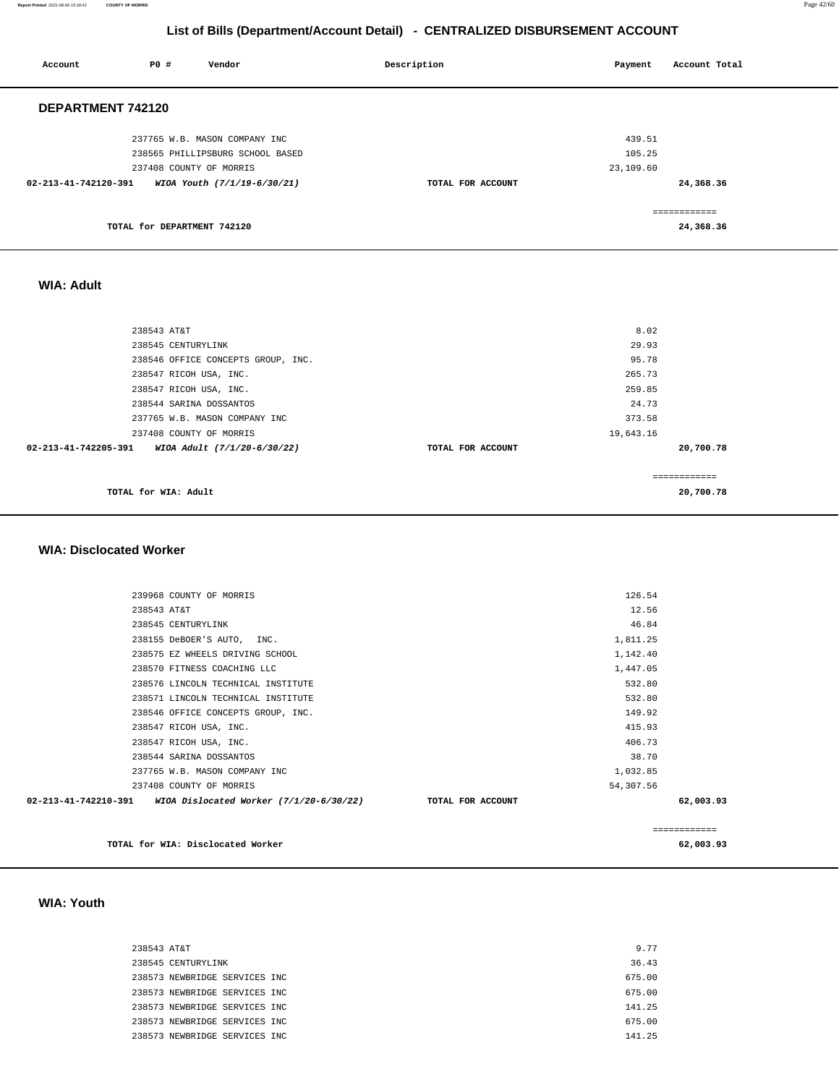#### **Report Printed** 2021-08-06 15:18:41 **COUNTY OF MORRIS** Page 42/60

## **List of Bills (Department/Account Detail) - CENTRALIZED DISBURSEMENT ACCOUNT**

| Account              | P0 #                        | Vendor                           | Description       | Payment   | Account Total |
|----------------------|-----------------------------|----------------------------------|-------------------|-----------|---------------|
| DEPARTMENT 742120    |                             |                                  |                   |           |               |
|                      |                             | 237765 W.B. MASON COMPANY INC    |                   | 439.51    |               |
|                      |                             | 238565 PHILLIPSBURG SCHOOL BASED |                   | 105.25    |               |
|                      |                             | 237408 COUNTY OF MORRIS          |                   | 23,109.60 |               |
| 02-213-41-742120-391 |                             | WIOA Youth (7/1/19-6/30/21)      | TOTAL FOR ACCOUNT |           | 24,368.36     |
|                      |                             |                                  |                   |           | ============  |
|                      | TOTAL for DEPARTMENT 742120 |                                  |                   |           | 24,368.36     |
|                      |                             |                                  |                   |           |               |

#### **WIA: Adult**

| 238543 AT&T                                                   |                   | 8.02          |
|---------------------------------------------------------------|-------------------|---------------|
| 238545 CENTURYLINK                                            |                   | 29.93         |
| 238546 OFFICE CONCEPTS GROUP, INC.                            |                   | 95.78         |
| 238547 RICOH USA, INC.                                        |                   | 265.73        |
| 238547 RICOH USA, INC.                                        |                   | 259.85        |
| 238544 SARINA DOSSANTOS                                       |                   | 24.73         |
| 237765 W.B. MASON COMPANY INC                                 |                   | 373.58        |
| 237408 COUNTY OF MORRIS                                       |                   | 19,643.16     |
| $02 - 213 - 41 - 742205 - 391$<br>WIOA Adult (7/1/20-6/30/22) | TOTAL FOR ACCOUNT | 20,700.78     |
|                                                               |                   | ------------- |
| TOTAL for WIA: Adult                                          |                   | 20,700.78     |

#### **WIA: Disclocated Worker**

| 239968 COUNTY OF MORRIS                                                            | 126.54    |              |
|------------------------------------------------------------------------------------|-----------|--------------|
| 238543 AT&T                                                                        | 12.56     |              |
| 238545 CENTURYLINK                                                                 | 46.84     |              |
| 238155 DeBOER'S AUTO, INC.                                                         | 1,811.25  |              |
| 238575 EZ WHEELS DRIVING SCHOOL                                                    | 1,142.40  |              |
| 238570 FITNESS COACHING LLC                                                        | 1,447.05  |              |
| 238576 LINCOLN TECHNICAL INSTITUTE                                                 | 532.80    |              |
| 238571 LINCOLN TECHNICAL INSTITUTE                                                 | 532.80    |              |
| 238546 OFFICE CONCEPTS GROUP, INC.                                                 | 149.92    |              |
| 238547 RICOH USA, INC.                                                             | 415.93    |              |
| 238547 RICOH USA, INC.                                                             | 406.73    |              |
| 238544 SARINA DOSSANTOS                                                            | 38.70     |              |
| 237765 W.B. MASON COMPANY INC                                                      | 1,032.85  |              |
| 237408 COUNTY OF MORRIS                                                            | 54,307.56 |              |
| $02-213-41-742210-391$ WIOA Dislocated Worker $(7/1/20-6/30/22)$ TOTAL FOR ACCOUNT |           | 62,003.93    |
|                                                                                    |           | ============ |

 **WIA: Youth** 

| 238543 AT&T |                               |  | 9.77   |
|-------------|-------------------------------|--|--------|
|             | 238545 CENTURYLINK            |  | 36.43  |
|             | 238573 NEWBRIDGE SERVICES INC |  | 675.00 |
|             | 238573 NEWBRIDGE SERVICES INC |  | 675.00 |
|             | 238573 NEWBRIDGE SERVICES INC |  | 141.25 |
|             | 238573 NEWBRIDGE SERVICES INC |  | 675.00 |
|             | 238573 NEWBRIDGE SERVICES INC |  | 141.25 |
|             |                               |  |        |

**TOTAL for WIA: Disclocated Worker 62,003.93**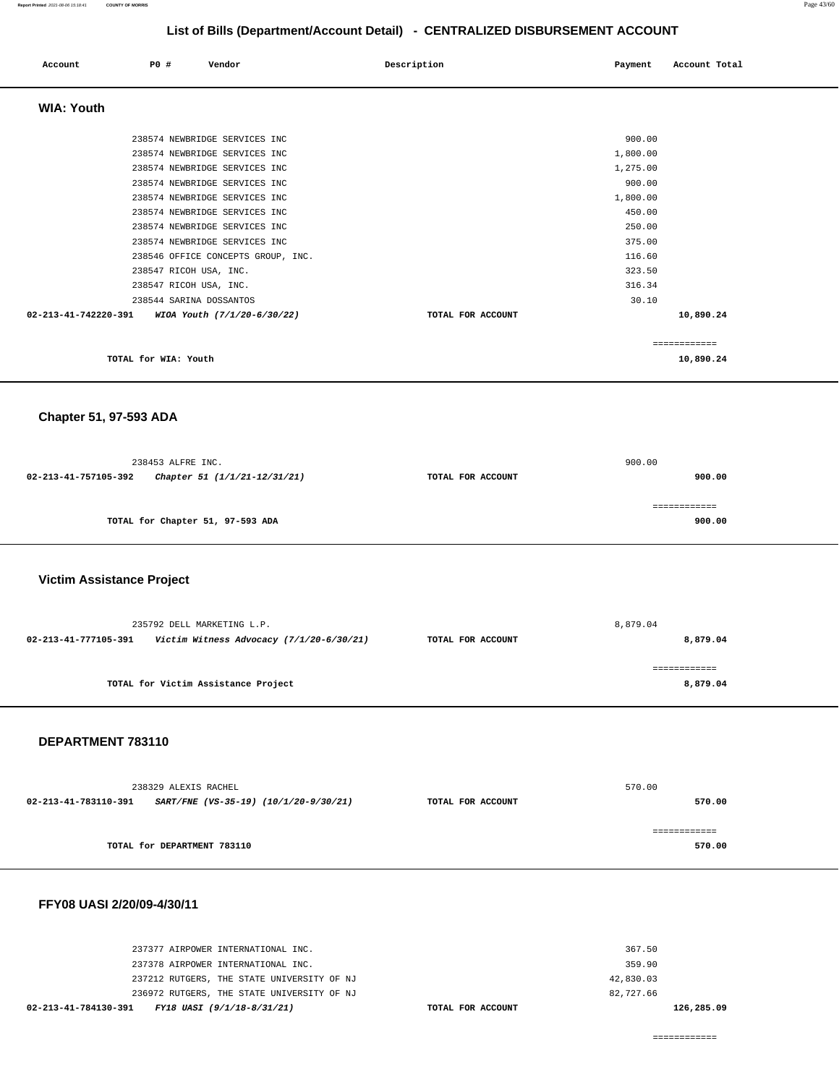| Account              | <b>PO #</b>                                      | Vendor                                                                                                                                                                                                                                                                                                     | Description       | Payment                                                                                                          | Account Total             |
|----------------------|--------------------------------------------------|------------------------------------------------------------------------------------------------------------------------------------------------------------------------------------------------------------------------------------------------------------------------------------------------------------|-------------------|------------------------------------------------------------------------------------------------------------------|---------------------------|
| <b>WIA: Youth</b>    |                                                  |                                                                                                                                                                                                                                                                                                            |                   |                                                                                                                  |                           |
|                      | 238547 RICOH USA, INC.<br>238547 RICOH USA, INC. | 238574 NEWBRIDGE SERVICES INC<br>238574 NEWBRIDGE SERVICES INC<br>238574 NEWBRIDGE SERVICES INC<br>238574 NEWBRIDGE SERVICES INC<br>238574 NEWBRIDGE SERVICES INC<br>238574 NEWBRIDGE SERVICES INC<br>238574 NEWBRIDGE SERVICES INC<br>238574 NEWBRIDGE SERVICES INC<br>238546 OFFICE CONCEPTS GROUP, INC. |                   | 900.00<br>1,800.00<br>1,275.00<br>900.00<br>1,800.00<br>450.00<br>250.00<br>375.00<br>116.60<br>323.50<br>316.34 |                           |
| 02-213-41-742220-391 | 238544 SARINA DOSSANTOS                          | WIOA Youth (7/1/20-6/30/22)                                                                                                                                                                                                                                                                                | TOTAL FOR ACCOUNT | 30.10                                                                                                            | 10,890.24                 |
|                      | TOTAL for WIA: Youth                             |                                                                                                                                                                                                                                                                                                            |                   |                                                                                                                  | ============<br>10,890.24 |

 **Chapter 51, 97-593 ADA** 

|                      | 238453 ALFRE INC.                |                   | 900.00 |
|----------------------|----------------------------------|-------------------|--------|
| 02-213-41-757105-392 | Chapter 51 (1/1/21-12/31/21)     | TOTAL FOR ACCOUNT | 900.00 |
|                      |                                  |                   |        |
|                      |                                  |                   |        |
|                      | TOTAL for Chapter 51, 97-593 ADA |                   | 900.00 |
|                      |                                  |                   |        |

#### **Victim Assistance Project**

|                      | 235792 DELL MARKETING L.P.               | 8,879.04          |          |  |
|----------------------|------------------------------------------|-------------------|----------|--|
| 02-213-41-777105-391 | Victim Witness Advocacy (7/1/20-6/30/21) | TOTAL FOR ACCOUNT | 8,879.04 |  |
|                      |                                          |                   |          |  |
|                      | TOTAL for Victim Assistance Project      |                   | 8,879.04 |  |
|                      |                                          |                   |          |  |

#### **DEPARTMENT 783110**

|                      | 238329 ALEXIS RACHEL                  | 570.00            |        |  |
|----------------------|---------------------------------------|-------------------|--------|--|
| 02-213-41-783110-391 | SART/FNE (VS-35-19) (10/1/20-9/30/21) | TOTAL FOR ACCOUNT | 570.00 |  |
|                      |                                       |                   |        |  |
|                      | TOTAL for DEPARTMENT 783110           |                   | 570.00 |  |
|                      |                                       |                   |        |  |

#### **FFY08 UASI 2/20/09-4/30/11**

| 02-213-41-784130-391 FY18 UASI (9/1/18-8/31/21) | TOTAL FOR ACCOUNT |           | 126,285.09 |
|-------------------------------------------------|-------------------|-----------|------------|
| 236972 RUTGERS, THE STATE UNIVERSITY OF NJ      |                   | 82,727.66 |            |
| 237212 RUTGERS, THE STATE UNIVERSITY OF NJ      |                   | 42,830.03 |            |
| 237378 AIRPOWER INTERNATIONAL INC.              |                   | 359.90    |            |
| 237377 AIRPOWER INTERNATIONAL INC.              |                   | 367.50    |            |
|                                                 |                   |           |            |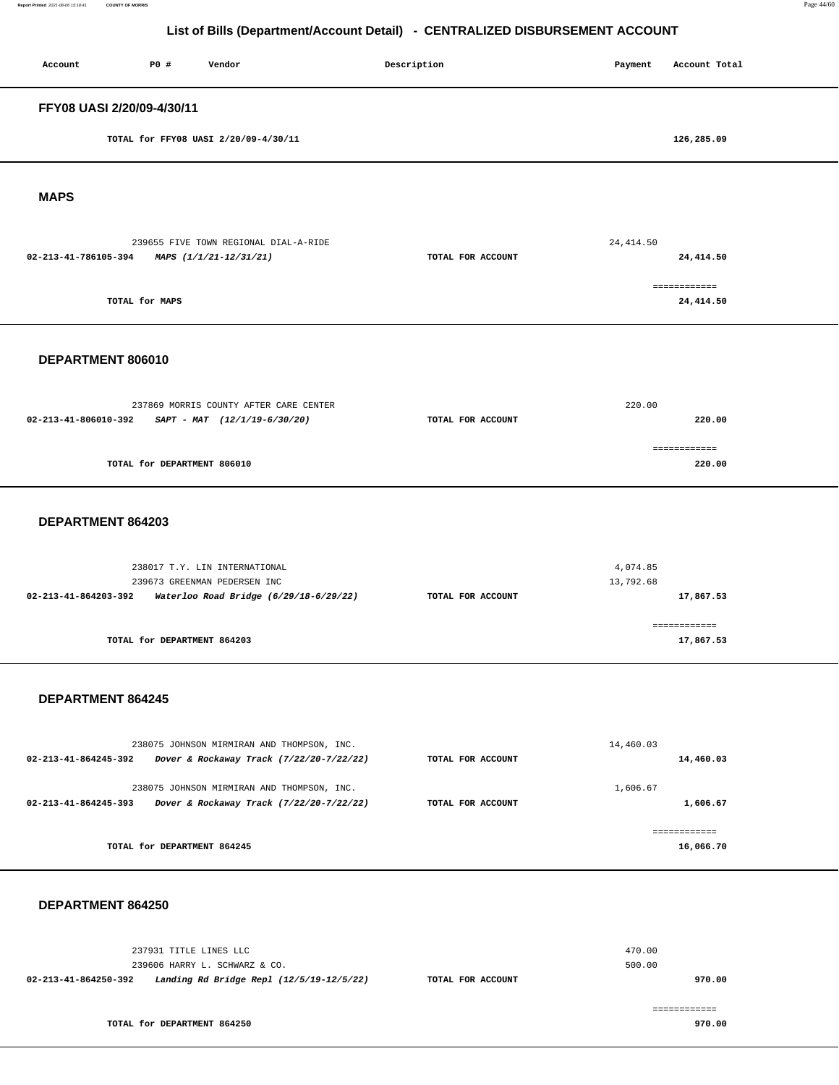**Report Printed** 2021-08-06 15:18:41 **COUNTY OF MORRIS** Page 44/60

## **List of Bills (Department/Account Detail) - CENTRALIZED DISBURSEMENT ACCOUNT**

| Account                                             | P0 #                        | Vendor                                                                                                  |  | Description       | Payment               | Account Total             |
|-----------------------------------------------------|-----------------------------|---------------------------------------------------------------------------------------------------------|--|-------------------|-----------------------|---------------------------|
| FFY08 UASI 2/20/09-4/30/11                          |                             |                                                                                                         |  |                   |                       |                           |
|                                                     |                             | TOTAL for FFY08 UASI 2/20/09-4/30/11                                                                    |  |                   |                       | 126,285.09                |
| <b>MAPS</b>                                         |                             |                                                                                                         |  |                   |                       |                           |
| 02-213-41-786105-394                                |                             | 239655 FIVE TOWN REGIONAL DIAL-A-RIDE<br>MAPS (1/1/21-12/31/21)                                         |  | TOTAL FOR ACCOUNT | 24, 414.50            | 24,414.50                 |
|                                                     | TOTAL for MAPS              |                                                                                                         |  |                   |                       | ============<br>24,414.50 |
| DEPARTMENT 806010                                   |                             |                                                                                                         |  |                   |                       |                           |
| 02-213-41-806010-392 SAPT - MAT $(12/1/19-6/30/20)$ |                             | 237869 MORRIS COUNTY AFTER CARE CENTER                                                                  |  | TOTAL FOR ACCOUNT | 220.00                | 220.00                    |
|                                                     | TOTAL for DEPARTMENT 806010 |                                                                                                         |  |                   |                       | ------------<br>220.00    |
| DEPARTMENT 864203                                   |                             |                                                                                                         |  |                   |                       |                           |
| 02-213-41-864203-392                                |                             | 238017 T.Y. LIN INTERNATIONAL<br>239673 GREENMAN PEDERSEN INC<br>Waterloo Road Bridge (6/29/18-6/29/22) |  | TOTAL FOR ACCOUNT | 4,074.85<br>13,792.68 | 17,867.53                 |
|                                                     | TOTAL for DEPARTMENT 864203 |                                                                                                         |  |                   |                       | ============<br>17,867.53 |
| DEPARTMENT 864245                                   |                             |                                                                                                         |  |                   |                       |                           |
| 02-213-41-864245-392                                |                             | 238075 JOHNSON MIRMIRAN AND THOMPSON, INC.<br>Dover & Rockaway Track (7/22/20-7/22/22)                  |  | TOTAL FOR ACCOUNT | 14,460.03             | 14,460.03                 |
| 02-213-41-864245-393                                |                             | 238075 JOHNSON MIRMIRAN AND THOMPSON, INC.<br>Dover & Rockaway Track (7/22/20-7/22/22)                  |  | TOTAL FOR ACCOUNT | 1,606.67              | 1,606.67                  |
|                                                     | TOTAL for DEPARTMENT 864245 |                                                                                                         |  |                   |                       | ============<br>16,066.70 |
| DEPARTMENT 864250                                   |                             |                                                                                                         |  |                   |                       |                           |
| 02-213-41-864250-392                                | 237931 TITLE LINES LLC      | 239606 HARRY L. SCHWARZ & CO.<br>Landing Rd Bridge Repl (12/5/19-12/5/22)                               |  | TOTAL FOR ACCOUNT | 470.00<br>500.00      | 970.00                    |

**TOTAL for DEPARTMENT 864250**  ============ **970.00**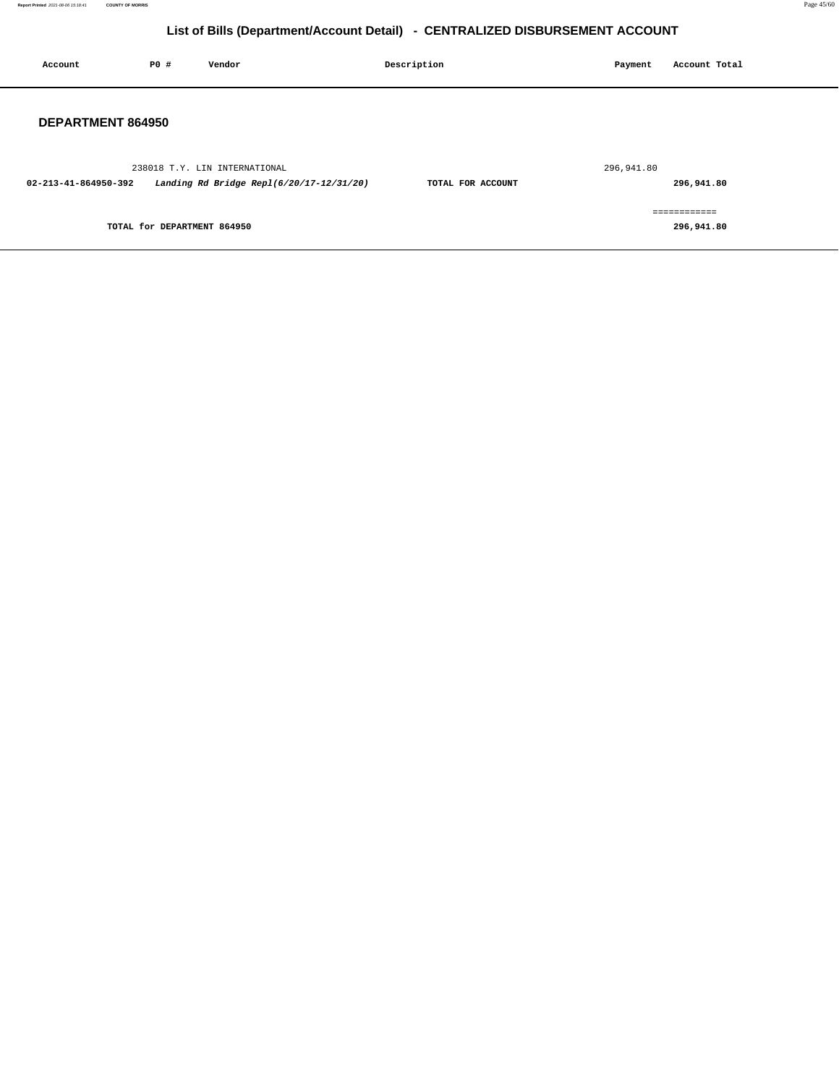**Report Printed** 2021-08-06 15:18:41 **COUNTY OF MORRIS** Page 45/60

## **List of Bills (Department/Account Detail) - CENTRALIZED DISBURSEMENT ACCOUNT**

| Account                  | P0 #                        | Vendor                                   | Description       | Payment    | Account Total |
|--------------------------|-----------------------------|------------------------------------------|-------------------|------------|---------------|
| <b>DEPARTMENT 864950</b> |                             |                                          |                   |            |               |
|                          |                             | 238018 T.Y. LIN INTERNATIONAL            |                   | 296,941.80 |               |
| 02-213-41-864950-392     |                             | Landing Rd Bridge Repl(6/20/17-12/31/20) | TOTAL FOR ACCOUNT |            | 296,941.80    |
|                          |                             |                                          |                   |            | ============  |
|                          | TOTAL for DEPARTMENT 864950 |                                          |                   |            | 296,941.80    |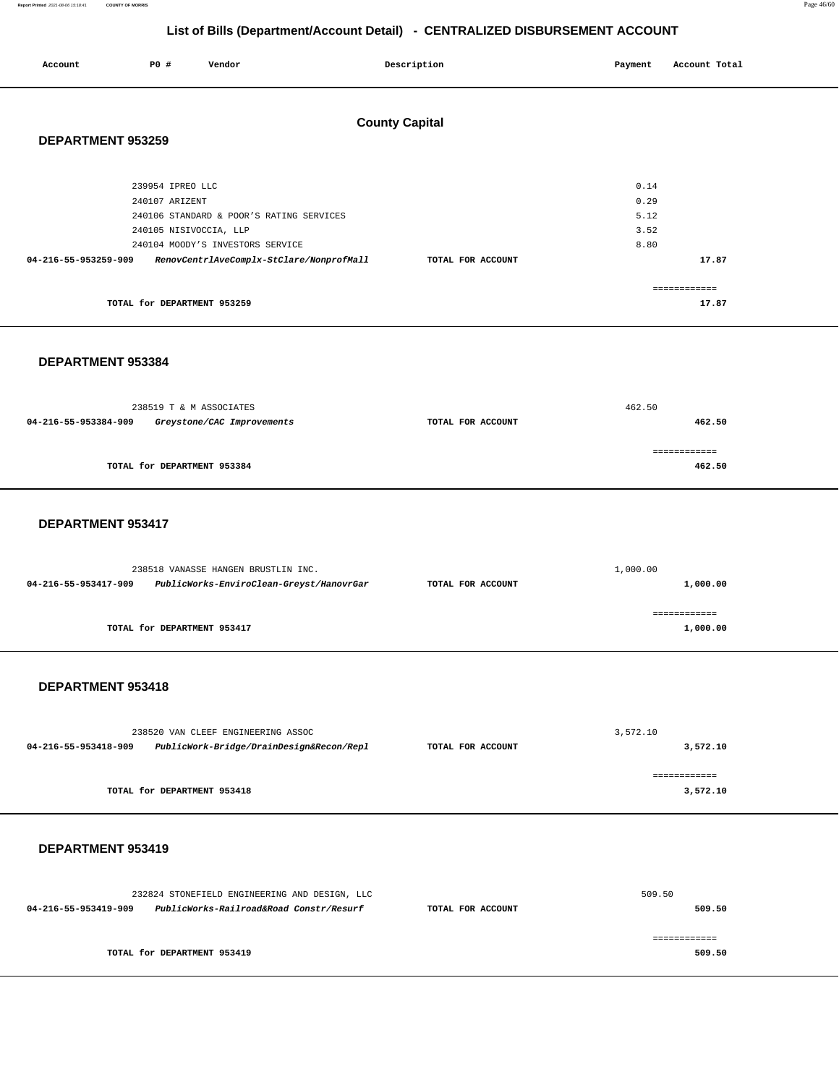#### **Report Printed** 2021-08-06 15:18:41 **COUNTY OF MORRIS** Page 46/60

## **List of Bills (Department/Account Detail) - CENTRALIZED DISBURSEMENT ACCOUNT**

| Account              | P0#                                | Vendor                                                                       | Description           | Payment      | Account Total         |
|----------------------|------------------------------------|------------------------------------------------------------------------------|-----------------------|--------------|-----------------------|
| DEPARTMENT 953259    |                                    |                                                                              | <b>County Capital</b> |              |                       |
|                      | 239954 IPREO LLC<br>240107 ARIZENT |                                                                              |                       | 0.14<br>0.29 |                       |
|                      | 240105 NISIVOCCIA, LLP             | 240106 STANDARD & POOR'S RATING SERVICES                                     |                       | 5.12<br>3.52 |                       |
| 04-216-55-953259-909 |                                    | 240104 MOODY'S INVESTORS SERVICE<br>RenovCentrlAveComplx-StClare/NonprofMall | TOTAL FOR ACCOUNT     | 8.80         | 17.87                 |
|                      | TOTAL for DEPARTMENT 953259        |                                                                              |                       |              | ============<br>17.87 |

#### **DEPARTMENT 953384**

|                      | 238519 T & M ASSOCIATES     | 462.50            |        |  |
|----------------------|-----------------------------|-------------------|--------|--|
| 04-216-55-953384-909 | Greystone/CAC Improvements  | TOTAL FOR ACCOUNT | 462.50 |  |
|                      |                             |                   |        |  |
|                      |                             |                   |        |  |
|                      | TOTAL for DEPARTMENT 953384 |                   | 462.50 |  |
|                      |                             |                   |        |  |

#### **DEPARTMENT 953417**

| 238518 VANASSE HANGEN BRUSTLIN INC. |                                          | 1,000.00                      |          |  |
|-------------------------------------|------------------------------------------|-------------------------------|----------|--|
| 04-216-55-953417-909                | PublicWorks-EnviroClean-Greyst/HanovrGar | 1,000.00<br>TOTAL FOR ACCOUNT |          |  |
|                                     |                                          |                               |          |  |
|                                     |                                          |                               |          |  |
|                                     | TOTAL for DEPARTMENT 953417              |                               | 1,000.00 |  |
|                                     |                                          |                               |          |  |

#### **DEPARTMENT 953418**

| 238520 VAN CLEEF ENGINEERING ASSOC                               |                             | 3,572.10          |          |  |
|------------------------------------------------------------------|-----------------------------|-------------------|----------|--|
| PublicWork-Bridge/DrainDesign&Recon/Repl<br>04-216-55-953418-909 |                             | TOTAL FOR ACCOUNT | 3,572.10 |  |
|                                                                  |                             |                   |          |  |
|                                                                  | TOTAL for DEPARTMENT 953418 |                   | 3,572.10 |  |

| 232824 STONEFIELD ENGINEERING AND DESIGN, LLC                                        | 509.50                      |  |        |
|--------------------------------------------------------------------------------------|-----------------------------|--|--------|
| PublicWorks-Railroad&Road Constr/Resurf<br>04-216-55-953419-909<br>TOTAL FOR ACCOUNT |                             |  | 509.50 |
|                                                                                      | TOTAL for DEPARTMENT 953419 |  | 509.50 |
|                                                                                      |                             |  |        |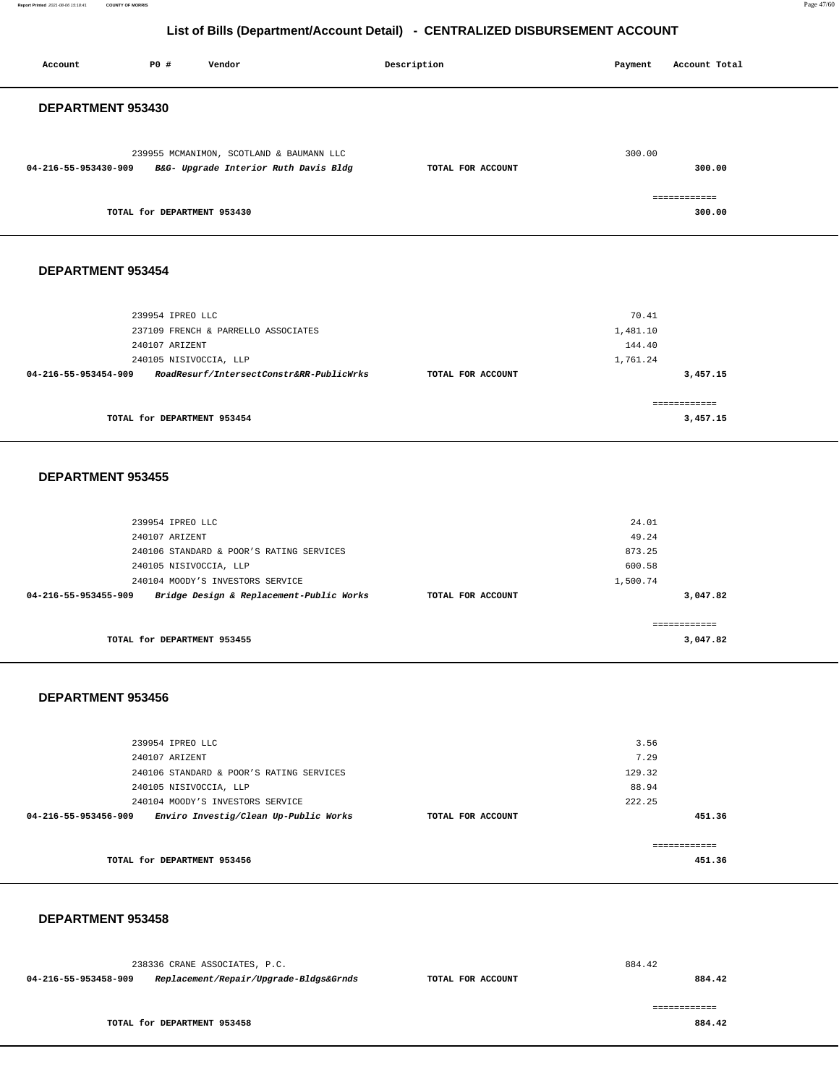**Report Printed** 2021-08-06 15:18:41 **COUNTY OF MORRIS** Page 47/60

## **List of Bills (Department/Account Detail) - CENTRALIZED DISBURSEMENT ACCOUNT**

| Account                  | P0 #<br>Vendor                                                                                                                                                                           | Description       | Payment                                        | Account Total            |  |
|--------------------------|------------------------------------------------------------------------------------------------------------------------------------------------------------------------------------------|-------------------|------------------------------------------------|--------------------------|--|
| DEPARTMENT 953430        |                                                                                                                                                                                          |                   |                                                |                          |  |
| 04-216-55-953430-909     | 239955 MCMANIMON, SCOTLAND & BAUMANN LLC<br>B&G- Upgrade Interior Ruth Davis Bldg                                                                                                        | TOTAL FOR ACCOUNT | 300.00                                         | 300.00                   |  |
|                          | TOTAL for DEPARTMENT 953430                                                                                                                                                              |                   |                                                | ============<br>300.00   |  |
| DEPARTMENT 953454        |                                                                                                                                                                                          |                   |                                                |                          |  |
| 04-216-55-953454-909     | 239954 IPREO LLC<br>237109 FRENCH & PARRELLO ASSOCIATES<br>240107 ARIZENT<br>240105 NISIVOCCIA, LLP<br>RoadResurf/IntersectConstr&RR-PublicWrks                                          | TOTAL FOR ACCOUNT | 70.41<br>1,481.10<br>144.40<br>1,761.24        | 3,457.15                 |  |
|                          | TOTAL for DEPARTMENT 953454                                                                                                                                                              |                   |                                                | ============<br>3,457.15 |  |
| <b>DEPARTMENT 953455</b> |                                                                                                                                                                                          |                   |                                                |                          |  |
| 04-216-55-953455-909     | 239954 IPREO LLC<br>240107 ARIZENT<br>240106 STANDARD & POOR'S RATING SERVICES<br>240105 NISIVOCCIA, LLP<br>240104 MOODY'S INVESTORS SERVICE<br>Bridge Design & Replacement-Public Works | TOTAL FOR ACCOUNT | 24.01<br>49.24<br>873.25<br>600.58<br>1,500.74 | 3,047.82                 |  |
|                          | TOTAL for DEPARTMENT 953455                                                                                                                                                              |                   |                                                | ============<br>3,047.82 |  |
| DEPARTMENT 953456        |                                                                                                                                                                                          |                   |                                                |                          |  |
| 04-216-55-953456-909     | 239954 IPREO LLC<br>240107 ARIZENT<br>240106 STANDARD & POOR'S RATING SERVICES<br>240105 NISIVOCCIA, LLP<br>240104 MOODY'S INVESTORS SERVICE<br>Enviro Investig/Clean Up-Public Works    | TOTAL FOR ACCOUNT | 3.56<br>7.29<br>129.32<br>88.94<br>222.25      | 451.36                   |  |
|                          | TOTAL for DEPARTMENT 953456                                                                                                                                                              |                   |                                                | ============<br>451.36   |  |
|                          |                                                                                                                                                                                          |                   |                                                |                          |  |

 **DEPARTMENT 953458** 

238336 CRANE ASSOCIATES, P.C. **04-216-55-953458-909 Replacement/Repair/Upgrade-Bldgs&Grnds TOTAL FOR ACCOUNT**  884.42 **884.42 TOTAL for DEPARTMENT 953458**  ============ **884.42**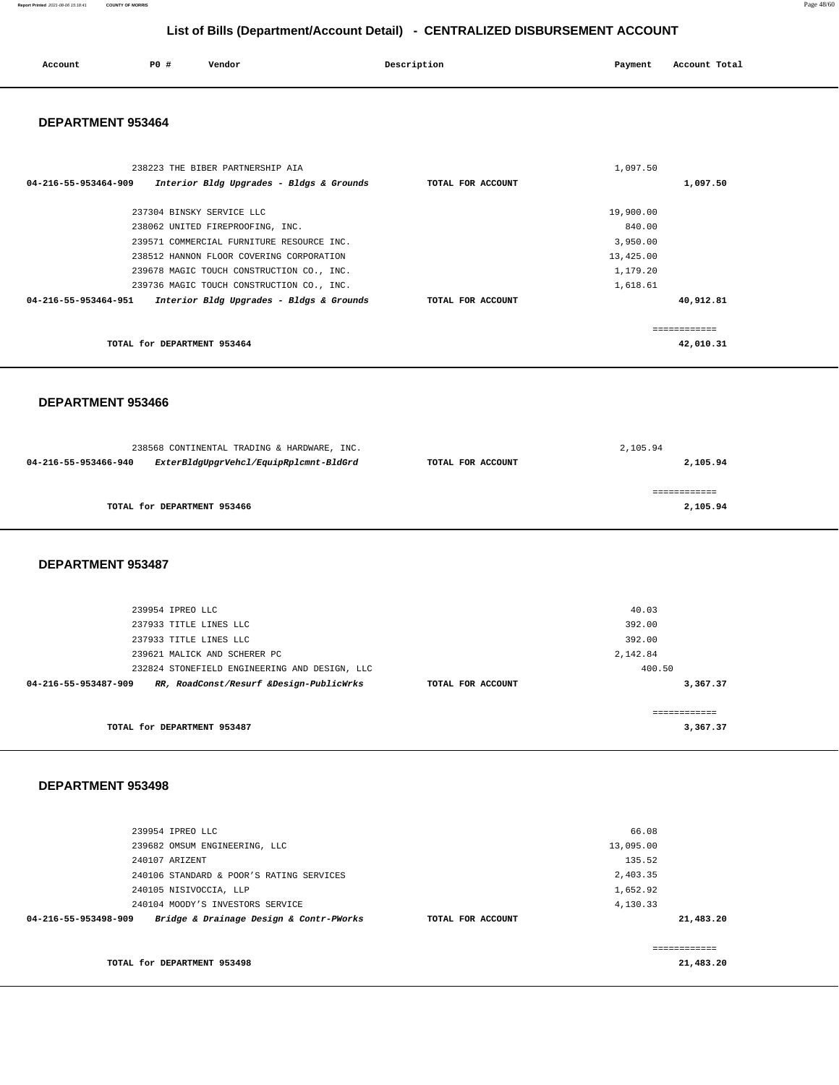#### **Report Printed** 2021-08-06 15:18:41 **COUNTY OF MORRIS** Page 48/60

**List of Bills (Department/Account Detail) - CENTRALIZED DISBURSEMENT ACCOUNT**

| Account<br>. | PO# | Vendor | Description | Payment | Account Total<br>.<br>. |
|--------------|-----|--------|-------------|---------|-------------------------|
|              |     |        |             |         |                         |

#### **DEPARTMENT 953464**

| 238223 THE BIBER PARTNERSHIP AIA                                 |                   | 1,097.50  |
|------------------------------------------------------------------|-------------------|-----------|
| Interior Bldg Upgrades - Bldgs & Grounds<br>04-216-55-953464-909 | TOTAL FOR ACCOUNT | 1,097.50  |
|                                                                  |                   |           |
| 237304 BINSKY SERVICE LLC                                        |                   | 19,900.00 |
| 238062 UNITED FIREPROOFING, INC.                                 |                   | 840.00    |
| 239571 COMMERCIAL FURNITURE RESOURCE INC.                        |                   | 3,950.00  |
| 238512 HANNON FLOOR COVERING CORPORATION                         |                   | 13,425.00 |
| 239678 MAGIC TOUCH CONSTRUCTION CO., INC.                        |                   | 1,179.20  |
| 239736 MAGIC TOUCH CONSTRUCTION CO., INC.                        |                   | 1,618.61  |
| 04-216-55-953464-951<br>Interior Bldg Upgrades - Bldgs & Grounds | TOTAL FOR ACCOUNT | 40,912.81 |
|                                                                  |                   | ========= |
|                                                                  |                   |           |
| TOTAL for DEPARTMENT 953464                                      |                   | 42,010.31 |

#### **DEPARTMENT 953466**

|                      | 238568 CONTINENTAL TRADING & HARDWARE, INC. |                   | 2,105.94 |
|----------------------|---------------------------------------------|-------------------|----------|
| 04-216-55-953466-940 | ExterBldgUpgrVehcl/EquipRplcmnt-BldGrd      | TOTAL FOR ACCOUNT | 2,105.94 |
|                      | TOTAL for DEPARTMENT 953466                 |                   | 2,105.94 |

#### **DEPARTMENT 953487**

| 239954 TPREO LLC                                                |                   | 40.03    |
|-----------------------------------------------------------------|-------------------|----------|
| 237933 TITLE LINES LLC                                          |                   | 392.00   |
| 237933 TITLE LINES LLC                                          |                   | 392.00   |
| 239621 MALICK AND SCHERER PC                                    |                   | 2,142.84 |
| 232824 STONEFIELD ENGINEERING AND DESIGN, LLC                   |                   | 400.50   |
| RR, RoadConst/Resurf &Design-PublicWrks<br>04-216-55-953487-909 | TOTAL FOR ACCOUNT | 3,367.37 |
|                                                                 |                   |          |
|                                                                 |                   |          |
| TOTAL for DEPARTMENT 953487                                     |                   | 3,367.37 |
|                                                                 |                   |          |

| 239954 IPREO LLC                                                |                   | 66.08     |             |
|-----------------------------------------------------------------|-------------------|-----------|-------------|
| 239682 OMSUM ENGINEERING, LLC                                   |                   | 13,095.00 |             |
| 240107 ARIZENT                                                  |                   | 135.52    |             |
| 240106 STANDARD & POOR'S RATING SERVICES                        |                   | 2,403.35  |             |
| 240105 NISIVOCCIA, LLP                                          |                   | 1,652.92  |             |
| 240104 MOODY'S INVESTORS SERVICE                                |                   | 4,130.33  |             |
| Bridge & Drainage Design & Contr-PWorks<br>04-216-55-953498-909 | TOTAL FOR ACCOUNT |           | 21,483.20   |
|                                                                 |                   |           | =========== |
| TOTAL for DEPARTMENT 953498                                     |                   |           | 21,483.20   |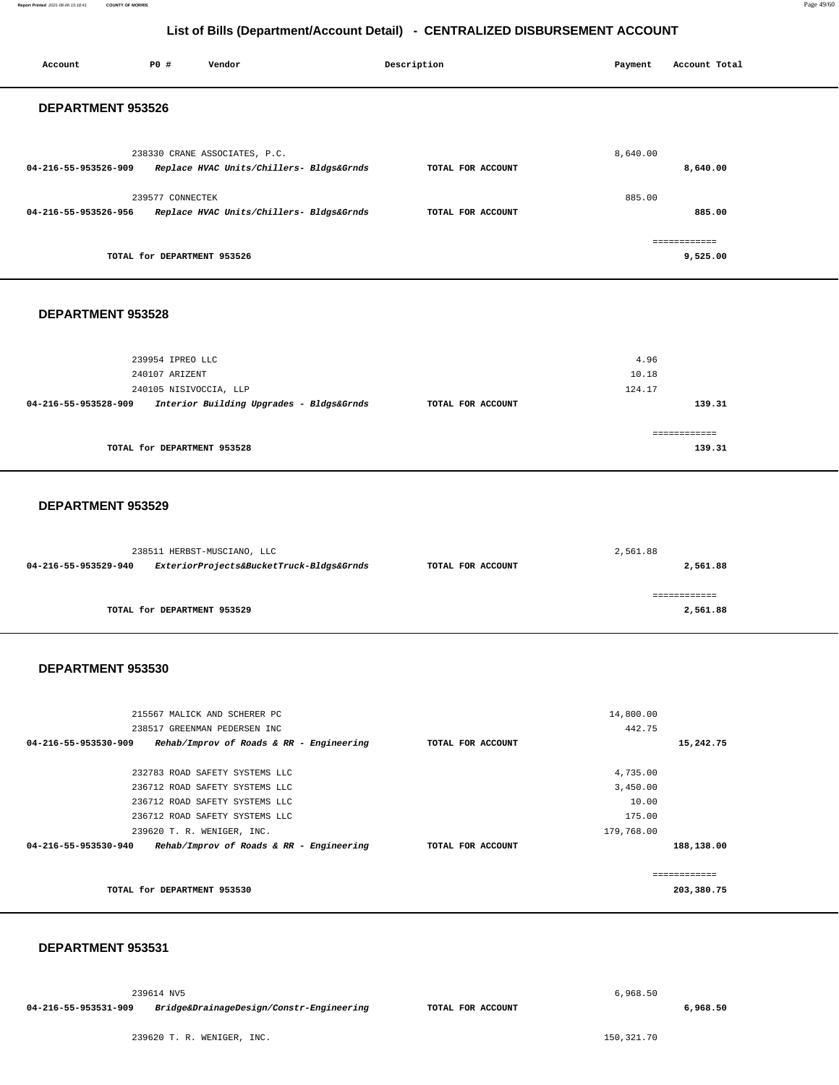#### **Report Printed** 2021-08-06 15:18:41 **COUNTY OF MORRIS** Page 49/60

#### **List of Bills (Department/Account Detail) - CENTRALIZED DISBURSEMENT ACCOUNT**

| Account              | <b>PO #</b>                 | Vendor                                                                    | Description       | Payment  | Account Total            |
|----------------------|-----------------------------|---------------------------------------------------------------------------|-------------------|----------|--------------------------|
| DEPARTMENT 953526    |                             |                                                                           |                   |          |                          |
| 04-216-55-953526-909 |                             | 238330 CRANE ASSOCIATES, P.C.<br>Replace HVAC Units/Chillers- Bldgs&Grnds | TOTAL FOR ACCOUNT | 8,640.00 | 8,640.00                 |
| 04-216-55-953526-956 | 239577 CONNECTEK            | Replace HVAC Units/Chillers- Bldgs&Grnds                                  | TOTAL FOR ACCOUNT | 885.00   | 885.00                   |
|                      | TOTAL for DEPARTMENT 953526 |                                                                           |                   |          | ------------<br>9,525.00 |

#### **DEPARTMENT 953528**

| 239954 IPREO LLC                                                 |                   | 4.96          |
|------------------------------------------------------------------|-------------------|---------------|
| 240107 ARIZENT                                                   |                   | 10.18         |
| 240105 NISIVOCCIA, LLP                                           |                   | 124.17        |
| Interior Building Upgrades - Bldgs&Grnds<br>04-216-55-953528-909 | TOTAL FOR ACCOUNT | 139.31        |
|                                                                  |                   |               |
|                                                                  |                   | ------------- |
| TOTAL for DEPARTMENT 953528                                      |                   | 139.31        |
|                                                                  |                   |               |

#### **DEPARTMENT 953529**

|                      | 238511 HERBST-MUSCIANO, LLC              |                   | 2,561.88 |
|----------------------|------------------------------------------|-------------------|----------|
| 04-216-55-953529-940 | ExteriorProjects&BucketTruck-Bldgs&Grnds | TOTAL FOR ACCOUNT | 2,561.88 |
|                      |                                          |                   |          |
|                      | TOTAL for DEPARTMENT 953529              |                   | 2,561.88 |
|                      |                                          |                   |          |

#### **DEPARTMENT 953530**

| 215567 MALICK AND SCHERER PC                                     |                   | 14,800.00  |            |
|------------------------------------------------------------------|-------------------|------------|------------|
| 238517 GREENMAN PEDERSEN INC                                     |                   | 442.75     |            |
| 04-216-55-953530-909<br>Rehab/Improv of Roads & RR - Engineering | TOTAL FOR ACCOUNT |            | 15,242.75  |
|                                                                  |                   |            |            |
| 232783 ROAD SAFETY SYSTEMS LLC                                   |                   | 4,735.00   |            |
| 236712 ROAD SAFETY SYSTEMS LLC                                   |                   | 3,450.00   |            |
| 236712 ROAD SAFETY SYSTEMS LLC                                   |                   | 10.00      |            |
| 236712 ROAD SAFETY SYSTEMS LLC                                   |                   | 175.00     |            |
| 239620 T. R. WENIGER, INC.                                       |                   | 179,768.00 |            |
| 04-216-55-953530-940<br>Rehab/Improv of Roads & RR - Engineering | TOTAL FOR ACCOUNT |            | 188,138.00 |
|                                                                  |                   |            |            |
|                                                                  |                   |            |            |
| TOTAL for DEPARTMENT 953530                                      |                   |            | 203,380.75 |
|                                                                  |                   |            |            |

#### **DEPARTMENT 953531**

239614 NV5

**04-216-55-953531-909 Bridge&DrainageDesign/Constr-Engineering TOTAL FOR ACCOUNT**  **6,968.50** 

239620 T. R. WENIGER, INC.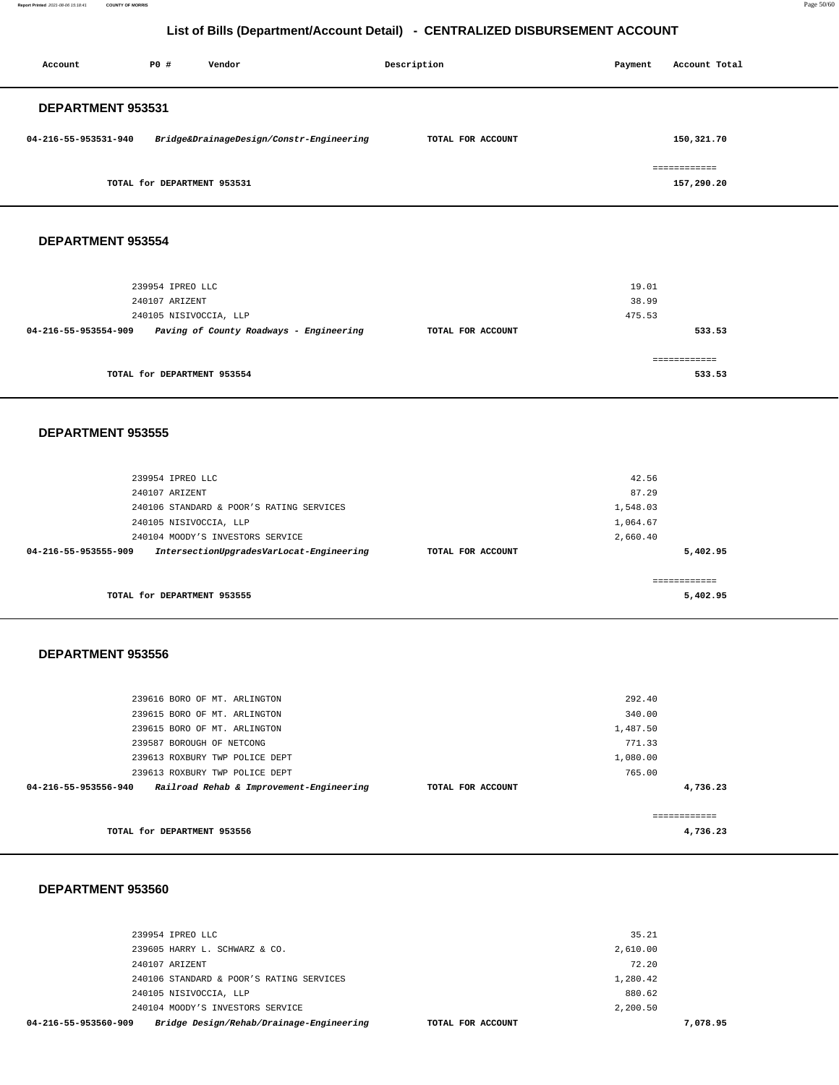**Report Printed** 2021-08-06 15:18:41 **COUNTY OF MORRIS** Page 50/60

## **List of Bills (Department/Account Detail) - CENTRALIZED DISBURSEMENT ACCOUNT**

| Account              | PO#                         | Vendor                                   | Description       | Payment | Account Total              |
|----------------------|-----------------------------|------------------------------------------|-------------------|---------|----------------------------|
| DEPARTMENT 953531    |                             |                                          |                   |         |                            |
| 04-216-55-953531-940 |                             | Bridge&DrainageDesign/Constr-Engineering | TOTAL FOR ACCOUNT |         | 150,321.70                 |
|                      | TOTAL for DEPARTMENT 953531 |                                          |                   |         | ============<br>157,290.20 |

#### **DEPARTMENT 953554**

| 239954 IPREO LLC                                                |                   | 19.01  |
|-----------------------------------------------------------------|-------------------|--------|
| 240107 ARIZENT                                                  |                   | 38.99  |
| 240105 NISIVOCCIA, LLP                                          |                   | 475.53 |
| Paving of County Roadways - Engineering<br>04-216-55-953554-909 | TOTAL FOR ACCOUNT | 533.53 |
|                                                                 |                   |        |
|                                                                 |                   |        |
| TOTAL for DEPARTMENT 953554                                     |                   | 533.53 |

#### **DEPARTMENT 953555**

|                      | 239954 IPREO LLC                         |                   | 42.56    |  |
|----------------------|------------------------------------------|-------------------|----------|--|
|                      | 240107 ARIZENT                           |                   | 87.29    |  |
|                      | 240106 STANDARD & POOR'S RATING SERVICES |                   | 1,548.03 |  |
|                      | 240105 NISIVOCCIA, LLP                   |                   | 1,064.67 |  |
|                      | 240104 MOODY'S INVESTORS SERVICE         |                   | 2,660.40 |  |
| 04-216-55-953555-909 | IntersectionUpgradesVarLocat-Engineering | TOTAL FOR ACCOUNT | 5,402.95 |  |
|                      |                                          |                   |          |  |
|                      |                                          |                   |          |  |
|                      | TOTAL for DEPARTMENT 953555              |                   | 5,402.95 |  |
|                      |                                          |                   |          |  |

#### **DEPARTMENT 953556**

| TOTAL for DEPARTMENT 953556                                      |                   |          | 4,736.23 |
|------------------------------------------------------------------|-------------------|----------|----------|
|                                                                  |                   |          |          |
| Railroad Rehab & Improvement-Engineering<br>04-216-55-953556-940 | TOTAL FOR ACCOUNT |          | 4,736.23 |
| 239613 ROXBURY TWP POLICE DEPT                                   |                   | 765.00   |          |
| 239613 ROXBURY TWP POLICE DEPT                                   |                   | 1,080.00 |          |
| 239587 BOROUGH OF NETCONG                                        |                   | 771.33   |          |
| 239615 BORO OF MT. ARLINGTON                                     |                   | 1,487.50 |          |
| 239615 BORO OF MT. ARLINGTON                                     |                   | 340.00   |          |
| 239616 BORO OF MT. ARLINGTON                                     |                   | 292.40   |          |
|                                                                  |                   |          |          |

| 04-216-55-953560-909<br>Bridge Design/Rehab/Drainage-Engineering | TOTAL FOR ACCOUNT | 7,078.95 |
|------------------------------------------------------------------|-------------------|----------|
| 240104 MOODY'S INVESTORS SERVICE                                 | 2,200.50          |          |
| 240105 NISIVOCCIA, LLP                                           | 880.62            |          |
| 240106 STANDARD & POOR'S RATING SERVICES                         | 1,280.42          |          |
| 240107 ARIZENT                                                   | 72.20             |          |
| 239605 HARRY L. SCHWARZ & CO.                                    | 2,610.00          |          |
| 239954 IPREO LLC                                                 | 35.21             |          |
|                                                                  |                   |          |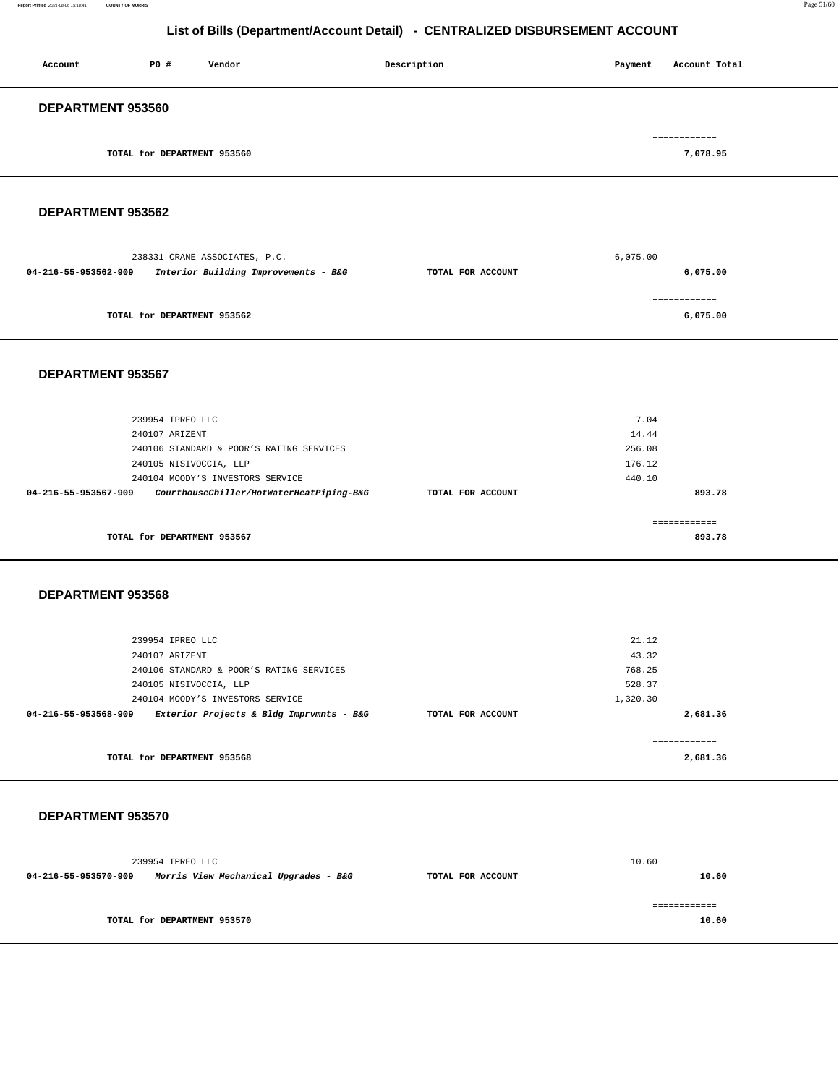#### **Report Printed** 2021-08-06 15:18:41 **COUNTY OF MORRIS** Page 51/60

## **List of Bills (Department/Account Detail) - CENTRALIZED DISBURSEMENT ACCOUNT**

| Account           | P0#                         | Vendor | Description | Payment | Account Total |
|-------------------|-----------------------------|--------|-------------|---------|---------------|
| DEPARTMENT 953560 |                             |        |             |         |               |
|                   |                             |        |             |         | ============  |
|                   | TOTAL for DEPARTMENT 953560 |        |             |         | 7,078.95      |

#### **DEPARTMENT 953562**

|                      | 238331 CRANE ASSOCIATES, P.C.        |                   | 6,075.00     |
|----------------------|--------------------------------------|-------------------|--------------|
| 04-216-55-953562-909 | Interior Building Improvements - B&G | TOTAL FOR ACCOUNT | 6,075.00     |
|                      |                                      |                   |              |
|                      |                                      |                   | ============ |
|                      | TOTAL for DEPARTMENT 953562          |                   | 6,075.00     |
|                      |                                      |                   |              |

#### **DEPARTMENT 953567**

|                      | 239954 IPREO LLC                         |                   | 7.04   |  |
|----------------------|------------------------------------------|-------------------|--------|--|
|                      | 240107 ARIZENT                           |                   | 14.44  |  |
|                      | 240106 STANDARD & POOR'S RATING SERVICES |                   | 256.08 |  |
|                      | 240105 NISIVOCCIA, LLP                   |                   | 176.12 |  |
|                      | 240104 MOODY'S INVESTORS SERVICE         |                   | 440.10 |  |
| 04-216-55-953567-909 | CourthouseChiller/HotWaterHeatPiping-B&G | TOTAL FOR ACCOUNT | 893.78 |  |
|                      |                                          |                   |        |  |
|                      |                                          |                   |        |  |
|                      | TOTAL for DEPARTMENT 953567              |                   | 893.78 |  |
|                      |                                          |                   |        |  |

#### **DEPARTMENT 953568**

| 239954 IPREO LLC                                                 |                   | 21.12    |
|------------------------------------------------------------------|-------------------|----------|
| 240107 ARIZENT                                                   |                   | 43.32    |
| 240106 STANDARD & POOR'S RATING SERVICES                         |                   | 768.25   |
| 240105 NISIVOCCIA, LLP                                           |                   | 528.37   |
| 240104 MOODY'S INVESTORS SERVICE                                 |                   | 1,320.30 |
| Exterior Projects & Bldg Imprvmnts - B&G<br>04-216-55-953568-909 | TOTAL FOR ACCOUNT | 2,681.36 |
|                                                                  |                   |          |
|                                                                  |                   |          |
| TOTAL for DEPARTMENT 953568                                      |                   | 2,681.36 |
|                                                                  |                   |          |

|                      | 239954 IPREO LLC                      |                   | 10.60 |
|----------------------|---------------------------------------|-------------------|-------|
| 04-216-55-953570-909 | Morris View Mechanical Upgrades - B&G | TOTAL FOR ACCOUNT | 10.60 |
|                      |                                       |                   |       |
|                      |                                       |                   |       |
|                      | TOTAL for DEPARTMENT 953570           |                   | 10.60 |
|                      |                                       |                   |       |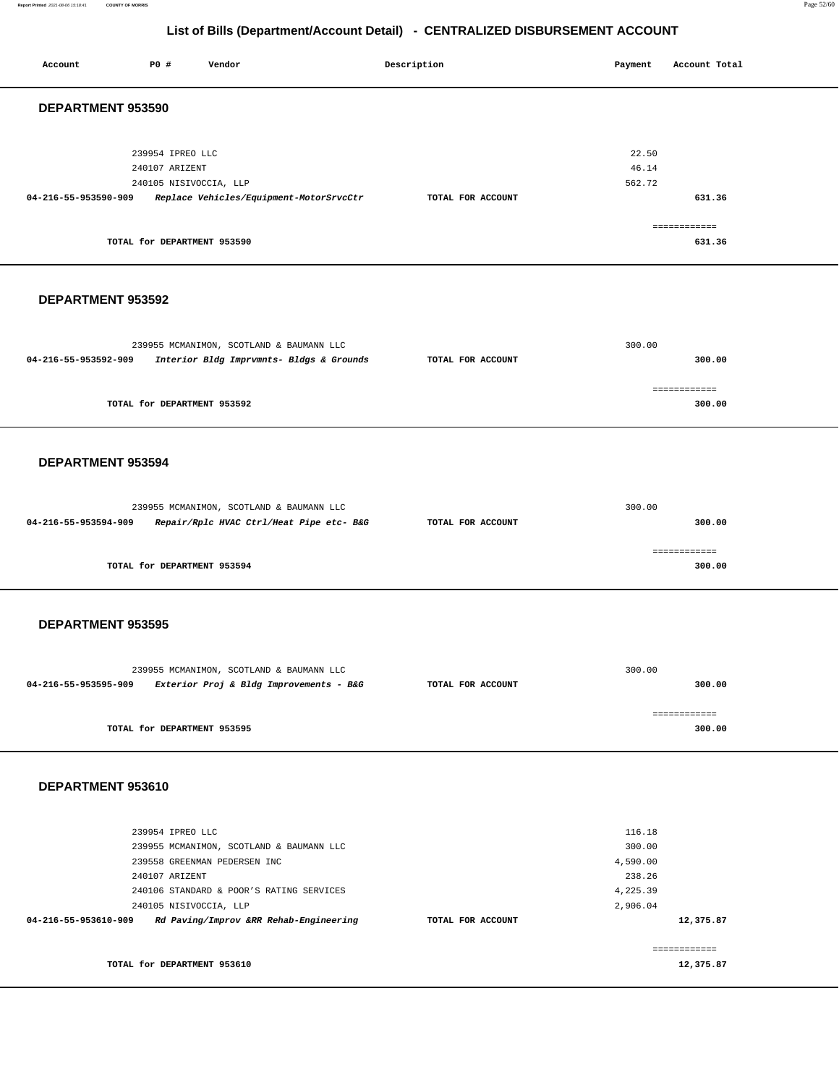**Report Printed** 2021-08-06 15:18:41 **COUNTY OF MORRIS** Page 52/60

## **List of Bills (Department/Account Detail) - CENTRALIZED DISBURSEMENT ACCOUNT**

| Account              | P0 #                               | Vendor                                                                   |                                          | Description       | Payment            | Account Total          |  |
|----------------------|------------------------------------|--------------------------------------------------------------------------|------------------------------------------|-------------------|--------------------|------------------------|--|
|                      |                                    |                                                                          |                                          |                   |                    |                        |  |
| DEPARTMENT 953590    |                                    |                                                                          |                                          |                   |                    |                        |  |
|                      |                                    |                                                                          |                                          |                   |                    |                        |  |
|                      | 239954 IPREO LLC<br>240107 ARIZENT |                                                                          |                                          |                   |                    | 22.50<br>46.14         |  |
|                      | 240105 NISIVOCCIA, LLP             |                                                                          |                                          |                   | 562.72             |                        |  |
| 04-216-55-953590-909 |                                    |                                                                          | Replace Vehicles/Equipment-MotorSrvcCtr  | TOTAL FOR ACCOUNT |                    | 631.36                 |  |
|                      |                                    |                                                                          |                                          |                   |                    | ============           |  |
|                      | TOTAL for DEPARTMENT 953590        |                                                                          |                                          |                   |                    | 631.36                 |  |
|                      |                                    |                                                                          |                                          |                   |                    |                        |  |
|                      |                                    |                                                                          |                                          |                   |                    |                        |  |
| DEPARTMENT 953592    |                                    |                                                                          |                                          |                   |                    |                        |  |
|                      |                                    |                                                                          |                                          |                   |                    |                        |  |
|                      |                                    | 239955 MCMANIMON, SCOTLAND & BAUMANN LLC                                 |                                          |                   | 300.00             |                        |  |
| 04-216-55-953592-909 |                                    |                                                                          | Interior Bldg Imprvmnts- Bldgs & Grounds | TOTAL FOR ACCOUNT |                    | 300.00                 |  |
|                      |                                    |                                                                          |                                          |                   |                    |                        |  |
|                      | TOTAL for DEPARTMENT 953592        |                                                                          |                                          |                   |                    | ============<br>300.00 |  |
|                      |                                    |                                                                          |                                          |                   |                    |                        |  |
|                      |                                    |                                                                          |                                          |                   |                    |                        |  |
| DEPARTMENT 953594    |                                    |                                                                          |                                          |                   |                    |                        |  |
|                      |                                    |                                                                          |                                          |                   |                    |                        |  |
|                      |                                    |                                                                          |                                          |                   |                    |                        |  |
| 04-216-55-953594-909 |                                    | 239955 MCMANIMON, SCOTLAND & BAUMANN LLC                                 | Repair/Rplc HVAC Ctrl/Heat Pipe etc- B&G | TOTAL FOR ACCOUNT | 300.00             | 300.00                 |  |
|                      |                                    |                                                                          |                                          |                   |                    |                        |  |
|                      |                                    |                                                                          |                                          |                   |                    | ============           |  |
|                      | TOTAL for DEPARTMENT 953594        |                                                                          |                                          |                   |                    | 300.00                 |  |
|                      |                                    |                                                                          |                                          |                   |                    |                        |  |
| DEPARTMENT 953595    |                                    |                                                                          |                                          |                   |                    |                        |  |
|                      |                                    |                                                                          |                                          |                   |                    |                        |  |
|                      |                                    |                                                                          |                                          |                   |                    |                        |  |
|                      |                                    | 239955 MCMANIMON, SCOTLAND & BAUMANN LLC                                 |                                          |                   | 300.00             |                        |  |
| 04-216-55-953595-909 |                                    |                                                                          | Exterior Proj & Bldg Improvements - B&G  | TOTAL FOR ACCOUNT |                    | 300.00                 |  |
|                      |                                    |                                                                          |                                          |                   |                    | ============           |  |
|                      | TOTAL for DEPARTMENT 953595        |                                                                          |                                          |                   |                    | 300.00                 |  |
|                      |                                    |                                                                          |                                          |                   |                    |                        |  |
| DEPARTMENT 953610    |                                    |                                                                          |                                          |                   |                    |                        |  |
|                      |                                    |                                                                          |                                          |                   |                    |                        |  |
|                      |                                    |                                                                          |                                          |                   |                    |                        |  |
|                      | 239954 IPREO LLC                   |                                                                          |                                          |                   | 116.18             |                        |  |
|                      |                                    | 239955 MCMANIMON, SCOTLAND & BAUMANN LLC<br>239558 GREENMAN PEDERSEN INC |                                          |                   | 300.00<br>4,590.00 |                        |  |
|                      | 240107 ARIZENT                     |                                                                          |                                          |                   | 238.26             |                        |  |
|                      |                                    | 240106 STANDARD & POOR'S RATING SERVICES                                 |                                          |                   | 4,225.39           |                        |  |
|                      | 240105 NISIVOCCIA, LLP             |                                                                          |                                          |                   | 2,906.04           |                        |  |
| 04-216-55-953610-909 |                                    |                                                                          | Rd Paving/Improv &RR Rehab-Engineering   | TOTAL FOR ACCOUNT |                    | 12,375.87              |  |
|                      |                                    |                                                                          |                                          |                   |                    | ============           |  |
|                      | TOTAL for DEPARTMENT 953610        |                                                                          |                                          |                   |                    | 12,375.87              |  |
|                      |                                    |                                                                          |                                          |                   |                    |                        |  |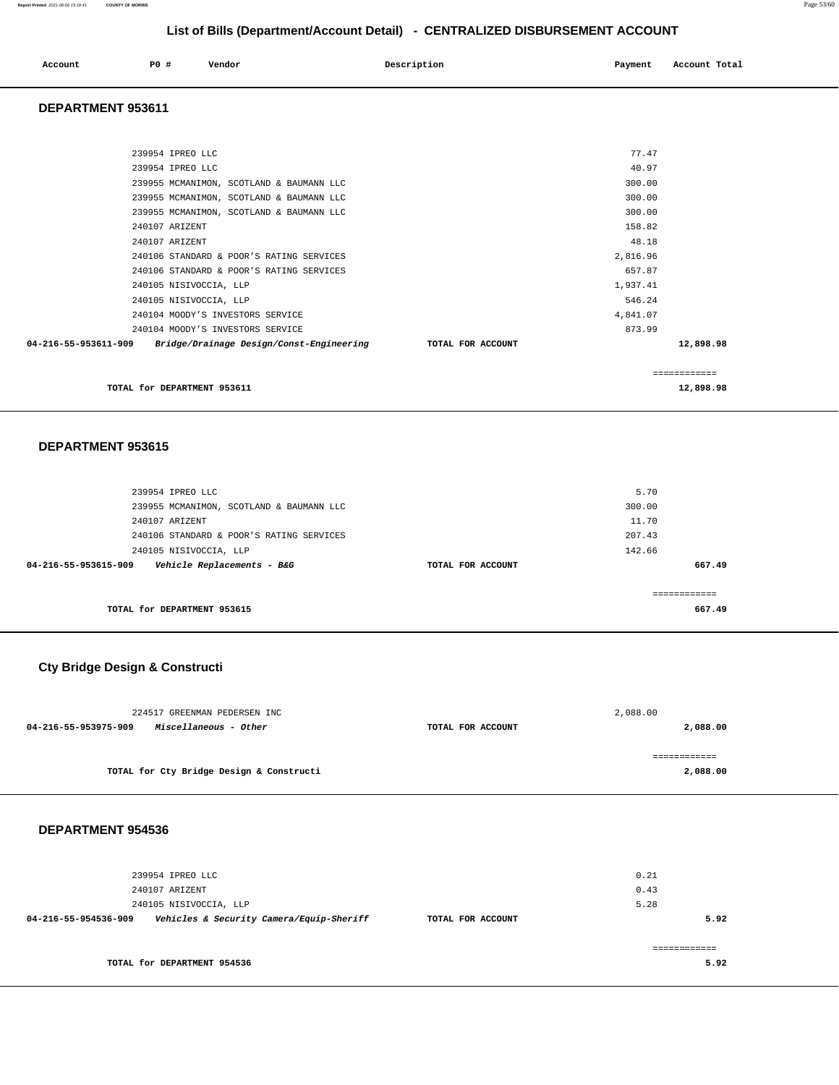| Account | <b>PO #</b> | Vendor | Description | Payment | Account Total |
|---------|-------------|--------|-------------|---------|---------------|
|         |             |        |             |         |               |

#### **DEPARTMENT 953611**

| TOTAL for DEPARTMENT 953611                                                |                   |          | 12,898.98    |
|----------------------------------------------------------------------------|-------------------|----------|--------------|
|                                                                            |                   |          | ------------ |
| $04 - 216 - 55 - 953611 - 909$<br>Bridge/Drainage Design/Const-Engineering | TOTAL FOR ACCOUNT |          | 12,898.98    |
| 240104 MOODY'S INVESTORS SERVICE                                           |                   | 873.99   |              |
| 240104 MOODY'S INVESTORS SERVICE                                           |                   | 4,841.07 |              |
| 240105 NISIVOCCIA, LLP                                                     |                   | 546.24   |              |
| 240105 NISIVOCCIA, LLP                                                     |                   | 1,937.41 |              |
| 240106 STANDARD & POOR'S RATING SERVICES                                   |                   | 657.87   |              |
| 240106 STANDARD & POOR'S RATING SERVICES                                   |                   | 2,816.96 |              |
| 240107 ARIZENT                                                             |                   | 48.18    |              |
| 240107 ARIZENT                                                             |                   | 158.82   |              |
| 239955 MCMANIMON, SCOTLAND & BAUMANN LLC                                   |                   | 300.00   |              |
| 239955 MCMANIMON, SCOTLAND & BAUMANN LLC                                   |                   | 300.00   |              |
| 239955 MCMANIMON, SCOTLAND & BAUMANN LLC                                   |                   | 300.00   |              |
| 239954 IPREO LLC                                                           |                   | 40.97    |              |
| 239954 IPREO LLC                                                           |                   | 77.47    |              |
|                                                                            |                   |          |              |

#### **DEPARTMENT 953615**

| 239954 IPREO LLC                                   |                   | 5.70   |
|----------------------------------------------------|-------------------|--------|
| 239955 MCMANIMON, SCOTLAND & BAUMANN LLC           |                   | 300.00 |
| 240107 ARIZENT                                     |                   | 11.70  |
| 240106 STANDARD & POOR'S RATING SERVICES           |                   | 207.43 |
| 240105 NISIVOCCIA, LLP                             |                   | 142.66 |
| Vehicle Replacements - B&G<br>04-216-55-953615-909 | TOTAL FOR ACCOUNT | 667.49 |
|                                                    |                   |        |
|                                                    |                   |        |
| TOTAL for DEPARTMENT 953615                        |                   | 667.49 |

## **Cty Bridge Design & Constructi**

| 224517 GREENMAN PEDERSEN INC                  |                   | 2,088.00 |
|-----------------------------------------------|-------------------|----------|
| Miscellaneous - Other<br>04-216-55-953975-909 | TOTAL FOR ACCOUNT | 2,088.00 |
|                                               |                   |          |
|                                               |                   |          |
| TOTAL for Cty Bridge Design & Constructi      |                   | 2,088.00 |

| 239954 IPREO LLC<br>240107 ARIZENT                               |                   | 0.21<br>0.43 |
|------------------------------------------------------------------|-------------------|--------------|
| 240105 NISIVOCCIA, LLP                                           |                   | 5.28         |
| Vehicles & Security Camera/Equip-Sheriff<br>04-216-55-954536-909 | TOTAL FOR ACCOUNT | 5.92         |
|                                                                  |                   |              |
|                                                                  |                   |              |
| TOTAL for DEPARTMENT 954536                                      |                   | 5.92         |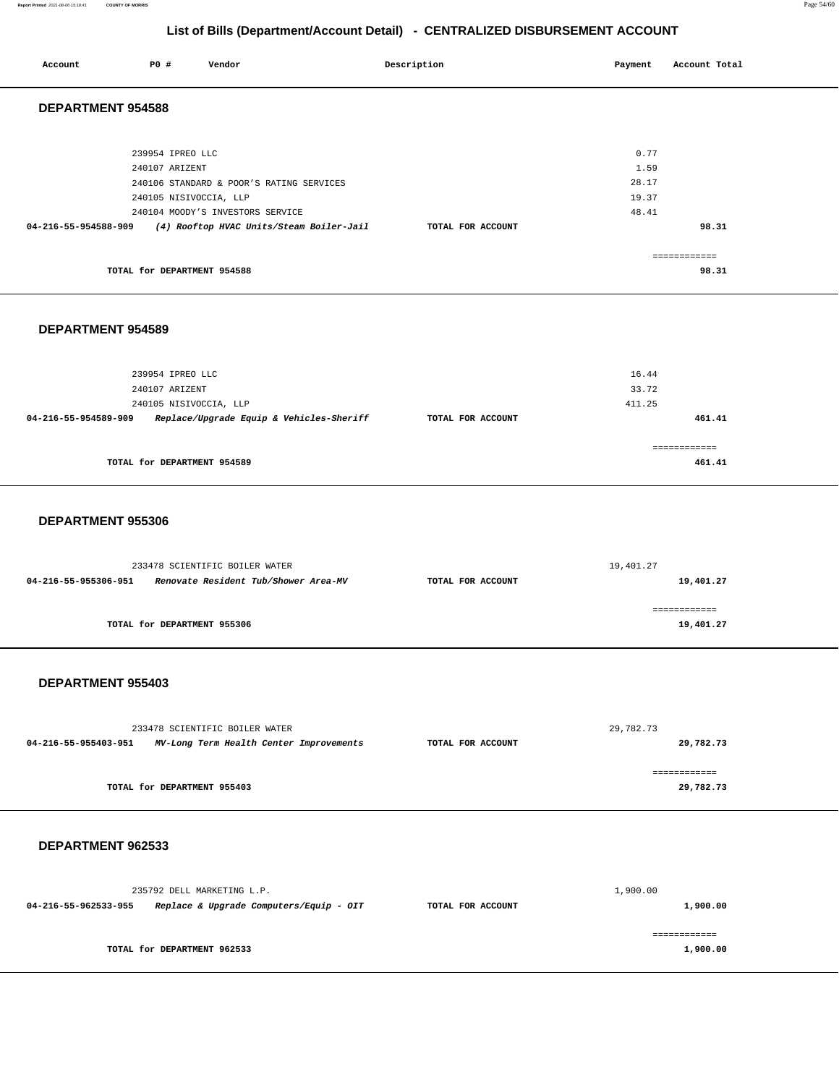**Report Printed** 2021-08-06 15:18:41 **COUNTY OF MORRIS** Page 54/60

## **List of Bills (Department/Account Detail) - CENTRALIZED DISBURSEMENT ACCOUNT**

|                          |                                    |                                                                        | LIST OF BIJIS (Department/Account Detail) - CENTRALIZED DISBURSEMENT ACCOUNT |                |                        |  |
|--------------------------|------------------------------------|------------------------------------------------------------------------|------------------------------------------------------------------------------|----------------|------------------------|--|
| Account                  | P0 #                               | Vendor                                                                 | Description                                                                  | Payment        | Account Total          |  |
| <b>DEPARTMENT 954588</b> |                                    |                                                                        |                                                                              |                |                        |  |
|                          |                                    |                                                                        |                                                                              |                |                        |  |
|                          | 239954 IPREO LLC                   |                                                                        |                                                                              | 0.77           |                        |  |
|                          | 240107 ARIZENT                     |                                                                        |                                                                              | 1.59           |                        |  |
|                          |                                    | 240106 STANDARD & POOR'S RATING SERVICES                               |                                                                              | 28.17          |                        |  |
|                          |                                    | 240105 NISIVOCCIA, LLP<br>240104 MOODY'S INVESTORS SERVICE             |                                                                              | 19.37<br>48.41 |                        |  |
| 04-216-55-954588-909     |                                    | (4) Rooftop HVAC Units/Steam Boiler-Jail                               | TOTAL FOR ACCOUNT                                                            |                | 98.31                  |  |
|                          |                                    |                                                                        |                                                                              |                |                        |  |
|                          | TOTAL for DEPARTMENT 954588        |                                                                        |                                                                              |                | ============<br>98.31  |  |
|                          |                                    |                                                                        |                                                                              |                |                        |  |
|                          |                                    |                                                                        |                                                                              |                |                        |  |
| DEPARTMENT 954589        |                                    |                                                                        |                                                                              |                |                        |  |
|                          |                                    |                                                                        |                                                                              |                |                        |  |
|                          |                                    |                                                                        |                                                                              |                |                        |  |
|                          | 239954 IPREO LLC<br>240107 ARIZENT |                                                                        |                                                                              | 16.44<br>33.72 |                        |  |
|                          |                                    | 240105 NISIVOCCIA, LLP                                                 |                                                                              | 411.25         |                        |  |
| 04-216-55-954589-909     |                                    | Replace/Upgrade Equip & Vehicles-Sheriff                               | TOTAL FOR ACCOUNT                                                            |                | 461.41                 |  |
|                          |                                    |                                                                        |                                                                              |                |                        |  |
|                          | TOTAL for DEPARTMENT 954589        |                                                                        |                                                                              |                | ============<br>461.41 |  |
|                          |                                    |                                                                        |                                                                              |                |                        |  |
|                          |                                    |                                                                        |                                                                              |                |                        |  |
| DEPARTMENT 955306        |                                    |                                                                        |                                                                              |                |                        |  |
|                          |                                    |                                                                        |                                                                              |                |                        |  |
|                          |                                    |                                                                        |                                                                              |                |                        |  |
| 04-216-55-955306-951     |                                    | 233478 SCIENTIFIC BOILER WATER<br>Renovate Resident Tub/Shower Area-MV | TOTAL FOR ACCOUNT                                                            | 19,401.27      | 19,401.27              |  |
|                          |                                    |                                                                        |                                                                              |                |                        |  |
|                          |                                    |                                                                        |                                                                              |                | ============           |  |
|                          | TOTAL for DEPARTMENT 955306        |                                                                        |                                                                              |                | 19,401.27              |  |
|                          |                                    |                                                                        |                                                                              |                |                        |  |
| DEPARTMENT 955403        |                                    |                                                                        |                                                                              |                |                        |  |
|                          |                                    |                                                                        |                                                                              |                |                        |  |
|                          |                                    |                                                                        |                                                                              |                |                        |  |
|                          |                                    | 233478 SCIENTIFIC BOILER WATER                                         |                                                                              | 29,782.73      |                        |  |
| 04-216-55-955403-951     |                                    | MV-Long Term Health Center Improvements                                | TOTAL FOR ACCOUNT                                                            |                | 29,782.73              |  |
|                          |                                    |                                                                        |                                                                              |                | ============           |  |
|                          | TOTAL for DEPARTMENT 955403        |                                                                        |                                                                              |                | 29,782.73              |  |
|                          |                                    |                                                                        |                                                                              |                |                        |  |
|                          |                                    |                                                                        |                                                                              |                |                        |  |

|                      | 235792 DELL MARKETING L.P.              |                   | 1,900.00 |
|----------------------|-----------------------------------------|-------------------|----------|
| 04-216-55-962533-955 | Replace & Upgrade Computers/Equip - OIT | TOTAL FOR ACCOUNT | 1,900.00 |
|                      | TOTAL for DEPARTMENT 962533             |                   | 1,900.00 |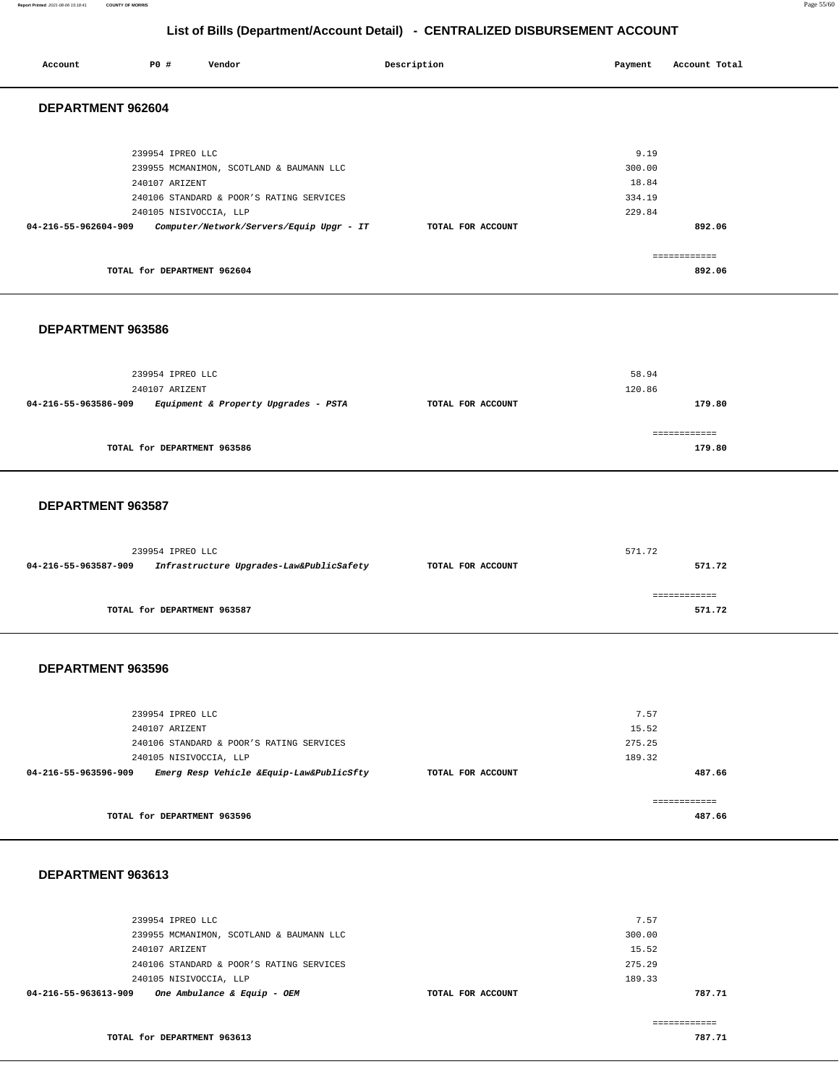#### **Report Printed** 2021-08-06 15:18:41 **COUNTY OF MORRIS** Page 55/60

## **List of Bills (Department/Account Detail) - CENTRALIZED DISBURSEMENT ACCOUNT**

| Account              | P0 #                               | Vendor                                                                                                                                                     | Description       | Payment                                     | Account Total          |
|----------------------|------------------------------------|------------------------------------------------------------------------------------------------------------------------------------------------------------|-------------------|---------------------------------------------|------------------------|
| DEPARTMENT 962604    |                                    |                                                                                                                                                            |                   |                                             |                        |
| 04-216-55-962604-909 | 239954 IPREO LLC<br>240107 ARIZENT | 239955 MCMANIMON, SCOTLAND & BAUMANN LLC<br>240106 STANDARD & POOR'S RATING SERVICES<br>240105 NISIVOCCIA, LLP<br>Computer/Network/Servers/Equip Upgr - IT | TOTAL FOR ACCOUNT | 9.19<br>300.00<br>18.84<br>334.19<br>229.84 | 892.06                 |
|                      |                                    | TOTAL for DEPARTMENT 962604                                                                                                                                |                   |                                             | ============<br>892.06 |

#### **DEPARTMENT 963586**

|                      | 239954 IPREO LLC<br>240107 ARIZENT   |                   | 58.94<br>120.86 |
|----------------------|--------------------------------------|-------------------|-----------------|
| 04-216-55-963586-909 | Equipment & Property Upgrades - PSTA | TOTAL FOR ACCOUNT | 179.80          |
|                      |                                      |                   |                 |
|                      | TOTAL for DEPARTMENT 963586          |                   | 179.80          |

#### **DEPARTMENT 963587**

| 239954 IPREO LLC                                                 |                   | 571.72 |
|------------------------------------------------------------------|-------------------|--------|
| 04-216-55-963587-909<br>Infrastructure Upgrades-Law&PublicSafety | TOTAL FOR ACCOUNT | 571.72 |
|                                                                  |                   |        |
|                                                                  |                   |        |
| TOTAL for DEPARTMENT 963587                                      |                   | 571.72 |

### **DEPARTMENT 963596**

|                   | 7.57         |
|-------------------|--------------|
|                   | 15.52        |
|                   | 275.25       |
|                   | 189.32       |
| TOTAL FOR ACCOUNT | 487.66       |
|                   |              |
|                   | ------------ |
|                   | 487.66       |
|                   |              |

|                      |                                          |                   | ----------- |
|----------------------|------------------------------------------|-------------------|-------------|
| 04-216-55-963613-909 | One Ambulance & Equip - OEM              | TOTAL FOR ACCOUNT | 787.71      |
|                      | 240105 NISIVOCCIA, LLP                   | 189.33            |             |
|                      | 240106 STANDARD & POOR'S RATING SERVICES | 275.29            |             |
|                      | 240107 ARIZENT                           | 15.52             |             |
|                      | 239955 MCMANIMON, SCOTLAND & BAUMANN LLC | 300.00            |             |
|                      | 239954 IPREO LLC                         | 7.57              |             |
|                      |                                          |                   |             |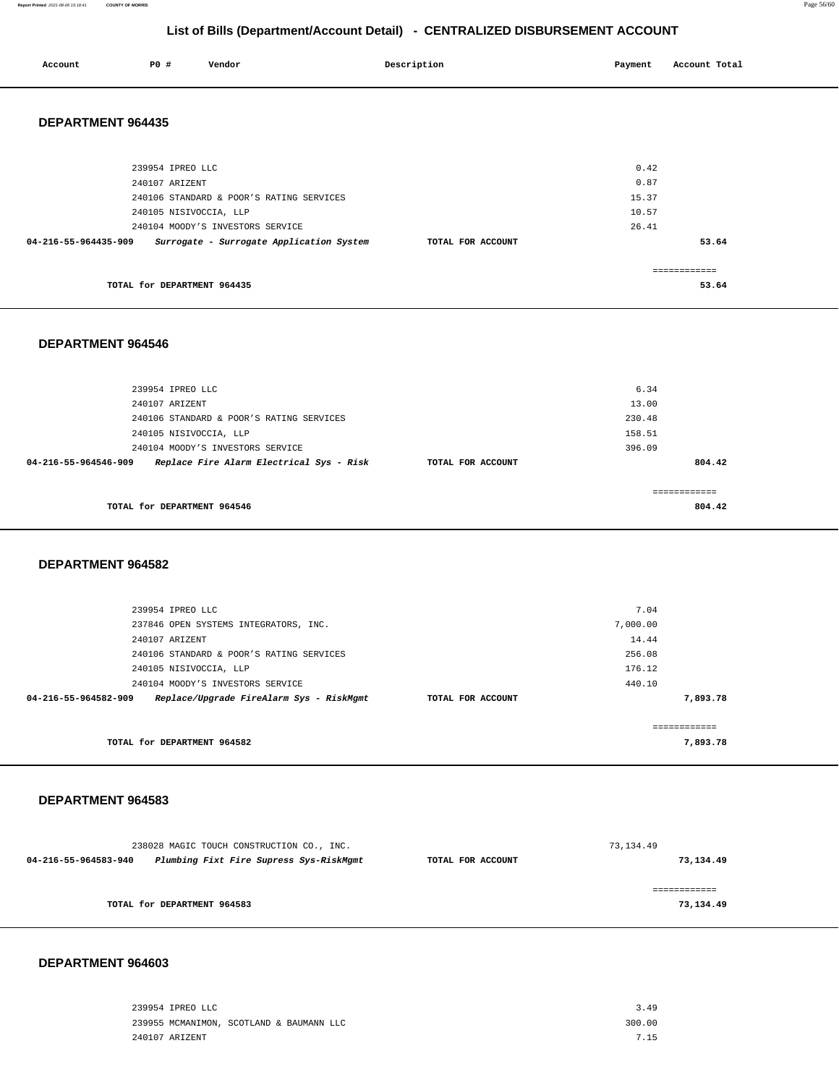**Report Printed** 2021-08-06 15:18:41 **COUNTY OF MORRIS** Page 56/60

## **List of Bills (Department/Account Detail) - CENTRALIZED DISBURSEMENT ACCOUNT**

| Account | P0# | Vendor | Description | Payment | Account Total |
|---------|-----|--------|-------------|---------|---------------|
|         |     |        |             |         |               |

#### **DEPARTMENT 964435**

| 239954 IPREO LLC                                                 | 0.42                       |  |
|------------------------------------------------------------------|----------------------------|--|
| 240107 ARIZENT                                                   | 0.87                       |  |
| 240106 STANDARD & POOR'S RATING SERVICES                         | 15.37                      |  |
| 240105 NISIVOCCIA, LLP                                           | 10.57                      |  |
| 240104 MOODY'S INVESTORS SERVICE                                 | 26.41                      |  |
| Surrogate - Surrogate Application System<br>04-216-55-964435-909 | 53.64<br>TOTAL FOR ACCOUNT |  |
|                                                                  |                            |  |
|                                                                  |                            |  |
| TOTAL for DEPARTMENT 964435                                      | 53.64                      |  |
|                                                                  |                            |  |

#### **DEPARTMENT 964546**

| 239954 TPREO LLC                                                 |                   | 6.34   |
|------------------------------------------------------------------|-------------------|--------|
| 240107 ARIZENT                                                   |                   | 13.00  |
| 240106 STANDARD & POOR'S RATING SERVICES                         |                   | 230.48 |
| 240105 NISIVOCCIA, LLP                                           |                   | 158.51 |
| 240104 MOODY'S INVESTORS SERVICE                                 |                   | 396.09 |
| Replace Fire Alarm Electrical Sys - Risk<br>04-216-55-964546-909 | TOTAL FOR ACCOUNT | 804.42 |
|                                                                  |                   |        |
|                                                                  |                   |        |
| TOTAL for DEPARTMENT 964546                                      |                   | 804.42 |
|                                                                  |                   |        |

#### **DEPARTMENT 964582**

| 239954 IPREO LLC                                                                      | 7.04     |  |
|---------------------------------------------------------------------------------------|----------|--|
| 237846 OPEN SYSTEMS INTEGRATORS, INC.                                                 | 7,000.00 |  |
| 240107 ARIZENT                                                                        | 14.44    |  |
| 240106 STANDARD & POOR'S RATING SERVICES                                              | 256.08   |  |
| 240105 NISIVOCCIA, LLP                                                                | 176.12   |  |
| 240104 MOODY'S INVESTORS SERVICE                                                      | 440.10   |  |
| Replace/Upgrade FireAlarm Sys - RiskMgmt<br>04-216-55-964582-909<br>TOTAL FOR ACCOUNT | 7,893.78 |  |
|                                                                                       |          |  |
| TOTAL for DEPARTMENT 964582                                                           | 7,893.78 |  |

#### **DEPARTMENT 964583**

|                      | 238028 MAGIC TOUCH CONSTRUCTION CO., INC. |                   | 73,134.49 |
|----------------------|-------------------------------------------|-------------------|-----------|
| 04-216-55-964583-940 | Plumbing Fixt Fire Supress Sys-RiskMgmt   | TOTAL FOR ACCOUNT | 73,134.49 |
|                      |                                           |                   |           |
|                      |                                           |                   |           |
|                      | TOTAL for DEPARTMENT 964583               |                   | 73,134.49 |
|                      |                                           |                   |           |

| 239954 IPREO LLC                         | 3.49   |
|------------------------------------------|--------|
| 239955 MCMANIMON, SCOTLAND & BAUMANN LLC | 300.00 |
| 240107 ARIZENT                           | 7.15   |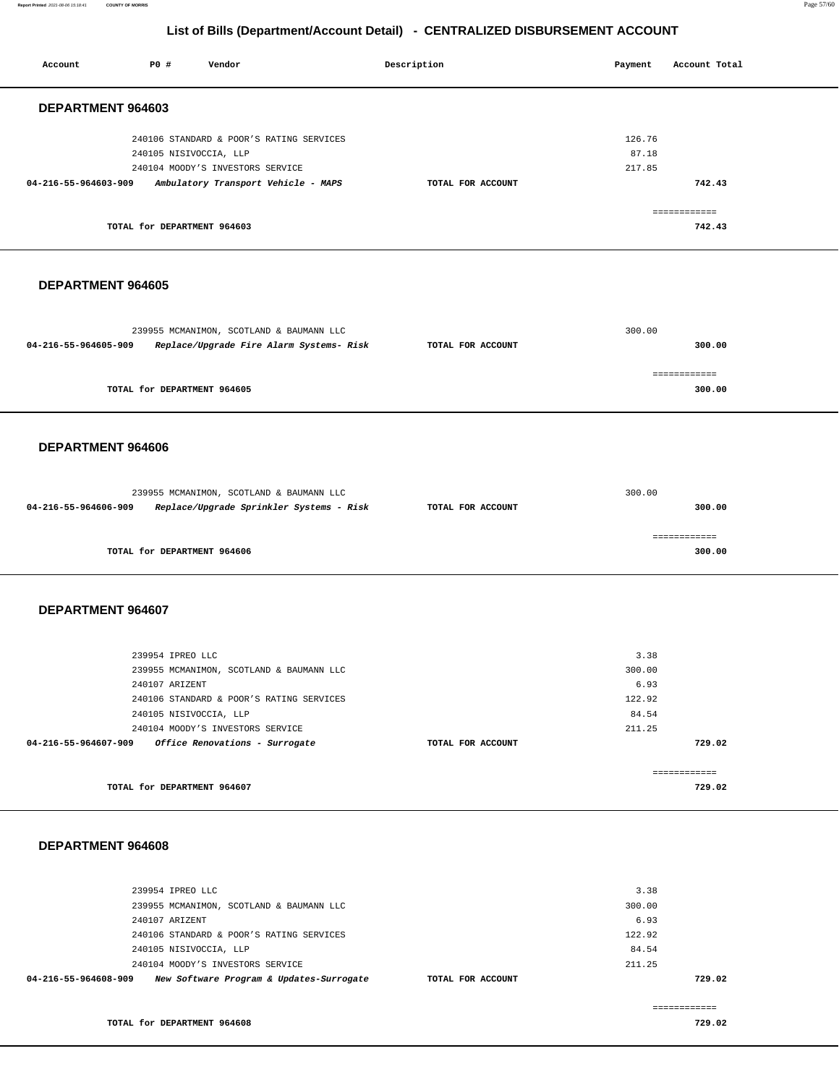**Report Printed** 2021-08-06 15:18:41 **COUNTY OF MORRIS** Page 57/60

#### **List of Bills (Department/Account Detail) - CENTRALIZED DISBURSEMENT ACCOUNT**

|                      |                                                              | <u>abarmonaria</u>                                                                                                       |                   |                                                     |                        |  |
|----------------------|--------------------------------------------------------------|--------------------------------------------------------------------------------------------------------------------------|-------------------|-----------------------------------------------------|------------------------|--|
| Account              | P0 #                                                         | Vendor                                                                                                                   | Description       | Payment                                             | Account Total          |  |
| DEPARTMENT 964603    |                                                              |                                                                                                                          |                   |                                                     |                        |  |
| 04-216-55-964603-909 | 240105 NISIVOCCIA, LLP                                       | 240106 STANDARD & POOR'S RATING SERVICES<br>240104 MOODY'S INVESTORS SERVICE<br>Ambulatory Transport Vehicle - MAPS      | TOTAL FOR ACCOUNT | 126.76<br>87.18<br>217.85                           | 742.43                 |  |
|                      | TOTAL for DEPARTMENT 964603                                  |                                                                                                                          |                   |                                                     | ------------<br>742.43 |  |
| DEPARTMENT 964605    |                                                              |                                                                                                                          |                   |                                                     |                        |  |
| 04-216-55-964605-909 |                                                              | 239955 MCMANIMON, SCOTLAND & BAUMANN LLC<br>Replace/Upgrade Fire Alarm Systems- Risk                                     | TOTAL FOR ACCOUNT | 300.00                                              | 300.00                 |  |
|                      | TOTAL for DEPARTMENT 964605                                  |                                                                                                                          |                   |                                                     | ============<br>300.00 |  |
| DEPARTMENT 964606    |                                                              |                                                                                                                          |                   |                                                     |                        |  |
| 04-216-55-964606-909 |                                                              | 239955 MCMANIMON, SCOTLAND & BAUMANN LLC<br>Replace/Upgrade Sprinkler Systems - Risk                                     | TOTAL FOR ACCOUNT | 300.00                                              | 300.00                 |  |
|                      | TOTAL for DEPARTMENT 964606                                  |                                                                                                                          |                   |                                                     | ------------<br>300.00 |  |
| DEPARTMENT 964607    |                                                              |                                                                                                                          |                   |                                                     |                        |  |
|                      | 239954 IPREO LLC<br>240107 ARIZENT<br>240105 NISIVOCCIA, LLP | 239955 MCMANIMON, SCOTLAND & BAUMANN LLC<br>240106 STANDARD & POOR'S RATING SERVICES<br>240104 MOODY'S INVESTORS SERVICE |                   | 3.38<br>300.00<br>6.93<br>122.92<br>84.54<br>211.25 |                        |  |
| 04-216-55-964607-909 |                                                              | Office Renovations - Surrogate                                                                                           | TOTAL FOR ACCOUNT |                                                     | 729.02                 |  |
|                      | TOTAL for DEPARTMENT 964607                                  |                                                                                                                          |                   |                                                     | ============<br>729.02 |  |

#### **DEPARTMENT 964608**

| 239954 IPREO LLC                                                 | 3.38              |        |
|------------------------------------------------------------------|-------------------|--------|
| 239955 MCMANIMON, SCOTLAND & BAUMANN LLC                         | 300.00            |        |
| 240107 ARIZENT                                                   | 6.93              |        |
| 240106 STANDARD & POOR'S RATING SERVICES                         | 122.92            |        |
| 240105 NISIVOCCIA, LLP                                           | 84.54             |        |
| 240104 MOODY'S INVESTORS SERVICE                                 | 211.25            |        |
| New Software Program & Updates-Surrogate<br>04-216-55-964608-909 | TOTAL FOR ACCOUNT | 729.02 |
|                                                                  |                   |        |

============ **TOTAL for DEPARTMENT 964608 729.02**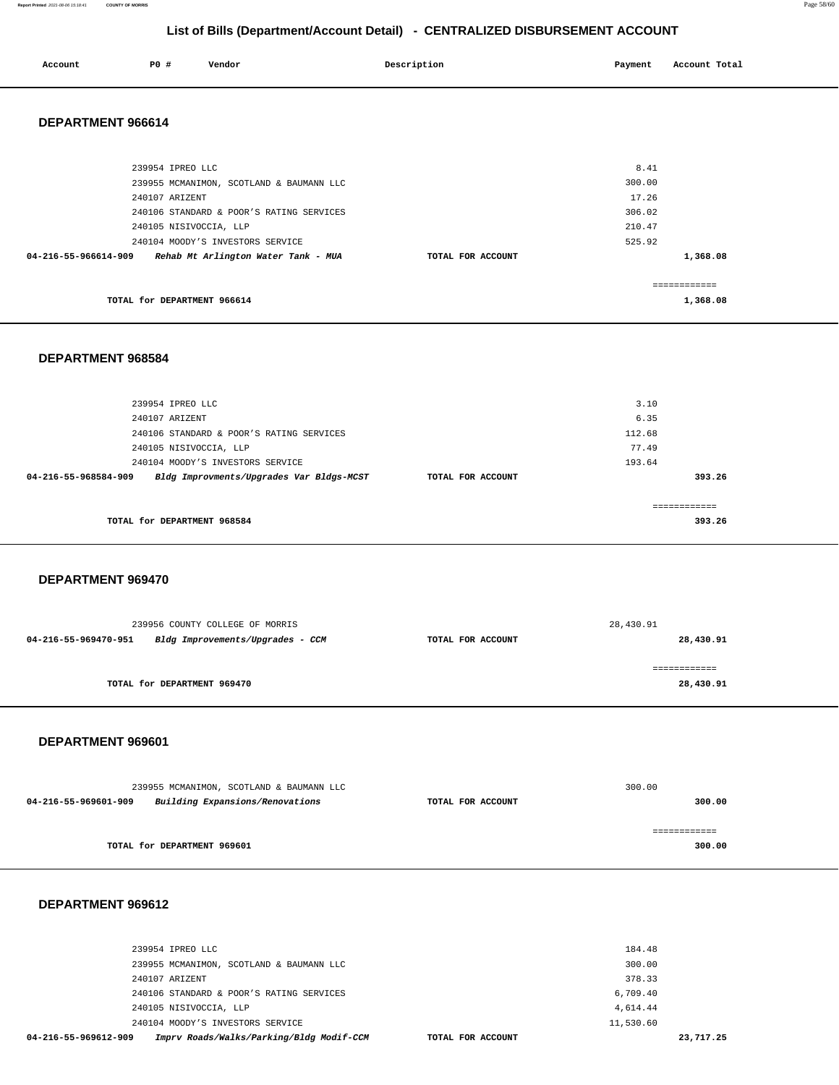| Account           | <b>PO #</b>      | Vendor                                   | Description | Payment | Account Total |
|-------------------|------------------|------------------------------------------|-------------|---------|---------------|
| DEPARTMENT 966614 |                  |                                          |             |         |               |
|                   | 239954 IPREO LLC |                                          |             | 8.41    |               |
|                   |                  | 239955 MCMANIMON, SCOTLAND & BAUMANN LLC |             | 300.00  |               |
|                   | 240107 ARIZENT   |                                          |             | 17.26   |               |
|                   |                  | 240106 STANDARD & POOR'S RATING SERVICES |             | 306.02  |               |

|                                                             |                   | - - - - - - |  |
|-------------------------------------------------------------|-------------------|-------------|--|
| 240105 NISIVOCCIA, LLP                                      |                   | 210.47      |  |
| 240104 MOODY'S INVESTORS SERVICE                            |                   | 525.92      |  |
| Rehab Mt Arlington Water Tank - MUA<br>04-216-55-966614-909 | TOTAL FOR ACCOUNT | 1,368.08    |  |
|                                                             |                   |             |  |
|                                                             |                   |             |  |
| TOTAL for DEPARTMENT 966614                                 |                   | 1,368.08    |  |
|                                                             |                   |             |  |

#### **DEPARTMENT 968584**

| 239954 IPREO LLC                                                 |                   | 3.10   |        |
|------------------------------------------------------------------|-------------------|--------|--------|
| 240107 ARIZENT                                                   |                   | 6.35   |        |
| 240106 STANDARD & POOR'S RATING SERVICES                         |                   | 112.68 |        |
| 240105 NISIVOCCIA, LLP                                           |                   | 77.49  |        |
| 240104 MOODY'S INVESTORS SERVICE                                 |                   | 193.64 |        |
| Bldg Improvments/Upgrades Var Bldgs-MCST<br>04-216-55-968584-909 | TOTAL FOR ACCOUNT |        | 393.26 |
|                                                                  |                   |        |        |
|                                                                  |                   |        |        |
| TOTAL for DEPARTMENT 968584                                      |                   | 393.26 |        |
|                                                                  |                   |        |        |

#### **DEPARTMENT 969470**

| 28,430.91 |  |
|-----------|--|
| 28,430.91 |  |
| 28,430.91 |  |
|           |  |

#### **DEPARTMENT 969601**

| 239955 MCMANIMON, SCOTLAND & BAUMANN LLC |                                 | 300.00            |              |
|------------------------------------------|---------------------------------|-------------------|--------------|
| 04-216-55-969601-909                     | Building Expansions/Renovations | TOTAL FOR ACCOUNT | 300.00       |
|                                          |                                 |                   |              |
|                                          |                                 |                   | ------------ |
|                                          | TOTAL for DEPARTMENT 969601     |                   | 300.00       |

| 04-216-55-969612-909   | Imprv Roads/Walks/Parking/Bldg Modif-CCM | TOTAL FOR ACCOUNT | 23,717.25 |
|------------------------|------------------------------------------|-------------------|-----------|
|                        | 240104 MOODY'S INVESTORS SERVICE         | 11,530.60         |           |
| 240105 NISIVOCCIA, LLP |                                          | 4,614.44          |           |
|                        | 240106 STANDARD & POOR'S RATING SERVICES | 6,709.40          |           |
| 240107 ARIZENT         |                                          | 378.33            |           |
|                        | 239955 MCMANIMON, SCOTLAND & BAUMANN LLC | 300.00            |           |
| 239954 IPREO LLC       |                                          | 184.48            |           |
|                        |                                          |                   |           |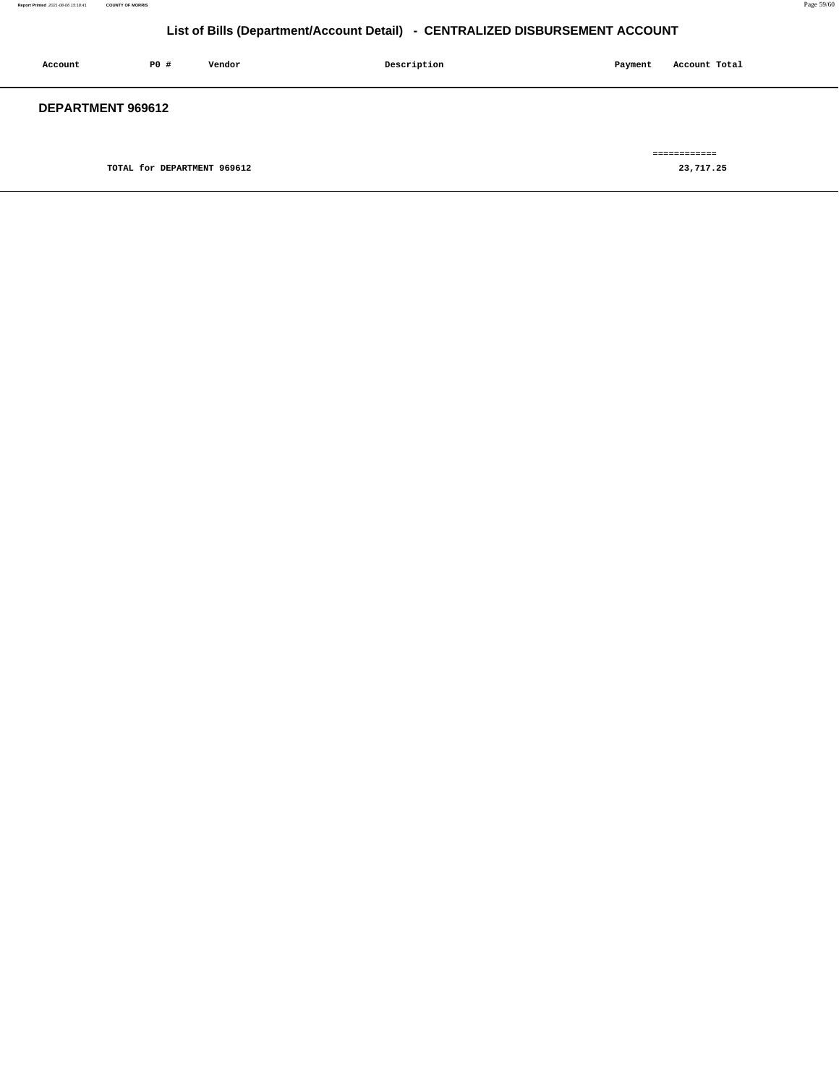| Account           | P0 #                        | Vendor | Description | Payment | Account Total             |
|-------------------|-----------------------------|--------|-------------|---------|---------------------------|
| DEPARTMENT 969612 |                             |        |             |         |                           |
|                   | TOTAL for DEPARTMENT 969612 |        |             |         | ============<br>23,717.25 |